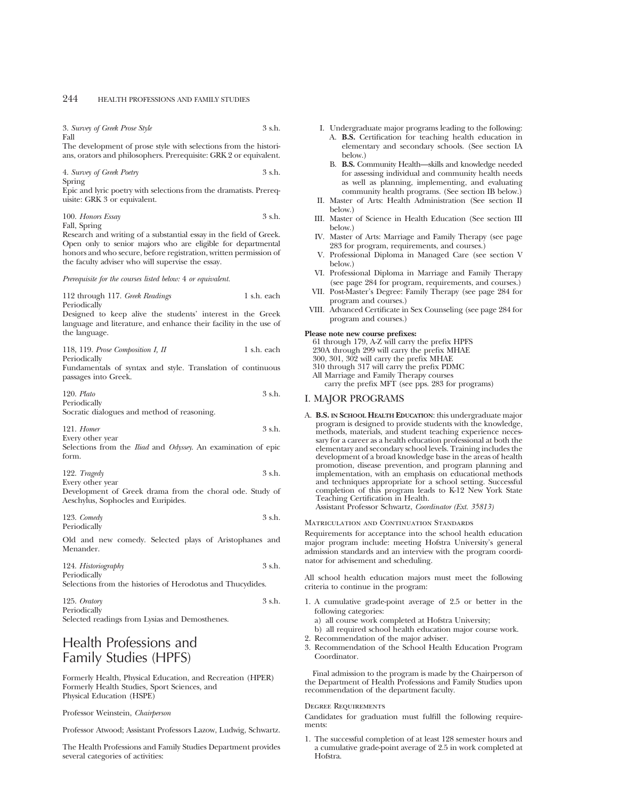3. *Survey of Greek Prose Style* 3 s.h. Fall

The development of prose style with selections from the historians, orators and philosophers. Prerequisite: GRK 2 or equivalent.

4. *Survey of Greek Poetry* 3 s.h. Spring

Epic and lyric poetry with selections from the dramatists. Prerequisite: GRK 3 or equivalent.

100. *Honors Essay* 3 s.h. Fall, Spring

Research and writing of a substantial essay in the field of Greek. Open only to senior majors who are eligible for departmental honors and who secure, before registration, written permission of the faculty adviser who will supervise the essay.

### *Prerequisite for the courses listed below:* 4 *or equivalent.*

112 through 117. *Greek Readings* 1 s.h. each Periodically

Designed to keep alive the students' interest in the Greek language and literature, and enhance their facility in the use of the language.

| 118, 119. Prose Composition I, II | 1 s.h. each |
|-----------------------------------|-------------|
| Periodically                      |             |

Fundamentals of syntax and style. Translation of continuous passages into Greek.

| $120.$ Plato   |  |  | 3 s.h. |
|----------------|--|--|--------|
| Periodically   |  |  |        |
| <b>Service</b> |  |  |        |

Socratic dialogues and method of reasoning.

121. *Homer* 3 s.h. Every other year

Selections from the *Iliad* and *Odyssey*. An examination of epic form.

| $122.$ Tragedy   | 3 s.h. |
|------------------|--------|
| Every other year |        |

Development of Greek drama from the choral ode. Study of Aeschylus, Sophocles and Euripides.

123. *Comedy* 3 s.h. Periodically

Old and new comedy. Selected plays of Aristophanes and Menander.

124. *Historiography* 3 s.h. Periodically

Selections from the histories of Herodotus and Thucydides.

125. *Oratory* 3 s.h. Periodically Selected readings from Lysias and Demosthenes.

# Health Professions and Family Studies (HPFS)

Formerly Health, Physical Education, and Recreation (HPER) Formerly Health Studies, Sport Sciences, and Physical Education (HSPE)

#### Professor Weinstein, *Chairperson*

Professor Atwood; Assistant Professors Lazow, Ludwig, Schwartz.

The Health Professions and Family Studies Department provides several categories of activities:

- I. Undergraduate major programs leading to the following:
	- A. **B.S.** Certification for teaching health education in elementary and secondary schools. (See section IA below.)
	- B. **B.S.** Community Health—skills and knowledge needed for assessing individual and community health needs as well as planning, implementing, and evaluating community health programs. (See section IB below.)
- II. Master of Arts: Health Administration (See section II below.)
- III. Master of Science in Health Education (See section III below.)
- IV. Master of Arts: Marriage and Family Therapy (see page 283 for program, requirements, and courses.)
- V. Professional Diploma in Managed Care (see section V below.)
- VI. Professional Diploma in Marriage and Family Therapy (see page 284 for program, requirements, and courses.)
- VII. Post-Master's Degree: Family Therapy (see page 284 for program and courses.)
- VIII. Advanced Certificate in Sex Counseling (see page 284 for program and courses.)

# **Please note new course prefixes:**

61 through 179, A-Z will carry the prefix HPFS 230A through 299 will carry the prefix MHAE 300, 301, 302 will carry the prefix MHAE 310 through 317 will carry the prefix PDMC All Marriage and Family Therapy courses carry the prefix MFT (see pps. 283 for programs)

# I. MAJOR PROGRAMS

A. **B.S. IN SCHOOL HEALTH EDUCATION**: this undergraduate major program is designed to provide students with the knowledge, methods, materials, and student teaching experience necessary for a career as a health education professional at both the elementary and secondary school levels. Training includes the development of a broad knowledge base in the areas of health promotion, disease prevention, and program planning and implementation, with an emphasis on educational methods and techniques appropriate for a school setting. Successful completion of this program leads to K-12 New York State Teaching Certification in Health. Assistant Professor Schwartz, *Coordinator (Ext. 35813)*

Matriculation and Continuation Standards

Requirements for acceptance into the school health education major program include: meeting Hofstra University's general admission standards and an interview with the program coordinator for advisement and scheduling.

All school health education majors must meet the following criteria to continue in the program:

- 1. A cumulative grade-point average of 2.5 or better in the following categories:
	- a) all course work completed at Hofstra University;
	- b) all required school health education major course work.
- 2. Recommendation of the major adviser.
- 3. Recommendation of the School Health Education Program Coordinator.

Final admission to the program is made by the Chairperson of the Department of Health Professions and Family Studies upon recommendation of the department faculty.

# Degree Requirements

Candidates for graduation must fulfill the following requirements:

1. The successful completion of at least 128 semester hours and a cumulative grade-point average of 2.5 in work completed at Hofstra.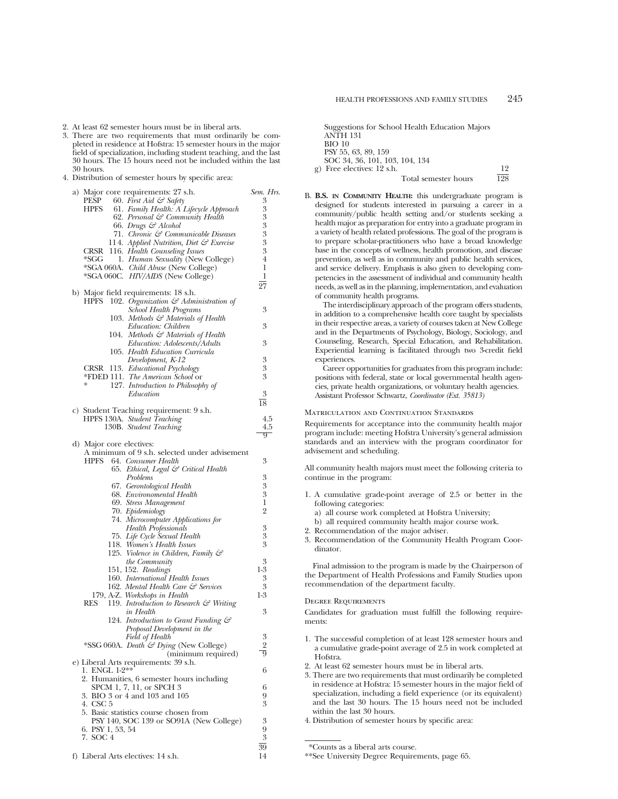- 2. At least 62 semester hours must be in liberal arts.
- 3. There are two requirements that must ordinarily be completed in residence at Hofstra: 15 semester hours in the major field of specialization, including student teaching, and the last 30 hours. The 15 hours need not be included within the last 30 hours.
- 4. Distribution of semester hours by specific area:

| a) Major core requirements: 27 s.h.                                                        | Sem. Hrs.        |
|--------------------------------------------------------------------------------------------|------------------|
| 60. First Aid $\mathcal{F}$ Safety<br>PESP                                                 | 3                |
| 61. Family Health: A Lifecycle Approach<br>HPFS                                            | 3                |
| 62. Personal & Community Health                                                            | 3                |
| 66. Drugs & Alcohol                                                                        | 3<br>3           |
| 71. Chronic & Communicable Diseases<br>114. Applied Nutrition, Diet & Exercise             | 3                |
| CRSR 116. Health Counseling Issues                                                         | 3                |
| *SGG<br>1. Human Sexuality (New College)                                                   | $\overline{4}$   |
| *SGA 060A. Child Abuse (New College)                                                       | 1                |
| *SGA 060C. HIV/AIDS (New College)                                                          | 1                |
|                                                                                            | 27               |
| b) Major field requirements: 18 s.h.                                                       |                  |
| 102. Organization $\mathcal{C}$ Administration of<br><b>HPFS</b>                           |                  |
| <b>School Health Programs</b>                                                              | 3                |
| 103. Methods & Materials of Health                                                         |                  |
| Education: Children                                                                        | 3                |
| 104. Methods & Materials of Health                                                         |                  |
| Education: Adolescents/Adults                                                              | 3                |
| 105. Health Education Curricula                                                            |                  |
| Development, K-12                                                                          | 3<br>3           |
| CRSR 113. Educational Psychology<br>*FDED 111. The American School or                      | 3                |
| 127. Introduction to Philosophy of                                                         |                  |
| Education                                                                                  | 3                |
|                                                                                            | 18               |
| c) Student Teaching requirement: 9 s.h.                                                    |                  |
| HPFS 130A. Student Teaching                                                                | 4.5              |
| 130B. Student Teaching                                                                     | 4.5              |
|                                                                                            | $9^-$            |
| d) Major core electives:                                                                   |                  |
| A minimum of 9 s.h. selected under advisement                                              |                  |
| 64. Consumer Health<br>HPFS                                                                | 3                |
| 65. Ethical, Legal & Critical Health                                                       |                  |
| Problems<br>67. Gerontological Health                                                      | 3<br>3           |
| 68. Environomental Health                                                                  | 3                |
| 69. Stress Management                                                                      | 1                |
| 70. Epidemiology                                                                           | $\overline{2}$   |
| 74. Microcomputer Applications for                                                         |                  |
| <b>Health Professionals</b>                                                                | 3                |
| 75. Life Cycle Sexual Health                                                               | $\boldsymbol{3}$ |
| 118. Women's Health Issues                                                                 | 3                |
| 125. Violence in Children, Family &                                                        |                  |
| <i>the Community</i>                                                                       | 3                |
| 151, 152. Readings                                                                         | $1-3$            |
| 160. International Health Issues                                                           | 3                |
| 162. Mental Health Care & Services                                                         | 3                |
| 179, A-Z. Workshops in Health<br>RES<br>119. Introduction to Research $\mathcal G$ Writing | $1-3$            |
| in Health                                                                                  | 3                |
| 124. Introduction to Grant Funding &                                                       |                  |
| Proposal Development in the                                                                |                  |
| Field of Health                                                                            | 3                |
| *SSG 060A. Death & Dying (New College)                                                     | 2                |
| (minimum required)                                                                         | 9                |
| e) Liberal Arts requirements: 39 s.h.                                                      |                  |
| 1. ENGL 1-2**                                                                              | 6                |
| 2. Humanities, 6 semester hours including                                                  |                  |
| SPCM 1, 7, 11, or SPCH 3                                                                   | 6                |
| 3. BIO 3 or 4 and 103 and 105                                                              | 9                |
| 4. CSC 5                                                                                   | 3                |
| 5. Basic statistics course chosen from                                                     | 3                |
| PSY 140, SOC 139 or SO91A (New College)<br>6. PSY 1, 53, 54                                | 9                |
| 7. SOC 4                                                                                   | 3                |
|                                                                                            | 39               |
| f) Liberal Arts electives: 14 s.h.                                                         | 14               |

| Suggestions for School Health Education Majors |     |
|------------------------------------------------|-----|
| <b>ANTH 131</b>                                |     |
| $BIO$ 10                                       |     |
| PSY 55, 63, 89, 159                            |     |
| SOC 34, 36, 101, 103, 104, 134                 |     |
| g) Free electives: 12 s.h.                     | 19  |
| Total semester hours                           | 198 |

B. **B.S. IN COMMUNITY HEALTH:** this undergraduate program is designed for students interested in pursuing a career in a community/public health setting and/or students seeking a health major as preparation for entry into a graduate program in a variety of health related professions. The goal of the program is to prepare scholar-practitioners who have a broad knowledge base in the concepts of wellness, health promotion, and disease prevention, as well as in community and public health services, and service delivery. Emphasis is also given to developing competencies in the assessment of individual and community health needs, as well as in the planning, implementation, and evaluation of community health programs.

The interdisciplinary approach of the program offers students, in addition to a comprehensive health core taught by specialists in their respective areas, a variety of courses taken at New College and in the Departments of Psychology, Biology, Sociology, and Counseling, Research, Special Education, and Rehabilitation. Experiential learning is facilitated through two 3-credit field experiences.

Career opportunities for graduates from this program include: positions with federal, state or local governmental health agencies, private health organizations, or voluntary health agencies. Assistant Professor Schwartz, *Coordinator (Ext. 35813)*

### Matriculation and Continuation Standards

Requirements for acceptance into the community health major program include: meeting Hofstra University's general admission standards and an interview with the program coordinator for advisement and scheduling.

All community health majors must meet the following criteria to continue in the program:

- 1. A cumulative grade-point average of 2.5 or better in the following categories:
	- a) all course work completed at Hofstra University;
	- b) all required community health major course work.
- 2. Recommendation of the major adviser.
- 3. Recommendation of the Community Health Program Coordinator.

Final admission to the program is made by the Chairperson of the Department of Health Professions and Family Studies upon recommendation of the department faculty.

#### Degree Requirements

Candidates for graduation must fulfill the following requirements:

- 1. The successful completion of at least 128 semester hours and a cumulative grade-point average of 2.5 in work completed at Hofstra.
- 2. At least 62 semester hours must be in liberal arts.
- 3. There are two requirements that must ordinarily be completed in residence at Hofstra: 15 semester hours in the major field of specialization, including a field experience (or its equivalent) and the last 30 hours. The 15 hours need not be included within the last 30 hours.
- 4. Distribution of semester hours by specific area:

<sup>\*</sup>Counts as a liberal arts course.

<sup>\*\*</sup>See University Degree Requirements, page 65.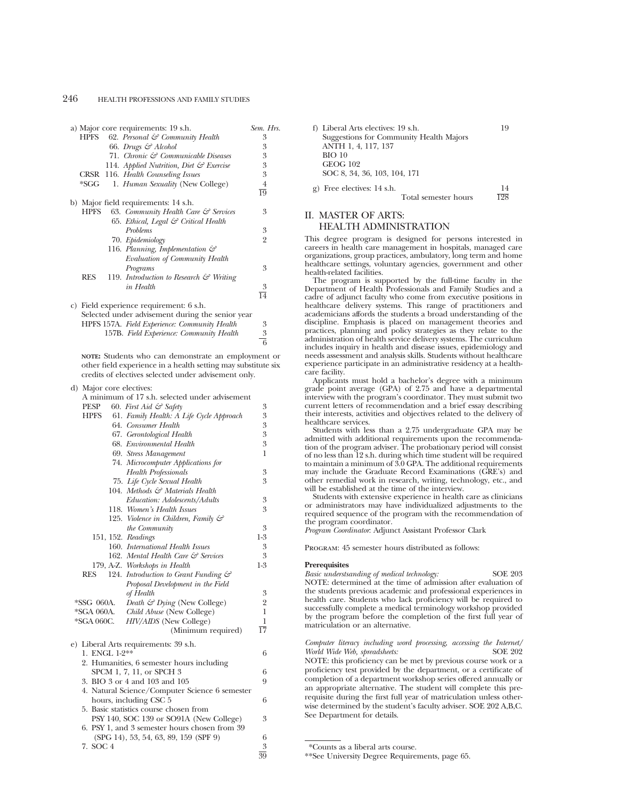|             | a) Major core requirements: 19 s.h.                | Sem. Hrs.       |
|-------------|----------------------------------------------------|-----------------|
| HPFS        | 62. Personal & Community Health                    | 3               |
|             | 66. Drugs & Alcohol                                | 3               |
|             | 71. Chronic & Communicable Diseases                | 3               |
|             | 114. Applied Nutrition, Diet $\mathcal G$ Exercise | 3               |
|             | CRSR 116. Health Counseling Issues                 | 3               |
| $*SGG$      | 1. Human Sexuality (New College)                   | 4               |
|             |                                                    | $\overline{19}$ |
|             | b) Major field requirements: 14 s.h.               |                 |
| <b>HPFS</b> | 63. Community Health Care & Services               | 3               |
|             | 65. Ethical, Legal & Critical Health               |                 |
|             | <b>Problems</b>                                    | 3               |
|             | 70. Epidemiology                                   | $\overline{2}$  |
|             | 116. Planning, Implementation $\mathcal{C}$        |                 |
|             | Evaluation of Community Health                     |                 |
|             | Programs                                           | 3               |
| <b>RES</b>  | 119. Introduction to Research $\mathcal G$ Writing |                 |
|             | in Health                                          | 3               |
|             |                                                    | $\overline{14}$ |
|             | c) Field experience requirement: 6 s.h.            |                 |
|             | Selected under advisement during the senior year   |                 |
|             | HPFS 157A. Field Experience: Community Health      | 3               |
|             | 157B. Field Experience: Community Health           | $\frac{3}{6}$   |
|             |                                                    |                 |

**NOTE:** Students who can demonstrate an employment or other field experience in a health setting may substitute six credits of electives selected under advisement only.

#### d) Major core electives:

A minimum of 17 s.h. selected under advisement<br>  $P_{\text{EVD}} = 60$ ,  $E_{\text{ref}}$  Aid  $\mathcal{E}^2$  Safety 60. *First Aid & Safety* 

| பய<br>$\sigma$ . This number of $\sigma$                | ◡                |
|---------------------------------------------------------|------------------|
| 61. Family Health: A Life Cycle Approach<br><b>HPFS</b> | 3                |
| 64. Consumer Health                                     | 3                |
| 67. Gerontological Health                               | $\boldsymbol{3}$ |
| 68. Environmental Health                                | 3                |
| 69. Stress Management                                   | 1                |
| 74. Microcomputer Applications for                      |                  |
| <b>Health Professionals</b>                             | 3                |
| 75. Life Cycle Sexual Health                            | 3                |
| 104. Methods & Materials Health                         |                  |
| Education: Adolescents/Adults                           | 3                |
| 118. Women's Health Issues                              | 3                |
| 125. Violence in Children, Family $\mathcal{C}^2$       |                  |
| the Community                                           | 3                |
| 151, 152. Readings                                      | $1-3$            |
| 160. International Health Issues                        | 3                |
| 162. Mental Health Care & Services                      | 3                |
| 179, A-Z. Workshops in Health                           | $1-3$            |
| RES<br>124. Introduction to Grant Funding &             |                  |
| Proposal Development in the Field                       |                  |
| of Health                                               | 3                |
| *SSG 060A.<br>Death & Dying (New College)               | $\overline{2}$   |
| *SGA 060A. Child Abuse (New College)                    | $\mathbf{1}$     |
| *SGA 060C. HIV/AIDS (New College)                       | 1                |
| (Minimum required)                                      | $\overline{17}$  |
| e) Liberal Arts requirements: 39 s.h.                   |                  |
| 1. ENGL 1-2**                                           | 6                |
| 2. Humanities, 6 semester hours including               |                  |
| SPCM 1, 7, 11, or SPCH 3                                | 6                |
| 3. BIO 3 or 4 and 103 and 105                           | 9                |
| 4. Natural Science/Computer Science 6 semester          |                  |
| hours, including CSC 5                                  | 6                |
| 5. Basic statistics course chosen from                  |                  |
| PSY 140, SOC 139 or SO91A (New College)                 | 3                |
| 6. PSY 1, and 3 semester hours chosen from 39           |                  |
| $(SPG 14)$ , 53, 54, 63, 89, 159 $(SPF 9)$              | 6                |
| 7. SOC 4                                                | 3                |
|                                                         | $\overline{39}$  |

| f) Liberal Arts electives: 19 s.h.      | 19  |
|-----------------------------------------|-----|
| Suggestions for Community Health Majors |     |
| ANTH 1, 4, 117, 137                     |     |
| $BIO$ 10                                |     |
| <b>GEOG 102</b>                         |     |
| SOC 8, 34, 36, 103, 104, 171            |     |
| $g$ ) Free electives: 14 s.h.           | 14  |
| Total semester hours                    | 198 |

# II. MASTER OF ARTS: HEALTH ADMINISTRATION

This degree program is designed for persons interested in careers in health care management in hospitals, managed care organizations, group practices, ambulatory, long term and home healthcare settings, voluntary agencies, government and other health-related facilities.

The program is supported by the full-time faculty in the Department of Health Professionals and Family Studies and a cadre of adjunct faculty who come from executive positions in healthcare delivery systems. This range of practitioners and academicians affords the students a broad understanding of the discipline. Emphasis is placed on management theories and practices, planning and policy strategies as they relate to the administration of health service delivery systems. The curriculum includes inquiry in health and disease issues, epidemiology and needs assessment and analysis skills. Students without healthcare experience participate in an administrative residency at a healthcare facility.

Applicants must hold a bachelor's degree with a minimum grade point average (GPA) of 2.75 and have a departmental interview with the program's coordinator. They must submit two current letters of recommendation and a brief essay describing their interests, activities and objectives related to the delivery of healthcare services.

Students with less than a 2.75 undergraduate GPA may be admitted with additional requirements upon the recommendation of the program adviser. The probationary period will consist of no less than 12 s.h. during which time student will be required to maintain a minimum of 3.0 GPA. The additional requirements may include the Graduate Record Examinations (GRE's) and other remedial work in research, writing, technology, etc., and will be established at the time of the interview.

Students with extensive experience in health care as clinicians or administrators may have individualized adjustments to the required sequence of the program with the recommendation of the program coordinator.

*Program Coordinator*: Adjunct Assistant Professor Clark

Program: 45 semester hours distributed as follows:

# **Prerequisites**

*Basic understsanding of medical technology:* SOE 203 NOTE: determined at the time of admission after evaluation of the students previous academic and professional experiences in health care. Students who lack proficiency will be required to successfully complete a medical terminology workshop provided by the program before the completion of the first full year of matriculation or an alternative.

*Computer literacy including word processing, accessing the Internet/ World Wide Web, spreadsheets:* 

NOTE: this proficiency can be met by previous course work or a proficiency test provided by the department, or a certificate of completion of a department workshop series offered annually or an appropriate alternative. The student will complete this prerequisite during the first full year of matriculation unless otherwise determined by the student's faculty adviser. SOE 202 A,B,C. See Department for details.

<sup>\*</sup>Counts as a liberal arts course.

<sup>\*\*</sup>See University Degree Requirements, page 65.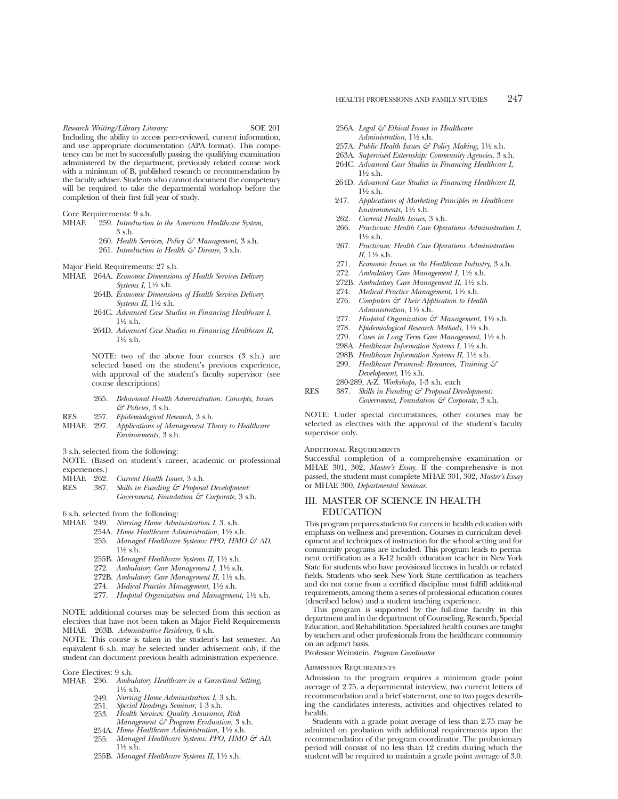*Research Writing/Library Literary:* SOE 201 Including the ability to access peer-reviewed, current information, and use appropriate documentation (APA format). This competency can be met by successfully passing the qualifying examination administered by the department, previously related course work with a minimum of B, published research or recommendation by the faculty adviser. Students who cannot document the competency will be required to take the departmental workshop before the completion of their first full year of study.

Core Requirements: 9 s.h.

- MHAE 259. *Introduction to the American Healthcare System,*  $3$  s h.
	- 260. *Health Services, Policy & Management*, 3 s.h.
	- 261. *Introduction to Health & Disease*, 3 s.h.

Major Field Requirements: 27 s.h.

- MHAE 264A. *Economic Dimensions of Health Services Delivery Systems I*, 11⁄2 s.h.
	- 264B. *Economic Dimensions of Health Services Delivery Systems II*, 11⁄2 s.h.
	- 264C. *Advanced Case Studies in Financing Healthcare I*, 11⁄2 s.h.
	- 264D. *Advanced Case Studies in Financing Healthcare II*,  $1\frac{1}{2}$  s.h.

NOTE: two of the above four courses (3 s.h.) are selected based on the student's previous experience, with approval of the student's faculty supervisor (see course descriptions)

- 265. *Behavioral Health Administration: Concepts, Issues & Policies*, 3 s.h.
- RES 257. *Epidemiological Research*, 3 s.h.
- MHAE 297. *Applications of Management Theory to Healthcare Environments*, 3 s.h.
- 3 s.h. selected from the following:

NOTE: (Based on student's career, academic or professional experiences.)<br>MHAE 262.

- MHAE 262. *Current Health Issues*, 3 s.h.<br>RES 387. *Skills in Funding & Probosa*
- Skills in Funding & Proposal Development: *Government, Foundation & Corporate,* 3 s.h.

6 s.h. selected from the following:

- MHAE 249. *Nursing Home Administration I*, 3. s.h.
	- 254A. *Home Healthcare Administration*,  $1\frac{1}{2}$  s.h.
		- 255. Managed Healthcare Systems: PPO, HMO & AD,  $1\frac{1}{2}$  s.h.
		- 255B. *Managed Healthcare Systems II*, 11⁄2 s.h.
		- 272. *Ambulatory Care Management I*, 11⁄2 s.h.
		- 272B. *Ambulatory Care Management II*, 11⁄2 s.h.
		- 274. *Medical Practice Management*, 11⁄2 s.h.
		- 277. *Hospital Organization and Management*, 11⁄2 s.h.

NOTE: additional courses may be selected from this section as electives that have not been taken as Major Field Requirements MHAE 263B. *Admnistrative Residency*, 6 s.h.

NOTE: This course is taken in the student's last semester. An equivalent 6 s.h. may be selected under advisement only, if the student can document previous health administration experience.

Core Electives: 9 s.h.

- MHAE 236. *Ambulatory Healthcare in a Correctinal Setting,* 11⁄2 s.h.
	- 249. *Nursing Home Administration I*, 3 s.h.
	- 251. *Special Readings Seminar*, 1-3 s.h.
	- 253. *Health Services: Quality Assurance, Risk Management & Program Evaluation*, 3 s.h.
	- 254A. *Home Healthcare Administration*,  $1\frac{1}{2}$  s.h.
	- 255. Managed Healthcare Systems: PPO, HMO & AD,  $1\frac{1}{2}$  s.h.
	- 255B. Managed Healthcare Systems II, 11/2 s.h.
- 256A. *Legal & Ethical Issues in Healthcare Administration*, 1<sup>1</sup>/2 s.h.
- 257A. *Public Health Issues & Policy Making*, 11⁄2 s.h.
- 263A. *Supervised Externship: Community Agencies*, 3 s.h.
- 264C. *Advanced Case Studies in Financing Healthcare I*,  $1\frac{1}{6}$  s.h.
- 264D. *Advanced Case Studies in Financing Healthcare II*,  $1\frac{1}{2}$  s.h.
- 247. *Applications of Marketing Principles in Healthcare Environments*, 11⁄2 s.h.
- 262. *Current Health Issues*, 3 s.h.
- 266. *Practicum: Health Care Operations Administration I*, 11⁄2 s.h.
- 267. *Practicum: Health Care Operations Administration*  $II$ , 11⁄2 s.h.
- 271. *Economic Issues in the Healthcare Industry*, 3 s.h.
- 272. *Ambulatory Care Management I*, 11⁄2 s.h.
- 272B. Ambulatory Care Management II, 1<sup>1</sup>/2 s.h.
- 274. *Medical Practice Management*, 11⁄2 s.h.
- 276. *Computers & Their Application to Health Administration*, 11⁄2 s.h.
- 277. *Hospital Organization & Management*, 11⁄2 s.h.
- 278. *Epidemiological Research Methods*, 11⁄2 s.h.
- 279. *Cases in Long Term Care Management*, 11⁄2 s.h.
- 298A. *Healthcare Information Systems I*, 11⁄2 s.h.
- 298B. *Healthcare Information Systems II*, 11⁄2 s.h.
- 299. *Healthcare Personnel: Resources, Training & Development*, 11⁄2 s.h.
- 280-289, A-Z. *Workshops*, 1-3 s.h. each

NOTE: Under special circumstances, other courses may be selected as electives with the approval of the student's faculty supervisor only.

# Additional Requirements

Successful completion of a comprehensive examination or MHAE 301, 302, *Master's Essay*. If the comprehensive is not passed, the student must complete MHAE 301, 302, *Master's Essay* or MHAE 300, *Departmental Seminar*.

# III. MASTER OF SCIENCE IN HEALTH EDUCATION

This program prepares students for careers in health education with emphasis on wellness and prevention. Courses in curriculum development and techniques of instruction for the school setting and for community programs are included. This program leads to permanent certification as a K-12 health education teacher in New York State for students who have provisional licenses in health or related fields. Students who seek New York State certification as teachers and do not come from a certified discipline must fulfill additional requirements, among them a series of professional education coures (described below) and a student teaching experience.

This program is supported by the full-time faculty in this department and in the department of Counseling, Research, Special Education, and Rehabilitation. Specialized health courses are taught by teachers and other professionals from the healthcare community on an adjunct basis.

Professor Weinstein, *Program Coordinator*

# Admission Requirements

Admission to the program requires a minimum grade point average of 2.75, a departmental interview, two current letters of recommendation and a brief statement, one to two pages describing the candidates interests, activities and objectives related to health.

Students with a grade point average of less than 2.75 may be admitted on probation with additional requirements upon the recommendation of the program coordinator. The probationary period will consist of no less than 12 credits during which the student will be required to maintain a grade point average of 3.0.

RES 387. *Skills in Funding & Proposal Development: Government, Foundation & Corporate*, 3 s.h.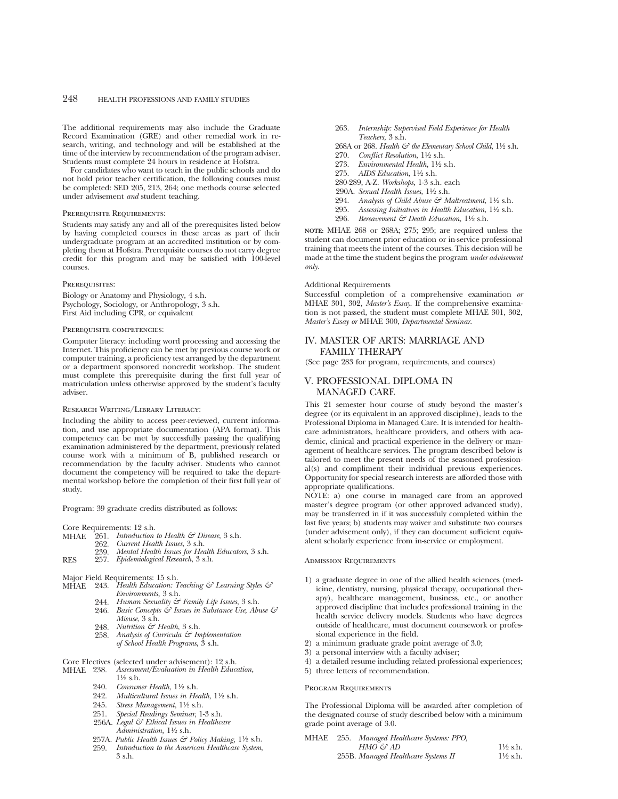The additional requirements may also include the Graduate Record Examination (GRE) and other remedial work in research, writing, and technology and will be established at the time of the interview by recommendation of the program adviser. Students must complete 24 hours in residence at Hofstra.

For candidates who want to teach in the public schools and do not hold prior teacher certification, the following courses must be completed: SED 205, 213, 264; one methods course selected under advisement *and* student teaching.

### Prerequisite Requirements:

Students may satisfy any and all of the prerequisites listed below by having completed courses in these areas as part of their undergraduate program at an accredited institution or by completing them at Hofstra. Prerequisite courses do not carry degree credit for this program and may be satisfied with 100-level courses.

# PREREQUISITES:

Biology or Anatomy and Physiology, 4 s.h. Psychology, Sociology, or Anthropology, 3 s.h. First Aid including CPR, or equivalent

#### Prerequisite competencies:

Computer literacy: including word processing and accessing the Internet. This proficiency can be met by previous course work or computer training, a proficiency test arranged by the department or a department sponsored noncredit workshop. The student must complete this prerequisite during the first full year of matriculation unless otherwise approved by the student's faculty adviser.

### Research Writing/Library Literacy:

Including the ability to access peer-reviewed, current information, and use appropriate documentation (APA format). This competency can be met by successfully passing the qualifying examination administered by the department, previously related course work with a minimum of B, published research or recommendation by the faculty adviser. Students who cannot document the competency will be required to take the departmental workshop before the completion of their first full year of study.

Program: 39 graduate credits distributed as follows:

Core Requirements: 12 s.h.<br>MHAE 261. Introduction

- $\frac{1}{261}$ . *Introduction to Health*  $\Im$  *Disease*, 3 s.h.<br>969 *Current Health Issues*, 3 s.h.
- 262. *Current Health Issues*, 3 s.h.
	- 239. *Mental Health Issues for Health Educators*, 3 s.h.
- RES 257. *Epidemiological Research*, 3 s.h.
- Major Field Requirements: 15 s.h.
- MHAE 243. *Health Education: Teaching & Learning Styles & Environments*, 3 s.h.
	- 244. *Human Sexuality & Family Life Issues*, 3 s.h.
	- 246. *Basic Concepts & Issues in Substance Use, Abuse & Misuse*, 3 s.h.
	- 248. *Nutrition & Health*, 3 s.h.
	- 258. *Analysis of Curricula & Implementation of School Health Programs*, 3 s.h.

# Core Electives (selected under advisement): 12 s.h.<br>MHAF 238. Assessment/Evaluation in Health Educe

- MHAE 238. *Assessment/Evaluation in Health Education*,  $1\frac{1}{6}$  s.h.
	- 240. *Consumer Health*, 11⁄2 s.h.
	- 242. *Multicultural Issues in Health*,  $1\frac{1}{2}$  s.h.<br>245. *Stress Management*,  $1\frac{1}{2}$  s.h.
	-
	- 245. *Stress Management*, 1½ s.h.<br>251. *Special Readings Seminar*, 1 251. *Special Readings Seminar*, 1-3 s.h.
	- 256A. *Legal & Ethical Issues in Healthcare Administration,* 11⁄2 s.h.
	- 257A. Public Health Issues & Policy Making, 11/2 s.h.
	- 259. *Introduction to the American Healthcare System*, 3 s.h.
- 263. *Internship: Supervised Field Experience for Health Teachers*, 3 s.h.
- 268A or 268. *Health & the Elementary School Child*,  $1\frac{1}{2}$  s.h.
- 270. *Conflict Resolution*,  $1\frac{1}{2}$  s.h.
- 273. *Environmental Health*, 11⁄2 s.h.
- 275. *AIDS Education*, 11⁄2 s.h.
- 280-289, A-Z. *Workshops,* 1-3 s.h. each
- 290A. *Sexual Health Issues*, 11⁄2 s.h.
- 294. *Analysis of Child Abuse & Maltreatment*, 1<sup>1</sup>/2 s.h.<br>295. *Assessing Initiatives in Health Education*, 1<sup>1</sup>/2 s.h.
- 295. *Assessing Initiatives in Health Education*,  $1\frac{1}{2}$  s.h.<br>296. *Bereavement & Death Education*,  $1\frac{1}{2}$  s.h.
- 296. *Bereavement & Death Education,* 11⁄2 s.h.

**NOTE:** MHAE 268 or 268A; 275; 295; are required unless the student can document prior education or in-service professional training that meets the intent of the courses. This decision will be made at the time the student begins the program *under advisement only.*

## Additional Requirements

Successful completion of a comprehensive examination *or* MHAE 301, 302, *Master's Essay*. If the comprehensive examination is not passed, the student must complete MHAE 301, 302, *Master's Essay or* MHAE 300, *Departmental Seminar*.

# IV. MASTER OF ARTS: MARRIAGE AND FAMILY THERAPY

(See page 283 for program, requirements, and courses)

# V. PROFESSIONAL DIPLOMA IN MANAGED CARE

This 21 semester hour course of study beyond the master's degree (or its equivalent in an approved discipline), leads to the Professional Diploma in Managed Care. It is intended for healthcare administrators, healthcare providers, and others with academic, clinical and practical experience in the delivery or management of healthcare services. The program described below is tailored to meet the present needs of the seasoned professional(s) and compliment their individual previous experiences. Opportunity for special research interests are afforded those with appropriate qualifications.

NOTE: a) one course in managed care from an approved master's degree program (or other approved advanced study), may be transferred in if it was successfuly completed within the last five years; b) students may waiver and substitute two courses (under advisement only), if they can document sufficient equivalent scholarly experience from in-service or employment.

# Admission Requirements

- 1) a graduate degree in one of the allied health sciences (medicine, dentistry, nursing, physical therapy, occupational therapy), healthcare management, business, etc., or another approved discipline that includes professional training in the health service delivery models. Students who have degrees outside of healthcare, must document coursework or professional experience in the field.
- 2) a minimum graduate grade point average of 3.0;
- 3) a personal interview with a faculty adviser;
- 4) a detailed resume including related professional experiences;
- 5) three letters of recommendation.

#### Program Requirements

The Professional Diploma will be awarded after completion of the designated course of study described below with a minimum grade point average of 3.0.

| MHAE | 255. Managed Healthcare Systems: PPO, |                     |
|------|---------------------------------------|---------------------|
|      | HMO & AD                              | $1\frac{1}{2}$ s.h. |
|      | 255B. Managed Healthcare Systems II   | $1\frac{1}{2}$ s.h. |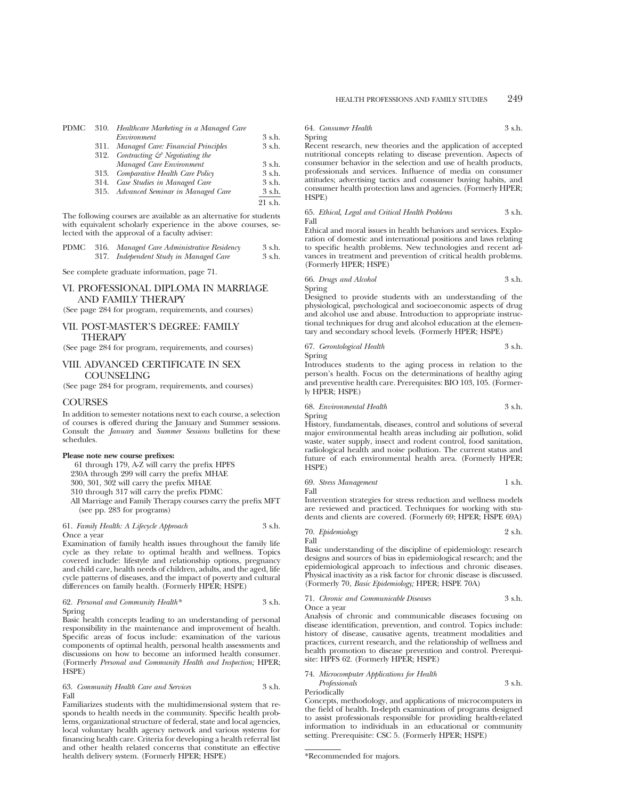|      | PDMC 310. Healthcare Marketing in a Managed Care |         |
|------|--------------------------------------------------|---------|
|      | Environment                                      | 3 s.h.  |
|      | 311. Managed Care: Financial Principles          | 3 s.h.  |
|      | 312. Contracting $\mathcal{C}$ Negotiating the   |         |
|      | Managed Care Environment                         | 3 s.h.  |
| 313. | Comparative Health Care Policy                   | 3 s.h.  |
| 314. | Case Studies in Managed Care                     | 3 s.h.  |
|      | 315. Advanced Seminar in Managed Care            | 3 s.h.  |
|      |                                                  | $91$ sh |

The following courses are available as an alternative for students with equivalent scholarly experience in the above courses, selected with the approval of a faculty adviser:

|  | PDMC 316. Managed Care Administrative Residency | 3 s.h. |
|--|-------------------------------------------------|--------|
|  | 317. Independent Study in Managed Care          | 3 s.h. |

See complete graduate information, page 71.

# VI. PROFESSIONAL DIPLOMA IN MARRIAGE AND FAMILY THERAPY

(See page 284 for program, requirements, and courses)

# VII. POST-MASTER'S DEGREE: FAMILY THERAPY

(See page 284 for program, requirements, and courses)

# VIII. ADVANCED CERTIFICATE IN SEX **COUNSELING**

(See page 284 for program, requirements, and courses)

# **COURSES**

In addition to semester notations next to each course, a selection of courses is offered during the January and Summer sessions. Consult the *January* and *Summer Sessions* bulletins for these schedules.

### **Please note new course prefixes:**

61 through 179, A-Z will carry the prefix HPFS 230A through 299 will carry the prefix MHAE 300, 301, 302 will carry the prefix MHAE 310 through 317 will carry the prefix PDMC All Marriage and Family Therapy courses carry the prefix MFT (see pp. 283 for programs)

# 61. *Family Health: A Lifecycle Approach* 3 s.h. Once a year

Examination of family health issues throughout the family life cycle as they relate to optimal health and wellness. Topics covered include: lifestyle and relationship options, pregnancy and child care, health needs of children, adults, and the aged, life cycle patterns of diseases, and the impact of poverty and cultural differences on family health. (Formerly HPER; HSPE)

62. *Personal and Community Health\** 3 s.h. Spring

Basic health concepts leading to an understanding of personal responsibility in the maintenance and improvement of health. Specific areas of focus include: examination of the various components of optimal health, personal health assessments and discussions on how to become an informed health consumer. (Formerly *Personal and Community Health and Inspection;* HPER; HSPE)

63. *Community Health Care and Services* 3 s.h. Fall

Familiarizes students with the multidimensional system that responds to health needs in the community. Specific health problems, organizational structure of federal, state and local agencies, local voluntary health agency network and various systems for financing health care. Criteria for developing a health referral list and other health related concerns that constitute an effective health delivery system. (Formerly HPER; HSPE)

# 64. *Consumer Health* 3 s.h.

Spring

Spring

Recent research, new theories and the application of accepted nutritional concepts relating to disease prevention. Aspects of consumer behavior in the selection and use of health products, professionals and services. Influence of media on consumer attitudes; advertising tactics and consumer buying habits, and consumer health protection laws and agencies. (Formerly HPER; HSPE)

#### 65. *Ethical, Legal and Critical Health Problems* 3 s.h. Fall

Ethical and moral issues in health behaviors and services. Exploration of domestic and international positions and laws relating to specific health problems. New technologies and recent advances in treatment and prevention of critical health problems. (Formerly HPER; HSPE)

66. *Drugs and Alcohol* 3 s.h.

Designed to provide students with an understanding of the physiological, psychological and socioeconomic aspects of drug and alcohol use and abuse. Introduction to appropriate instructional techniques for drug and alcohol education at the elementary and secondary school levels. (Formerly HPER; HSPE)

67. *Gerontological Health* 3 s.h. Spring

Introduces students to the aging process in relation to the person's health. Focus on the determinations of healthy aging and preventive health care. Prerequisites: BIO 103, 105. (Formerly HPER; HSPE)

# 68. *Environmental Health* 3 s.h.

Spring History, fundamentals, diseases, control and solutions of several major environmental health areas including air pollution, solid waste, water supply, insect and rodent control, food sanitation, radiological health and noise pollution. The current status and future of each environmental health area. (Formerly HPER;

| 69. Stress Management | 1 s.h. |
|-----------------------|--------|
|                       |        |

Fall

HSPE)

Intervention strategies for stress reduction and wellness models are reviewed and practiced. Techniques for working with students and clients are covered. (Formerly 69; HPER; HSPE 69A)

70. *Epidemiology* 2 s.h. Fall

Basic understanding of the discipline of epidemiology: research designs and sources of bias in epidemiological research; and the epidemiological approach to infectious and chronic diseases. Physical inactivity as a risk factor for chronic disease is discussed. (Formerly 70, *Basic Epidemiology;* HPER; HSPE 70A)

71. *Chronic and Communicable Diseases* 3 s.h. Once a year

Analysis of chronic and communicable diseases focusing on disease identification, prevention, and control. Topics include: history of disease, causative agents, treatment modalities and practices, current research, and the relationship of wellness and health promotion to disease prevention and control. Prerequisite: HPFS 62. (Formerly HPER; HSPE)

# 74. *Microcomputer Applications for Health*

*Professionals* 3 s.h. Periodically

Concepts, methodology, and applications of microcomputers in the field of health. In-depth examination of programs designed to assist professionals responsible for providing health-related information to individuals in an educational or community setting. Prerequisite: CSC 5. (Formerly HPER; HSPE)

\*Recommended for majors.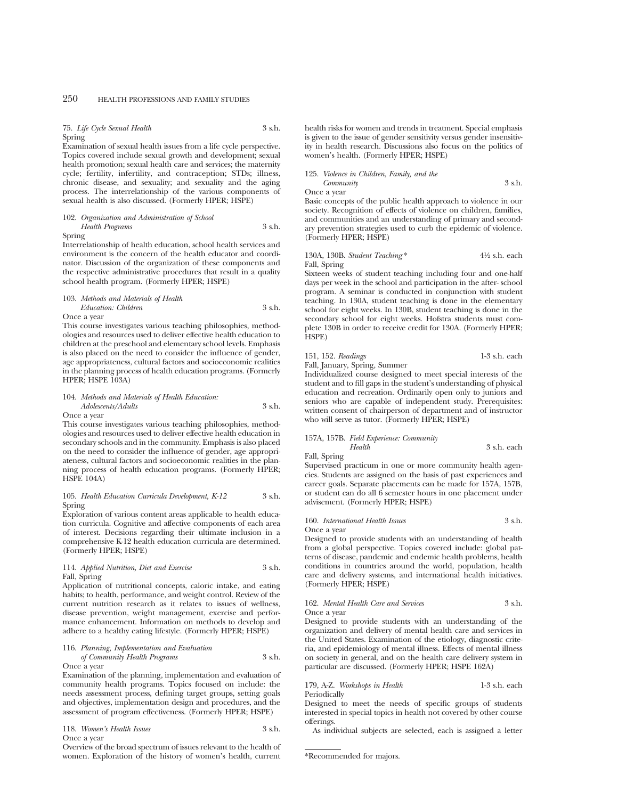75. *Life Cycle Sexual Health* 3 s.h. Spring

Examination of sexual health issues from a life cycle perspective. Topics covered include sexual growth and development; sexual health promotion; sexual health care and services; the maternity cycle; fertility, infertility, and contraception; STDs; illness, chronic disease, and sexuality; and sexuality and the aging process. The interrelationship of the various components of sexual health is also discussed. (Formerly HPER; HSPE)

# 102. *Organization and Administration of School Health Programs* 3 s.h. Spring

Interrelationship of health education, school health services and environment is the concern of the health educator and coordinator. Discussion of the organization of these components and the respective administrative procedures that result in a quality school health program. (Formerly HPER; HSPE)

# 103. *Methods and Materials of Health Education: Children* 3 s.h. Once a year

This course investigates various teaching philosophies, methodologies and resources used to deliver effective health education to children at the preschool and elementary school levels. Emphasis is also placed on the need to consider the influence of gender, age appropriateness, cultural factors and socioeconomic realities in the planning process of health education programs. (Formerly HPER; HSPE 103A)

# 104. *Methods and Materials of Health Education:*

*Adolescents/Adults* 3 s.h. Once a year

This course investigates various teaching philosophies, methodologies and resources used to deliver effective health education in secondary schools and in the community. Emphasis is also placed on the need to consider the influence of gender, age appropriateness, cultural factors and socioeconomic realities in the planning process of health education programs. (Formerly HPER; HSPE 104A)

### 105. *Health Education Curricula Development, K-12* 3 s.h. Spring

Exploration of various content areas applicable to health education curricula. Cognitive and affective components of each area of interest. Decisions regarding their ultimate inclusion in a comprehensive K-12 health education curricula are determined. (Formerly HPER; HSPE)

# 114. *Applied Nutrition, Diet and Exercise* 3 s.h. Fall, Spring

Application of nutritional concepts, caloric intake, and eating habits; to health, performance, and weight control. Review of the current nutrition research as it relates to issues of wellness, disease prevention, weight management, exercise and performance enhancement. Information on methods to develop and adhere to a healthy eating lifestyle. (Formerly HPER; HSPE)

# 116. *Planning, Implementation and Evaluation*

*of Community Health Programs* 3 s.h. Once a year

Examination of the planning, implementation and evaluation of community health programs. Topics focused on include: the needs assessment process, defining target groups, setting goals and objectives, implementation design and procedures, and the assessment of program effectiveness. (Formerly HPER; HSPE)

118. *Women's Health Issues* 3 s.h. Once a year

Overview of the broad spectrum of issues relevant to the health of women. Exploration of the history of women's health, current

health risks for women and trends in treatment. Special emphasis is given to the issue of gender sensitivity versus gender insensitivity in health research. Discussions also focus on the politics of women's health. (Formerly HPER; HSPE)

# 125. *Violence in Children, Family, and the Community* 3 s.h. Once a year

Basic concepts of the public health approach to violence in our society. Recognition of effects of violence on children, families, and communities and an understanding of primary and secondary prevention strategies used to curb the epidemic of violence. (Formerly HPER; HSPE)

#### 130A, 130B. *Student Teaching* \* 41⁄2 s.h. each Fall, Spring

Sixteen weeks of student teaching including four and one-half days per week in the school and participation in the after- school program. A seminar is conducted in conjunction with student teaching. In 130A, student teaching is done in the elementary school for eight weeks. In 130B, student teaching is done in the secondary school for eight weeks. Hofstra students must complete 130B in order to receive credit for 130A. (Formerly HPER; HSPE)

# 151, 152. *Readings* 1-3 s.h. each Fall, January, Spring, Summer

Individualized course designed to meet special interests of the student and to fill gaps in the student's understanding of physical education and recreation. Ordinarily open only to juniors and seniors who are capable of independent study. Prerequisites: written consent of chairperson of department and of instructor who will serve as tutor. (Formerly HPER; HSPE)

# 157A, 157B. *Field Experience: Community*

*Health* 3 s.h. each Fall, Spring

Supervised practicum in one or more community health agencies. Students are assigned on the basis of past experiences and career goals. Separate placements can be made for 157A, 157B, or student can do all 6 semester hours in one placement under advisement. (Formerly HPER; HSPE)

# 160. *International Health Issues* 3 s.h. Once a year

Designed to provide students with an understanding of health from a global perspective. Topics covered include: global patterns of disease, pandemic and endemic health problems, health conditions in countries around the world, population, health care and delivery systems, and international health initiatives. (Formerly HPER; HSPE)

### 162. *Mental Health Care and Services* 3 s.h. Once a year

Designed to provide students with an understanding of the organization and delivery of mental health care and services in the United States. Examination of the etiology, diagnostic criteria, and epidemiology of mental illness. Effects of mental illness on society in general, and on the health care delivery system in particular are discussed. (Formerly HPER; HSPE 162A)

## 179, A-Z. *Workshops in Health* 1-3 s.h. each Periodically

Designed to meet the needs of specific groups of students interested in special topics in health not covered by other course offerings.

As individual subjects are selected, each is assigned a letter

<sup>\*</sup>Recommended for majors.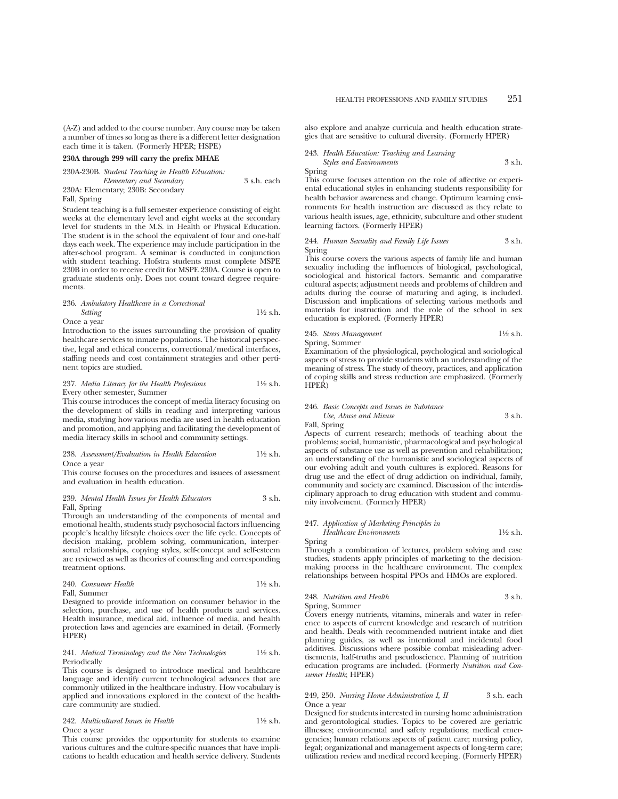(A-Z) and added to the course number. Any course may be taken a number of times so long as there is a different letter designation each time it is taken. (Formerly HPER; HSPE)

### **230A through 299 will carry the prefix MHAE**

230A-230B. *Student Teaching in Health Education:*

| Elementary and Secondary          | 3 s.h. each |
|-----------------------------------|-------------|
| 230A: Elementary; 230B: Secondary |             |

# Fall, Spring

Student teaching is a full semester experience consisting of eight weeks at the elementary level and eight weeks at the secondary level for students in the M.S. in Health or Physical Education. The student is in the school the equivalent of four and one-half days each week. The experience may include participation in the after-school program. A seminar is conducted in conjunction with student teaching. Hofstra students must complete MSPE 230B in order to receive credit for MSPE 230A. Course is open to graduate students only. Does not count toward degree requirements.

### 236. *Ambulatory Healthcare in a Correctional*

*Setting* 11⁄2 s.h. Once a year

Introduction to the issues surrounding the provision of quality healthcare services to inmate populations. The historical perspective, legal and ethical concerns, correctional/medical interfaces, staffing needs and cost containment strategies and other pertinent topics are studied.

### 237. *Media Literacy for the Health Professions* 11⁄2 s.h. Every other semester, Summer

This course introduces the concept of media literacy focusing on the development of skills in reading and interpreting various media, studying how various media are used in health education and promotion, and applying and facilitating the development of media literacy skills in school and community settings.

#### 238. *Assessment/Evaluation in Health Education* 11⁄2 s.h. Once a year

This course focuses on the procedures and issuees of assessment and evaluation in health education.

# 239. *Mental Health Issues for Health Educators* 3 s.h. Fall, Spring

Through an understanding of the components of mental and emotional health, students study psychosocial factors influencing people's healthy lifestyle choices over the life cycle. Concepts of decision making, problem solving, communication, interpersonal relationships, copying styles, self-concept and self-esteem are reviewed as well as theories of counseling and corresponding treatment options.

240. *Consumer Health* 11⁄2 s.h. Fall, Summer

Designed to provide information on consumer behavior in the selection, purchase, and use of health products and services. Health insurance, medical aid, influence of media, and health protection laws and agencies are examined in detail. (Formerly HPER)

#### 241. *Medical Terminology and the New Technologies* 11⁄2 s.h. Periodically

This course is designed to introduce medical and healthcare language and identify current technological advances that are commonly utilized in the healthcare industry. How vocabulary is applied and innovations explored in the context of the healthcare community are studied.

### 242. *Multicultural Issues in Health* 11⁄2 s.h. Once a year

This course provides the opportunity for students to examine various cultures and the culture-specific nuances that have implications to health education and health service delivery. Students also explore and analyze curricula and health education strategies that are sensitive to cultural diversity. (Formerly HPER)

# 243. *Health Education: Teaching and Learning Styles and Environments* 3 s.h.

Spring

This course focuses attention on the role of affective or experiental educational styles in enhancing students responsibility for health behavior awareness and change. Optimum learning environments for health instruction are discussed as they relate to various health issues, age, ethnicity, subculture and other student learning factors. (Formerly HPER)

# 244. *Human Sexuality and Family Life Issues* 3 s.h. Spring

This course covers the various aspects of family life and human sexuality including the influences of biological, psychological, sociological and historical factors. Semantic and comparative cultural aspects; adjustment needs and problems of children and adults during the course of maturing and aging, is included. Discussion and implications of selecting various methods and materials for instruction and the role of the school in sex education is explored. (Formerly HPER)

# 245. *Stress Management* 11⁄2 s.h. Spring, Summer

Examination of the physiological, psychological and sociological aspects of stress to provide students with an understanding of the meaning of stress. The study of theory, practices, and application of coping skills and stress reduction are emphasized. (Formerly HPER)

### 246. *Basic Concepts and Issues in Substance Use, Abuse and Misuse* 3 s.h.

Fall, Spring

Aspects of current research; methods of teaching about the problems; social, humanistic, pharmacological and psychological aspects of substance use as well as prevention and rehabilitation; an understanding of the humanistic and sociological aspects of our evolving adult and youth cultures is explored. Reasons for drug use and the effect of drug addiction on individual, family, community and society are examined. Discussion of the interdisciplinary approach to drug education with student and community involvement. (Formerly HPER)

# 247. *Application of Marketing Principles in Healthcare Environments* 11⁄2 s.h.

Spring Through a combination of lectures, problem solving and case studies, students apply principles of marketing to the decisionmaking process in the healthcare environment. The complex relationships between hospital PPOs and HMOs are explored.

# 248. *Nutrition and Health* 3 s.h. Spring, Summer

Covers energy nutrients, vitamins, minerals and water in reference to aspects of current knowledge and research of nutrition and health. Deals with recommended nutrient intake and diet planning guides, as well as intentional and incidental food additives. Discussions where possible combat misleading advertisements, half-truths and pseudoscience. Planning of nutrition education programs are included. (Formerly *Nutrition and Consumer Health*; HPER)

# 249, 250. *Nursing Home Administration I, II* 3 s.h. each Once a year

Designed for students interested in nursing home administration and gerontological studies. Topics to be covered are geriatric illnesses; environmental and safety regulations; medical emergencies; human relations aspects of patient care; nursing policy, legal; organizational and management aspects of long-term care; utilization review and medical record keeping. (Formerly HPER)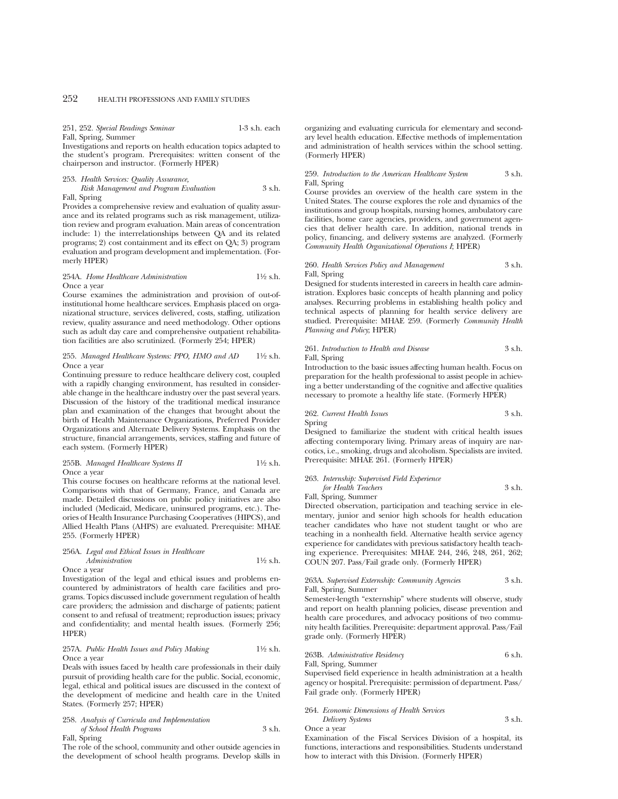251, 252. *Special Readings Seminar* 1-3 s.h. each Fall, Spring, Summer

Investigations and reports on health education topics adapted to the student's program. Prerequisites: written consent of the chairperson and instructor. (Formerly HPER)

# 253. *Health Services: Quality Assurance, Risk Management and Program Evaluation* 3 s.h. Fall, Spring

Provides a comprehensive review and evaluation of quality assurance and its related programs such as risk management, utilization review and program evaluation. Main areas of concentration include: 1) the interrelationships between QA and its related programs; 2) cost containment and its effect on QA; 3) program evaluation and program development and implementation. (Formerly HPER)

# 254A. *Home Healthcare Administration* 11⁄2 s.h. Once a year

Course examines the administration and provision of out-ofinstitutional home healthcare services. Emphasis placed on organizational structure, services delivered, costs, staffing, utilization review, quality assurance and need methodology. Other options such as adult day care and comprehensive outpatient rehabilitation facilities are also scrutinized. (Formerly 254; HPER)

# 255. *Managed Healthcare Systems: PPO, HMO and AD* 11⁄2 s.h. Once a year

Continuing pressure to reduce healthcare delivery cost, coupled with a rapidly changing environment, has resulted in considerable change in the healthcare industry over the past several years. Discussion of the history of the traditional medical insurance plan and examination of the changes that brought about the birth of Health Maintenance Organizations, Preferred Provider Organizations and Alternate Delivery Systems. Emphasis on the structure, financial arrangements, services, staffing and future of each system. (Formerly HPER)

# 255B. *Managed Healthcare Systems II* 11⁄2 s.h. Once a year

This course focuses on healthcare reforms at the national level. Comparisons with that of Germany, France, and Canada are made. Detailed discussions on public policy initiatives are also included (Medicaid, Medicare, uninsured programs, etc.). Theories of Health Insurance Purchasing Cooperatives (HIPCS), and Allied Health Plans (AHPS) are evaluated. Prerequisite: MHAE 255. (Formerly HPER)

### 256A. *Legal and Ethical Issues in Healthcare*

*Administration* 1<sup>1</sup>⁄2 s.h.

Once a year

Investigation of the legal and ethical issues and problems encountered by administrators of health care facilities and programs. Topics discussed include government regulation of health care providers; the admission and discharge of patients; patient consent to and refusal of treatment; reproduction issues; privacy and confidentiality; and mental health issues. (Formerly 256; HPER)

### 257A. *Public Health Issues and Policy Making* 1<sup>1</sup>/2 s.h. Once a year

Deals with issues faced by health care professionals in their daily pursuit of providing health care for the public. Social, economic, legal, ethical and political issues are discussed in the context of the development of medicine and health care in the United States. (Formerly 257; HPER)

# 258. *Analysis of Curricula and Implementation of School Health Programs* 3 s.h. Fall, Spring

The role of the school, community and other outside agencies in the development of school health programs. Develop skills in organizing and evaluating curricula for elementary and secondary level health education. Effective methods of implementation and administration of health services within the school setting. (Formerly HPER)

# 259. *Introduction to the American Healthcare System* 3 s.h. Fall, Spring

Course provides an overview of the health care system in the United States. The course explores the role and dynamics of the institutions and group hospitals, nursing homes, ambulatory care facilities, home care agencies, providers, and government agencies that deliver health care. In addition, national trends in policy, financing, and delivery systems are analyzed. (Formerly *Community Health Organizational Operations I*; HPER)

# 260. *Health Services Policy and Management* 3 s.h. Fall, Spring

Designed for students interested in careers in health care administration. Explores basic concepts of health planning and policy analyses. Recurring problems in establishing health policy and technical aspects of planning for health service delivery are studied. Prerequisite: MHAE 259. (Formerly *Community Health Planning and Policy*; HPER)

## 261. *Introduction to Health and Disease* 3 s.h. Fall, Spring

Introduction to the basic issues affecting human health. Focus on preparation for the health professional to assist people in achieving a better understanding of the cognitive and affective qualities necessary to promote a healthy life state. (Formerly HPER)

### 262. *Current Health Issues* 3 s.h. Spring

Designed to familiarize the student with critical health issues affecting contemporary living. Primary areas of inquiry are narcotics, i.e., smoking, drugs and alcoholism. Specialists are invited. Prerequisite: MHAE 261. (Formerly HPER)

# 263. *Internship: Supervised Field Experience for Health Teachers* 3 s.h. Fall, Spring, Summer

Directed observation, participation and teaching service in elementary, junior and senior high schools for health education teacher candidates who have not student taught or who are teaching in a nonhealth field. Alternative health service agency experience for candidates with previous satisfactory health teaching experience. Prerequisites: MHAE 244, 246, 248, 261, 262; COUN 207. Pass/Fail grade only. (Formerly HPER)

# 263A. *Supervised Externship: Community Agencies* 3 s.h. Fall, Spring, Summer

Semester-length "externship" where students will observe, study and report on health planning policies, disease prevention and health care procedures, and advocacy positions of two community health facilities. Prerequisite: department approval. Pass/Fail grade only. (Formerly HPER)

# 263B. *Administrative Residency* 6 s.h.

Fall, Spring, Summer

Supervised field experience in health administration at a health agency or hospital. Prerequisite: permission of department. Pass/ Fail grade only. (Formerly HPER)

# 264. *Economic Dimensions of Health Services Delivery Systems* 3 s.h. Once a year

Examination of the Fiscal Services Division of a hospital, its functions, interactions and responsibilities. Students understand how to interact with this Division. (Formerly HPER)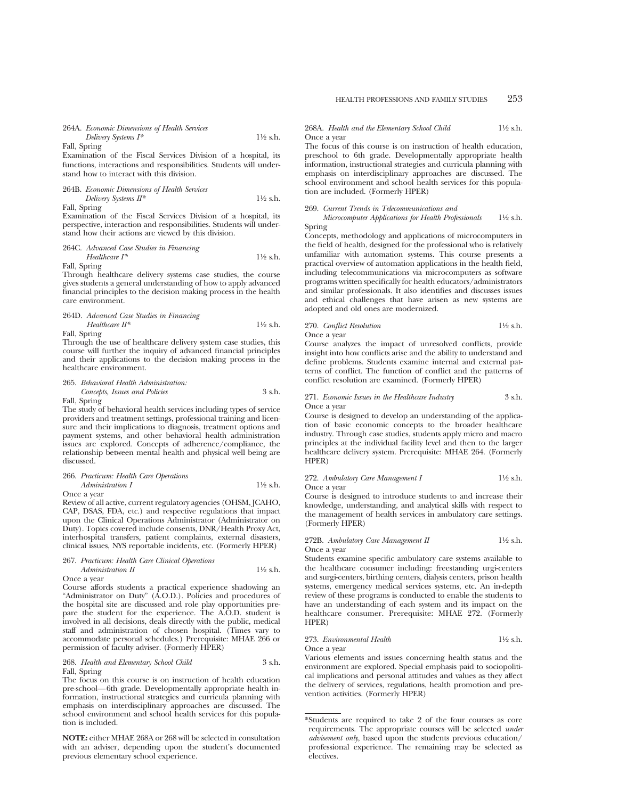# 264A. *Economic Dimensions of Health Services Delivery Systems I\** 11⁄2 s.h.

Fall, Spring

Examination of the Fiscal Services Division of a hospital, its functions, interactions and responsibilities. Students will understand how to interact with this division.

264B. *Economic Dimensions of Health Services Delivery Systems II\** 11⁄2 s.h.

Fall, Spring

Examination of the Fiscal Services Division of a hospital, its perspective, interaction and responsibilities. Students will understand how their actions are viewed by this division.

264C. *Advanced Case Studies in Financing Healthcare I\** 11⁄2 s.h.

Fall, Spring

Through healthcare delivery systems case studies, the course gives students a general understanding of how to apply advanced financial principles to the decision making process in the health care environment.

# 264D. *Advanced Case Studies in Financing Healthcare II\** 1<sup>1</sup>⁄2 s.h.

Fall, Spring

Through the use of healthcare delivery system case studies, this course will further the inquiry of advanced financial principles and their applications to the decision making process in the healthcare environment.

# 265. *Behavioral Health Administration:*

*Concepts, Issues and Policies* 3 s.h. Fall, Spring

The study of behavioral health services including types of service providers and treatment settings, professional training and licensure and their implications to diagnosis, treatment options and payment systems, and other behavioral health administration issues are explored. Concepts of adherence/compliance, the relationship between mental health and physical well being are discussed.

# 266. *Practicum: Health Care Operations Administration I* 1<sup>1</sup>⁄2 s.h.

Once a year

Review of all active, current regulatory agencies (OHSM, JCAHO, CAP, DSAS, FDA, etc.) and respective regulations that impact upon the Clinical Operations Administrator (Administrator on Duty). Topics covered include consents, DNR/Health Proxy Act, interhospital transfers, patient complaints, external disasters, clinical issues, NYS reportable incidents, etc. (Formerly HPER)

# 267. *Practicum: Health Care Clinical Operations Administration II* 1<sup>1</sup>/2 s.h.

Once a year

Course affords students a practical experience shadowing an "Administrator on Duty" (A.O.D.). Policies and procedures of the hospital site are discussed and role play opportunities prepare the student for the experience. The A.O.D. student is involved in all decisions, deals directly with the public, medical staff and administration of chosen hospital. (Times vary to accommodate personal schedules.) Prerequisite: MHAE 266 or permission of faculty adviser. (Formerly HPER)

# 268. *Health and Elementary School Child* 3 s.h. Fall, Spring

The focus on this course is on instruction of health education pre-school—6th grade. Developmentally appropriate health information, instructional strategies and curricula planning with emphasis on interdisciplinary approaches are discussed. The school environment and school health services for this population is included.

**NOTE:** either MHAE 268A or 268 will be selected in consultation with an adviser, depending upon the student's documented previous elementary school experience.

268A. *Health and the Elementary School Child* 11⁄2 s.h. Once a year

The focus of this course is on instruction of health education, preschool to 6th grade. Developmentally appropriate health information, instructional strategies and curricula planning with emphasis on interdisciplinary approaches are discussed. The school environment and school health services for this population are included. (Formerly HPER)

### 269. *Current Trends in Telecommunications and*

*Microcomputer Applications for Health Professionals* 11⁄2 s.h. Spring

Concepts, methodology and applications of microcomputers in the field of health, designed for the professional who is relatively unfamiliar with automation systems. This course presents a practical overview of automation applications in the health field, including telecommunications via microcomputers as software programs written specifically for health educators/administrators and similar professionals. It also identifies and discusses issues and ethical challenges that have arisen as new systems are adopted and old ones are modernized.

# 270. *Conflict Resolution* 11⁄2 s.h. Once a year

Course analyzes the impact of unresolved conflicts, provide insight into how conflicts arise and the ability to understand and define problems. Students examine internal and external patterns of conflict. The function of conflict and the patterns of conflict resolution are examined. (Formerly HPER)

### 271. *Economic Issues in the Healthcare Industry* 3 s.h. Once a year

Course is designed to develop an understanding of the application of basic economic concepts to the broader healthcare industry. Through case studies, students apply micro and macro principles at the individual facility level and then to the larger healthcare delivery system. Prerequisite: MHAE 264. (Formerly HPER)

### 272. *Ambulatory Care Management I* 1<sup>1</sup>/2 s.h. Once a year

Course is designed to introduce students to and increase their knowledge, understanding, and analytical skills with respect to the management of health services in ambulatory care settings. (Formerly HPER)

### 272B. *Ambulatory Care Management II* 1<sup>1</sup>/2 s.h. Once a year

Students examine specific ambulatory care systems available to the healthcare consumer including: freestanding urgi-centers and surgi-centers, birthing centers, dialysis centers, prison health systems, emergency medical services systems, etc. An in-depth review of these programs is conducted to enable the students to have an understanding of each system and its impact on the healthcare consumer. Prerequisite: MHAE 272. (Formerly HPER)

#### 273. *Environmental Health* 11⁄2 s.h. Once a year

Various elements and issues concerning health status and the environment are explored. Special emphasis paid to sociopolitical implications and personal attitudes and values as they affect the delivery of services, regulations, health promotion and prevention activities. (Formerly HPER)

<sup>\*</sup>Students are required to take 2 of the four courses as core requirements. The appropriate courses will be selected *under advisement only*, based upon the students previous education/ professional experience. The remaining may be selected as electives.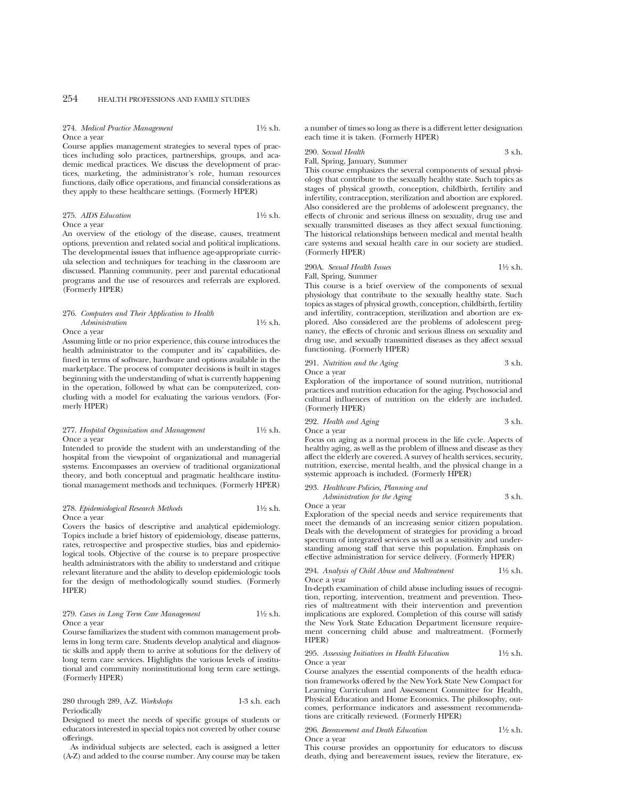274. *Medical Practice Management* 11⁄2 s.h. Once a year

Course applies management strategies to several types of practices including solo practices, partnerships, groups, and academic medical practices. We discuss the development of practices, marketing, the administrator's role, human resources functions, daily office operations, and financial considerations as they apply to these healthcare settings. (Formerly HPER)

#### 275. *AIDS Education* 11⁄2 s.h. Once a year

An overview of the etiology of the disease, causes, treatment options, prevention and related social and political implications. The developmental issues that influence age-appropriate curricula selection and techniques for teaching in the classroom are discussed. Planning community, peer and parental educational programs and the use of resources and referrals are explored. (Formerly HPER)

### 276. *Computers and Their Application to Health Administration* 11⁄2 s.h. Once a year

Assuming little or no prior experience, this course introduces the health administrator to the computer and its' capabilities, defined in terms of software, hardware and options available in the marketplace. The process of computer decisions is built in stages beginning with the understanding of what is currently happening in the operation, followed by what can be computerized, concluding with a model for evaluating the various vendors. (Formerly HPER)

# 277. *Hospital Organization and Management* 11⁄2 s.h. Once a year

Intended to provide the student with an understanding of the hospital from the viewpoint of organizational and managerial systems. Encompasses an overview of traditional organizational theory, and both conceptual and pragmatic healthcare institutional management methods and techniques. (Formerly HPER)

# 278. *Epidemiological Research Methods* 11⁄2 s.h. Once a year

Covers the basics of descriptive and analytical epidemiology. Topics include a brief history of epidemiology, disease patterns, rates, retrospective and prospective studies, bias and epidemiological tools. Objective of the course is to prepare prospective health administrators with the ability to understand and critique relevant literature and the ability to develop epidemiologic tools for the design of methodologically sound studies. (Formerly HPER)

## 279. *Cases in Long Term Care Management* 11⁄2 s.h. Once a year

Course familiarizes the student with common management problems in long term care. Students develop analytical and diagnostic skills and apply them to arrive at solutions for the delivery of long term care services. Highlights the various levels of institutional and community noninstitutional long term care settings. (Formerly HPER)

280 through 289, A-Z. *Workshops* 1-3 s.h. each Periodically

Designed to meet the needs of specific groups of students or educators interested in special topics not covered by other course offerings.

As individual subjects are selected, each is assigned a letter (A-Z) and added to the course number. Any course may be taken a number of times so long as there is a different letter designation each time it is taken. (Formerly HPER)

# 290. *Sexual Health* 3 s.h.

Fall, Spring, January, Summer

This course emphasizes the several components of sexual physiology that contribute to the sexually healthy state. Such topics as stages of physical growth, conception, childbirth, fertility and infertility, contraception, sterilization and abortion are explored. Also considered are the problems of adolescent pregnancy, the effects of chronic and serious illness on sexuality, drug use and sexually transmitted diseases as they affect sexual functioning. The historical relationships between medical and mental health care systems and sexual health care in our society are studied. (Formerly HPER)

# 290A. *Sexual Health Issues* 11⁄2 s.h. Fall, Spring, Summer

This course is a brief overview of the components of sexual physiology that contribute to the sexually healthy state. Such topics as stages of physical growth, conception, childbirth, fertility and infertility, contraception, sterilization and abortion are explored. Also considered are the problems of adolescent pregnancy, the effects of chronic and serious illness on sexuality and drug use, and sexually transmitted diseases as they affect sexual functioning. (Formerly HPER)

291. *Nutrition and the Aging* 3 s.h. Once a year

Exploration of the importance of sound nutrition, nutritional practices and nutrition education for the aging. Psychosocial and cultural influences of nutrition on the elderly are included. (Formerly HPER)

292. *Health and Aging* 3 s.h.

Once a year

Focus on aging as a normal process in the life cycle. Aspects of healthy aging, as well as the problem of illness and disease as they affect the elderly are covered. A survey of health services, security, nutrition, exercise, mental health, and the physical change in a systemic approach is included. (Formerly HPER)

293. *Healthcare Policies, Planning and Administration for the Aging* 3 s.h.

Once a year

Exploration of the special needs and service requirements that meet the demands of an increasing senior citizen population. Deals with the development of strategies for providing a broad spectrum of integrated services as well as a sensitivity and understanding among staff that serve this population. Emphasis on effective administration for service delivery. (Formerly HPER)

294. *Analysis of Child Abuse and Maltreatment* 11⁄2 s.h. Once a year

In-depth examination of child abuse including issues of recognition, reporting, intervention, treatment and prevention. Theories of maltreatment with their intervention and prevention implications are explored. Completion of this course will satisfy the New York State Education Department licensure requirement concerning child abuse and maltreatment. (Formerly HPER)

#### 295. *Assessing Initiatives in Health Education* 11⁄2 s.h. Once a year

Course analyzes the essential components of the health education frameworks offered by the New York State New Compact for Learning Curriculum and Assessment Committee for Health, Physical Education and Home Economics. The philosophy, outcomes, performance indicators and assessment recommendations are critically reviewed. (Formerly HPER)

# 296. *Bereavement and Death Education* 11⁄2 s.h.

Once a year

This course provides an opportunity for educators to discuss death, dying and bereavement issues, review the literature, ex-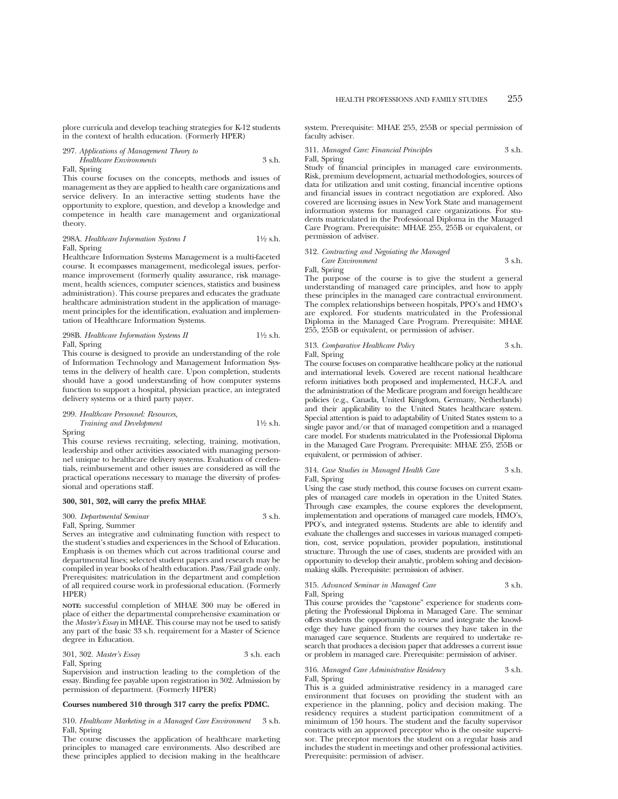plore curricula and develop teaching strategies for K-12 students in the context of health education. (Formerly HPER)

297. *Applications of Management Theory to Healthcare Environments* 3 s.h.

# Fall, Spring

This course focuses on the concepts, methods and issues of management as they are applied to health care organizations and service delivery. In an interactive setting students have the opportunity to explore, question, and develop a knowledge and competence in health care management and organizational theory.

298A. *Healthcare Information Systems I* 11⁄2 s.h. Fall, Spring

Healthcare Information Systems Management is a multi-faceted course. It ecompasses management, medicolegal issues, performance improvement (formerly quality assurance, risk management, health sciences, computer sciences, statistics and business administration). This course prepares and educates the graduate healthcare administration student in the application of management principles for the identification, evaluation and implementation of Healthcare Information Systems.

298B. *Healthcare Information Systems II* 11⁄2 s.h. Fall, Spring

This course is designed to provide an understanding of the role of Information Technology and Management Information Systems in the delivery of health care. Upon completion, students should have a good understanding of how computer systems function to support a hospital, physician practice, an integrated delivery systems or a third party payer.

299. *Healthcare Personnel: Resources, Training and Development* 11⁄2 s.h. Spring

This course reviews recruiting, selecting, training, motivation, leadership and other activities associated with managing personnel unique to healthcare delivery systems. Evaluation of credentials, reimbursement and other issues are considered as will the practical operations necessary to manage the diversity of professional and operations staff.

# **300, 301, 302, will carry the prefix MHAE**

300. *Departmental Seminar* 3 s.h.

Fall, Spring, Summer

Serves an integrative and culminating function with respect to the student's studies and experiences in the School of Education. Emphasis is on themes which cut across traditional course and departmental lines; selected student papers and research may be compiled in year books of health education. Pass/Fail grade only. Prerequisites: matriculation in the department and completion of all required course work in professional education. (Formerly HPER)

**NOTE:** successful completion of MHAE 300 may be offered in place of either the departmental comprehensive examination or the *Master's Essay* in MHAE. This course may not be used to satisfy any part of the basic 33 s.h. requirement for a Master of Science degree in Education.

# 301, 302. *Master's Essay* 3 s.h. each Fall, Spring

Supervision and instruction leading to the completion of the essay. Binding fee payable upon registration in 302. Admission by permission of department. (Formerly HPER)

#### **Courses numbered 310 through 317 carry the prefix PDMC.**

310. *Healthcare Marketing in a Managed Care Environment* 3 s.h. Fall, Spring

The course discusses the application of healthcare marketing principles to managed care environments. Also described are these principles applied to decision making in the healthcare system. Prerequisite: MHAE 255, 255B or special permission of faculty adviser.

311. *Managed Care: Financial Principles* 3 s.h. Fall, Spring

Study of financial principles in managed care environments. Risk, premium development, actuarial methodologies, sources of data for utilization and unit costing, financial incentive options and financial issues in contract negotiation are explored. Also covered are licensing issues in New York State and management information systems for managed care organizations. For students matriculated in the Professional Diploma in the Managed Care Program. Prerequisite: MHAE 255, 255B or equivalent, or permission of adviser.

### 312. *Contracting and Negoiating the Managed*

*Care Environment* 3 s.h.

Fall, Spring The purpose of the course is to give the student a general understanding of managed care principles, and how to apply these principles in the managed care contractual environment. The complex relationships between hospitals, PPO's and HMO's are explored. For students matriculated in the Professional Diploma in the Managed Care Program. Prerequisite: MHAE 255, 255B or equivalent, or permission of adviser.

# 313. *Comparative Healthcare Policy* 3 s.h. Fall, Spring

The course focuses on comparative healthcare policy at the national and international levels. Covered are recent national healthcare reform initiatives both proposed and implemented, H.C.F.A. and the administration of the Medicare program and foreign healthcare policies (e.g., Canada, United Kingdom, Germany, Netherlands) and their applicability to the United States healthcare system. Special attention is paid to adaptability of United States system to a single payor and/or that of managed competition and a managed care model. For students matriculated in the Professional Diploma in the Managed Care Program. Prerequisite: MHAE 255, 255B or equivalent, or permission of adviser.

314. *Case Studies in Managed Health Care* 3 s.h. Fall, Spring

Using the case study method, this course focuses on current examples of managed care models in operation in the United States. Through case examples, the course explores the development, implementation and operations of managed care models, HMO's, PPO's, and integrated systems. Students are able to identify and evaluate the challenges and successes in various managed competition, cost, service population, provider population, institutional structure. Through the use of cases, students are provided with an opportunity to develop their analytic, problem solving and decisionmaking skills. Prerequisite: permission of adviser.

# 315. *Advanced Seminar in Managed Care* 3 s.h. Fall, Spring

This course provides the "capstone" experience for students completing the Professional Diploma in Managed Care. The seminar offers students the opportunity to review and integrate the knowledge they have gained from the courses they have taken in the managed care sequence. Students are required to undertake research that produces a decision paper that addresses a current issue or problem in managed care. Prerequisite: permission of adviser.

# 316. *Managed Care Administrative Residency* 3 s.h. Fall, Spring

This is a guided administrative residency in a managed care environment that focuses on providing the student with an experience in the planning, policy and decision making. The residency requires a student participation commitment of a minimum of 150 hours. The student and the faculty supervisor contracts with an approved preceptor who is the on-site supervisor. The preceptor mentors the student on a regular basis and includes the student in meetings and other professional activities. Prerequisite: permission of adviser.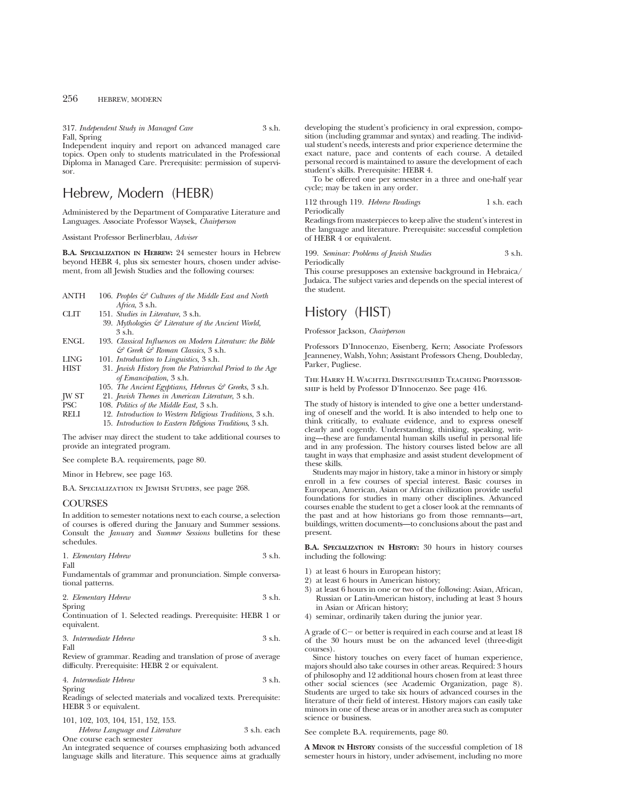317. *Independent Study in Managed Care* 3 s.h. Fall, Spring

Independent inquiry and report on advanced managed care topics. Open only to students matriculated in the Professional Diploma in Managed Care. Prerequisite: permission of supervisor.

# Hebrew, Modern (HEBR)

Administered by the Department of Comparative Literature and Languages. Associate Professor Waysek, *Chairperson*

Assistant Professor Berlinerblau, *Adviser*

**B.A. SPECIALIZATION IN HEBREW:** 24 semester hours in Hebrew beyond HEBR 4, plus six semester hours, chosen under advisement, from all Jewish Studies and the following courses:

| ANTH | 106. Peoples $\mathcal G$ Cultures of the Middle East and North |
|------|-----------------------------------------------------------------|
|      | Africa, 3 s.h.                                                  |
| CLIT | 151. Studies in Literature, 3 s.h.                              |
|      | 39. Mythologies $G$ Literature of the Ancient World,            |

- 3 s.h. ENGL 193. *Classical Influences on Modern Literature: the Bible & Greek & Roman Classics*, 3 s.h.
- 
- LING 101. *Introduction to Linguistics*, 3 s.h. 31. *Jewish History from the Patriarchal Period to the Age of Emancipation*, 3 s.h.
	- 105. *The Ancient Egyptians, Hebrews & Greeks*, 3 s.h.
- JW ST 21. *Jewish Themes in American Literature*, 3 s.h.
- 
- PSC 108. *Politics of the Middle East,* 3 s.h. RELI 12. *Introduction to Western Religious Traditions*, 3 s.h. 15. *Introduction to Eastern Religious Traditions*, 3 s.h.

The adviser may direct the student to take additional courses to provide an integrated program.

See complete B.A. requirements, page 80.

Minor in Hebrew, see page 163.

B.A. Specialization in Jewish Studies, see page 268.

# COURSES

In addition to semester notations next to each course, a selection of courses is offered during the January and Summer sessions. Consult the *January* and *Summer Sessions* bulletins for these schedules.

|      | 1. Elementary Hebrew | 3 s.h. |
|------|----------------------|--------|
| Fall |                      |        |

Fundamentals of grammar and pronunciation. Simple conversational patterns.

| 2. Elementary Hebrew | 3 s.h. |
|----------------------|--------|
| Spring               |        |

Continuation of 1. Selected readings. Prerequisite: HEBR 1 or equivalent.

| 3. Intermediate Hebrew | 3 s.h. |
|------------------------|--------|
| Fall                   |        |

Review of grammar. Reading and translation of prose of average difficulty. Prerequisite: HEBR 2 or equivalent.

4. *Intermediate Hebrew* 3 s.h. Spring

Readings of selected materials and vocalized texts. Prerequisite: HEBR 3 or equivalent.

| 101, 102, 103, 104, 151, 152, 153. |             |
|------------------------------------|-------------|
| Hebrew Language and Literature     | 3 s.h. each |
| One course each semester           |             |

An integrated sequence of courses emphasizing both advanced language skills and literature. This sequence aims at gradually developing the student's proficiency in oral expression, composition (including grammar and syntax) and reading. The individual student's needs, interests and prior experience determine the exact nature, pace and contents of each course. A detailed personal record is maintained to assure the development of each student's skills. Prerequisite: HEBR 4.

To be offered one per semester in a three and one-half year cycle; may be taken in any order.

### 112 through 119. *Hebrew Readings* 1 s.h. each **Periodically**

Readings from masterpieces to keep alive the student's interest in the language and literature. Prerequisite: successful completion of HEBR 4 or equivalent.

199. *Seminar: Problems of Jewish Studies* 3 s.h. Periodically

This course presupposes an extensive background in Hebraica/ Judaica. The subject varies and depends on the special interest of the student.

# History (HIST)

Professor Jackson, *Chairperson*

Professors D'Innocenzo, Eisenberg, Kern; Associate Professors Jeanneney, Walsh, Yohn; Assistant Professors Cheng, Doubleday, Parker, Pugliese.

The Harry H. Wachtel Distinguished Teaching Professorship is held by Professor D'Innocenzo. See page 416.

The study of history is intended to give one a better understanding of oneself and the world. It is also intended to help one to think critically, to evaluate evidence, and to express oneself clearly and cogently. Understanding, thinking, speaking, writing—these are fundamental human skills useful in personal life and in any profession. The history courses listed below are all taught in ways that emphasize and assist student development of these skills.

Students may major in history, take a minor in history or simply enroll in a few courses of special interest. Basic courses in European, American, Asian or African civilization provide useful foundations for studies in many other disciplines. Advanced courses enable the student to get a closer look at the remnants of the past and at how historians go from those remnants—art, buildings, written documents—to conclusions about the past and present.

**B.A. SPECIALIZATION IN HISTORY:** 30 hours in history courses including the following:

- 1) at least 6 hours in European history;
- 2) at least 6 hours in American history;
- 3) at least 6 hours in one or two of the following: Asian, African, Russian or Latin-American history, including at least 3 hours in Asian or African history;
- 4) seminar, ordinarily taken during the junior year.

A grade of  $C-$  or better is required in each course and at least 18 of the 30 hours must be on the advanced level (three-digit courses).

Since history touches on every facet of human experience, majors should also take courses in other areas. Required: 3 hours of philosophy and 12 additional hours chosen from at least three other social sciences (see Academic Organization, page 8). Students are urged to take six hours of advanced courses in the literature of their field of interest. History majors can easily take minors in one of these areas or in another area such as computer science or business.

See complete B.A. requirements, page 80.

**A MINOR IN HISTORY** consists of the successful completion of 18 semester hours in history, under advisement, including no more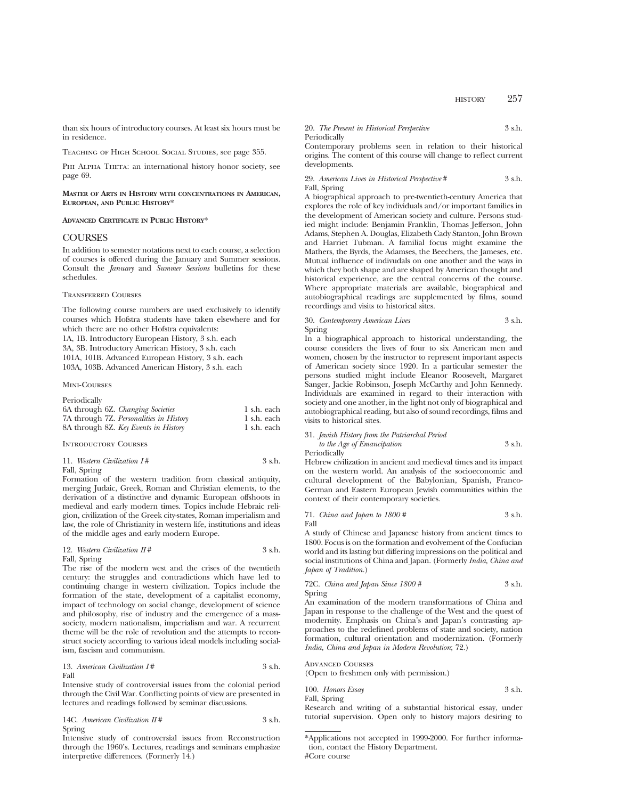than six hours of introductory courses. At least six hours must be in residence.

Teaching of High School Social Studies, see page 355.

PHI ALPHA THETA: an international history honor society, see page 69.

**MASTER OF ARTS IN HISTORY WITH CONCENTRATIONS IN AMERICAN, EUROPEAN, AND PUBLIC HISTORY**\*

# **ADVANCED CERTIFICATE IN PUBLIC HISTORY**\*

# **COURSES**

In addition to semester notations next to each course, a selection of courses is offered during the January and Summer sessions. Consult the *January* and *Summer Sessions* bulletins for these schedules.

# Transferred Courses

The following course numbers are used exclusively to identify courses which Hofstra students have taken elsewhere and for which there are no other Hofstra equivalents:

1A, 1B. Introductory European History, 3 s.h. each 3A, 3B. Introductory American History, 3 s.h. each 101A, 101B. Advanced European History, 3 s.h. each 103A, 103B. Advanced American History, 3 s.h. each

Mini-Courses

| Periodically                            |             |
|-----------------------------------------|-------------|
| 6A through 6Z. Changing Societies       | 1 s.h. each |
| 7A through 7Z. Personalities in History | 1 s.h. each |
| 8A through 8Z. Key Events in History    | 1 s.h. each |

Introductory Courses

| 11. Western Civilization I# | 3 s.h. |
|-----------------------------|--------|
| Fall, Spring                |        |

Formation of the western tradition from classical antiquity, merging Judaic, Greek, Roman and Christian elements, to the derivation of a distinctive and dynamic European offshoots in medieval and early modern times. Topics include Hebraic religion, civilization of the Greek city-states, Roman imperialism and law, the role of Christianity in western life, institutions and ideas of the middle ages and early modern Europe.

# 12. *Western Civilization II* # 3 s.h. Fall, Spring

The rise of the modern west and the crises of the twentieth century: the struggles and contradictions which have led to continuing change in western civilization. Topics include the formation of the state, development of a capitalist economy, impact of technology on social change, development of science and philosophy, rise of industry and the emergence of a masssociety, modern nationalism, imperialism and war. A recurrent theme will be the role of revolution and the attempts to reconstruct society according to various ideal models including socialism, fascism and communism.

13. *American Civilization I* # 3 s.h. Fall

Intensive study of controversial issues from the colonial period through the Civil War. Conflicting points of view are presented in lectures and readings followed by seminar discussions.

14C. *American Civilization II* # 3 s.h. Spring

Intensive study of controversial issues from Reconstruction through the 1960's. Lectures, readings and seminars emphasize interpretive differences. (Formerly 14.)

# 20. *The Present in Historical Perspective* 3 s.h. Periodically

Contemporary problems seen in relation to their historical origins. The content of this course will change to reflect current developments.

29. *American Lives in Historical Perspective* # 3 s.h. Fall, Spring

A biographical approach to pre-twentieth-century America that explores the role of key individuals and/or important families in the development of American society and culture. Persons studied might include: Benjamin Franklin, Thomas Jefferson, John Adams, Stephen A. Douglas, Elizabeth Cady Stanton, John Brown and Harriet Tubman. A familial focus might examine the Mathers, the Byrds, the Adamses, the Beechers, the Jameses, etc. Mutual influence of indivudals on one another and the ways in which they both shape and are shaped by American thought and historical experience, are the central concerns of the course. Where appropriate materials are available, biographical and autobiographical readings are supplemented by films, sound recordings and visits to historical sites.

### 30. *Contemporary American Lives* 3 s.h. Spring

In a biographical approach to historical understanding, the course considers the lives of four to six American men and women, chosen by the instructor to represent important aspects of American society since 1920. In a particular semester the persons studied might include Eleanor Roosevelt, Margaret Sanger, Jackie Robinson, Joseph McCarthy and John Kennedy. Individuals are examined in regard to their interaction with society and one another, in the light not only of biographical and autobiographical reading, but also of sound recordings, films and visits to historical sites.

# 31. *Jewish History from the Patriarchal Period*

*to the Age of Emancipation* 3 s.h. Periodically

Hebrew civilization in ancient and medieval times and its impact on the western world. An analysis of the socioeconomic and cultural development of the Babylonian, Spanish, Franco-German and Eastern European Jewish communities within the context of their contemporary societies.

71. *China and Japan to 1800 #* 3 s.h. Fall

A study of Chinese and Japanese history from ancient times to 1800. Focus is on the formation and evolvement of the Confucian world and its lasting but differing impressions on the political and social institutions of China and Japan. (Formerly *India, China and Japan of Tradition.*)

# 72C. *China and Japan Since 1800 #* 3 s.h.

Spring

An examination of the modern transformations of China and Japan in response to the challenge of the West and the quest of modernity. Emphasis on China's and Japan's contrasting approaches to the redefined problems of state and society, nation formation, cultural orientation and modernization. (Formerly *India, China and Japan in Modern Revolution*; 72.)

# Advanced Courses

(Open to freshmen only with permission.)

100. *Honors Essay* 3 s.h. Fall, Spring

Research and writing of a substantial historical essay, under tutorial supervision. Open only to history majors desiring to

<sup>\*</sup>Applications not accepted in 1999-2000. For further information, contact the History Department. #Core course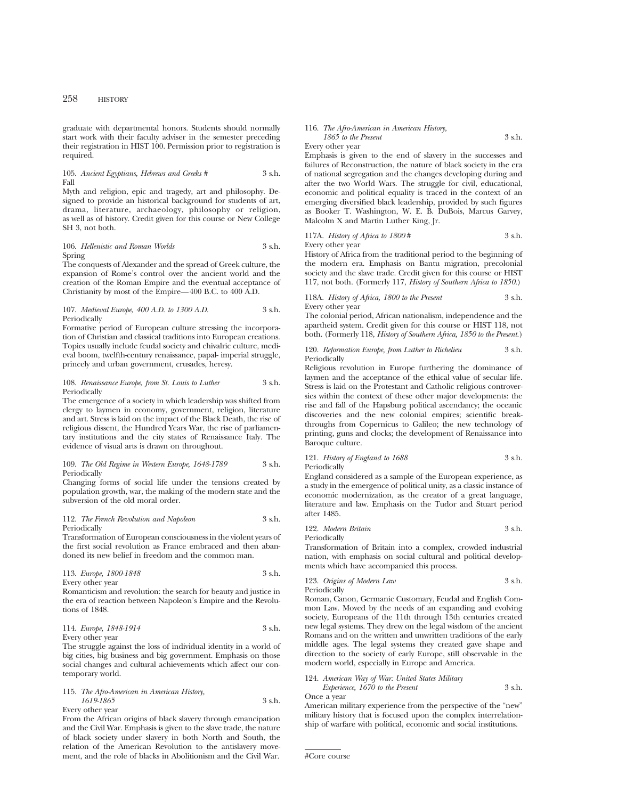graduate with departmental honors. Students should normally start work with their faculty adviser in the semester preceding their registration in HIST 100. Permission prior to registration is required.

### 105. *Ancient Egyptians, Hebrews and Greeks #* 3 s.h. Fall

Myth and religion, epic and tragedy, art and philosophy. Designed to provide an historical background for students of art, drama, literature, archaeology, philosophy or religion, as well as of history. Credit given for this course or New College SH 3, not both.

106. *Hellenistic and Roman Worlds* 3 s.h. Spring

The conquests of Alexander and the spread of Greek culture, the expansion of Rome's control over the ancient world and the creation of the Roman Empire and the eventual acceptance of Christianity by most of the Empire—400 B.C. to 400 A.D.

#### 107. *Medieval Europe, 400 A.D. to 1300 A.D.* 3 s.h. Periodically

Formative period of European culture stressing the incorporation of Christian and classical traditions into European creations. Topics usually include feudal society and chivalric culture, medieval boom, twelfth-century renaissance, papal- imperial struggle, princely and urban government, crusades, heresy.

#### 108. *Renaissance Europe, from St. Louis to Luther* 3 s.h. Periodically

The emergence of a society in which leadership was shifted from clergy to laymen in economy, government, religion, literature and art. Stress is laid on the impact of the Black Death, the rise of religious dissent, the Hundred Years War, the rise of parliamentary institutions and the city states of Renaissance Italy. The evidence of visual arts is drawn on throughout.

### 109. *The Old Regime in Western Europe, 1648-1789* 3 s.h. Periodically

Changing forms of social life under the tensions created by population growth, war, the making of the modern state and the subversion of the old moral order.

112. *The French Revolution and Napoleon* 3 s.h. Periodically

Transformation of European consciousness in the violent years of the first social revolution as France embraced and then abandoned its new belief in freedom and the common man.

113. *Europe, 1800-1848* 3 s.h. Every other year

Romanticism and revolution: the search for beauty and justice in the era of reaction between Napoleon's Empire and the Revolutions of 1848.

# 114. *Europe, 1848-1914* 3 s.h. Every other year

The struggle against the loss of individual identity in a world of big cities, big business and big government. Emphasis on those social changes and cultural achievements which affect our contemporary world.

# 115. *The Afro-American in American History, 1619-1865* 3 s.h.

Every other year

From the African origins of black slavery through emancipation and the Civil War. Emphasis is given to the slave trade, the nature of black society under slavery in both North and South, the relation of the American Revolution to the antislavery movement, and the role of blacks in Abolitionism and the Civil War.

#### 116. *The Afro-American in American History, 1865 to the Present* 3 s.h.

Every other year

Emphasis is given to the end of slavery in the successes and failures of Reconstruction, the nature of black society in the era of national segregation and the changes developing during and after the two World Wars. The struggle for civil, educational, economic and political equality is traced in the context of an emerging diversified black leadership, provided by such figures as Booker T. Washington, W. E. B. DuBois, Marcus Garvey, Malcolm X and Martin Luther King, Jr.

117A. *History of Africa to 1800* # 3 s.h. Every other year

History of Africa from the traditional period to the beginning of the modern era. Emphasis on Bantu migration, precolonial society and the slave trade. Credit given for this course or HIST 117, not both. (Formerly 117, *History of Southern Africa to 1850.*)

118A. *History of Africa, 1800 to the Present* 3 s.h. Every other year

The colonial period, African nationalism, independence and the apartheid system. Credit given for this course or HIST 118, not both. (Formerly 118, *History of Southern Africa, 1850 to the Present.*)

120. *Reformation Europe, from Luther to Richelieu* 3 s.h. Periodically

Religious revolution in Europe furthering the dominance of laymen and the acceptance of the ethical value of secular life. Stress is laid on the Protestant and Catholic religious controversies within the context of these other major developments: the rise and fall of the Hapsburg political ascendancy; the oceanic discoveries and the new colonial empires; scientific breakthroughs from Copernicus to Galileo; the new technology of printing, guns and clocks; the development of Renaissance into Baroque culture.

121. *History of England to 1688* 3 s.h. Periodically

England considered as a sample of the European experience, as a study in the emergence of political unity, as a classic instance of economic modernization, as the creator of a great language, literature and law. Emphasis on the Tudor and Stuart period after 1485.

122. *Modern Britain* 3 s.h.

Periodically Transformation of Britain into a complex, crowded industrial nation, with emphasis on social cultural and political developments which have accompanied this process.

123. *Origins of Modern Law* 3 s.h. Periodically

Roman, Canon, Germanic Customary, Feudal and English Common Law. Moved by the needs of an expanding and evolving society, Europeans of the 11th through 13th centuries created new legal systems. They drew on the legal wisdom of the ancient Romans and on the written and unwritten traditions of the early middle ages. The legal systems they created gave shape and direction to the society of early Europe, still observable in the modern world, especially in Europe and America.

124. *American Way of War: United States Military Experience, 1670 to the Present* 3 s.h. Once a year

American military experience from the perspective of the "new" military history that is focused upon the complex interrelationship of warfare with political, economic and social institutions.

#Core course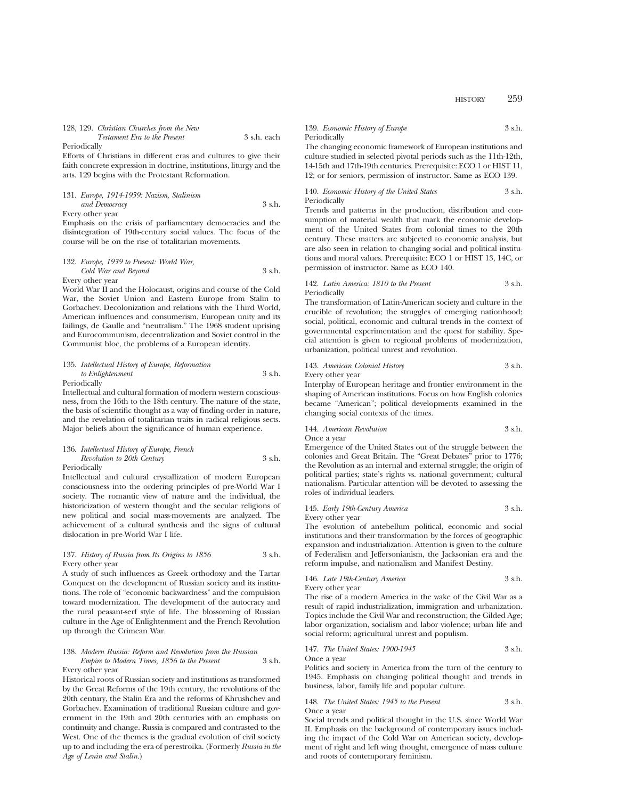| 128, 129. Christian Churches from the New |             |
|-------------------------------------------|-------------|
| <i>Testament Era to the Present</i>       | 3 s.h. each |

Periodically

Efforts of Christians in different eras and cultures to give their faith concrete expression in doctrine, institutions, liturgy and the arts. 129 begins with the Protestant Reformation.

# 131. *Europe, 1914-1939: Nazism, Stalinism and Democracy* 3 s.h. Every other year

Emphasis on the crisis of parliamentary democracies and the disintegration of 19th-century social values. The focus of the course will be on the rise of totalitarian movements.

# 132. *Europe, 1939 to Present: World War, Cold War and Beyond* 3 s.h. Every other year

World War II and the Holocaust, origins and course of the Cold War, the Soviet Union and Eastern Europe from Stalin to Gorbachev. Decolonization and relations with the Third World, American influences and consumerism, European unity and its failings, de Gaulle and "neutralism." The 1968 student uprising and Eurocommunism, decentralization and Soviet control in the Communist bloc, the problems of a European identity.

### 135. *Intellectual History of Europe, Reformation to Enlightenment* 3 s.h. Periodically

Intellectual and cultural formation of modern western consciousness, from the 16th to the 18th century. The nature of the state, the basis of scientific thought as a way of finding order in nature, and the revelation of totalitarian traits in radical religious sects.

# 136. *Intellectual History of Europe, French Revolution to 20th Century* 3 s.h. Periodically

Major beliefs about the significance of human experience.

Intellectual and cultural crystallization of modern European consciousness into the ordering principles of pre-World War I society. The romantic view of nature and the individual, the historicization of western thought and the secular religions of new political and social mass-movements are analyzed. The achievement of a cultural synthesis and the signs of cultural dislocation in pre-World War I life.

# 137. *History of Russia from Its Origins to 1856* 3 s.h. Every other year

A study of such influences as Greek orthodoxy and the Tartar Conquest on the development of Russian society and its institutions. The role of "economic backwardness" and the compulsion toward modernization. The development of the autocracy and the rural peasant-serf style of life. The blossoming of Russian culture in the Age of Enlightenment and the French Revolution up through the Crimean War.

# 138. *Modern Russia: Reform and Revolution from the Russian Empire to Modern Times, 1856 to the Present* 3 s.h. Every other year

Historical roots of Russian society and institutions as transformed by the Great Reforms of the 19th century, the revolutions of the 20th century, the Stalin Era and the reforms of Khrushchev and Gorbachev. Examination of traditional Russian culture and government in the 19th and 20th centuries with an emphasis on continuity and change. Russia is compared and contrasted to the West. One of the themes is the gradual evolution of civil society up to and including the era of perestroika. (Formerly *Russia in the Age of Lenin and Stalin*.)

# 139. *Economic History of Europe* 3 s.h. Periodically

The changing economic framework of European institutions and culture studied in selected pivotal periods such as the 11th-12th, 14-15th and 17th-19th centuries. Prerequisite: ECO 1 or HIST 11, 12; or for seniors, permission of instructor. Same as ECO 139.

140. *Economic History of the United States* 3 s.h. Periodically

Trends and patterns in the production, distribution and consumption of material wealth that mark the economic development of the United States from colonial times to the 20th century. These matters are subjected to economic analysis, but are also seen in relation to changing social and political institutions and moral values. Prerequisite: ECO 1 or HIST 13, 14C, or permission of instructor. Same as ECO 140.

# 142. *Latin America: 1810 to the Present* 3 s.h. Periodically

The transformation of Latin-American society and culture in the crucible of revolution; the struggles of emerging nationhood; social, political, economic and cultural trends in the context of governmental experimentation and the quest for stability. Special attention is given to regional problems of modernization, urbanization, political unrest and revolution.

# 143. *American Colonial History* 3 s.h. Every other year

Interplay of European heritage and frontier environment in the shaping of American institutions. Focus on how English colonies became "American"; political developments examined in the changing social contexts of the times.

144. *American Revolution* 3 s.h. Once a year

Emergence of the United States out of the struggle between the colonies and Great Britain. The "Great Debates" prior to 1776; the Revolution as an internal and external struggle; the origin of political parties; state's rights vs. national government; cultural nationalism. Particular attention will be devoted to assessing the roles of individual leaders.

### 145. *Early 19th-Century America* 3 s.h. Every other year

The evolution of antebellum political, economic and social institutions and their transformation by the forces of geographic expansion and industrialization. Attention is given to the culture of Federalism and Jeffersonianism, the Jacksonian era and the reform impulse, and nationalism and Manifest Destiny.

146. *Late 19th-Century America* 3 s.h.

Every other year

The rise of a modern America in the wake of the Civil War as a result of rapid industrialization, immigration and urbanization. Topics include the Civil War and reconstruction; the Gilded Age; labor organization, socialism and labor violence; urban life and social reform; agricultural unrest and populism.

# 147. *The United States: 1900-1945* 3 s.h.

Once a year Politics and society in America from the turn of the century to 1945. Emphasis on changing political thought and trends in business, labor, family life and popular culture.

### 148. *The United States: 1945 to the Present* 3 s.h. Once a year

Social trends and political thought in the U.S. since World War II. Emphasis on the background of contemporary issues including the impact of the Cold War on American society, development of right and left wing thought, emergence of mass culture and roots of contemporary feminism.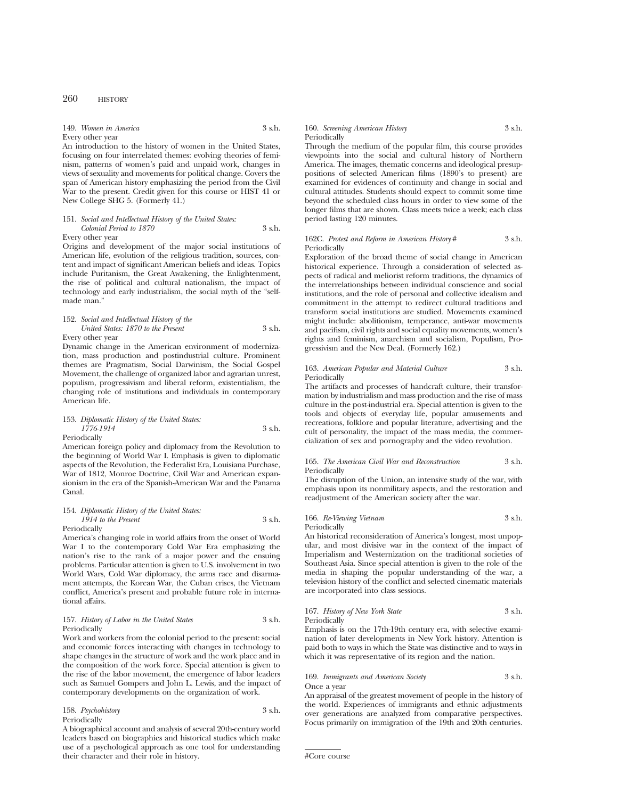149. *Women in America* 3 s.h. Every other year

An introduction to the history of women in the United States, focusing on four interrelated themes: evolving theories of feminism, patterns of women's paid and unpaid work, changes in views of sexuality and movements for political change. Covers the span of American history emphasizing the period from the Civil War to the present. Credit given for this course or HIST 41 or New College SHG 5. (Formerly 41.)

# 151. *Social and Intellectual History of the United States: Colonial Period to 1870* 3 s.h.

Every other year

Origins and development of the major social institutions of American life, evolution of the religious tradition, sources, content and impact of significant American beliefs and ideas. Topics include Puritanism, the Great Awakening, the Enlightenment, the rise of political and cultural nationalism, the impact of technology and early industrialism, the social myth of the "selfmade man."

### 152. *Social and Intellectual History of the United States: 1870 to the Present* 3 s.h. Every other year

Dynamic change in the American environment of modernization, mass production and postindustrial culture. Prominent themes are Pragmatism, Social Darwinism, the Social Gospel Movement, the challenge of organized labor and agrarian unrest, populism, progressivism and liberal reform, existentialism, the changing role of institutions and individuals in contemporary American life.

### 153. *Diplomatic History of the United States: 1776-1914* 3 s.h. **Periodically**

American foreign policy and diplomacy from the Revolution to the beginning of World War I. Emphasis is given to diplomatic aspects of the Revolution, the Federalist Era, Louisiana Purchase, War of 1812, Monroe Doctrine, Civil War and American expansionism in the era of the Spanish-American War and the Panama Canal.

#### 154. *Diplomatic History of the United States: 1914 to the Present* 3 s.h. Periodically

America's changing role in world affairs from the onset of World War I to the contemporary Cold War Era emphasizing the nation's rise to the rank of a major power and the ensuing problems. Particular attention is given to U.S. involvement in two World Wars, Cold War diplomacy, the arms race and disarmament attempts, the Korean War, the Cuban crises, the Vietnam conflict, America's present and probable future role in international affairs.

# 157. *History of Labor in the United States* 3 s.h. Periodically

Work and workers from the colonial period to the present: social and economic forces interacting with changes in technology to shape changes in the structure of work and the work place and in the composition of the work force. Special attention is given to the rise of the labor movement, the emergence of labor leaders such as Samuel Gompers and John L. Lewis, and the impact of contemporary developments on the organization of work.

# 158. *Psychohistory* 3 s.h. Periodically

A biographical account and analysis of several 20th-century world leaders based on biographies and historical studies which make use of a psychological approach as one tool for understanding their character and their role in history.

### 160. *Screening American History* 3 s.h. Periodically

Through the medium of the popular film, this course provides viewpoints into the social and cultural history of Northern America. The images, thematic concerns and ideological presuppositions of selected American films (1890's to present) are examined for evidences of continuity and change in social and cultural attitudes. Students should expect to commit some time beyond the scheduled class hours in order to view some of the longer films that are shown. Class meets twice a week; each class period lasting 120 minutes.

# 162C. *Protest and Reform in American History* # 3 s.h. Periodically

Exploration of the broad theme of social change in American historical experience. Through a consideration of selected aspects of radical and meliorist reform traditions, the dynamics of the interrelationships between individual conscience and social institutions, and the role of personal and collective idealism and commitment in the attempt to redirect cultural traditions and transform social institutions are studied. Movements examined might include: abolitionism, temperance, anti-war movements and pacifism, civil rights and social equality movements, women's rights and feminism, anarchism and socialism, Populism, Progressivism and the New Deal. (Formerly 162.)

# 163. *American Popular and Material Culture* 3 s.h. Periodically

The artifacts and processes of handcraft culture, their transformation by industrialism and mass production and the rise of mass culture in the post-industrial era. Special attention is given to the tools and objects of everyday life, popular amusements and recreations, folklore and popular literature, advertising and the cult of personality, the impact of the mass media, the commercialization of sex and pornography and the video revolution.

# 165. *The American Civil War and Reconstruction* 3 s.h. Periodically

The disruption of the Union, an intensive study of the war, with emphasis upon its nonmilitary aspects, and the restoration and readjustment of the American society after the war.

# 166. *Re-Viewing Vietnam* 3 s.h. Periodically

An historical reconsideration of America's longest, most unpopular, and most divisive war in the context of the impact of Imperialism and Westernization on the traditional societies of Southeast Asia. Since special attention is given to the role of the media in shaping the popular understanding of the war, a television history of the conflict and selected cinematic materials are incorporated into class sessions.

167. *History of New York State* 3 s.h. Periodically

Emphasis is on the 17th-19th century era, with selective examination of later developments in New York history. Attention is paid both to ways in which the State was distinctive and to ways in which it was representative of its region and the nation.

# 169. *Immigrants and American Society* 3 s.h. Once a year

An appraisal of the greatest movement of people in the history of the world. Experiences of immigrants and ethnic adjustments over generations are analyzed from comparative perspectives. Focus primarily on immigration of the 19th and 20th centuries.

<sup>#</sup>Core course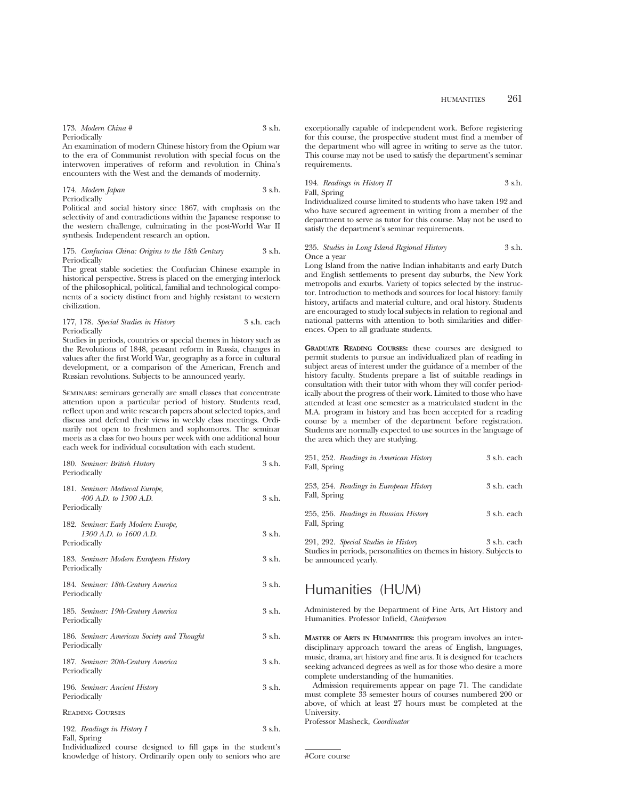| 173. Modern China # | 3 s.h. |
|---------------------|--------|
| Periodically        |        |

An examination of modern Chinese history from the Opium war to the era of Communist revolution with special focus on the interwoven imperatives of reform and revolution in China's encounters with the West and the demands of modernity.

174. *Modern Japan* 3 s.h. Periodically

Political and social history since 1867, with emphasis on the selectivity of and contradictions within the Japanese response to the western challenge, culminating in the post-World War II synthesis. Independent research an option.

### 175. *Confucian China: Origins to the 18th Century* 3 s.h. Periodically

The great stable societies: the Confucian Chinese example in historical perspective. Stress is placed on the emerging interlock of the philosophical, political, familial and technological components of a society distinct from and highly resistant to western civilization.

# 177, 178. *Special Studies in History* 3 s.h. each Periodically

Studies in periods, countries or special themes in history such as the Revolutions of 1848, peasant reform in Russia, changes in values after the first World War, geography as a force in cultural development, or a comparison of the American, French and Russian revolutions. Subjects to be announced yearly.

Seminars: seminars generally are small classes that concentrate attention upon a particular period of history. Students read, reflect upon and write research papers about selected topics, and discuss and defend their views in weekly class meetings. Ordinarily not open to freshmen and sophomores. The seminar meets as a class for two hours per week with one additional hour each week for individual consultation with each student.

| 180. Seminar: British History<br>Periodically                                | 3 s.h.   |
|------------------------------------------------------------------------------|----------|
| 181. Seminar: Medieval Europe,<br>400 A.D. to 1300 A.D.<br>Periodically      | 3 s.h.   |
| 182. Seminar: Early Modern Europe,<br>1300 A.D. to 1600 A.D.<br>Periodically | 3 s.h.   |
| 183. Seminar: Modern European History<br>Periodically                        | $3$ s.h. |
| 184. Seminar: 18th-Century America<br>Periodically                           | $3$ s.h. |
| 185. Seminar: 19th-Century America<br>Periodically                           | 3 s.h.   |
| 186. Seminar: American Society and Thought<br>Periodically                   | 3 s.h.   |
| 187. Seminar: 20th-Century America<br>Periodically                           | $3$ s.h. |
| 196. Seminar: Ancient History<br>Periodically                                | $3$ s.h. |
| <b>READING COURSES</b>                                                       |          |
|                                                                              |          |

192. *Readings in History I* 3 s.h. Fall, Spring

Individualized course designed to fill gaps in the student's knowledge of history. Ordinarily open only to seniors who are exceptionally capable of independent work. Before registering for this course, the prospective student must find a member of the department who will agree in writing to serve as the tutor. This course may not be used to satisfy the department's seminar requirements.

194. *Readings in History II* 3 s.h. Fall, Spring

Individualized course limited to students who have taken 192 and who have secured agreement in writing from a member of the department to serve as tutor for this course. May not be used to satisfy the department's seminar requirements.

### 235. *Studies in Long Island Regional History* 3 s.h. Once a year

Long Island from the native Indian inhabitants and early Dutch and English settlements to present day suburbs, the New York metropolis and exurbs. Variety of topics selected by the instructor. Introduction to methods and sources for local history: family history, artifacts and material culture, and oral history. Students are encouraged to study local subjects in relation to regional and national patterns with attention to both similarities and differences. Open to all graduate students.

**GRADUATE READING COURSES:** these courses are designed to permit students to pursue an individualized plan of reading in subject areas of interest under the guidance of a member of the history faculty. Students prepare a list of suitable readings in consultation with their tutor with whom they will confer periodically about the progress of their work. Limited to those who have attended at least one semester as a matriculated student in the M.A. program in history and has been accepted for a reading course by a member of the department before registration. Students are normally expected to use sources in the language of the area which they are studying.

| 251, 252. Readings in American History<br>Fall, Spring                                                                              | 3 s.h. each |
|-------------------------------------------------------------------------------------------------------------------------------------|-------------|
| 253, 254. Readings in European History<br>Fall, Spring                                                                              | 3 s.h. each |
| 255, 256. Readings in Russian History<br>Fall, Spring                                                                               | 3 s.h. each |
| 291, 292. Special Studies in History<br>Studies in periods, personalities on themes in history. Subjects to<br>be announced yearly. | 3 s.h. each |

# Humanities (HUM)

Administered by the Department of Fine Arts, Art History and Humanities. Professor Infield, *Chairperson*

**MASTER OF ARTS IN HUMANITIES:** this program involves an interdisciplinary approach toward the areas of English, languages, music, drama, art history and fine arts. It is designed for teachers seeking advanced degrees as well as for those who desire a more complete understanding of the humanities.

Admission requirements appear on page 71. The candidate must complete 33 semester hours of courses numbered 200 or above, of which at least 27 hours must be completed at the University.

Professor Masheck, *Coordinator*

#Core course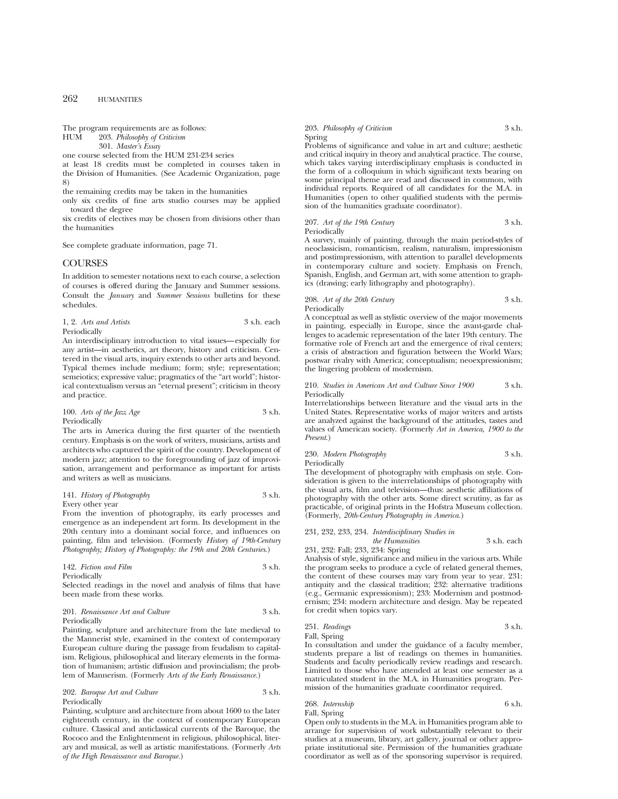The program requirements are as follows:<br>HUM 203. Philosophy of Criticism

203. Philosophy of Criticism

301. *Master's Essay*

one course selected from the HUM 231-234 series

at least 18 credits must be completed in courses taken in the Division of Humanities. (See Academic Organization, page 8)

the remaining credits may be taken in the humanities

only six credits of fine arts studio courses may be applied toward the degree

six credits of electives may be chosen from divisions other than the humanities

See complete graduate information, page 71.

# **COURSES**

In addition to semester notations next to each course, a selection of courses is offered during the January and Summer sessions. Consult the *January* and *Summer Sessions* bulletins for these schedules.

1, 2. *Arts and Artists* 3 s.h. each Periodically

An interdisciplinary introduction to vital issues—especially for any artist—in aesthetics, art theory, history and criticism. Centered in the visual arts, inquiry extends to other arts and beyond. Typical themes include medium; form; style; representation; semeiotics; expressive value; pragmatics of the "art world"; historical contextualism versus an "eternal present"; criticism in theory and practice.

100. *Arts of the Jazz Age* 3 s.h. Periodically

The arts in America during the first quarter of the twentieth century. Emphasis is on the work of writers, musicians, artists and architects who captured the spirit of the country. Development of modern jazz; attention to the foregrounding of jazz of improvisation, arrangement and performance as important for artists and writers as well as musicians.

141. *History of Photography* 3 s.h. Every other year

From the invention of photography, its early processes and emergence as an independent art form. Its development in the 20th century into a dominant social force, and influences on painting, film and television. (Formerly *History of 19th-Century Photography; History of Photography: the 19th and 20th Centuries*.)

142. *Fiction and Film* 3 s.h. Periodically

Selected readings in the novel and analysis of films that have been made from these works.

### 201. *Renaissance Art and Culture* 3 s.h. Periodically

Painting, sculpture and architecture from the late medieval to the Mannerist style, examined in the context of contemporary European culture during the passage from feudalism to capitalism. Religious, philosophical and literary elements in the formation of humanism; artistic diffusion and provincialism; the problem of Mannerism. (Formerly *Arts of the Early Renaissance.*)

202. *Baroque Art and Culture* 3 s.h. Periodically

Painting, sculpture and architecture from about 1600 to the later eighteenth century, in the context of contemporary European culture. Classical and anticlassical currents of the Baroque, the Rococo and the Enlightenment in religious, philosophical, literary and musical, as well as artistic manifestations. (Formerly *Arts of the High Renaissance and Baroque.*)

### 203. *Philosophy of Criticism* 3 s.h. Spring

Problems of significance and value in art and culture; aesthetic and critical inquiry in theory and analytical practice. The course, which takes varying interdisciplinary emphasis is conducted in the form of a colloquium in which significant texts bearing on some principal theme are read and discussed in common, with individual reports. Required of all candidates for the M.A. in Humanities (open to other qualified students with the permission of the humanities graduate coordinator).

207. Art of the 19th Century 3 s.h. Periodically

A survey, mainly of painting, through the main period-styles of neoclassicism, romanticism, realism, naturalism, impressionism and postimpressionism, with attention to parallel developments in contemporary culture and society. Emphasis on French, Spanish, English, and German art, with some attention to graphics (drawing; early lithography and photography).

208. *Art of the 20th Century* 3 s.h. Periodically

A conceptual as well as stylistic overview of the major movements in painting, especially in Europe, since the avant-garde challenges to academic representation of the later 19th century. The formative role of French art and the emergence of rival centers; a crisis of abstraction and figuration between the World Wars; postwar rivalry with America; conceptualism; neoexpressionism; the lingering problem of modernism.

210. *Studies in American Art and Culture Since 1900* 3 s.h. Periodically

Interrelationships between literature and the visual arts in the United States. Representative works of major writers and artists are analyzed against the background of the attitudes, tastes and values of American society. (Formerly *Art in America, 1900 to the Present*.)

# 230. *Modern Photography* 3 s.h. Periodically

The development of photography with emphasis on style. Consideration is given to the interrelationships of photography with the visual arts, film and television—thus: aesthetic affiliations of photography with the other arts. Some direct scrutiny, as far as practicable, of original prints in the Hofstra Museum collection. (Formerly, *20th-Century Photography in America.*)

# 231, 232, 233, 234. *Interdisciplinary Studies in the Humanities* 3 s.h. each 231, 232: Fall; 233, 234: Spring

Analysis of style, significance and milieu in the various arts. While the program seeks to produce a cycle of related general themes, the content of these courses may vary from year to year. 231: antiquity and the classical tradition; 232: alternative traditions (e.g., Germanic expressionism); 233: Modernism and postmodernism; 234: modern architecture and design. May be repeated for credit when topics vary.

251. *Readings* 3 s.h. Fall, Spring

In consultation and under the guidance of a faculty member, students prepare a list of readings on themes in humanities. Students and faculty periodically review readings and research. Limited to those who have attended at least one semester as a matriculated student in the M.A. in Humanities program. Permission of the humanities graduate coordinator required.

# 268. *Internship* 6 s.h. Fall, Spring

Open only to students in the M.A. in Humanities program able to arrange for supervision of work substantially relevant to their studies at a museum, library, art gallery, journal or other appropriate institutional site. Permission of the humanities graduate coordinator as well as of the sponsoring supervisor is required.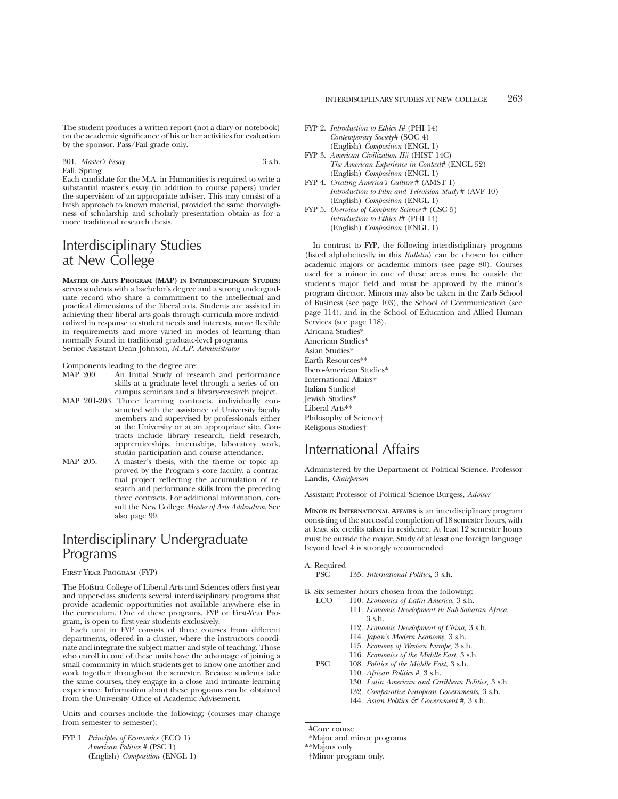The student produces a written report (not a diary or notebook) on the academic significance of his or her activities for evaluation by the sponsor. Pass/Fail grade only.

301. *Master's Essay* 3 s.h. Fall, Spring

Each candidate for the M.A. in Humanities is required to write a substantial master's essay (in addition to course papers) under the supervision of an appropriate adviser. This may consist of a fresh approach to known material, provided the same thoroughness of scholarship and scholarly presentation obtain as for a more traditional research thesis.

# Interdisciplinary Studies at New College

**MASTER OF ARTS PROGRAM (MAP) IN INTERDISCIPLINARY STUDIES:** serves students with a bachelor's degree and a strong undergraduate record who share a commitment to the intellectual and practical dimensions of the liberal arts. Students are assisted in achieving their liberal arts goals through curricula more individualized in response to student needs and interests, more flexible in requirements and more varied in modes of learning than normally found in traditional graduate-level programs. Senior Assistant Dean Johnson, *M.A.P. Administrator*

Components leading to the degree are:

- MAP 200. An Initial Study of research and performance skills at a graduate level through a series of oncampus seminars and a library-research project.
- MAP 201-203. Three learning contracts, individually constructed with the assistance of University faculty members and supervised by professionals either at the University or at an appropriate site. Contracts include library research, field research, apprenticeships, internships, laboratory work, studio participation and course attendance.
- MAP 205. A master's thesis, with the theme or topic approved by the Program's core faculty, a contractual project reflecting the accumulation of research and performance skills from the preceding three contracts. For additional information, consult the New College *Master of Arts Addendum*. See also page 99.

# Interdisciplinary Undergraduate Programs

First Year Program (FYP)

The Hofstra College of Liberal Arts and Sciences offers first-year and upper-class students several interdisciplinary programs that provide academic opportunities not available anywhere else in the curriculum. One of these programs, FYP or First-Year Program, is open to first-year students exclusively.

Each unit in FYP consists of three courses from different departments, offered in a cluster, where the instructors coordinate and integrate the subject matter and style of teaching. Those who enroll in one of these units have the advantage of joining a small community in which students get to know one another and work together throughout the semester. Because students take the same courses, they engage in a close and intimate learning experience. Information about these programs can be obtained from the University Office of Academic Advisement.

Units and courses include the following; (courses may change from semester to semester):

FYP 1. *Principles of Economics* (ECO 1) *American Politics #* (PSC 1) (English) *Composition* (ENGL 1)

- FYP 2. *Introduction to Ethics I#* (PHI 14) *Contemporary Society#* (SOC 4) (English) *Composition* (ENGL 1)
- FYP 3. *American Civilization II#* (HIST 14C) *The American Experience in Context#* (ENGL 52) (English) *Composition* (ENGL 1)
- FYP 4. *Creating America's Culture* # (AMST 1) *Introduction to Film and Television Study* # (AVF 10) (English) *Composition* (ENGL 1)
- FYP 5. *Overview of Computer Science* # (CSC 5) *Introduction to Ethics I*# (PHI 14) (English) *Composition* (ENGL 1)

In contrast to FYP, the following interdisciplinary programs (listed alphabetically in this *Bulletin*) can be chosen for either academic majors or academic minors (see page 80). Courses used for a minor in one of these areas must be outside the student's major field and must be approved by the minor's program director. Minors may also be taken in the Zarb School of Business (see page 103), the School of Communication (see page 114), and in the School of Education and Allied Human Services (see page 118).

Africana Studies\* American Studies\* Asian Studies\* Earth Resources\*\* Ibero-American Studies\* International Affairs† Italian Studies† Jewish Studies\* Liberal Arts\*\* Philosophy of Science† Religious Studies†

# International Affairs

Administered by the Department of Political Science. Professor Landis, *Chairperson*

Assistant Professor of Political Science Burgess, *Adviser*

**MINOR IN INTERNATIONAL AFFAIRS** is an interdisciplinary program consisting of the successful completion of 18 semester hours, with at least six credits taken in residence. At least 12 semester hours must be outside the major. Study of at least one foreign language beyond level 4 is strongly recommended.

A. Required

PSC 135. *International Politics,* 3 s.h.

- B. Six semester hours chosen from the following:<br>FCO 110 *Economics of Latin America* 3 s h
	- ECO 110. *Economics of Latin America,* 3 s.h. 111. *Economic Development in Sub-Saharan Africa,*
		- 3 s.h. 112. *Economic Development of China,* 3 s.h.
		-
		- 114. *Japan's Modern Economy,* 3 s.h.
	- 115. *Economy of Western Europe,* 3 s.h.
	- 116. *Economics of the Middle East,* 3 s.h. PSC 108. *Politics of the Middle East,* 3 s.h.
		- 110. *African Politics #,* 3 s.h.
			- 130. *Latin American and Caribbean Politics,* 3 s.h.
			- 132. *Comparative European Governments,* 3 s.h.
			- 144. *Asian Politics & Government #,* 3 s.h.

†Minor program only.

<sup>#</sup>Core course

<sup>\*</sup>Major and minor programs

<sup>\*\*</sup>Majors only.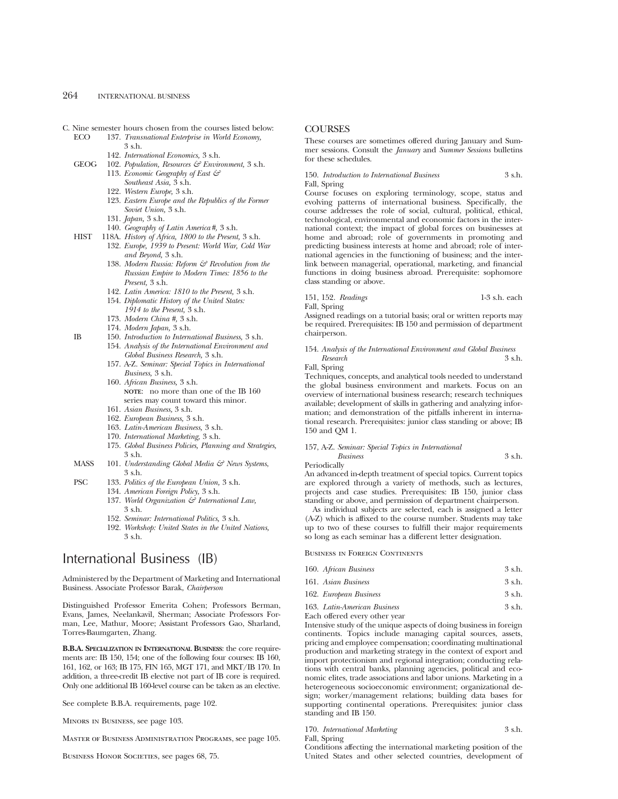- C. Nine semester hours chosen from the courses listed below:<br>
FCO 137. Transnational Enterprise in World Economy.
	- 137. *Transnational Enterprise in World Economy*, 3 s.h.
		- 142. *International Economics,* 3 s.h.
	- GEOG 102. *Population, Resources & Environment,* 3 s.h. 113. *Economic Geography of East &*
		- *Southeast Asia,* 3 s.h.
		- 122. *Western Europe,* 3 s.h.
		- 123. *Eastern Europe and the Republics of the Former Soviet Union,* 3 s.h.
		- 131. *Japan,* 3 s.h.
		- 140. *Geography of Latin America#,* 3 s.h.
	- HIST 118A. *History of Africa, 1800 to the Present,* 3 s.h.
		- 132. *Europe, 1939 to Present: World War, Cold War and Beyond,* 3 s.h.
			- 138. *Modern Russia: Reform & Revolution from the Russian Empire to Modern Times: 1856 to the Present,* 3 s.h.
			- 142. *Latin America: 1810 to the Present,* 3 s.h.
			- 154. *Diplomatic History of the United States: 1914 to the Present,* 3 s.h.
			- 173. *Modern China #,* 3 s.h.
		- 174. *Modern Japan,* 3 s.h.
	- IB 150. *Introduction to International Business,* 3 s.h.
		- 154. *Analysis of the International Environment and Global Business Research,* 3 s.h.
		- 157. A-Z. *Seminar: Special Topics in International Business,* 3 s.h.
		- 160. *African Business,* 3 s.h. **NOTE**: no more than one of the IB 160 series may count toward this minor.
		- 161. *Asian Business,* 3 s.h.
		- 162. *European Business,* 3 s.h.
		- 163. *Latin-American Business,* 3 s.h.
		- 170. *International Marketing,* 3 s.h.
		- 175. *Global Business Policies, Planning and Strategies,* 3 s.h.
	- MASS 101. *Understanding Global Media & News Systems*, 3 s.h.
	- PSC 133. *Politics of the European Union,* 3 s.h.
		- 134. *American Foreign Policy,* 3 s.h.
		- 137. *World Organization & International Law,* 3 s.h.
		- 152. *Seminar: International Politics,* 3 s.h.
		- 192. *Workshop: United States in the United Nations,* 3 s.h.

# International Business (IB)

Administered by the Department of Marketing and International Business. Associate Professor Barak, *Chairperson*

Distinguished Professor Emerita Cohen; Professors Berman, Evans, James, Neelankavil, Sherman; Associate Professors Forman, Lee, Mathur, Moore; Assistant Professors Gao, Sharland, Torres-Baumgarten, Zhang.

**B.B.A. SPECIALIZATION IN INTERNATIONAL BUSINESS**: the core requirements are: IB 150, 154; one of the following four courses: IB 160, 161, 162, or 163; IB 175, FIN 165, MGT 171, and MKT/IB 170. In addition, a three-credit IB elective not part of IB core is required. Only one additional IB 160-level course can be taken as an elective.

See complete B.B.A. requirements, page 102.

Minors in Business, see page 103.

Master of Business Administration Programs, see page 105.

BUSINESS HONOR SOCIETIES, see pages 68, 75.

# **COURSES**

These courses are sometimes offered during January and Summer sessions. Consult the *January* and *Summer Sessions* bulletins for these schedules.

150. *Introduction to International Business* 3 s.h. Fall, Spring

Course focuses on exploring terminology, scope, status and evolving patterns of international business. Specifically, the course addresses the role of social, cultural, political, ethical, technological, environmental and economic factors in the international context; the impact of global forces on businesses at home and abroad; role of governments in promoting and predicting business interests at home and abroad; role of international agencies in the functioning of business; and the interlink between managerial, operational, marketing, and financial functions in doing business abroad. Prerequisite: sophomore class standing or above.

151, 152. *Readings* 1-3 s.h. each Fall, Spring

Assigned readings on a tutorial basis; oral or written reports may be required. Prerequisites: IB 150 and permission of department chairperson.

154. *Analysis of the International Environment and Global Business Research* 3 s.h. Fall, Spring

Techniques, concepts, and analytical tools needed to understand the global business environment and markets. Focus on an overview of international business research; research techniques available; development of skills in gathering and analyzing information; and demonstration of the pitfalls inherent in international research. Prerequisites: junior class standing or above; IB 150 and QM 1.

# 157, A-Z. *Seminar: Special Topics in International*

*Business* 3 s.h. Periodically

An advanced in-depth treatment of special topics. Current topics are explored through a variety of methods, such as lectures, projects and case studies. Prerequisites: IB 150, junior class standing or above, and permission of department chairperson.

As individual subjects are selected, each is assigned a letter (A-Z) which is affixed to the course number. Students may take up to two of these courses to fulfill their major requirements so long as each seminar has a different letter designation.

Business in Foreign Continents

| 160. African Business | 3 s.h. |  |
|-----------------------|--------|--|
| 161. Asian Business   | 3 s.h. |  |

| 162. European Business       | 3 s.h. |
|------------------------------|--------|
| 163. Latin-American Business | 3 s.h. |

Each offered every other year

Intensive study of the unique aspects of doing business in foreign continents. Topics include managing capital sources, assets, pricing and employee compensation; coordinating multinational production and marketing strategy in the context of export and import protectionism and regional integration; conducting relations with central banks, planning agencies, political and economic elites, trade associations and labor unions. Marketing in a heterogeneous socioeconomic environment; organizational design; worker/management relations; building data bases for supporting continental operations. Prerequisites: junior class standing and IB 150.

170. *International Marketing* 3 s.h.

Fall, Spring

Conditions affecting the international marketing position of the United States and other selected countries, development of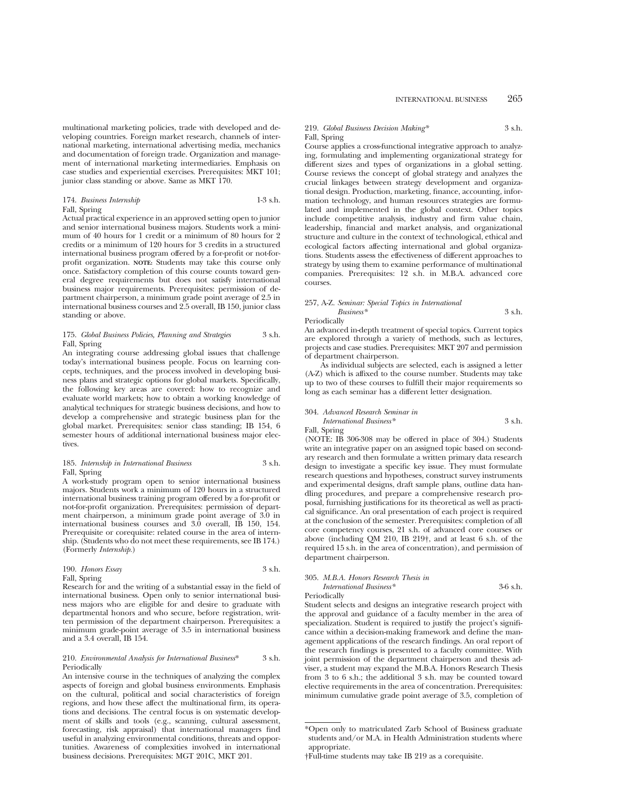multinational marketing policies, trade with developed and developing countries. Foreign market research, channels of international marketing, international advertising media, mechanics and documentation of foreign trade. Organization and management of international marketing intermediaries. Emphasis on case studies and experiential exercises. Prerequisites: MKT 101; junior class standing or above. Same as MKT 170.

### 174. *Business Internship* 1-3 s.h. Fall, Spring

Actual practical experience in an approved setting open to junior and senior international business majors. Students work a minimum of 40 hours for 1 credit or a minimum of 80 hours for 2 credits or a minimum of 120 hours for 3 credits in a structured international business program offered by a for-profit or not-forprofit organization. **NOTE:** Students may take this course only once. Satisfactory completion of this course counts toward general degree requirements but does not satisfy international business major requirements. Prerequisites: permission of department chairperson, a minimum grade point average of 2.5 in international business courses and 2.5 overall, IB 150, junior class standing or above.

#### 175. *Global Business Policies, Planning and Strategies* 3 s.h. Fall, Spring

An integrating course addressing global issues that challenge today's international business people. Focus on learning concepts, techniques, and the process involved in developing business plans and strategic options for global markets. Specifically, the following key areas are covered: how to recognize and evaluate world markets; how to obtain a working knowledge of analytical techniques for strategic business decisions, and how to develop a comprehensive and strategic business plan for the global market. Prerequisites: senior class standing; IB 154, 6 semester hours of additional international business major electives.

# 185. *Internship in International Business* 3 s.h. Fall, Spring

A work-study program open to senior international business majors. Students work a minimum of 120 hours in a structured international business training program offered by a for-profit or not-for-profit organization. Prerequisites: permission of department chairperson, a minimum grade point average of 3.0 in international business courses and 3.0 overall, IB 150, 154. Prerequisite or corequisite: related course in the area of internship. (Students who do not meet these requirements, see IB 174.) (Formerly *Internship.*)

# 190. *Honors Essay* 3 s.h. Fall, Spring

Research for and the writing of a substantial essay in the field of international business. Open only to senior international business majors who are eligible for and desire to graduate with departmental honors and who secure, before registration, written permission of the department chairperson. Prerequisites: a minimum grade-point average of 3.5 in international business and a 3.4 overall, IB 154.

# 210. *Environmental Analysis for International Business*\* 3 s.h. Periodically

An intensive course in the techniques of analyzing the complex aspects of foreign and global business environments. Emphasis on the cultural, political and social characteristics of foreign regions, and how these affect the multinational firm, its operations and decisions. The central focus is on systematic development of skills and tools (e.g., scanning, cultural assessment, forecasting, risk appraisal) that international managers find useful in analyzing environmental conditions, threats and opportunities. Awareness of complexities involved in international business decisions. Prerequisites: MGT 201C, MKT 201.

# 219. *Global Business Decision Making\** 3 s.h. Fall, Spring

Course applies a cross-functional integrative approach to analyzing, formulating and implementing organizational strategy for different sizes and types of organizations in a global setting. Course reviews the concept of global strategy and analyzes the crucial linkages between strategy development and organizational design. Production, marketing, finance, accounting, information technology, and human resources strategies are formulated and implemented in the global context. Other topics include competitive analysis, industry and firm value chain, leadership, financial and market analysis, and organizational structure and culture in the context of technological, ethical and ecological factors affecting international and global organizations. Students assess the effectiveness of different approaches to strategy by using them to examine performance of multinational companies. Prerequisites: 12 s.h. in M.B.A. advanced core courses.

### 257, A-Z. *Seminar: Special Topics in International Business\** 3 s.h.

Periodically

An advanced in-depth treatment of special topics. Current topics are explored through a variety of methods, such as lectures, projects and case studies. Prerequisites: MKT 207 and permission of department chairperson.

As individual subjects are selected, each is assigned a letter (A-Z) which is affixed to the course number. Students may take up to two of these courses to fulfill their major requirements so long as each seminar has a different letter designation.

# 304. *Advanced Research Seminar in International Business\** 3 s.h.

Fall, Spring

(NOTE: IB 306-308 may be offered in place of 304.) Students write an integrative paper on an assigned topic based on secondary research and then formulate a written primary data research design to investigate a specific key issue. They must formulate research questions and hypotheses, construct survey instruments and experimental designs, draft sample plans, outline data handling procedures, and prepare a comprehensive research proposal, furnishing justifications for its theoretical as well as practical significance. An oral presentation of each project is required at the conclusion of the semester. Prerequisites: completion of all core competency courses, 21 s.h. of advanced core courses or above (including QM 210, IB 219†, and at least 6 s.h. of the required 15 s.h. in the area of concentration), and permission of department chairperson.

# 305. *M.B.A. Honors Research Thesis in*

*International Business\** 3-6 s.h. Periodically

Student selects and designs an integrative research project with the approval and guidance of a faculty member in the area of specialization. Student is required to justify the project's significance within a decision-making framework and define the management applications of the research findings. An oral report of the research findings is presented to a faculty committee. With joint permission of the department chairperson and thesis adviser, a student may expand the M.B.A. Honors Research Thesis from 3 to 6 s.h.; the additional 3 s.h. may be counted toward elective requirements in the area of concentration. Prerequisites: minimum cumulative grade point average of 3.5, completion of

<sup>\*</sup>Open only to matriculated Zarb School of Business graduate students and/or M.A. in Health Administration students where appropriate.

<sup>†</sup>Full-time students may take IB 219 as a corequisite.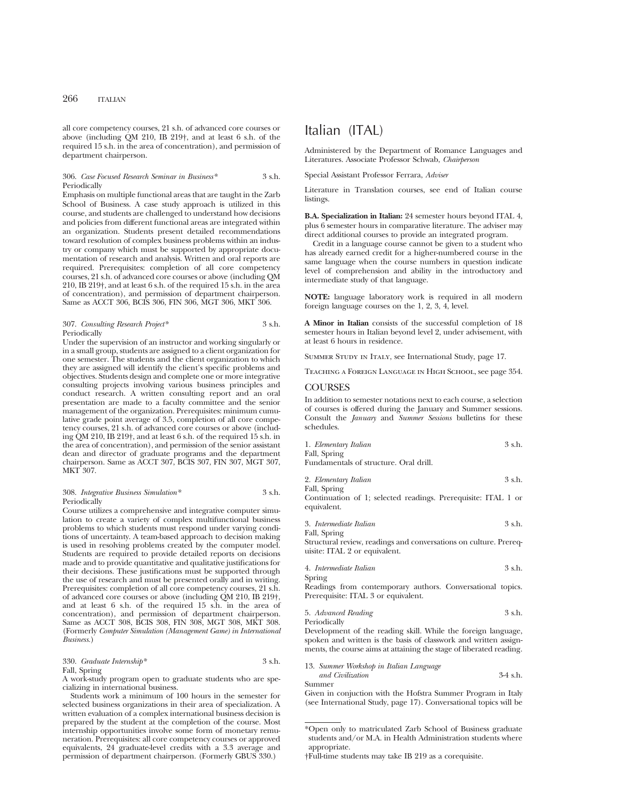all core competency courses, 21 s.h. of advanced core courses or above (including  $OM$  210, IB 219<sup>†</sup>, and at least 6 s.h. of the required 15 s.h. in the area of concentration), and permission of department chairperson.

# 306. *Case Focused Research Seminar in Business\** 3 s.h. Periodically

Emphasis on multiple functional areas that are taught in the Zarb School of Business. A case study approach is utilized in this course, and students are challenged to understand how decisions and policies from different functional areas are integrated within an organization. Students present detailed recommendations toward resolution of complex business problems within an industry or company which must be supported by appropriate documentation of research and analysis. Written and oral reports are required. Prerequisites: completion of all core competency courses, 21 s.h. of advanced core courses or above (including QM 210, IB 219†, and at least 6 s.h. of the required 15 s.h. in the area of concentration), and permission of department chairperson. Same as ACCT 306, BCIS 306, FIN 306, MGT 306, MKT 306.

# 307. *Consulting Research Project\** 3 s.h. Periodically

Under the supervision of an instructor and working singularly or in a small group, students are assigned to a client organization for one semester. The students and the client organization to which they are assigned will identify the client's specific problems and objectives. Students design and complete one or more integrative consulting projects involving various business principles and conduct research. A written consulting report and an oral presentation are made to a faculty committee and the senior management of the organization. Prerequisites: minimum cumulative grade point average of 3.5, completion of all core competency courses, 21 s.h. of advanced core courses or above (including QM 210, IB 219†, and at least 6 s.h. of the required 15 s.h. in the area of concentration), and permission of the senior assistant dean and director of graduate programs and the department chairperson. Same as ACCT 307, BCIS 307, FIN 307, MGT 307, MKT 307.

## 308. *Integrative Business Simulation\** 3 s.h. Periodically

Course utilizes a comprehensive and integrative computer simulation to create a variety of complex multifunctional business problems to which students must respond under varying conditions of uncertainty. A team-based approach to decision making is used in resolving problems created by the computer model. Students are required to provide detailed reports on decisions made and to provide quantitative and qualitative justifications for their decisions. These justifications must be supported through the use of research and must be presented orally and in writing. Prerequisites: completion of all core competency courses, 21 s.h. of advanced core courses or above (including QM 210, IB 219†, and at least 6 s.h. of the required 15 s.h. in the area of concentration), and permission of department chairperson. Same as ACCT 308, BCIS 308, FIN 308, MGT 308, MKT 308. (Formerly *Computer Simulation (Management Game) in International Business.*)

330. *Graduate Internship\** 3 s.h. Fall, Spring

A work-study program open to graduate students who are specializing in international business.

Students work a minimum of 100 hours in the semester for selected business organizations in their area of specialization. A written evaluation of a complex international business decision is prepared by the student at the completion of the course. Most internship opportunities involve some form of monetary remuneration. Prerequisites: all core competency courses or approved equivalents, 24 graduate-level credits with a 3.3 average and permission of department chairperson. (Formerly GBUS 330.)

# Italian (ITAL)

Administered by the Department of Romance Languages and Literatures. Associate Professor Schwab, *Chairperson*

Special Assistant Professor Ferrara, *Adviser*

Literature in Translation courses, see end of Italian course listings.

**B.A. Specialization in Italian:** 24 semester hours beyond ITAL 4, plus 6 semester hours in comparative literature. The adviser may direct additional courses to provide an integrated program.

Credit in a language course cannot be given to a student who has already earned credit for a higher-numbered course in the same language when the course numbers in question indicate level of comprehension and ability in the introductory and intermediate study of that language.

**NOTE:** language laboratory work is required in all modern foreign language courses on the 1, 2, 3, 4, level.

**A Minor in Italian** consists of the successful completion of 18 semester hours in Italian beyond level 2, under advisement, with at least 6 hours in residence.

Summer Study in Italy, see International Study, page 17.

Teaching a Foreign Language in High School, see page 354.

# **COURSES**

In addition to semester notations next to each course, a selection of courses is offered during the January and Summer sessions. Consult the *January* and *Summer Sessions* bulletins for these schedules.

| 1. Elementary Italian | 3 s.h. |
|-----------------------|--------|
| Fall, Spring          |        |

Fundamentals of structure. Oral drill.

| 2. Elementary Italian | 3 s.h. |
|-----------------------|--------|
| Fall, Spring          |        |

Continuation of 1; selected readings. Prerequisite: ITAL 1 or equivalent.

3. *Intermediate Italian* 3 s.h.

Fall, Spring Structural review, readings and conversations on culture. Prerequisite: ITAL 2 or equivalent.

4. *Intermediate Italian* 3 s.h.

Spring

Readings from contemporary authors. Conversational topics. Prerequisite: ITAL 3 or equivalent.

5. *Advanced Reading* 3 s.h. Periodically

Development of the reading skill. While the foreign language, spoken and written is the basis of classwork and written assignments, the course aims at attaining the stage of liberated reading.

13. *Summer Workshop in Italian Language*

```
and Civilization 3-4 s.h.
Summer
```
Given in conjuction with the Hofstra Summer Program in Italy (see International Study, page 17). Conversational topics will be

<sup>\*</sup>Open only to matriculated Zarb School of Business graduate students and/or M.A. in Health Administration students where appropriate.

<sup>†</sup>Full-time students may take IB 219 as a corequisite.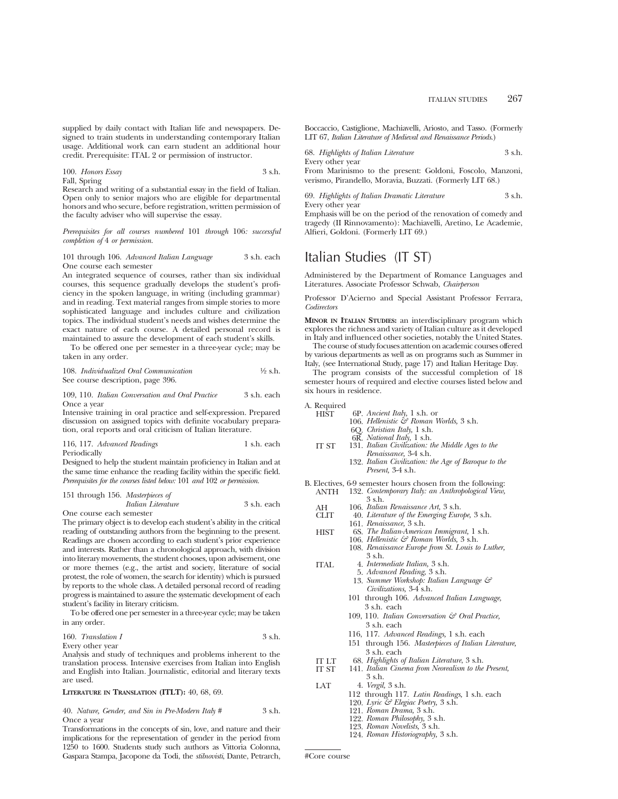supplied by daily contact with Italian life and newspapers. Designed to train students in understanding contemporary Italian usage. Additional work can earn student an additional hour credit. Prerequisite: ITAL 2 or permission of instructor.

# 100. *Honors Essay* 3 s.h. Fall, Spring

Research and writing of a substantial essay in the field of Italian. Open only to senior majors who are eligible for departmental honors and who secure, before registration, written permission of the faculty adviser who will supervise the essay.

*Prerequisites for all courses numbered* 101 *through* 106*: successful completion of* 4 *or permission.*

# 101 through 106. *Advanced Italian Language* 3 s.h. each One course each semester

An integrated sequence of courses, rather than six individual courses, this sequence gradually develops the student's proficiency in the spoken language, in writing (including grammar) and in reading. Text material ranges from simple stories to more sophisticated language and includes culture and civilization topics. The individual student's needs and wishes determine the exact nature of each course. A detailed personal record is maintained to assure the development of each student's skills.

To be offered one per semester in a three-year cycle; may be taken in any order.

108. *Individualized Oral Communication* <sup>1</sup>/<sub>2</sub> s.h. See course description, page 396.

109, 110. *Italian Conversation and Oral Practice* 3 s.h. each Once a year

Intensive training in oral practice and self-expression. Prepared discussion on assigned topics with definite vocabulary preparation, oral reports and oral criticism of Italian literature.

116, 117. *Advanced Readings* 1 s.h. each Periodically

Designed to help the student maintain proficiency in Italian and at the same time enhance the reading facility within the specific field. *Prerequisites for the courses listed below:* 101 *and* 102 *or permission.*

# 151 through 156. *Masterpieces of Italian Literature* 3 s.h. each One course each semester

The primary object is to develop each student's ability in the critical

reading of outstanding authors from the beginning to the present. Readings are chosen according to each student's prior experience and interests. Rather than a chronological approach, with division into literary movements, the student chooses, upon advisement, one or more themes (e.g., the artist and society, literature of social protest, the role of women, the search for identity) which is pursued by reports to the whole class. A detailed personal record of reading progress is maintained to assure the systematic development of each student's facility in literary criticism.

To be offered one per semester in a three-year cycle; may be taken in any order.

# 160. *Translation I* 3 s.h.

Every other year

Analysis and study of techniques and problems inherent to the translation process. Intensive exercises from Italian into English and English into Italian. Journalistic, editorial and literary texts are used.

### **LITERATURE IN TRANSLATION (ITLT):** 40, 68, 69.

40. *Nature, Gender, and Sin in Pre-Modern Italy* # 3 s.h. Once a year

Transformations in the concepts of sin, love, and nature and their implications for the representation of gender in the period from 1250 to 1600. Students study such authors as Vittoria Colonna, Gaspara Stampa, Jacopone da Todi, the *stilnovisti*, Dante, Petrarch, Boccaccio, Castiglione, Machiavelli, Ariosto, and Tasso. (Formerly LIT 67, *Italian Literature of Medieval and Renaissance Periods*.)

68. *Highlights of Italian Literature* 3 s.h.

Every other year

From Marinismo to the present: Goldoni, Foscolo, Manzoni, verismo, Pirandello, Moravia, Buzzati. (Formerly LIT 68.)

#### 69. *Highlights of Italian Dramatic Literature* 3 s.h. Every other year

Emphasis will be on the period of the renovation of comedy and tragedy (II Rinnovamento): Machiavelli, Aretino, Le Academie, Alfieri, Goldoni. (Formerly LIT 69.)

# Italian Studies (IT ST)

Administered by the Department of Romance Languages and Literatures. Associate Professor Schwab, *Chairperson*

Professor D'Acierno and Special Assistant Professor Ferrara, *Codirectors*

**MINOR IN ITALIAN STUDIES:** an interdisciplinary program which explores the richness and variety of Italian culture as it developed in Italy and influenced other societies, notably the United States.

The course of study focuses attention on academic courses offered by various departments as well as on programs such as Summer in Italy, (see International Study, page 17) and Italian Heritage Day.

The program consists of the successful completion of 18 semester hours of required and elective courses listed below and six hours in residence.

A. Required

| HIST  | 6P. Ancient Italy, 1 s.h. or                                                                                 |
|-------|--------------------------------------------------------------------------------------------------------------|
|       | 106. Hellenistic & Roman Worlds, 3 s.h.                                                                      |
|       | 6Q. Christian Italy, 1 s.h.                                                                                  |
|       | 6R. National Italy, 1 s.h.                                                                                   |
| IT ST | 131. Italian Civilization: the Middle Ages to the                                                            |
|       | Renaissance, 3-4 s.h.                                                                                        |
|       | 132. Italian Civilization: the Age of Baroque to the                                                         |
|       | <i>Present</i> , 3-4 s.h.                                                                                    |
|       | B. Electives, 6-9 semester hours chosen from the following:                                                  |
| ANTH  | 132. Contemporary Italy: an Anthropological View,                                                            |
|       | 3 s.h.                                                                                                       |
| АH    | 106. Italian Renaissance Art, 3 s.h.                                                                         |
| CLIT  | 40. Literature of the Emerging Europe, 3 s.h.                                                                |
|       | 161. Renaissance, 3 s.h.                                                                                     |
| HIST  | 6S. The Italian-American Immigrant, 1 s.h.                                                                   |
|       | 106. Hellenistic $\mathcal O$ Roman Worlds, 3 s.h.                                                           |
|       | 108. Renaissance Europe from St. Louis to Luther,                                                            |
|       | 3 s.h.                                                                                                       |
| ITAL  | 4. Intermediate Italian, 3 s.h.                                                                              |
|       | 5. Advanced Reading, 3 s.h.                                                                                  |
|       | 13. Summer Workshop: Italian Language &                                                                      |
|       | <i>Civilizations</i> , 3-4 s.h.                                                                              |
|       | 101 through 106. Advanced Italian Language,                                                                  |
|       | 3 s.h. each                                                                                                  |
|       | 109, 110. Italian Conversation $\mathcal G$ Oral Practice,                                                   |
|       | 3 s.h. each                                                                                                  |
|       | $\blacksquare$<br>$\mathbf{r}$ $\mathbf{r}$ $\mathbf{r}$ $\mathbf{r}$ $\mathbf{r}$ $\mathbf{r}$ $\mathbf{r}$ |

- 116, 117. *Advanced Readings,* 1 s.h. each
- 151 through 156. *Masterpieces of Italian Literature,* 3 s.h. each
- IT LT 68. *Highlights of Italian Literature*, 3 s.h.
	- 141. *Italian Cinema from Neorealism to the Present,* 
		- 3 s.h.
- LAT 4. *Vergil,* 3 s.h.
	- 112 through 117. *Latin Readings,* 1 s.h. each
	- 120. *Lyric & Elegiac Poetry,* 3 s.h.
	- 121. *Roman Drama,* 3 s.h. 122. *Roman Philosophy,* 3 s.h.
	- 123. *Roman Novelists,* 3 s.h.
	- 124. *Roman Historiography,* 3 s.h.

#Core course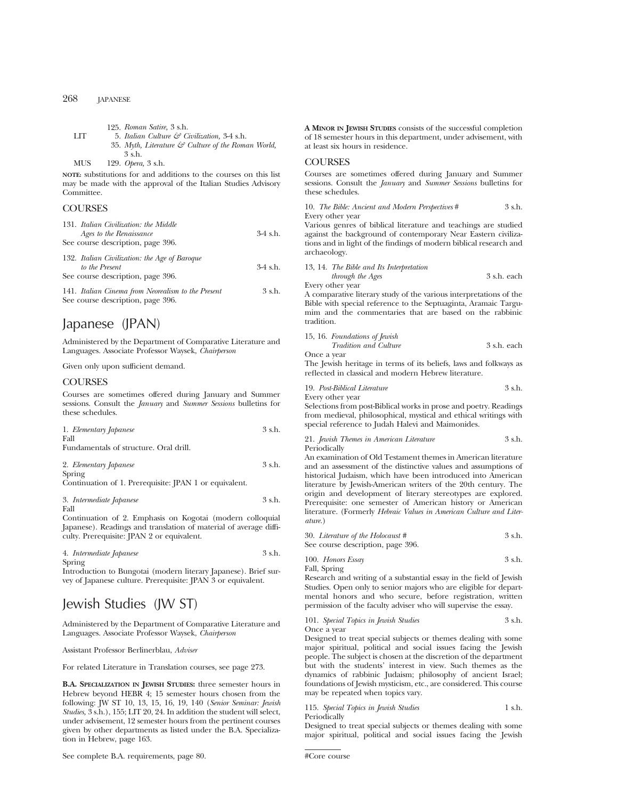|     | 125. Roman Satire, 3 s.h.                                      |  |
|-----|----------------------------------------------------------------|--|
| LIT | 5. Italian Culture $\mathcal G$ Civilization, 3-4 s.h.         |  |
|     | 35. Myth, Literature $\mathcal{F}$ Culture of the Roman World, |  |
|     | 3 s.h.                                                         |  |
|     |                                                                |  |

MUS 129. *Opera,* 3 s.h.

**NOTE:** substitutions for and additions to the courses on this list may be made with the approval of the Italian Studies Advisory Committee.

# **COURSES**

| 131. Italian Civilization: the Middle                           |            |
|-----------------------------------------------------------------|------------|
| Ages to the Renaissance                                         | $3-4$ s.h. |
| See course description, page 396.                               |            |
| 132. Italian Civilization: the Age of Baroque<br>to the Present | $3-4$ s.h. |
| See course description, page 396.                               |            |

141. *Italian Cinema from Neorealism to the Present* 3 s.h. See course description, page 396.

# Japanese (JPAN)

Administered by the Department of Comparative Literature and Languages. Associate Professor Waysek, *Chairperson*

Given only upon sufficient demand.

# **COURSES**

Courses are sometimes offered during January and Summer sessions. Consult the *January* and *Summer Sessions* bulletins for these schedules.

| 1. Elementary Japanese      |  |  | 3 s.h. |
|-----------------------------|--|--|--------|
| Fall                        |  |  |        |
| the company's the company's |  |  |        |

Fundamentals of structure. Oral drill.

| 2. Elementary Japanese                                 | 3 s.h. |
|--------------------------------------------------------|--------|
| Spring                                                 |        |
| Continuation of 1. Prerequisite: JPAN 1 or equivalent. |        |

3. *Intermediate Japanese* 3 s.h. Fall

Continuation of 2. Emphasis on Kogotai (modern colloquial Japanese). Readings and translation of material of average difficulty. Prerequisite: JPAN 2 or equivalent.

4. *Intermediate Japanese* 3 s.h. Spring

Introduction to Bungotai (modern literary Japanese). Brief survey of Japanese culture. Prerequisite: JPAN 3 or equivalent.

# Jewish Studies (JW ST)

Administered by the Department of Comparative Literature and Languages. Associate Professor Waysek, *Chairperson*

Assistant Professor Berlinerblau, *Adviser*

For related Literature in Translation courses, see page 273.

**B.A. SPECIALIZATION IN JEWISH STUDIES:** three semester hours in Hebrew beyond HEBR 4; 15 semester hours chosen from the following: JW ST 10, 13, 15, 16, 19, 140 (*Senior Seminar: Jewish Studies,* 3 s.h.), 155; LIT 20, 24. In addition the student will select, under advisement, 12 semester hours from the pertinent courses given by other departments as listed under the B.A. Specialization in Hebrew, page 163.

See complete B.A. requirements, page 80.

**A MINOR IN JEWISH STUDIES** consists of the successful completion of 18 semester hours in this department, under advisement, with at least six hours in residence.

# **COURSES**

Courses are sometimes offered during January and Summer sessions. Consult the *January* and *Summer Sessions* bulletins for these schedules.

10. *The Bible: Ancient and Modern Perspectives* # 3 s.h. Every other year

Various genres of biblical literature and teachings are studied against the background of contemporary Near Eastern civilizations and in light of the findings of modern biblical research and archaeology.

# 13, 14. *The Bible and Its Interpretation*

*through the Ages* 3 s.h. each Every other year

A comparative literary study of the various interpretations of the Bible with special reference to the Septuaginta, Aramaic Targumim and the commentaries that are based on the rabbinic tradition.

| 15, 16. Foundations of Jewish |             |
|-------------------------------|-------------|
| <i>Tradition and Culture</i>  | 3 s.h. each |
| Once a year                   |             |

The Jewish heritage in terms of its beliefs, laws and folkways as reflected in classical and modern Hebrew literature.

|  | 19. Post-Biblical Literature | 3 s.h. |
|--|------------------------------|--------|
|--|------------------------------|--------|

Every other year

Selections from post-Biblical works in prose and poetry. Readings from medieval, philosophical, mystical and ethical writings with special reference to Judah Halevi and Maimonides.

21. *Jewish Themes in American Literature* 3 s.h. Periodically

An examination of Old Testament themes in American literature and an assessment of the distinctive values and assumptions of historical Judaism, which have been introduced into American literature by Jewish-American writers of the 20th century. The origin and development of literary stereotypes are explored. Prerequisite: one semester of American history or American literature. (Formerly *Hebraic Values in American Culture and Literature.*)

| 30. Literature of the Holocaust # | 3 s.h. |
|-----------------------------------|--------|
| See course description, page 396. |        |

100. *Honors Essay* 3 s.h. Fall, Spring

Research and writing of a substantial essay in the field of Jewish Studies. Open only to senior majors who are eligible for departmental honors and who secure, before registration, written permission of the faculty adviser who will supervise the essay.

101. *Special Topics in Jewish Studies* 3 s.h. Once a year

Designed to treat special subjects or themes dealing with some major spiritual, political and social issues facing the Jewish people. The subject is chosen at the discretion of the department but with the students' interest in view. Such themes as the dynamics of rabbinic Judaism; philosophy of ancient Israel; foundations of Jewish mysticism, etc., are considered. This course may be repeated when topics vary.

115. *Special Topics in Jewish Studies* 1 s.h. Periodically

Designed to treat special subjects or themes dealing with some major spiritual, political and social issues facing the Jewish

#Core course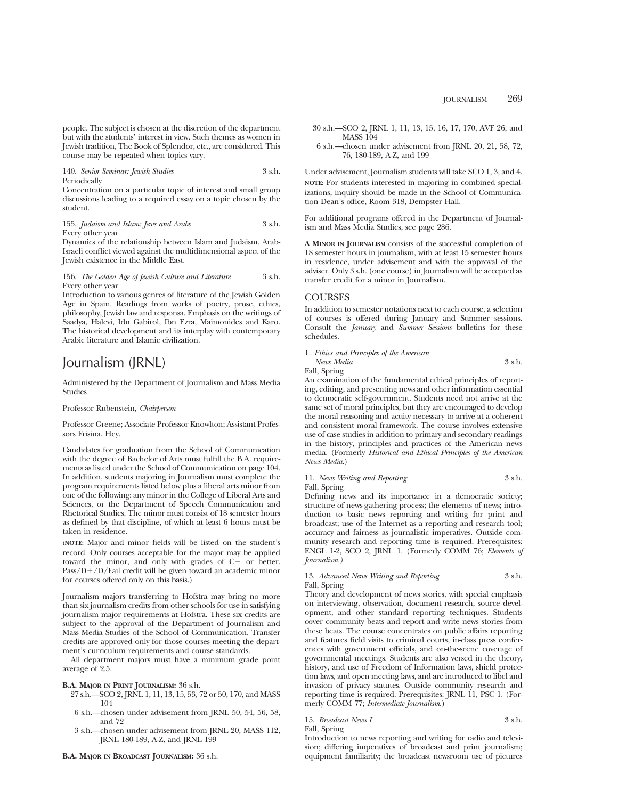people. The subject is chosen at the discretion of the department but with the students' interest in view. Such themes as women in Jewish tradition, The Book of Splendor, etc., are considered. This course may be repeated when topics vary.

140. *Senior Seminar: Jewish Studies* 3 s.h. Periodically

Concentration on a particular topic of interest and small group discussions leading to a required essay on a topic chosen by the student.

155. *Judaism and Islam: Jews and Arabs* 3 s.h. Every other year

Dynamics of the relationship between Islam and Judaism. Arab-Israeli conflict viewed against the multidimensional aspect of the Jewish existence in the Middle East.

# 156. *The Golden Age of Jewish Culture and Literature* 3 s.h. Every other year

Introduction to various genres of literature of the Jewish Golden Age in Spain. Readings from works of poetry, prose, ethics, philosophy, Jewish law and responsa. Emphasis on the writings of Saadya, Halevi, Idn Gabirol, Ibn Ezra, Maimonides and Karo. The historical development and its interplay with contemporary Arabic literature and Islamic civilization.

# Journalism (JRNL)

Administered by the Department of Journalism and Mass Media Studies

### Professor Rubenstein, *Chairperson*

Professor Greene; Associate Professor Knowlton; Assistant Professors Frisina, Hey.

Candidates for graduation from the School of Communication with the degree of Bachelor of Arts must fulfill the B.A. requirements as listed under the School of Communication on page 104. In addition, students majoring in Journalism must complete the program requirements listed below plus a liberal arts minor from one of the following: any minor in the College of Liberal Arts and Sciences, or the Department of Speech Communication and Rhetorical Studies. The minor must consist of 18 semester hours as defined by that discipline, of which at least 6 hours must be taken in residence.

**(NOTE:** Major and minor fields will be listed on the student's record. Only courses acceptable for the major may be applied toward the minor, and only with grades of  $C-$  or better.  $Pass/D+/D/Fail credit will be given toward an academic minor$ for courses offered only on this basis.)

Journalism majors transferring to Hofstra may bring no more than six journalism credits from other schools for use in satisfying journalism major requirements at Hofstra. These six credits are subject to the approval of the Department of Journalism and Mass Media Studies of the School of Communication. Transfer credits are approved only for those courses meeting the department's curriculum requirements and course standards.

All department majors must have a minimum grade point average of 2.5.

### **B.A. MAJOR IN PRINT JOURNALISM:** 36 s.h.

- 27 s.h.—SCO 2, JRNL 1, 11, 13, 15, 53, 72 or 50, 170, and MASS 104
- 6 s.h.—chosen under advisement from JRNL 50, 54, 56, 58, and 72
- 3 s.h.—chosen under advisement from JRNL 20, MASS 112, JRNL 180-189, A-Z, and JRNL 199

30 s.h.—SCO 2, JRNL 1, 11, 13, 15, 16, 17, 170, AVF 26, and MASS 104

6 s.h.—chosen under advisement from JRNL 20, 21, 58, 72, 76, 180-189, A-Z, and 199

Under advisement, Journalism students will take SCO 1, 3, and 4. **NOTE:** For students interested in majoring in combined specializations, inquiry should be made in the School of Communication Dean's office, Room 318, Dempster Hall.

For additional programs offered in the Department of Journalism and Mass Media Studies, see page 286.

**A MINOR IN JOURNALISM** consists of the successful completion of 18 semester hours in journalism, with at least 15 semester hours in residence, under advisement and with the approval of the adviser. Only 3 s.h. (one course) in Journalism will be accepted as transfer credit for a minor in Journalism.

# **COURSES**

In addition to semester notations next to each course, a selection of courses is offered during January and Summer sessions. Consult the *January* and *Summer Sessions* bulletins for these schedules.

| 1. Ethics and Principles of the American |        |
|------------------------------------------|--------|
| News Media                               | 3 s.h. |

Fall, Spring

An examination of the fundamental ethical principles of reporting, editing, and presenting news and other information essential to democratic self-government. Students need not arrive at the same set of moral principles, but they are encouraged to develop the moral reasoning and acuity necessary to arrive at a coherent and consistent moral framework. The course involves extensive use of case studies in addition to primary and secondary readings in the history, principles and practices of the American news media. (Formerly *Historical and Ethical Principles of the American News Media*.)

11. *News Writing and Reporting* 3 s.h. Fall, Spring

Defining news and its importance in a democratic society; structure of news-gathering process; the elements of news; introduction to basic news reporting and writing for print and broadcast; use of the Internet as a reporting and research tool; accuracy and fairness as journalistic imperatives. Outside community research and reporting time is required. Prerequisites: ENGL 1-2, SCO 2, JRNL 1. (Formerly COMM 76; *Elements of Journalism.)*

13. *Advanced News Writing and Reporting* 3 s.h. Fall, Spring

Theory and development of news stories, with special emphasis on interviewing, observation, document research, source development, and other standard reporting techniques. Students cover community beats and report and write news stories from these beats. The course concentrates on public affairs reporting and features field visits to criminal courts, in-class press conferences with government officials, and on-the-scene coverage of governmental meetings. Students are also versed in the theory, history, and use of Freedom of Information laws, shield protection laws, and open meeting laws, and are introduced to libel and invasion of privacy statutes. Outside community research and reporting time is required. Prerequisites: JRNL 11, PSC 1. (Formerly COMM 77; *Intermediate Journalism*.)

15. *Broadcast News I* 3 s.h. Fall, Spring

Introduction to news reporting and writing for radio and television; differing imperatives of broadcast and print journalism; equipment familiarity; the broadcast newsroom use of pictures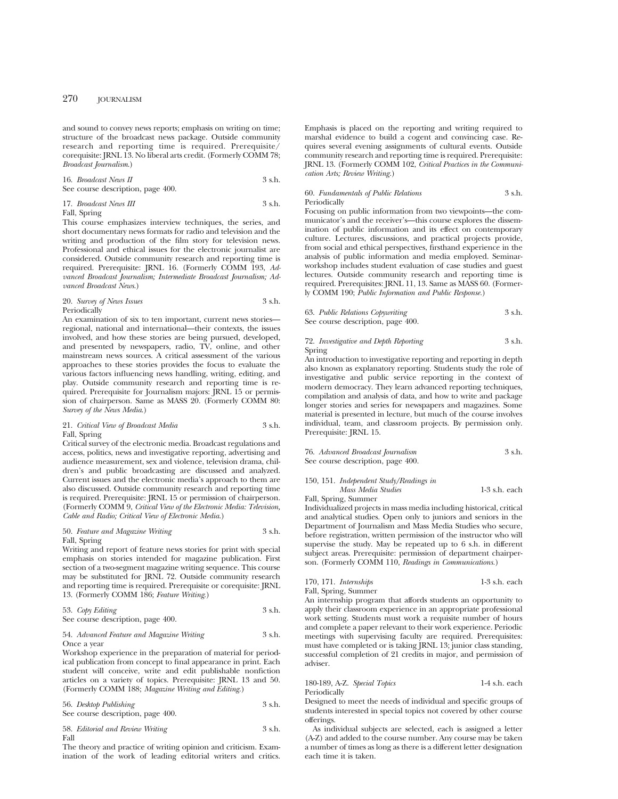and sound to convey news reports; emphasis on writing on time; structure of the broadcast news package. Outside community research and reporting time is required. Prerequisite/ corequisite: JRNL 13. No liberal arts credit. (Formerly COMM 78; *Broadcast Journalism*.)

16. *Broadcast News II* 3 s.h. See course description, page 400.

17. *Broadcast News III* 3 s.h. Fall, Spring

This course emphasizes interview techniques, the series, and short documentary news formats for radio and television and the writing and production of the film story for television news. Professional and ethical issues for the electronic journalist are considered. Outside community research and reporting time is required. Prerequisite: JRNL 16. (Formerly COMM 193, *Advanced Broadcast Journalism; Intermediate Broadcast Journalism; Advanced Broadcast News*.)

# 20. *Survey of News Issues* 3 s.h. Periodically

An examination of six to ten important, current news stories regional, national and international—their contexts, the issues involved, and how these stories are being pursued, developed, and presented by newspapers, radio, TV, online, and other mainstream news sources. A critical assessment of the various approaches to these stories provides the focus to evaluate the various factors influencing news handling, writing, editing, and play. Outside community research and reporting time is required. Prerequisite for Journalism majors: JRNL 15 or permission of chairperson. Same as MASS 20. (Formerly COMM 80: *Survey of the News Media*.)

### 21. *Critical View of Broadcast Media* 3 s.h. Fall, Spring

Critical survey of the electronic media. Broadcast regulations and access, politics, news and investigative reporting, advertising and audience measurement, sex and violence, television drama, children's and public broadcasting are discussed and analyzed. Current issues and the electronic media's approach to them are also discussed. Outside community research and reporting time is required. Prerequisite: JRNL 15 or permission of chairperson. (Formerly COMM 9, *Critical View of the Electronic Media: Television, Cable and Radio; Critical View of Electronic Media*.)

### 50. *Feature and Magazine Writing* 3 s.h. Fall, Spring

Writing and report of feature news stories for print with special emphasis on stories intended for magazine publication. First section of a two-segment magazine writing sequence. This course may be substituted for JRNL 72. Outside community research and reporting time is required. Prerequisite or corequisite: JRNL 13. (Formerly COMM 186; *Feature Writing*.)

53. *Copy Editing* 3 s.h. See course description, page 400.

# 54. *Advanced Feature and Magazine Writing* 3 s.h. Once a year

Workshop experience in the preparation of material for periodical publication from concept to final appearance in print. Each student will conceive, write and edit publishable nonfiction articles on a variety of topics. Prerequisite: JRNL 13 and 50. (Formerly COMM 188; *Magazine Writing and Editing*.)

56. *Desktop Publishing* 3 s.h. See course description, page 400.

58. *Editorial and Review Writing* 3 s.h. Fall

The theory and practice of writing opinion and criticism. Examination of the work of leading editorial writers and critics.

Emphasis is placed on the reporting and writing required to marshal evidence to build a cogent and convincing case. Requires several evening assignments of cultural events. Outside community research and reporting time is required. Prerequisite: JRNL 13. (Formerly COMM 102, *Critical Practices in the Communication Arts; Review Writing.*)

# 60. *Fundamentals of Public Relations* 3 s.h. Periodically

Focusing on public information from two viewpoints—the communicator's and the receiver's—this course explores the dissemination of public information and its effect on contemporary culture. Lectures, discussions, and practical projects provide, from social and ethical perspectives, firsthand experience in the analysis of public information and media employed. Seminarworkshop includes student evaluation of case studies and guest lectures. Outside community research and reporting time is required. Prerequisites: JRNL 11, 13. Same as MASS 60. (Formerly COMM 190; *Public Information and Public Response.*)

| 63. Public Relations Copywriting  | 3 s.h. |
|-----------------------------------|--------|
| See course description, page 400. |        |

# 72. *Investigative and Depth Reporting* 3 s.h. Spring

An introduction to investigative reporting and reporting in depth also known as explanatory reporting. Students study the role of investigative and public service reporting in the context of modern democracy. They learn advanced reporting techniques, compilation and analysis of data, and how to write and package longer stories and series for newspapers and magazines. Some material is presented in lecture, but much of the course involves individual, team, and classroom projects. By permission only. Prerequisite: JRNL 15.

76. *Advanced Broadcast Journalism* 3 s.h. See course description, page 400.

# 150, 151. *Independent Study/Readings in*

*Mass Media Studies* 1-3 s.h. each Fall, Spring, Summer

Individualized projects in mass media including historical, critical and analytical studies. Open only to juniors and seniors in the Department of Journalism and Mass Media Studies who secure, before registration, written permission of the instructor who will supervise the study. May be repeated up to 6 s.h. in different subject areas. Prerequisite: permission of department chairperson. (Formerly COMM 110, *Readings in Communications.*)

170, 171. *Internships* 1-3 s.h. each

Fall, Spring, Summer An internship program that affords students an opportunity to apply their classroom experience in an appropriate professional work setting. Students must work a requisite number of hours and complete a paper relevant to their work experience. Periodic meetings with supervising faculty are required. Prerequisites: must have completed or is taking JRNL 13; junior class standing, successful completion of 21 credits in major, and permission of adviser.

#### 180-189, A-Z. *Special Topics* 1-4 s.h. each Periodically

Designed to meet the needs of individual and specific groups of students interested in special topics not covered by other course offerings.

As individual subjects are selected, each is assigned a letter (A-Z) and added to the course number. Any course may be taken a number of times as long as there is a different letter designation each time it is taken.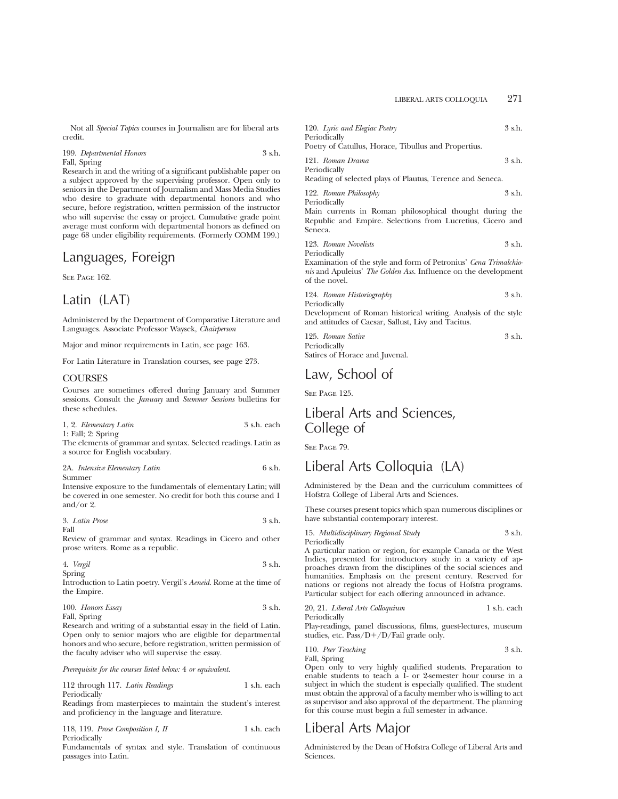Not all *Special Topics* courses in Journalism are for liberal arts credit.

199. *Departmental Honors* 3 s.h. Fall, Spring

Research in and the writing of a significant publishable paper on a subject approved by the supervising professor. Open only to seniors in the Department of Journalism and Mass Media Studies who desire to graduate with departmental honors and who secure, before registration, written permission of the instructor who will supervise the essay or project. Cumulative grade point average must conform with departmental honors as defined on page 68 under eligibility requirements. (Formerly COMM 199.)

# Languages, Foreign

SEE PAGE 162.

# Latin (LAT)

Administered by the Department of Comparative Literature and Languages. Associate Professor Waysek, *Chairperson*

Major and minor requirements in Latin, see page 163.

For Latin Literature in Translation courses, see page 273.

# **COURSES**

Courses are sometimes offered during January and Summer sessions. Consult the *January* and *Summer Sessions* bulletins for these schedules.

|  | 1, 2. Elementary Latin | 3 s.h. each |  |
|--|------------------------|-------------|--|
|  | $1:$ Fall; $2:$ Spring |             |  |

The elements of grammar and syntax. Selected readings. Latin as a source for English vocabulary.

### 2A. *Intensive Elementary Latin* 6 s.h. Summer

Intensive exposure to the fundamentals of elementary Latin; will be covered in one semester. No credit for both this course and 1 and/or 2.

| 3. Latin Prose | 3 s.h. |
|----------------|--------|
| Fall           |        |

Review of grammar and syntax. Readings in Cicero and other prose writers. Rome as a republic.

| 4. Vergil | 3 s.h. |
|-----------|--------|
| Spring    |        |

Introduction to Latin poetry. Vergil's *Aeneid.* Rome at the time of the Empire.

| 100. Honors Essay | 3 s.h. |
|-------------------|--------|
| Fall, Spring      |        |

Research and writing of a substantial essay in the field of Latin. Open only to senior majors who are eligible for departmental honors and who secure, before registration, written permission of the faculty adviser who will supervise the essay.

*Prerequisite for the courses listed below:* 4 *or equivalent.*

112 through 117. *Latin Readings* 1 s.h. each Periodically

Readings from masterpieces to maintain the student's interest and proficiency in the language and literature.

118, 119. *Prose Composition I, II* 1 s.h. each Periodically

Fundamentals of syntax and style. Translation of continuous passages into Latin.

| 120. Lyric and Elegiac Poetry                             | 3 s.h. |
|-----------------------------------------------------------|--------|
| Periodically                                              |        |
| Poetry of Catullus, Horace, Tibullus and Propertius.      |        |
| 121. Roman Drama                                          | 3 s.h. |
| Periodically                                              |        |
| Reading of selected plays of Plautus, Terence and Seneca. |        |
|                                                           |        |

122. *Roman Philosophy* 3 s.h. Periodically

Main currents in Roman philosophical thought during the Republic and Empire. Selections from Lucretius, Cicero and Seneca.

| 123. Roman Novelists | 3 s.h. |
|----------------------|--------|
| Periodically         |        |

Examination of the style and form of Petronius' *Cena Trimalchionis* and Apuleius' *The Golden Ass.* Influence on the development of the novel.

| 124. Roman Historiography | 3 s.h. |
|---------------------------|--------|
| Periodically              |        |

Development of Roman historical writing. Analysis of the style and attitudes of Caesar, Sallust, Livy and Tacitus.

| 125. Roman Satire              | 3 s.h. |
|--------------------------------|--------|
| Periodically                   |        |
| Satires of Horace and Juvenal. |        |

# Law, School of

SEE PAGE 195.

# Liberal Arts and Sciences, College of

SEE PAGE 79.

# Liberal Arts Colloquia (LA)

Administered by the Dean and the curriculum committees of Hofstra College of Liberal Arts and Sciences.

These courses present topics which span numerous disciplines or have substantial contemporary interest.

15. *Multidisciplinary Regional Study* 3 s.h. Periodically

A particular nation or region, for example Canada or the West Indies, presented for introductory study in a variety of approaches drawn from the disciplines of the social sciences and humanities. Emphasis on the present century. Reserved for nations or regions not already the focus of Hofstra programs. Particular subject for each offering announced in advance.

| 20, 21. Liberal Arts Colloquium | 1 s.h. each |
|---------------------------------|-------------|
| Periodically                    |             |

Play-readings, panel discussions, films, guest-lectures, museum studies, etc.  $Pass/D+/D/Fall\ grade\ only.$ 

110. *Peer Teaching* 3 s.h. Fall, Spring

Open only to very highly qualified students. Preparation to enable students to teach a 1- or 2-semester hour course in a subject in which the student is especially qualified. The student must obtain the approval of a faculty member who is willing to act as supervisor and also approval of the department. The planning for this course must begin a full semester in advance.

# Liberal Arts Major

Administered by the Dean of Hofstra College of Liberal Arts and Sciences.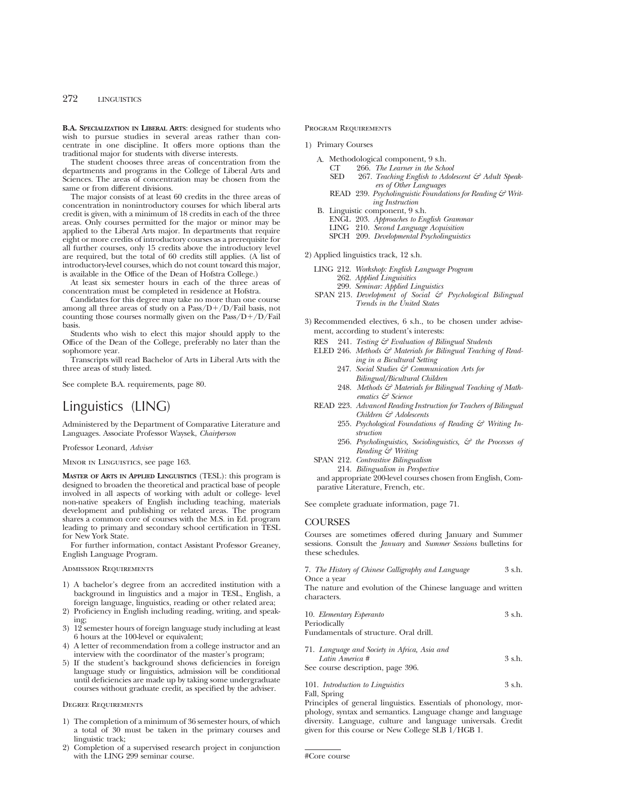**B.A. SPECIALIZATION IN LIBERAL ARTS**: designed for students who wish to pursue studies in several areas rather than concentrate in one discipline. It offers more options than the traditional major for students with diverse interests.

The student chooses three areas of concentration from the departments and programs in the College of Liberal Arts and Sciences. The areas of concentration may be chosen from the same or from different divisions.

The major consists of at least 60 credits in the three areas of concentration in nonintroductory courses for which liberal arts credit is given, with a minimum of 18 credits in each of the three areas. Only courses permitted for the major or minor may be applied to the Liberal Arts major. In departments that require eight or more credits of introductory courses as a prerequisite for all further courses, only 15 credits above the introductory level are required, but the total of 60 credits still applies. (A list of introductory-level courses, which do not count toward this major, is available in the Office of the Dean of Hofstra College.)

At least six semester hours in each of the three areas of concentration must be completed in residence at Hofstra.

Candidates for this degree may take no more than one course among all three areas of study on a  $Pass/D+/D/Fall$  basis, not counting those courses normally given on the  $Pass/D+/D/Fall$ basis.

Students who wish to elect this major should apply to the Office of the Dean of the College, preferably no later than the sophomore year.

Transcripts will read Bachelor of Arts in Liberal Arts with the three areas of study listed.

See complete B.A. requirements, page 80.

# Linguistics (LING)

Administered by the Department of Comparative Literature and Languages. Associate Professor Waysek, *Chairperson*

Professor Leonard, *Adviser*

Minor in Linguistics, see page 163.

**MASTER OF ARTS IN APPLIED LINGUISTICS** (TESL): this program is designed to broaden the theoretical and practical base of people involved in all aspects of working with adult or college- level non-native speakers of English including teaching, materials development and publishing or related areas. The program shares a common core of courses with the M.S. in Ed. program leading to primary and secondary school certification in TESL for New York State.

For further information, contact Assistant Professor Greaney, English Language Program.

#### Admission Requirements

- 1) A bachelor's degree from an accredited institution with a background in linguistics and a major in TESL, English, a foreign language, linguistics, reading or other related area;
- 2) Proficiency in English including reading, writing, and speaking;
- 3) 12 semester hours of foreign language study including at least 6 hours at the 100-level or equivalent;
- 4) A letter of recommendation from a college instructor and an interview with the coordinator of the master's program;
- 5) If the student's background shows deficiencies in foreign language study or linguistics, admission will be conditional until deficiencies are made up by taking some undergraduate courses without graduate credit, as specified by the adviser.

#### Degree Requirements

- 1) The completion of a minimum of 36 semester hours, of which a total of 30 must be taken in the primary courses and linguistic track;
- 2) Completion of a supervised research project in conjunction with the LING 299 seminar course.

PROGRAM REQUIREMENTS

1) Primary Courses

- A. Methodological component, 9 s.h.<br>CT 266 The Learner in the Scho
	- CT 266. *The Learner in the School* 267. Teaching English to Adolescent & Adult Speak*ers of Other Languages*
	- READ 239. *Psycholinguistic Foundations for Reading & Writing Instruction*
- B. Linguistic component, 9 s.h.
	- ENGL 203. *Approaches to English Grammar*
	- LING 210. *Second Language Acquisition*
	- SPCH 209. *Developmental Psycholinguistics*

#### 2) Applied linguistics track, 12 s.h.

- LING 212. *Workshop: English Language Program* 262. *Applied Linguisitics* 299. *Seminar: Applied Linguistics*
- SPAN 213. *Development of Social & Psychological Bilingual Trends in the United States*
- 3) Recommended electives, 6 s.h., to be chosen under advisement, according to student's interests:
	- RES 241. *Testing & Evaluation of Bilingual Students*
	- ELED 246. Methods & Materials for Bilingual Teaching of Read*ing in a Bicultural Setting*
		- 247. *Social Studies & Communication Arts for Bilingual/Bicultural Children*
		- 248. Methods & Materials for Bilingual Teaching of Math*ematics & Science*
	- READ 223. *Advanced Reading Instruction for Teachers of Bilingual Children & Adolescents*
		- 255. *Psychological Foundations of Reading & Writing Instruction*
		- 256. *Psycholinguistics, Sociolinguistics, & the Processes of Reading & Writing*
	- SPAN 212. *Contrastive Bilingualism*
		- 214. *Bilingualism in Perspective*

and appropriate 200-level courses chosen from English, Comparative Literature, French, etc.

See complete graduate information, page 71.

# COURSES

Courses are sometimes offered during January and Summer sessions. Consult the *January* and *Summer Sessions* bulletins for these schedules.

|             |  | 7. The History of Chinese Calligraphy and Language | 3 s.h. |
|-------------|--|----------------------------------------------------|--------|
| Once a vear |  |                                                    |        |

The nature and evolution of the Chinese language and written characters.

| 10. Elementary Esperanto                     | $3$ s.h. |
|----------------------------------------------|----------|
| Periodically                                 |          |
| Fundamentals of structure. Oral drill.       |          |
| 71. Language and Society in Africa, Asia and |          |

*Latin America #* 3 s.h. See course description, page 396

|  | эсс course aescription, page ээо. |  |  |
|--|-----------------------------------|--|--|
|  |                                   |  |  |

# 101. *Introduction to Linguistics* 3 s.h. Fall, Spring

Principles of general linguistics. Essentials of phonology, morphology, syntax and semantics. Language change and language diversity. Language, culture and language universals. Credit given for this course or New College SLB 1/HGB 1.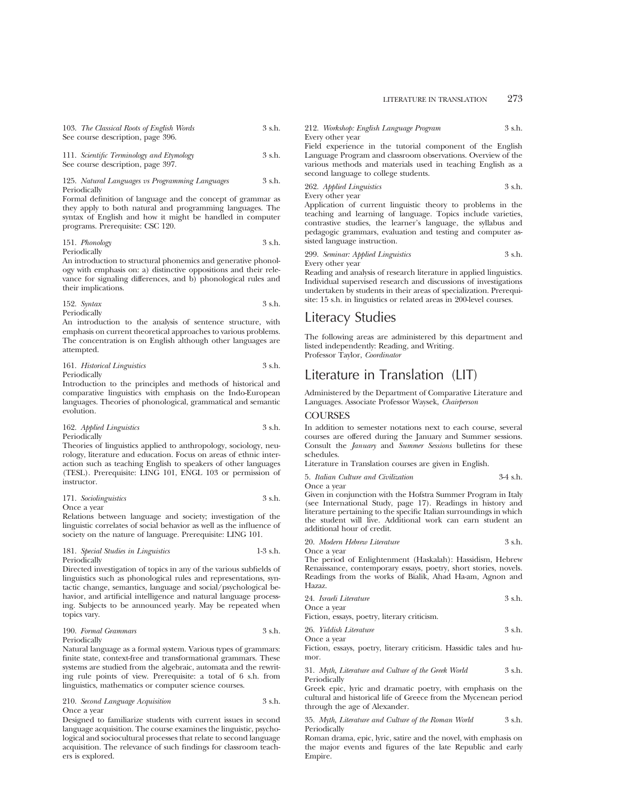| 103. The Classical Roots of English Words | 3 s.h. |
|-------------------------------------------|--------|
| See course description, page 396.         |        |
|                                           |        |

| 111. Scientific Terminology and Etymology | 3 s.h. |
|-------------------------------------------|--------|
| See course description, page 397.         |        |

#### 125. *Natural Languages vs Programming Languages* 3 s.h. Periodically

Formal definition of language and the concept of grammar as they apply to both natural and programming languages. The syntax of English and how it might be handled in computer programs. Prerequisite: CSC 120.

# 151. *Phonology* 3 s.h. Periodically

An introduction to structural phonemics and generative phonology with emphasis on: a) distinctive oppositions and their relevance for signaling differences, and b) phonological rules and their implications.

152. *Syntax* 3 s.h. Periodically

An introduction to the analysis of sentence structure, with emphasis on current theoretical approaches to various problems. The concentration is on English although other languages are attempted.

### 161. *Historical Linguistics* 3 s.h. Periodically

Introduction to the principles and methods of historical and comparative linguistics with emphasis on the Indo-European languages. Theories of phonological, grammatical and semantic evolution.

# 162. *Applied Linguistics* 3 s.h. Periodically

Theories of linguistics applied to anthropology, sociology, neurology, literature and education. Focus on areas of ethnic interaction such as teaching English to speakers of other languages (TESL). Prerequisite: LING 101, ENGL 103 or permission of instructor.

171. *Sociolinguistics* 3 s.h. Once a year

Relations between language and society; investigation of the linguistic correlates of social behavior as well as the influence of society on the nature of language. Prerequisite: LING 101.

181. *Special Studies in Linguistics* 1-3 s.h. Periodically

Directed investigation of topics in any of the various subfields of linguistics such as phonological rules and representations, syntactic change, semantics, language and social/psychological behavior, and artificial intelligence and natural language processing. Subjects to be announced yearly. May be repeated when topics vary.

# 190. *Formal Grammars* 3 s.h. Periodically

Natural language as a formal system. Various types of grammars: finite state, context-free and transformational grammars. These systems are studied from the algebraic, automata and the rewriting rule points of view. Prerequisite: a total of 6 s.h. from linguistics, mathematics or computer science courses.

210. *Second Language Acquisition* 3 s.h. Once a year

Designed to familiarize students with current issues in second language acquisition. The course examines the linguistic, psychological and sociocultural processes that relate to second language acquisition. The relevance of such findings for classroom teachers is explored.

212. *Workshop: English Language Program* 3 s.h. Every other year

Field experience in the tutorial component of the English Language Program and classroom observations. Overview of the various methods and materials used in teaching English as a second language to college students.

262. *Applied Linguistics* 3 s.h. Every other year

Application of current linguistic theory to problems in the teaching and learning of language. Topics include varieties, contrastive studies, the learner's language, the syllabus and pedagogic grammars, evaluation and testing and computer assisted language instruction.

299. *Seminar: Applied Linguistics* 3 s.h. Every other year

Reading and analysis of research literature in applied linguistics. Individual supervised research and discussions of investigations undertaken by students in their areas of specialization. Prerequisite: 15 s.h. in linguistics or related areas in 200-level courses.

# Literacy Studies

The following areas are administered by this department and listed independently: Reading, and Writing. Professor Taylor, *Coordinator*

# Literature in Translation (LIT)

Administered by the Department of Comparative Literature and Languages. Associate Professor Waysek, *Chairperson*

# **COURSES**

In addition to semester notations next to each course, several courses are offered during the January and Summer sessions. Consult the *January* and *Summer Sessions* bulletins for these schedules.

Literature in Translation courses are given in English.

```
5. Italian Culture and Civilization 3-4 s.h.
```
Once a year

Given in conjunction with the Hofstra Summer Program in Italy (see International Study, page 17). Readings in history and literature pertaining to the specific Italian surroundings in which the student will live. Additional work can earn student an additional hour of credit.

|  |  | 20. Modern Hebrew Literature |  | 3 s.h. |  |  |
|--|--|------------------------------|--|--------|--|--|
|--|--|------------------------------|--|--------|--|--|

Once a year

The period of Enlightenment (Haskalah): Hassidism, Hebrew Renaissance, contemporary essays, poetry, short stories, novels. Readings from the works of Bialik, Ahad Ha-am, Agnon and Hazaz.

| 24. Israeli Literature | 3 s.h. |
|------------------------|--------|
|------------------------|--------|

Once a year Fiction, essays, poetry, literary criticism.

| 26. Yiddish Literature | 3 s.h. |
|------------------------|--------|
| Once a year            |        |

Fiction, essays, poetry, literary criticism. Hassidic tales and humor

31. *Myth, Literature and Culture of the Greek World* 3 s.h. Periodically

Greek epic, lyric and dramatic poetry, with emphasis on the cultural and historical life of Greece from the Mycenean period through the age of Alexander.

35. *Myth, Literature and Culture of the Roman World* 3 s.h. Periodically

Roman drama, epic, lyric, satire and the novel, with emphasis on the major events and figures of the late Republic and early Empire.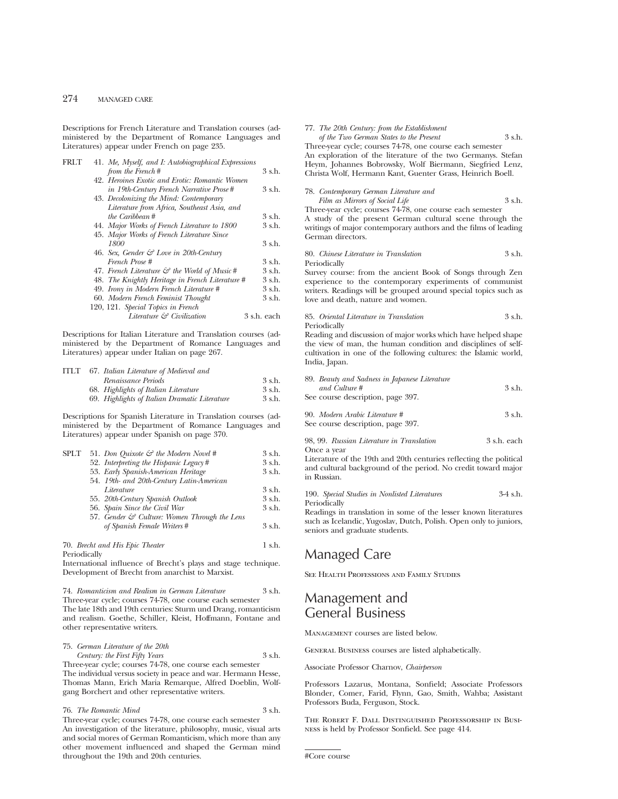Descriptions for French Literature and Translation courses (administered by the Department of Romance Languages and Literatures) appear under French on page 235.

| FRLT | 41. Me, Myself, and I: Autobiographical Expressions      |             |
|------|----------------------------------------------------------|-------------|
|      | from the French#                                         | 3 s.h.      |
|      | 42. Heroines Exotic and Erotic: Romantic Women           |             |
|      | in 19th-Century French Narrative Prose#                  | 3 s.h.      |
|      | 43. Decolonizing the Mind: Contemporary                  |             |
|      | Literature from Africa, Southeast Asia, and              |             |
|      | the Caribbean #                                          | 3 s.h.      |
|      | 44. Major Works of French Literature to 1800             | 3 s.h.      |
|      | 45. Major Works of French Literature Since               |             |
|      | 1800                                                     | 3 s.h.      |
|      | 46. Sex, Gender $\mathcal{C}$ Love in 20th-Century       |             |
|      | French Prose #                                           | 3 s.h.      |
|      | 47. French Literature $\mathcal{C}$ the World of Music # | 3 s.h.      |
|      | 48. The Knightly Heritage in French Literature #         | 3 s.h.      |
|      | 49. Irony in Modern French Literature #                  | 3 s.h.      |
|      | 60. Modern French Feminist Thought                       | 3 s.h.      |
|      | 120, 121. Special Topics in French                       |             |
|      | Literature & Civilization                                | 3 s.h. each |
|      |                                                          |             |

Descriptions for Italian Literature and Translation courses (administered by the Department of Romance Languages and Literatures) appear under Italian on page 267.

| <b>ITLT</b> | 67. Italian Literature of Medieval and        |        |
|-------------|-----------------------------------------------|--------|
|             | Renaissance Periods                           | 3 s.h. |
|             | 68. Highlights of Italian Literature          | 3 s.h. |
|             | 69. Highlights of Italian Dramatic Literature | 3 s.h. |

Descriptions for Spanish Literature in Translation courses (administered by the Department of Romance Languages and Literatures) appear under Spanish on page 370.

| <b>SPLT</b> | 51. Don Quixote & the Modern Novel #                           | 3 s.h.      |
|-------------|----------------------------------------------------------------|-------------|
|             | 52. Interpreting the Hispanic Legacy #                         | 3 s.h.      |
|             | 53. Early Spanish-American Heritage                            | 3 s.h.      |
|             | 54. 19th- and 20th-Century Latin-American                      |             |
|             | Literature                                                     | 3 s.h.      |
|             | 55. 20th-Century Spanish Outlook                               | 3 s.h.      |
|             | 56. Spain Since the Civil War                                  | 3 s.h.      |
|             | 57. Gender & Culture: Women Through the Lens                   |             |
|             | of Spanish Female Writers #                                    | 3 s.h.      |
|             | $70$ Descript and $H_{\rm{sc}}$ $F_{\rm{kin}}$ $T_{\rm{heat}}$ | $1 \circ h$ |

70. *Brecht and His Epic Theater* 1 s.h. Periodically

International influence of Brecht's plays and stage technique. Development of Brecht from anarchist to Marxist.

74. *Romanticism and Realism in German Literature* 3 s.h. Three-year cycle; courses 74-78, one course each semester The late 18th and 19th centuries: Sturm und Drang, romanticism and realism. Goethe, Schiller, Kleist, Hoffmann, Fontane and other representative writers.

75. *German Literature of the 20th Century: the First Fifty Years* 3 s.h.

Three-year cycle; courses 74-78, one course each semester The individual versus society in peace and war. Hermann Hesse, Thomas Mann, Erich Maria Remarque, Alfred Doeblin, Wolfgang Borchert and other representative writers.

76. *The Romantic Mind* 3 s.h. Three-year cycle; courses 74-78, one course each semester An investigation of the literature, philosophy, music, visual arts and social mores of German Romanticism, which more than any other movement influenced and shaped the German mind

throughout the 19th and 20th centuries.

### 77. *The 20th Century: from the Establishment of the Two German States to the Present* 3 s.h.

Three-year cycle; courses 74-78, one course each semester An exploration of the literature of the two Germanys. Stefan Heym, Johannes Bobrowsky, Wolf Biermann, Siegfried Lenz, Christa Wolf, Hermann Kant, Guenter Grass, Heinrich Boell.

| 78. Contemporary German Literature and |        |
|----------------------------------------|--------|
| Film as Mirrors of Social Life         | 3 s.h. |

Three-year cycle; courses 74-78, one course each semester A study of the present German cultural scene through the writings of major contemporary authors and the films of leading German directors.

80. *Chinese Literature in Translation* 3 s.h. Periodically

Survey course: from the ancient Book of Songs through Zen experience to the contemporary experiments of communist writers. Readings will be grouped around special topics such as love and death, nature and women.

### 85. *Oriental Literature in Translation* 3 s.h. Periodically

Reading and discussion of major works which have helped shape the view of man, the human condition and disciplines of selfcultivation in one of the following cultures: the Islamic world, India, Japan.

| 89. Beauty and Sadness in Japanese Literature<br>and Culture #      | 3 s.h. |
|---------------------------------------------------------------------|--------|
| See course description, page 397.                                   |        |
| 90. Modern Arabic Literature #<br>See course description, page 397. | 3 s.h. |

98, 99. *Russian Literature in Translation* 3 s.h. each Once a year

Literature of the 19th and 20th centuries reflecting the political and cultural background of the period. No credit toward major in Russian.

190. *Special Studies in Nonlisted Literatures* 3-4 s.h. Periodically

Readings in translation in some of the lesser known literatures such as Icelandic, Yugoslav, Dutch, Polish. Open only to juniors, seniors and graduate students.

# Managed Care

See Health Professions and Family Studies

# Management and General Business

Management courses are listed below.

General Business courses are listed alphabetically.

Associate Professor Charnov, *Chairperson*

Professors Lazarus, Montana, Sonfield; Associate Professors Blonder, Comer, Farid, Flynn, Gao, Smith, Wahba; Assistant Professors Buda, Ferguson, Stock.

The Robert F. Dall Distinguished Professorship in Business is held by Professor Sonfield. See page 414.

#Core course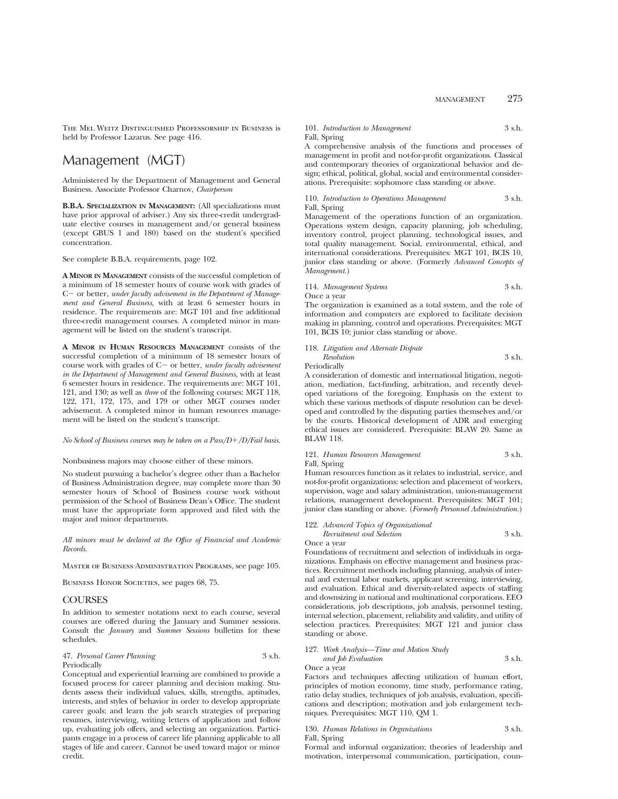The Mel Weitz Distinguished Professorship in Business is held by Professor Lazarus. See page 416.

# Management (MGT)

Administered by the Department of Management and General Business. Associate Professor Charnov, *Chairperson*

**B.B.A. SPECIALIZATION IN MANAGEMENT:** (All specializations must have prior approval of adviser.) Any six three-credit undergraduate elective courses in management and/or general business (except GBUS 1 and 180) based on the student's specified concentration.

See complete B.B.A. requirements, page 102.

**A MINOR IN MANAGEMENT** consists of the successful completion of a minimum of 18 semester hours of course work with grades of C - or better, *under faculty advisement in the Department of Management and General Business,* with at least 6 semester hours in residence. The requirements are: MGT 101 and five additional three-credit management courses. A completed minor in management will be listed on the student's transcript.

**A MINOR IN HUMAN RESOURCES MANAGEMENT** consists of the successful completion of a minimum of 18 semester hours of course work with grades of C- or better, *under faculty advisement in the Department of Management and General Business*, with at least 6 semester hours in residence. The requirements are: MGT 101, 121, and 130; as well as *three* of the following courses: MGT 118, 122, 171, 172, 175, and 179 or other MGT courses under advisement. A completed minor in human resources management will be listed on the student's transcript.

### *No School of Business courses may be taken on a Pass/D+/D/Fail basis.*

Nonbusiness majors may choose either of these minors.

No student pursuing a bachelor's degree other than a Bachelor of Business Administration degree, may complete more than 30 semester hours of School of Business course work without permission of the School of Business Dean's Office. The student must have the appropriate form approved and filed with the major and minor departments.

*All minors must be declared at the Office of Financial and Academic Records.*

Master of Business Administration Programs, see page 105.

BUSINESS HONOR SOCIETIES, see pages 68, 75.

# **COURSES**

In addition to semester notations next to each course, several courses are offered during the January and Summer sessions. Consult the *January* and *Summer Sessions* bulletins for these schedules.

# 47. *Personal Career Planning* 3 s.h. Periodically

Conceptual and experiential learning are combined to provide a focused process for career planning and decision making. Students assess their individual values, skills, strengths, aptitudes, interests, and styles of behavior in order to develop appropriate career goals; and learn the job search strategies of preparing resumes, interviewing, writing letters of application and follow up, evaluating job offers, and selecting an organization. Participants engage in a process of career life planning applicable to all stages of life and career. Cannot be used toward major or minor credit.

# 101. *Introduction to Management* 3 s.h. Fall, Spring

A comprehensive analysis of the functions and processes of management in profit and not-for-profit organizations. Classical and contemporary theories of organizational behavior and design; ethical, political, global, social and environmental considerations. Prerequisite: sophomore class standing or above.

# 110. *Introduction to Operations Management* 3 s.h. Fall, Spring

Management of the operations function of an organization. Operations system design, capacity planning, job scheduling, inventory control, project planning, technological issues, and total quality management. Social, environmental, ethical, and international considerations. Prerequisites: MGT 101, BCIS 10, junior class standing or above. (Formerly *Advanced Concepts of Management.*)

# 114. *Management Systems* 3 s.h. Once a year

The organization is examined as a total system, and the role of information and computers are explored to facilitate decision making in planning, control and operations. Prerequisites: MGT 101, BCIS 10; junior class standing or above.

|   |                   | 118. Litigation and Alternate Dispute |  |
|---|-------------------|---------------------------------------|--|
|   | <b>Resolution</b> | 3 s.h.                                |  |
| _ |                   |                                       |  |

Periodically

A consideration of domestic and international litigation, negotiation, mediation, fact-finding, arbitration, and recently developed variations of the foregoing. Emphasis on the extent to which these various methods of dispute resolution can be developed and controlled by the disputing parties themselves and/or by the courts. Historical development of ADR and emerging ethical issues are considered. Prerequisite: BLAW 20. Same as BLAW 118.

```
121. Human Resources Management 3 s.h.
Fall, Spring
```
Human resources function as it relates to industrial, service, and not-for-profit organizations: selection and placement of workers, supervision, wage and salary administration, union-management relations, management development. Prerequisites: MGT 101; junior class standing or above. (*Formerly Personnel Administration.*)

122. *Advanced Topics of Organizational Recruitment and Selection* 3 s.h.

Once a year

Foundations of recruitment and selection of individuals in organizations. Emphasis on effective management and business practices. Recruitment methods including planning, analysis of internal and external labor markets, applicant screening, interviewing, and evaluation. Ethical and diversity-related aspects of staffing and downsizing in national and multinational corporations. EEO considerations, job descriptions, job analysis, personnel testing, internal selection, placement, reliability and validity, and utility of selection practices. Prerequisites: MGT 121 and junior class standing or above.

# 127. *Work Analysis—Time and Motion Study*

*and Job Evaluation* 3 s.h. Once a year

Factors and techniques affecting utilization of human effort, principles of motion economy, time study, performance rating, ratio delay studies, techniques of job analysis, evaluation, specifications and description; motivation and job enlargement techniques. Prerequisites: MGT 110, QM 1.

# 130. *Human Relations in Organizations* 3 s.h. Fall, Spring

Formal and informal organization; theories of leadership and motivation, interpersonal communication, participation, coun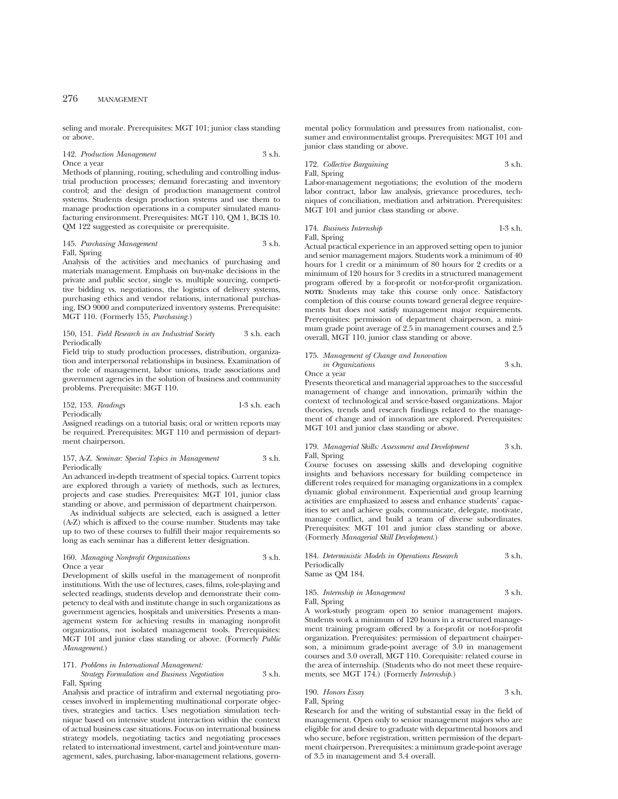seling and morale. Prerequisites: MGT 101; junior class standing or above.

142. *Production Management* 3 s.h. Once a year

Methods of planning, routing, scheduling and controlling industrial production processes; demand forecasting and inventory control; and the design of production management control systems. Students design production systems and use them to manage production operations in a computer simulated manufacturing environment. Prerequisites: MGT 110, QM 1, BCIS 10. QM 122 suggested as corequisite or prerequisite.

### 145. *Purchasing Management* 3 s.h. Fall, Spring

Analysis of the activities and mechanics of purchasing and materials management. Emphasis on buy-make decisions in the private and public sector, single vs. multiple sourcing, competitive bidding vs. negotiations, the logistics of delivery systems, purchasing ethics and vendor relations, international purchasing, ISO 9000 and computerized inventory systems. Prerequisite: MGT 110. (Formerly 155, *Purchasing.*)

#### 150, 151. *Field Research in an Industrial Society* 3 s.h. each Periodically

Field trip to study production processes, distribution, organization and interpersonal relationships in business. Examination of the role of management, labor unions, trade associations and government agencies in the solution of business and community problems. Prerequisite: MGT 110.

# 152, 153. *Readings* 1-3 s.h. each Periodically

Assigned readings on a tutorial basis; oral or written reports may be required. Prerequisites: MGT 110 and permission of department chairperson.

#### 157, A-Z. *Seminar: Special Topics in Management* 3 s.h. Periodically

An advanced in-depth treatment of special topics. Current topics are explored through a variety of methods, such as lectures, projects and case studies. Prerequisites: MGT 101, junior class standing or above, and permission of department chairperson.

As individual subjects are selected, each is assigned a letter (A-Z) which is affixed to the course number. Students may take up to two of these courses to fulfill their major requirements so long as each seminar has a different letter designation.

# 160. *Managing Nonprofit Organizations* 3 s.h. Once a year

Development of skills useful in the management of nonprofit institutions. With the use of lectures, cases, films, role-playing and selected readings, students develop and demonstrate their competency to deal with and institute change in such organizations as government agencies, hospitals and universities. Presents a management system for achieving results in managing nonprofit organizations, not isolated management tools. Prerequisites: MGT 101 and junior class standing or above. (Formerly *Public Management*.)

# 171. *Problems in International Management:*

# *Strategy Formulation and Business Negotiation* 3 s.h. Fall, Spring

Analysis and practice of intrafirm and external negotiating processes involved in implementing multinational corporate objectives, strategies and tactics. Uses negotiation simulation technique based on intensive student interaction within the context of actual business case situations. Focus on international business strategy models, negotiating tactics and negotiating processes related to international investment, cartel and joint-venture management, sales, purchasing, labor-management relations, govern-

mental policy formulation and pressures from nationalist, consumer and environmentalist groups. Prerequisites: MGT 101 and junior class standing or above.

# 172. *Collective Bargaining* 3 s.h. Fall, Spring

Labor-management negotiations; the evolution of the modern labor contract, labor law analysis, grievance procedures, techniques of conciliation, mediation and arbitration. Prerequisites: MGT 101 and junior class standing or above.

174. *Business Internship* 1-3 s.h. Fall, Spring

Actual practical experience in an approved setting open to junior and senior management majors. Students work a minimum of 40 hours for 1 credit or a minimum of 80 hours for 2 credits or a minimum of 120 hours for 3 credits in a structured management program offered by a for-profit or not-for-profit organization. **NOTE:** Students may take this course only once. Satisfactory completion of this course counts toward general degree requirements but does not satisfy management major requirements. Prerequisites: permission of department chairperson, a minimum grade point average of 2.5 in management courses and 2.5 overall, MGT 110, junior class standing or above.

# 175. *Management of Change and Innovation in Organizations* 3 s.h. Once a year

Presents theoretical and managerial approaches to the successful management of change and innovation, primarily within the context of technological and service-based organizations. Major theories, trends and research findings related to the management of change and of innovation are explored. Prerequisites: MGT 101 and junior class standing or above.

# 179. *Managerial Skills: Assessment and Development* 3 s.h. Fall, Spring

Course focuses on assessing skills and developing cognitive insights and behaviors necessary for building competence in different roles required for managing organizations in a complex dynamic global environment. Experiential and group learning activities are emphasized to assess and enhance students' capacities to set and achieve goals, communicate, delegate, motivate, manage conflict, and build a team of diverse subordinates. Prerequisites: MGT 101 and junior class standing or above. (Formerly *Managerial Skill Development*.)

| 184. Deterministic Models in Operations Research | 3 s.h. |
|--------------------------------------------------|--------|
| Periodically                                     |        |
| Same as QM 184.                                  |        |

# 185. *Internship in Management* 3 s.h. Fall, Spring

A work-study program open to senior management majors. Students work a minimum of 120 hours in a structured management training program offered by a for-profit or not-for-profit organization. Prerequisites: permission of department chairperson, a minimum grade-point average of 3.0 in management courses and 3.0 overall, MGT 110. Corequisite: related course in the area of internship. (Students who do not meet these requirements, see MGT 174.) (Formerly *Internship.*)

190. *Honors Essay* 3 s.h. Fall, Spring

Research for and the writing of substantial essay in the field of management. Open only to senior management majors who are eligible for and desire to graduate with departmental honors and who secure, before registration, written permission of the department chairperson. Prerequisites: a minimum grade-point average of 3.5 in management and 3.4 overall.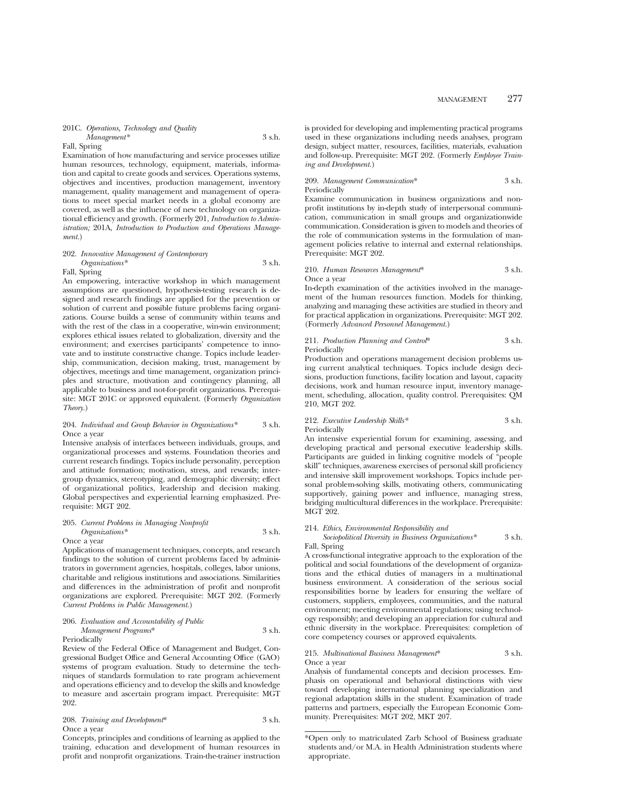### 201C. *Operations, Technology and Quality Management\** 3 s.h.

# Fall, Spring

Examination of how manufacturing and service processes utilize human resources, technology, equipment, materials, information and capital to create goods and services. Operations systems, objectives and incentives, production management, inventory management, quality management and management of operations to meet special market needs in a global economy are covered, as well as the influence of new technology on organizational efficiency and growth. (Formerly 201, *Introduction to Administration;* 201A, *Introduction to Production and Operations Management.*)

### 202. *Innovative Management of Contemporary Organizations\** 3 s.h.

#### Fall, Spring

An empowering, interactive workshop in which management assumptions are questioned, hypothesis-testing research is designed and research findings are applied for the prevention or solution of current and possible future problems facing organizations. Course builds a sense of community within teams and with the rest of the class in a cooperative, win-win environment; explores ethical issues related to globalization, diversity and the environment; and exercises participants' competence to innovate and to institute constructive change. Topics include leadership, communication, decision making, trust, management by objectives, meetings and time management, organization principles and structure, motivation and contingency planning, all applicable to business and not-for-profit organizations. Prerequisite: MGT 201C or approved equivalent. (Formerly *Organization Theory.*)

# 204. *Individual and Group Behavior in Organizations\** 3 s.h. Once a year

Intensive analysis of interfaces between individuals, groups, and organizational processes and systems. Foundation theories and current research findings. Topics include personality, perception and attitude formation; motivation, stress, and rewards; intergroup dynamics, stereotyping, and demographic diversity; effect of organizational politics, leadership and decision making. Global perspectives and experiential learning emphasized. Prerequisite: MGT 202.

### 205. *Current Problems in Managing Nonprofit Organizations\** 3 s.h.

# Once a year

Applications of management techniques, concepts, and research findings to the solution of current problems faced by administrators in government agencies, hospitals, colleges, labor unions, charitable and religious institutions and associations. Similarities and differences in the administration of profit and nonprofit organizations are explored. Prerequisite: MGT 202. (Formerly *Current Problems in Public Management.*)

# 206. *Evaluation and Accountability of Public Management Programs*\* 3 s.h.

#### Periodically

Review of the Federal Office of Management and Budget, Congressional Budget Office and General Accounting Office (GAO) systems of program evaluation. Study to determine the techniques of standards formulation to rate program achievement and operations efficiency and to develop the skills and knowledge to measure and ascertain program impact. Prerequisite: MGT 202.

# 208. *Training and Development*\* 3 s.h. Once a year

Concepts, principles and conditions of learning as applied to the training, education and development of human resources in profit and nonprofit organizations. Train-the-trainer instruction is provided for developing and implementing practical programs used in these organizations including needs analyses, program design, subject matter, resources, facilities, materials, evaluation and follow-up. Prerequisite: MGT 202. (Formerly *Employee Training and Development.*)

# 209. *Management Communication*\* 3 s.h. Periodically

Examine communication in business organizations and nonprofit institutions by in-depth study of interpersonal communication, communication in small groups and organizationwide communication. Consideration is given to models and theories of the role of communication systems in the formulation of management policies relative to internal and external relationships. Prerequisite: MGT 202.

# 210. *Human Resources Management*\* 3 s.h. Once a year

In-depth examination of the activities involved in the management of the human resources function. Models for thinking, analyzing and managing these activities are studied in theory and for practical application in organizations. Prerequisite: MGT 202. (Formerly *Advanced Personnel Management.*)

# 211. *Production Planning and Control*\* 3 s.h. Periodically

Production and operations management decision problems using current analytical techniques. Topics include design decisions, production functions, facility location and layout, capacity decisions, work and human resource input, inventory management, scheduling, allocation, quality control. Prerequisites: QM 210, MGT 202.

### 212. *Executive Leadership Skills\** 3 s.h. Periodically

An intensive experiential forum for examining, assessing, and developing practical and personal executive leadership skills. Participants are guided in linking cognitive models of "people skill" techniques, awareness exercises of personal skill proficiency and intensive skill improvement workshops. Topics include personal problem-solving skills, motivating others, communicating supportively, gaining power and influence, managing stress, bridging multicultural differences in the workplace. Prerequisite: MGT 202.

#### 214. *Ethics, Environmental Responsibility and*

# *Sociopolitical Diversity in Business Organizations\** 3 s.h. Fall, Spring

A cross-functional integrative approach to the exploration of the political and social foundations of the development of organizations and the ethical duties of managers in a multinational business environment. A consideration of the serious social responsibilities borne by leaders for ensuring the welfare of customers, suppliers, employees, communities, and the natural environment; meeting environmental regulations; using technology responsibly; and developing an appreciation for cultural and ethnic diversity in the workplace. Prerequisites: completion of core competency courses or approved equivalents.

#### 215. *Multinational Business Management*\* 3 s.h. Once a year

Analysis of fundamental concepts and decision processes. Emphasis on operational and behavioral distinctions with view toward developing international planning specialization and regional adaptation skills in the student. Examination of trade patterns and partners, especially the European Economic Community. Prerequisites: MGT 202, MKT 207.

<sup>\*</sup>Open only to matriculated Zarb School of Business graduate students and/or M.A. in Health Administration students where appropriate.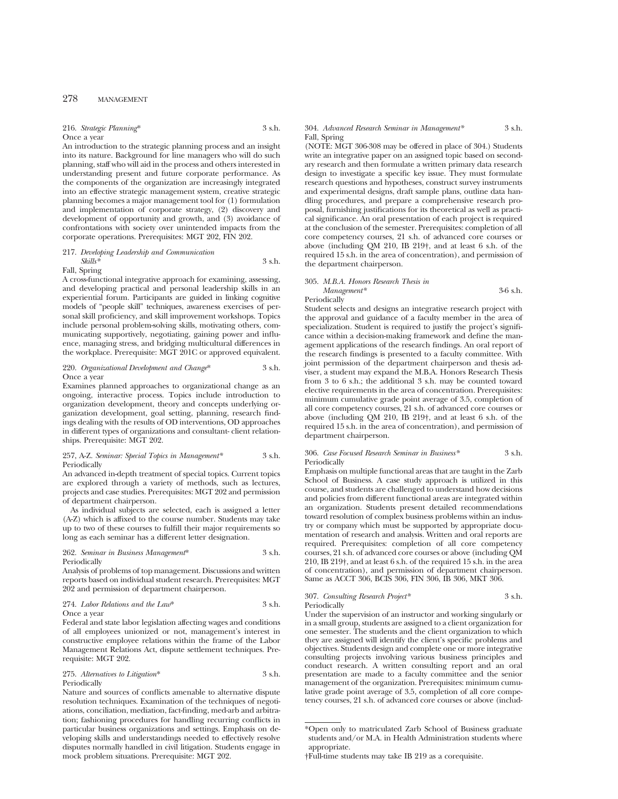216. *Strategic Planning*\* 3 s.h. Once a year

An introduction to the strategic planning process and an insight into its nature. Background for line managers who will do such planning, staff who will aid in the process and others interested in understanding present and future corporate performance. As the components of the organization are increasingly integrated into an effective strategic management system, creative strategic planning becomes a major management tool for (1) formulation and implementation of corporate strategy, (2) discovery and development of opportunity and growth, and (3) avoidance of confrontations with society over unintended impacts from the corporate operations. Prerequisites: MGT 202, FIN 202.

217. *Developing Leadership and Communication Skills\** 3 s.h.

Fall, Spring

A cross-functional integrative approach for examining, assessing, and developing practical and personal leadership skills in an experiential forum. Participants are guided in linking cognitive models of "people skill" techniques, awareness exercises of personal skill proficiency, and skill improvement workshops. Topics include personal problem-solving skills, motivating others, communicating supportively, negotiating, gaining power and influence, managing stress, and bridging multicultural differences in the workplace. Prerequisite: MGT 201C or approved equivalent.

# 220. *Organizational Development and Change*\* 3 s.h. Once a year

Examines planned approaches to organizational change as an ongoing, interactive process. Topics include introduction to organization development, theory and concepts underlying organization development, goal setting, planning, research findings dealing with the results of OD interventions, OD approaches in different types of organizations and consultant- client relationships. Prerequisite: MGT 202.

### 257, A-Z. *Seminar: Special Topics in Management\** 3 s.h. **Periodically**

An advanced in-depth treatment of special topics. Current topics are explored through a variety of methods, such as lectures, projects and case studies. Prerequisites: MGT 202 and permission of department chairperson.

As individual subjects are selected, each is assigned a letter (A-Z) which is affixed to the course number. Students may take up to two of these courses to fulfill their major requirements so long as each seminar has a different letter designation.

262. *Seminar in Business Management*\* 3 s.h. Periodically

Analysis of problems of top management. Discussions and written reports based on individual student research. Prerequisites: MGT 202 and permission of department chairperson.

274. *Labor Relations and the Law*\* 3 s.h.

Once a year

Federal and state labor legislation affecting wages and conditions of all employees unionized or not, management's interest in constructive employee relations within the frame of the Labor Management Relations Act, dispute settlement techniques. Prerequisite: MGT 202.

275. *Alternatives to Litigation*\* 3 s.h. Periodically

Nature and sources of conflicts amenable to alternative dispute resolution techniques. Examination of the techniques of negotiations, conciliation, mediation, fact-finding, med-arb and arbitration; fashioning procedures for handling recurring conflicts in particular business organizations and settings. Emphasis on developing skills and understandings needed to effectively resolve disputes normally handled in civil litigation. Students engage in mock problem situations. Prerequisite: MGT 202.

### 304. *Advanced Research Seminar in Management\** 3 s.h. Fall, Spring

(NOTE: MGT 306-308 may be offered in place of 304.) Students write an integrative paper on an assigned topic based on secondary research and then formulate a written primary data research design to investigate a specific key issue. They must formulate research questions and hypotheses, construct survey instruments and experimental designs, draft sample plans, outline data handling procedures, and prepare a comprehensive research proposal, furnishing justifications for its theoretical as well as practical significance. An oral presentation of each project is required at the conclusion of the semester. Prerequisites: completion of all core competency courses, 21 s.h. of advanced core courses or above (including QM 210, IB 219†, and at least 6 s.h. of the required 15 s.h. in the area of concentration), and permission of the department chairperson.

#### 305. *M.B.A. Honors Research Thesis in Management\** 3-6 s.h. Periodically

Student selects and designs an integrative research project with the approval and guidance of a faculty member in the area of specialization. Student is required to justify the project's significance within a decision-making framework and define the management applications of the research findings. An oral report of the research findings is presented to a faculty committee. With joint permission of the department chairperson and thesis adviser, a student may expand the M.B.A. Honors Research Thesis from 3 to 6 s.h.; the additional 3 s.h. may be counted toward elective requirements in the area of concentration. Prerequisites: minimum cumulative grade point average of 3.5, completion of all core competency courses, 21 s.h. of advanced core courses or above (including QM 210, IB 219†, and at least 6 s.h. of the required 15 s.h. in the area of concentration), and permission of department chairperson.

## 306. *Case Focused Research Seminar in Business\** 3 s.h. Periodically

Emphasis on multiple functional areas that are taught in the Zarb School of Business. A case study approach is utilized in this course, and students are challenged to understand how decisions and policies from different functional areas are integrated within an organization. Students present detailed recommendations toward resolution of complex business problems within an industry or company which must be supported by appropriate documentation of research and analysis. Written and oral reports are required. Prerequisites: completion of all core competency courses, 21 s.h. of advanced core courses or above (including QM 210, IB 219†, and at least 6 s.h. of the required 15 s.h. in the area of concentration), and permission of department chairperson. Same as ACCT 306, BCIS 306, FIN 306, IB 306, MKT 306.

307. *Consulting Research Project\** 3 s.h. Periodically

Under the supervision of an instructor and working singularly or in a small group, students are assigned to a client organization for one semester. The students and the client organization to which they are assigned will identify the client's specific problems and objectives. Students design and complete one or more integrative consulting projects involving various business principles and conduct research. A written consulting report and an oral presentation are made to a faculty committee and the senior management of the organization. Prerequisites: minimum cumulative grade point average of 3.5, completion of all core competency courses, 21 s.h. of advanced core courses or above (includ-

<sup>\*</sup>Open only to matriculated Zarb School of Business graduate students and/or M.A. in Health Administration students where appropriate.

<sup>†</sup>Full-time students may take IB 219 as a corequisite.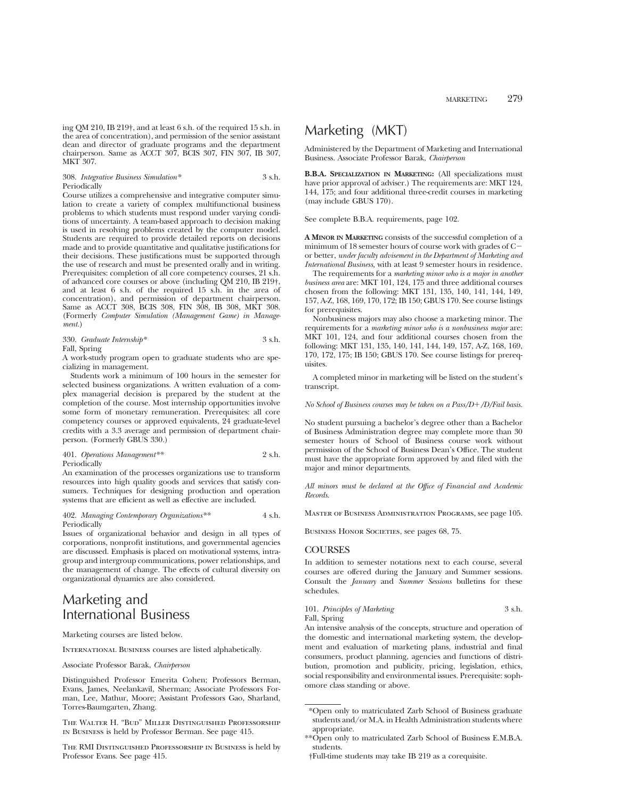308. *Integrative Business Simulation\** 3 s.h. **Periodically** 

Course utilizes a comprehensive and integrative computer simulation to create a variety of complex multifunctional business problems to which students must respond under varying conditions of uncertainty. A team-based approach to decision making is used in resolving problems created by the computer model. Students are required to provide detailed reports on decisions made and to provide quantitative and qualitative justifications for their decisions. These justifications must be supported through the use of research and must be presented orally and in writing. Prerequisites: completion of all core competency courses, 21 s.h. of advanced core courses or above (including QM 210, IB 219†, and at least 6 s.h. of the required 15 s.h. in the area of concentration), and permission of department chairperson. Same as ACCT 308, BCIS 308, FIN 308, IB 308, MKT 308. (Formerly *Computer Simulation (Management Game) in Management.*)

330. *Graduate Internship\** 3 s.h. Fall, Spring

A work-study program open to graduate students who are specializing in management.

Students work a minimum of 100 hours in the semester for selected business organizations. A written evaluation of a complex managerial decision is prepared by the student at the completion of the course. Most internship opportunities involve some form of monetary remuneration. Prerequisites: all core competency courses or approved equivalents, 24 graduate-level credits with a 3.3 average and permission of department chairperson. (Formerly GBUS 330.)

401. *Operations Management\*\** 2 s.h. Periodically

An examination of the processes organizations use to transform resources into high quality goods and services that satisfy consumers. Techniques for designing production and operation systems that are efficient as well as effective are included.

### 402. *Managing Contemporary Organizations\*\** 4 s.h. Periodically

Issues of organizational behavior and design in all types of corporations, nonprofit institutions, and governmental agencies are discussed. Emphasis is placed on motivational systems, intragroup and intergroup communications, power relationships, and the management of change. The effects of cultural diversity on organizational dynamics are also considered.

# Marketing and International Business

Marketing courses are listed below.

INTERNATIONAL BUSINESS courses are listed alphabetically.

Associate Professor Barak, *Chairperson*

Distinguished Professor Emerita Cohen; Professors Berman, Evans, James, Neelankavil, Sherman; Associate Professors Forman, Lee, Mathur, Moore; Assistant Professors Gao, Sharland, Torres-Baumgarten, Zhang.

The Walter H. "Bud" Miller Distinguished Professorship in Business is held by Professor Berman. See page 415.

The RMI Distinguished Professorship in Business is held by Professor Evans. See page 415.

# Marketing (MKT)

Administered by the Department of Marketing and International Business. Associate Professor Barak, *Chairperson*

**B.B.A. SPECIALIZATION IN MARKETING:** (All specializations must have prior approval of adviser.) The requirements are: MKT 124, 144, 175; and four additional three-credit courses in marketing (may include GBUS 170).

See complete B.B.A. requirements, page 102.

**A MINOR IN MARKETING** consists of the successful completion of a minimum of 18 semester hours of course work with grades of  $C$ or better, *under faculty advisement in the Department of Marketing and International Business,* with at least 9 semester hours in residence.

The requirements for a *marketing minor who is a major in another business area* are: MKT 101, 124, 175 and three additional courses chosen from the following: MKT 131, 135, 140, 141, 144, 149, 157, A-Z, 168, 169, 170, 172; IB 150; GBUS 170. See course listings for prerequisites.

Nonbusiness majors may also choose a marketing minor. The requirements for a *marketing minor who is a nonbusiness major* are: MKT 101, 124, and four additional courses chosen from the following: MKT 131, 135, 140, 141, 144, 149, 157, A-Z, 168, 169, 170, 172, 175; IB 150; GBUS 170. See course listings for prerequisites.

A completed minor in marketing will be listed on the student's transcript.

*No School of Business courses may be taken on a Pass/D+/D/Fail basis.* 

No student pursuing a bachelor's degree other than a Bachelor of Business Administration degree may complete more than 30 semester hours of School of Business course work without permission of the School of Business Dean's Office. The student must have the appropriate form approved by and filed with the major and minor departments.

*All minors must be declared at the Office of Financial and Academic Records.*

Master of Business Administration Programs, see page 105.

BUSINESS HONOR SOCIETIES, see pages 68, 75.

# **COURSES**

In addition to semester notations next to each course, several courses are offered during the January and Summer sessions. Consult the *January* and *Summer Sessions* bulletins for these schedules.

| 101. Principles of Marketing | 3 s.h. |
|------------------------------|--------|
| Fall, Spring                 |        |

An intensive analysis of the concepts, structure and operation of the domestic and international marketing system, the development and evaluation of marketing plans, industrial and final consumers, product planning, agencies and functions of distribution, promotion and publicity, pricing, legislation, ethics, social responsibility and environmental issues. Prerequisite: sophomore class standing or above.

<sup>\*</sup>Open only to matriculated Zarb School of Business graduate students and/or M.A. in Health Administration students where appropriate.

<sup>\*\*</sup>Open only to matriculated Zarb School of Business E.M.B.A. students.

<sup>†</sup>Full-time students may take IB 219 as a corequisite.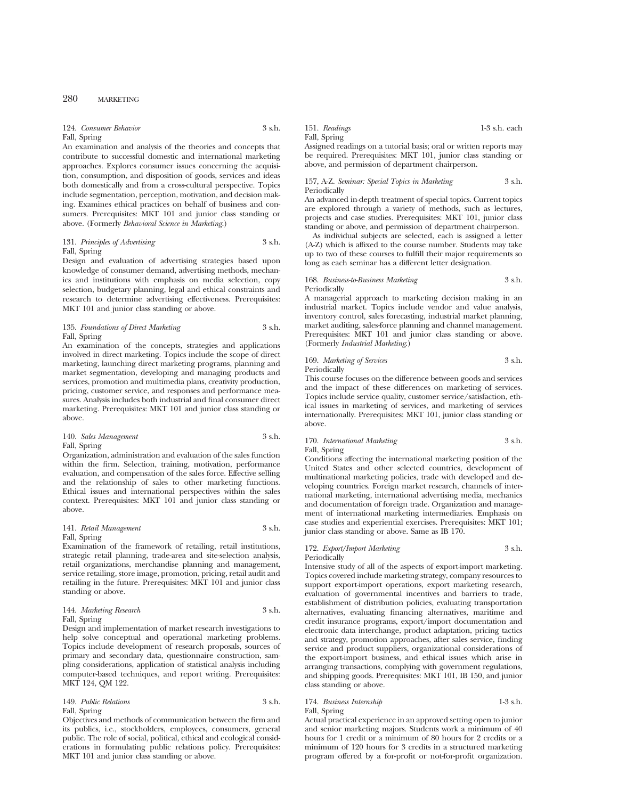124. *Consumer Behavior* 3 s.h. Fall, Spring

An examination and analysis of the theories and concepts that contribute to successful domestic and international marketing approaches. Explores consumer issues concerning the acquisition, consumption, and disposition of goods, services and ideas both domestically and from a cross-cultural perspective. Topics include segmentation, perception, motivation, and decision making. Examines ethical practices on behalf of business and consumers. Prerequisites: MKT 101 and junior class standing or above. (Formerly *Behavioral Science in Marketing*.)

# 131. *Principles of Advertising* 3 s.h. Fall, Spring

Design and evaluation of advertising strategies based upon knowledge of consumer demand, advertising methods, mechanics and institutions with emphasis on media selection, copy selection, budgetary planning, legal and ethical constraints and research to determine advertising effectiveness. Prerequisites: MKT 101 and junior class standing or above.

# 135. *Foundations of Direct Marketing* 3 s.h. Fall, Spring

An examination of the concepts, strategies and applications involved in direct marketing. Topics include the scope of direct marketing, launching direct marketing programs, planning and market segmentation, developing and managing products and services, promotion and multimedia plans, creativity production, pricing, customer service, and responses and performance measures. Analysis includes both industrial and final consumer direct marketing. Prerequisites: MKT 101 and junior class standing or above.

### 140. *Sales Management* 3 s.h. Fall, Spring

Organization, administration and evaluation of the sales function within the firm. Selection, training, motivation, performance evaluation, and compensation of the sales force. Effective selling and the relationship of sales to other marketing functions. Ethical issues and international perspectives within the sales context. Prerequisites: MKT 101 and junior class standing or above.

# 141. *Retail Management* 3 s.h. Fall, Spring

Examination of the framework of retailing, retail institutions, strategic retail planning, trade-area and site-selection analysis, retail organizations, merchandise planning and management, service retailing, store image, promotion, pricing, retail audit and retailing in the future. Prerequisites: MKT 101 and junior class standing or above.

# 144. *Marketing Research* 3 s.h. Fall, Spring

Design and implementation of market research investigations to help solve conceptual and operational marketing problems. Topics include development of research proposals, sources of primary and secondary data, questionnaire construction, sampling considerations, application of statistical analysis including computer-based techniques, and report writing. Prerequisites: MKT 124, QM 122.

# 149. *Public Relations* 3 s.h. Fall, Spring

Objectives and methods of communication between the firm and its publics, i.e., stockholders, employees, consumers, general public. The role of social, political, ethical and ecological considerations in formulating public relations policy. Prerequisites: MKT 101 and junior class standing or above.

# Fall, Spring

151. *Readings* 1-3 s.h. each

Assigned readings on a tutorial basis; oral or written reports may be required. Prerequisites: MKT 101, junior class standing or above, and permission of department chairperson.

# 157, A-Z. *Seminar: Special Topics in Marketing* 3 s.h. Periodically

An advanced in-depth treatment of special topics. Current topics are explored through a variety of methods, such as lectures, projects and case studies. Prerequisites: MKT 101, junior class standing or above, and permission of department chairperson.

As individual subjects are selected, each is assigned a letter (A-Z) which is affixed to the course number. Students may take up to two of these courses to fulfill their major requirements so long as each seminar has a different letter designation.

# 168. *Business-to-Business Marketing* 3 s.h. Periodically

A managerial approach to marketing decision making in an industrial market. Topics include vendor and value analysis, inventory control, sales forecasting, industrial market planning, market auditing, sales-force planning and channel management. Prerequisites: MKT 101 and junior class standing or above. (Formerly *Industrial Marketing*.)

### 169. *Marketing of Services* 3 s.h. Periodically

This course focuses on the difference between goods and services and the impact of these differences on marketing of services. Topics include service quality, customer service/satisfaction, ethical issues in marketing of services, and marketing of services internationally. Prerequisites: MKT 101, junior class standing or above.

# 170. *International Marketing* 3 s.h. Fall, Spring

Conditions affecting the international marketing position of the United States and other selected countries, development of multinational marketing policies, trade with developed and developing countries. Foreign market research, channels of international marketing, international advertising media, mechanics and documentation of foreign trade. Organization and management of international marketing intermediaries. Emphasis on case studies and experiential exercises. Prerequisites: MKT 101; junior class standing or above. Same as IB 170.

### 172. *Export/Import Marketing* 3 s.h. Periodically

Intensive study of all of the aspects of export-import marketing. Topics covered include marketing strategy, company resources to support export-import operations, export marketing research, evaluation of governmental incentives and barriers to trade, establishment of distribution policies, evaluating transportation alternatives, evaluating financing alternatives, maritime and credit insurance programs, export/import documentation and electronic data interchange, product adaptation, pricing tactics and strategy, promotion approaches, after sales service, finding service and product suppliers, organizational considerations of the export-import business, and ethical issues which arise in arranging transactions, complying with government regulations, and shipping goods. Prerequisites: MKT 101, IB 150, and junior class standing or above.

# 174. *Business Internship* 1-3 s.h. Fall, Spring

Actual practical experience in an approved setting open to junior and senior marketing majors. Students work a minimum of 40 hours for 1 credit or a minimum of 80 hours for 2 credits or a minimum of 120 hours for 3 credits in a structured marketing program offered by a for-profit or not-for-profit organization.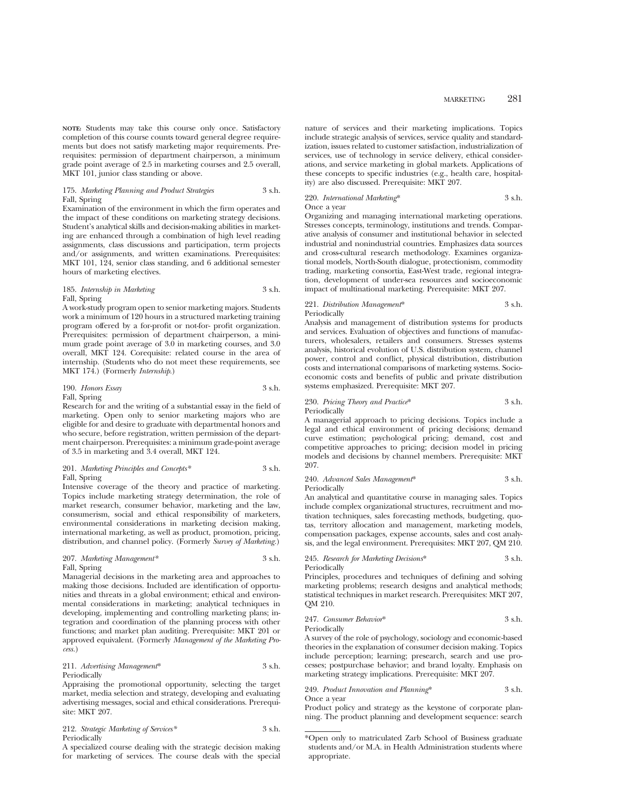**NOTE:** Students may take this course only once. Satisfactory completion of this course counts toward general degree requirements but does not satisfy marketing major requirements. Prerequisites: permission of department chairperson, a minimum grade point average of 2.5 in marketing courses and 2.5 overall, MKT 101, junior class standing or above.

# 175. *Marketing Planning and Product Strategies* 3 s.h. Fall, Spring

Examination of the environment in which the firm operates and the impact of these conditions on marketing strategy decisions. Student's analytical skills and decision-making abilities in marketing are enhanced through a combination of high level reading assignments, class discussions and participation, term projects and/or assignments, and written examinations. Prerequisites: MKT 101, 124, senior class standing, and 6 additional semester hours of marketing electives.

# 185. *Internship in Marketing* 3 s.h. Fall, Spring

A work-study program open to senior marketing majors. Students work a minimum of 120 hours in a structured marketing training program offered by a for-profit or not-for- profit organization. Prerequisites: permission of department chairperson, a minimum grade point average of 3.0 in marketing courses, and 3.0 overall, MKT 124. Corequisite: related course in the area of internship. (Students who do not meet these requirements, see MKT 174.) (Formerly *Internship.*)

# 190. *Honors Essay* 3 s.h. Fall, Spring

Research for and the writing of a substantial essay in the field of marketing. Open only to senior marketing majors who are eligible for and desire to graduate with departmental honors and who secure, before registration, written permission of the department chairperson. Prerequisites: a minimum grade-point average of 3.5 in marketing and 3.4 overall, MKT 124.

### 201. *Marketing Principles and Concepts\** 3 s.h. Fall, Spring

Intensive coverage of the theory and practice of marketing. Topics include marketing strategy determination, the role of market research, consumer behavior, marketing and the law, consumerism, social and ethical responsibility of marketers, environmental considerations in marketing decision making, international marketing, as well as product, promotion, pricing, distribution, and channel policy. (Formerly *Survey of Marketing.*)

# 207. *Marketing Management\** 3 s.h. Fall, Spring

Managerial decisions in the marketing area and approaches to making those decisions. Included are identification of opportunities and threats in a global environment; ethical and environmental considerations in marketing; analytical techniques in developing, implementing and controlling marketing plans; integration and coordination of the planning process with other functions; and market plan auditing. Prerequisite: MKT 201 or approved equivalent. (Formerly *Management of the Marketing Process.*)

# 211. *Advertising Management*\* 3 s.h. Periodically

Appraising the promotional opportunity, selecting the target market, media selection and strategy, developing and evaluating advertising messages, social and ethical considerations. Prerequisite: MKT 207.

212. *Strategic Marketing of Services\** 3 s.h. Periodically

A specialized course dealing with the strategic decision making for marketing of services. The course deals with the special

nature of services and their marketing implications. Topics include strategic analysis of services, service quality and standardization, issues related to customer satisfaction, industrialization of services, use of technology in service delivery, ethical considerations, and service marketing in global markets. Applications of these concepts to specific industries (e.g., health care, hospitality) are also discussed. Prerequisite: MKT 207.

# 220. *International Marketing*\* 3 s.h.

Once a year

Organizing and managing international marketing operations. Stresses concepts, terminology, institutions and trends. Comparative analysis of consumer and institutional behavior in selected industrial and nonindustrial countries. Emphasizes data sources and cross-cultural research methodology. Examines organizational models, North-South dialogue, protectionism, commodity trading, marketing consortia, East-West trade, regional integration, development of under-sea resources and socioeconomic impact of multinational marketing. Prerequisite: MKT 207.

# 221. *Distribution Management*\* 3 s.h. Periodically

Analysis and management of distribution systems for products and services. Evaluation of objectives and functions of manufacturers, wholesalers, retailers and consumers. Stresses systems analysis, historical evolution of U.S. distribution system, channel power, control and conflict, physical distribution, distribution costs and international comparisons of marketing systems. Socioeconomic costs and benefits of public and private distribution systems emphasized. Prerequisite: MKT 207.

# 230. *Pricing Theory and Practice*\* 3 s.h. Periodically

A managerial approach to pricing decisions. Topics include a legal and ethical environment of pricing decisions; demand curve estimation; psychological pricing; demand, cost and competitive approaches to pricing; decision model in pricing models and decisions by channel members. Prerequisite: MKT 207.

#### 240. *Advanced Sales Management*\* 3 s.h. Periodically

An analytical and quantitative course in managing sales. Topics include complex organizational structures, recruitment and motivation techniques, sales forecasting methods, budgeting, quotas, territory allocation and management, marketing models, compensation packages, expense accounts, sales and cost analysis, and the legal environment. Prerequisites: MKT 207, QM 210.

# 245. *Research for Marketing Decisions*\* 3 s.h.

Periodically

Principles, procedures and techniques of defining and solving marketing problems; research designs and analytical methods; statistical techniques in market research. Prerequisites: MKT 207, QM 210.

# 247. *Consumer Behavior*\* 3 s.h.

Periodically

A survey of the role of psychology, sociology and economic-based theories in the explanation of consumer decision making. Topics include perception; learning; presearch, search and use processes; postpurchase behavior; and brand loyalty. Emphasis on marketing strategy implications. Prerequisite: MKT 207.

### 249. *Product Innovation and Planning*\* 3 s.h. Once a year

Product policy and strategy as the keystone of corporate planning. The product planning and development sequence: search

<sup>\*</sup>Open only to matriculated Zarb School of Business graduate students and/or M.A. in Health Administration students where appropriate.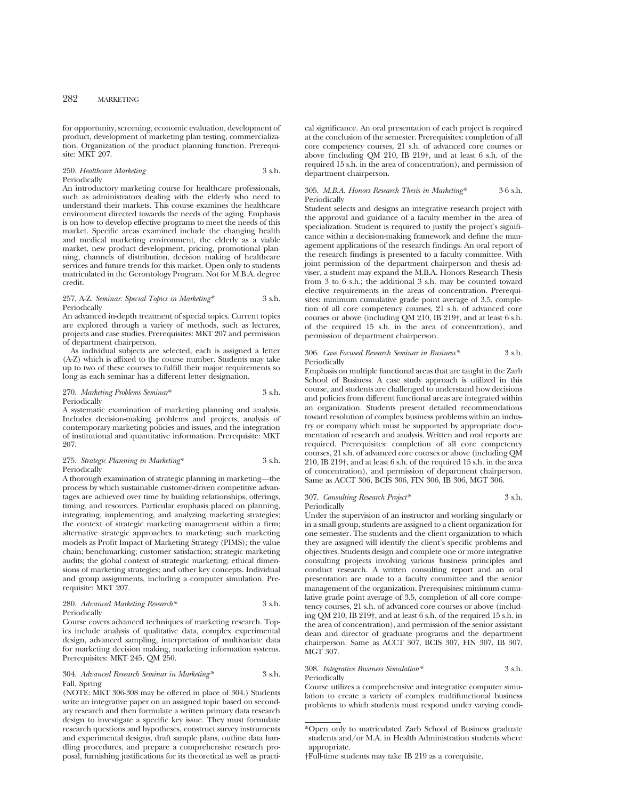for opportunity, screening, economic evaluation, development of product, development of marketing plan testing, commercialization. Organization of the product planning function. Prerequisite: MKT 207.

# 250. *Healthcare Marketing* 3 s.h. Periodically

An introductory marketing course for healthcare professionals, such as administrators dealing with the elderly who need to understand their markets. This course examines the healthcare environment directed towards the needs of the aging. Emphasis is on how to develop effective programs to meet the needs of this market. Specific areas examined include the changing health and medical marketing environment, the elderly as a viable market, new product development, pricing, promotional planning, channels of distribution, decision making of healthcare services and future trends for this market. Open only to students matriculated in the Gerontology Program. Not for M.B.A. degree credit.

### 257, A-Z. *Seminar: Special Topics in Marketing\** 3 s.h. Periodically

An advanced in-depth treatment of special topics. Current topics are explored through a variety of methods, such as lectures, projects and case studies. Prerequisites: MKT 207 and permission of department chairperson.

As individual subjects are selected, each is assigned a letter (A-Z) which is affixed to the course number. Students may take up to two of these courses to fulfill their major requirements so long as each seminar has a different letter designation.

#### 270. *Marketing Problems Seminar*\* 3 s.h. Periodically

A systematic examination of marketing planning and analysis. Includes decision-making problems and projects, analysis of contemporary marketing policies and issues, and the integration of institutional and quantitative information. Prerequisite: MKT 207.

# 275. *Strategic Planning in Marketing\** 3 s.h. Periodically

A thorough examination of strategic planning in marketing—the process by which sustainable customer-driven competitive advantages are achieved over time by building relationships, offerings, timing, and resources. Particular emphasis placed on planning, integrating, implementing, and analyzing marketing strategies; the context of strategic marketing management within a firm; alternative strategic approaches to marketing; such marketing models as Profit Impact of Marketing Strategy (PIMS); the value chain; benchmarking; customer satisfaction; strategic marketing audits; the global context of strategic marketing; ethical dimensions of marketing strategies; and other key concepts. Individual and group assignments, including a computer simulation. Prerequisite: MKT 207.

### 280. *Advanced Marketing Research\** 3 s.h. Periodically

Course covers advanced techniques of marketing research. Topics include analysis of qualitative data, complex experimental design, advanced sampling, interpretation of multivariate data for marketing decision making, marketing information systems. Prerequisites: MKT 245, QM 250.

### 304. *Advanced Research Seminar in Marketing\** 3 s.h. Fall, Spring

(NOTE: MKT 306-308 may be offered in place of 304.) Students write an integrative paper on an assigned topic based on secondary research and then formulate a written primary data research design to investigate a specific key issue. They must formulate research questions and hypotheses, construct survey instruments and experimental designs, draft sample plans, outline data handling procedures, and prepare a comprehensive research proposal, furnishing justifications for its theoretical as well as practical significance. An oral presentation of each project is required at the conclusion of the semester. Prerequisites: completion of all core competency courses, 21 s.h. of advanced core courses or above (including QM 210, IB 219†, and at least 6 s.h. of the required 15 s.h. in the area of concentration), and permission of department chairperson.

#### 305. *M.B.A. Honors Research Thesis in Marketing\** 3-6 s.h. Periodically

Student selects and designs an integrative research project with the approval and guidance of a faculty member in the area of specialization. Student is required to justify the project's significance within a decision-making framework and define the management applications of the research findings. An oral report of the research findings is presented to a faculty committee. With joint permission of the department chairperson and thesis adviser, a student may expand the M.B.A. Honors Research Thesis from 3 to 6 s.h.; the additional 3 s.h. may be counted toward elective requirements in the areas of concentration. Prerequisites: minimum cumulative grade point average of 3.5, completion of all core competency courses, 21 s.h. of advanced core courses or above (including QM 210, IB 219†, and at least 6 s.h. of the required 15 s.h. in the area of concentration), and permission of department chairperson.

#### 306. *Case Focused Research Seminar in Business\** 3 s.h. Periodically

Emphasis on multiple functional areas that are taught in the Zarb School of Business. A case study approach is utilized in this course, and students are challenged to understand how decisions and policies from different functional areas are integrated within an organization. Students present detailed recommendations toward resolution of complex business problems within an industry or company which must be supported by appropriate documentation of research and analysis. Written and oral reports are required. Prerequisites: completion of all core competency courses, 21 s.h. of advanced core courses or above (including QM 210, IB 219†, and at least 6 s.h. of the required 15 s.h. in the area of concentration), and permission of department chairperson. Same as ACCT 306, BCIS 306, FIN 306, IB 306, MGT 306.

# 307. *Consulting Research Project\** 3 s.h. Periodically

Under the supervision of an instructor and working singularly or in a small group, students are assigned to a client organization for one semester. The students and the client organization to which they are assigned will identify the client's specific problems and objectives. Students design and complete one or more integrative consulting projects involving various business principles and conduct research. A written consulting report and an oral presentation are made to a faculty committee and the senior management of the organization. Prerequisites: minimum cumulative grade point average of 3.5, completion of all core competency courses, 21 s.h. of advanced core courses or above (including QM 210, IB 219†, and at least 6 s.h. of the required 15 s.h. in the area of concentration), and permission of the senior assistant dean and director of graduate programs and the department chairperson. Same as ACCT 307, BCIS 307, FIN 307, IB 307, MGT 307.

### 308. *Integrative Business Simulation\** 3 s.h. Periodically

Course utilizes a comprehensive and integrative computer simulation to create a variety of complex multifunctional business problems to which students must respond under varying condi-

<sup>\*</sup>Open only to matriculated Zarb School of Business graduate students and/or M.A. in Health Administration students where appropriate.

<sup>†</sup>Full-time students may take IB 219 as a corequisite.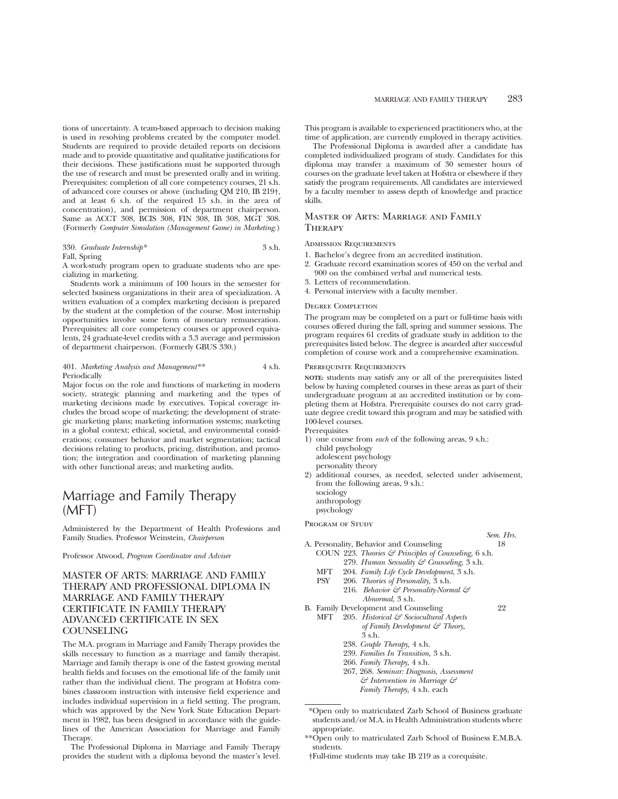tions of uncertainty. A team-based approach to decision making is used in resolving problems created by the computer model. Students are required to provide detailed reports on decisions made and to provide quantitative and qualitative justifications for their decisions. These justifications must be supported through the use of research and must be presented orally and in writing. Prerequisites: completion of all core competency courses, 21 s.h. of advanced core courses or above (including QM 210, IB 219†, and at least 6 s.h. of the required 15 s.h. in the area of concentration), and permission of department chairperson. Same as ACCT 308, BCIS 308, FIN 308, IB 308, MGT 308. (Formerly *Computer Simulation (Management Game) in Marketing.*)

# 330. *Graduate Internship\** 3 s.h.

Fall, Spring

A work-study program open to graduate students who are specializing in marketing.

Students work a minimum of 100 hours in the semester for selected business organizations in their area of specialization. A written evaluation of a complex marketing decision is prepared by the student at the completion of the course. Most internship opportunities involve some form of monetary remuneration. Prerequisites: all core competency courses or approved equivalents, 24 graduate-level credits with a 3.3 average and permission of department chairperson. (Formerly GBUS 330.)

# 401. *Marketing Analysis and Management\*\** 4 s.h. **Periodically**

Major focus on the role and functions of marketing in modern society, strategic planning and marketing and the types of marketing decisions made by executives. Topical coverage includes the broad scope of marketing; the development of strategic marketing plans; marketing information systems; marketing in a global context; ethical, societal, and environmental considerations; consumer behavior and market segmentation; tactical decisions relating to products, pricing, distribution, and promotion; the integration and coordination of marketing planning with other functional areas; and marketing audits.

# Marriage and Family Therapy (MFT)

Administered by the Department of Health Professions and Family Studies. Professor Weinstein, *Chairperson*

Professor Atwood, *Program Coordinator and Adviser*

# MASTER OF ARTS: MARRIAGE AND FAMILY THERAPY AND PROFESSIONAL DIPLOMA IN MARRIAGE AND FAMILY THERAPY CERTIFICATE IN FAMILY THERAPY ADVANCED CERTIFICATE IN SEX COUNSELING

The M.A. program in Marriage and Family Therapy provides the skills necessary to function as a marriage and family therapist. Marriage and family therapy is one of the fastest growing mental health fields and focuses on the emotional life of the family unit rather than the individual client. The program at Hofstra combines classroom instruction with intensive field experience and includes individual supervision in a field setting. The program, which was approved by the New York State Education Department in 1982, has been designed in accordance with the guidelines of the American Association for Marriage and Family Therapy.

The Professional Diploma in Marriage and Family Therapy provides the student with a diploma beyond the master's level. This program is available to experienced practitioners who, at the time of application, are currently employed in therapy activities.

The Professional Diploma is awarded after a candidate has completed individualized program of study. Candidates for this diploma may transfer a maximum of 30 semester hours of courses on the graduate level taken at Hofstra or elsewhere if they satisfy the program requirements. All candidates are interviewed by a faculty member to assess depth of knowledge and practice skills.

# Master of Arts: Marriage and Family **THERAPY**

# Admission Requirements

- 1. Bachelor's degree from an accredited institution.
- 2. Graduate record examination scores of 450 on the verbal and 900 on the combined verbal and numerical tests.
- 3. Letters of recommendation.
- 4. Personal interview with a faculty member.

# Degree Completion

The program may be completed on a part or full-time basis with courses offered during the fall, spring and summer sessions. The program requires 61 credits of graduate study in addition to the prerequisites listed below. The degree is awarded after successful completion of course work and a comprehensive examination.

#### Prerequisite Requirements

**NOTE:** students may satisfy any or all of the prerequisites listed below by having completed courses in these areas as part of their undergraduate program at an accredited institution or by completing them at Hofstra. Prerequisite courses do not carry graduate degree credit toward this program and may be satisfied with 100-level courses.

**Prerequisites** 

- 1) one course from *each* of the following areas, 9 s.h.: child psychology adolescent psychology personality theory 2) additional courses, as needed, selected under advisement,
- from the following areas, 9 s.h.: sociology anthropology

psychology

PROGRAM OF STUDY

- *Sem. Hrs.* A. Personality, Behavior and Counseling 18 COUN 223. *Theories & Principles of Counseling,* 6 s.h. 279. *Human Sexuality & Counseling,* 3 s.h.
	- MFT 204. *Family Life Cycle Development*, 3 s.h.
	- PSY 206. *Theories of Personality,* 3 s.h.
		- 216. *Behavior & Personality-Normal & Abnormal,* 3 s.h.
- B. Family Development and Counseling 22
	- MFT 205. *Historical & Sociocultural Aspects of Family Development & Theory,* 3 s.h.
		- 238. *Couple Therapy,* 4 s.h.
		- 239. *Families In Transition,* 3 s.h.
		- 266. *Family Therapy,* 4 s.h.
		- 267, 268. *Seminar: Diagnosis, Assessment*
		- *& Intervention in Marriage & Family Therapy,* 4 s.h. each

<sup>\*</sup>Open only to matriculated Zarb School of Business graduate students and/or M.A. in Health Administration students where appropriate.

<sup>\*\*</sup>Open only to matriculated Zarb School of Business E.M.B.A. students.

<sup>†</sup>Full-time students may take IB 219 as a corequisite.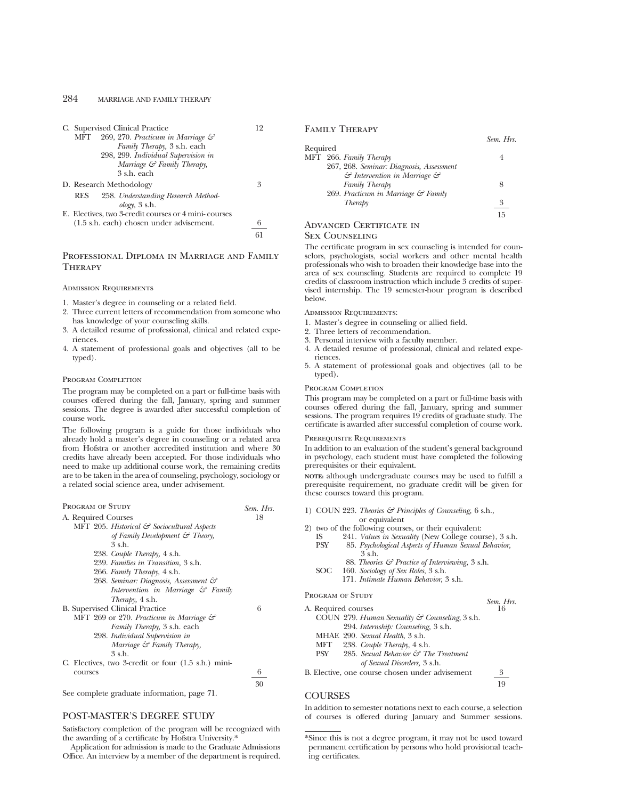| C. Supervised Clinical Practice                      | 19 |
|------------------------------------------------------|----|
| 269, 270. Practicum in Marriage &<br>MFT             |    |
| Family Therapy, 3 s.h. each                          |    |
| 298, 299. Individual Supervision in                  |    |
| Marriage & Family Therapy,                           |    |
| 3 s.h. each                                          |    |
| D. Research Methodology                              | 3  |
| 258. Understanding Research Method-<br>RES           |    |
| $\omega$ logy, 3 s.h.                                |    |
| E. Electives, two 3-credit courses or 4 mini-courses |    |
| $(1.5 \text{ s.h.}$ each) chosen under advisement.   | 6  |
|                                                      |    |

# Professional Diploma in Marriage and Family **THERAPY**

#### Admission Requirements

- 1. Master's degree in counseling or a related field.
- 2. Three current letters of recommendation from someone who has knowledge of your counseling skills.
- 3. A detailed resume of professional, clinical and related experiences.
- 4. A statement of professional goals and objectives (all to be typed).

# PROGRAM COMPLETION

The program may be completed on a part or full-time basis with courses offered during the fall, January, spring and summer sessions. The degree is awarded after successful completion of course work.

The following program is a guide for those individuals who already hold a master's degree in counseling or a related area from Hofstra or another accredited institution and where 30 credits have already been accepted. For those individuals who need to make up additional course work, the remaining credits are to be taken in the area of counseling, psychology, sociology or a related social science area, under advisement.

| PROGRAM OF STUDY                                    | Sem. Hrs. |
|-----------------------------------------------------|-----------|
| A. Required Courses                                 | 18        |
| MFT 205. Historical & Sociocultural Aspects         |           |
| of Family Development $\mathcal{C}$ Theory,         |           |
| $3$ s h                                             |           |
| 238. Couple Therapy, 4 s.h.                         |           |
| 239. Families in Transition, 3 s.h.                 |           |
| 266. Family Therapy, 4 s.h.                         |           |
| 268. Seminar: Diagnosis, Assessment &               |           |
| Intervention in Marriage & Family                   |           |
| Therapy, 4 s.h.                                     |           |
| <b>B.</b> Supervised Clinical Practice              | 6         |
| MFT 269 or 270. Practicum in Marriage $\mathcal{C}$ |           |
| <i>Family Therapy</i> , 3 s.h. each                 |           |
| 298. Individual Supervision in                      |           |
| Marriage $\mathcal G$ Family Therapy,               |           |
| 3 s.h.                                              |           |
| C. Electives, two 3-credit or four (1.5 s.h.) mini- |           |
| courses                                             | 6         |

See complete graduate information, page 71.

# POST-MASTER'S DEGREE STUDY

Satisfactory completion of the program will be recognized with the awarding of a certificate by Hofstra University.\*

Application for admission is made to the Graduate Admissions Office. An interview by a member of the department is required. Family Therapy

| Required |                                                    |    |
|----------|----------------------------------------------------|----|
|          | MFT 266. Family Therapy                            |    |
|          | 267, 268. Seminar: Diagnosis, Assessment           |    |
|          | $\mathcal G$ Intervention in Marriage $\mathcal G$ |    |
|          | Family Therapy                                     | 8  |
|          | 269. Practicum in Marriage & Family                |    |
|          | Therapy                                            | 3  |
|          |                                                    | 15 |
|          |                                                    |    |

*Sem. Hrs.*

# Advanced Certificate in

#### Sex Counseling

The certificate program in sex counseling is intended for counselors, psychologists, social workers and other mental health professionals who wish to broaden their knowledge base into the area of sex counseling. Students are required to complete 19 credits of classroom instruction which include 3 credits of supervised internship. The 19 semester-hour program is described below.

Admission Requirements:

- 1. Master's degree in counseling or allied field.
- 2. Three letters of recommendation.
- 3. Personal interview with a faculty member.
- 4. A detailed resume of professional, clinical and related experiences.
- 5. A statement of professional goals and objectives (all to be typed).

#### Program Completion

This program may be completed on a part or full-time basis with courses offered during the fall, January, spring and summer sessions. The program requires 19 credits of graduate study. The certificate is awarded after successful completion of course work.

### PREREQUISITE REQUIREMENTS

In addition to an evaluation of the student's general background in psychology, each student must have completed the following prerequisites or their equivalent.

**NOTE:** although undergraduate courses may be used to fulfill a prerequisite requirement, no graduate credit will be given for these courses toward this program.

|                     | 1) COUN 223. Theories & Principles of Counseling, 6 s.h.,  |                 |
|---------------------|------------------------------------------------------------|-----------------|
|                     | or equivalent                                              |                 |
|                     | 2) two of the following courses, or their equivalent:      |                 |
| IS-                 | 241. Values in Sexuality (New College course), 3 s.h.      |                 |
| PSY                 | 85. Psychological Aspects of Human Sexual Behavior,        |                 |
|                     | $3$ s.h.                                                   |                 |
|                     | 88. Theories & Practice of Interviewing, 3 s.h.            |                 |
| SOC                 | 160. Sociology of Sex Roles, 3 s.h.                        |                 |
|                     | 171. Intimate Human Behavior, 3 s.h.                       |                 |
| PROGRAM OF STUDY    |                                                            |                 |
|                     |                                                            | Sem. Hrs.<br>16 |
| A. Required courses |                                                            |                 |
|                     | COUN 279. Human Sexuality $\mathcal{C}$ Counseling, 3 s.h. |                 |
|                     | 294. Internship: Counseling, 3 s.h.                        |                 |
|                     | MHAE 290. Sexual Health, 3 s.h.                            |                 |
|                     | MFT 238. Couple Therapy, 4 s.h.                            |                 |
| PSY                 | 285. Sexual Behavior $\mathcal{C}$ The Treatment           |                 |
|                     | of Sexual Disorders, 3 s.h.                                |                 |

B. Elective, one course chosen under advisement 3

19

# **COURSES**

30

In addition to semester notations next to each course, a selection of courses is offered during January and Summer sessions.

<sup>\*</sup>Since this is not a degree program, it may not be used toward permanent certification by persons who hold provisional teaching certificates.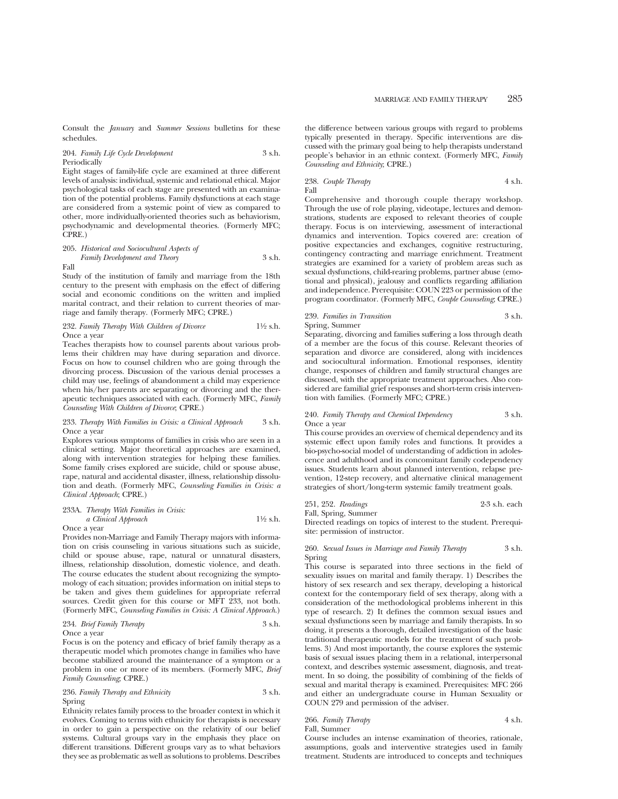Consult the *January* and *Summer Sessions* bulletins for these schedules.

204. *Family Life Cycle Development* 3 s.h. Periodically

Eight stages of family-life cycle are examined at three different levels of analysis: individual, systemic and relational ethical. Major psychological tasks of each stage are presented with an examination of the potential problems. Family dysfunctions at each stage are considered from a systemic point of view as compared to other, more individually-oriented theories such as behaviorism, psychodynamic and developmental theories. (Formerly MFC; CPRE.)

205. *Historical and Sociocultural Aspects of Family Development and Theory* 3 s.h.

Fall

Study of the institution of family and marriage from the 18th century to the present with emphasis on the effect of differing social and economic conditions on the written and implied marital contract, and their relation to current theories of marriage and family therapy. (Formerly MFC; CPRE.)

# 232. *Family Therapy With Children of Divorce* 11⁄2 s.h. Once a year

Teaches therapists how to counsel parents about various problems their children may have during separation and divorce. Focus on how to counsel children who are going through the divorcing process. Discussion of the various denial processes a child may use, feelings of abandonment a child may experience when his/her parents are separating or divorcing and the therapeutic techniques associated with each. (Formerly MFC, *Family Counseling With Children of Divorce*; CPRE.)

## 233. *Therapy With Families in Crisis: a Clinical Approach* 3 s.h. Once a year

Explores various symptoms of families in crisis who are seen in a clinical setting. Major theoretical approaches are examined, along with intervention strategies for helping these families. Some family crises explored are suicide, child or spouse abuse, rape, natural and accidental disaster, illness, relationship dissolution and death. (Formerly MFC, *Counseling Families in Crisis: a Clinical Approach*; CPRE.)

# 233A. *Therapy With Families in Crisis: a Clinical Approach* 11⁄2 s.h.

Once a year

Provides non-Marriage and Family Therapy majors with information on crisis counseling in various situations such as suicide, child or spouse abuse, rape, natural or unnatural disasters, illness, relationship dissolution, domestic violence, and death. The course educates the student about recognizing the symptomology of each situation; provides information on initial steps to be taken and gives them guidelines for appropriate referral sources. Credit given for this course or MFT 233, not both. (Formerly MFC, *Counseling Families in Crisis: A Clinical Approach*.)

# 234. *Brief Family Therapy* 3 s.h. Once a year

Focus is on the potency and efficacy of brief family therapy as a therapeutic model which promotes change in families who have become stabilized around the maintenance of a symptom or a problem in one or more of its members. (Formerly MFC, *Brief Family Counseling*; CPRE.)

236. *Family Therapy and Ethnicity* 3 s.h. Spring

Ethnicity relates family process to the broader context in which it evolves. Coming to terms with ethnicity for therapists is necessary in order to gain a perspective on the relativity of our belief systems. Cultural groups vary in the emphasis they place on different transitions. Different groups vary as to what behaviors they see as problematic as well as solutions to problems. Describes the difference between various groups with regard to problems typically presented in therapy. Specific interventions are discussed with the primary goal being to help therapists understand people's behavior in an ethnic context. (Formerly MFC, *Family Counseling and Ethnicity*; CPRE.)

# 238. *Couple Therapy* 4 s.h. Fall

Comprehensive and thorough couple therapy workshop. Through the use of role playing, videotape, lectures and demonstrations, students are exposed to relevant theories of couple therapy. Focus is on interviewing, assessment of interactional dynamics and intervention. Topics covered are: creation of positive expectancies and exchanges, cognitive restructuring, contingency contracting and marriage enrichment. Treatment strategies are examined for a variety of problem areas such as sexual dysfunctions, child-rearing problems, partner abuse (emotional and physical), jealousy and conflicts regarding affiliation and independence. Prerequisite: COUN 223 or permission of the program coordinator. (Formerly MFC, *Couple Counseling*; CPRE.)

# 239. *Families in Transition* 3 s.h. Spring, Summer

Separating, divorcing and families suffering a loss through death of a member are the focus of this course. Relevant theories of separation and divorce are considered, along with incidences and sociocultural information. Emotional responses, identity change, responses of children and family structural changes are discussed, with the appropriate treatment approaches. Also considered are familial grief responses and short-term crisis intervention with families. (Formerly MFC; CPRE.)

# 240. *Family Therapy and Chemical Dependency* 3 s.h. Once a year

This course provides an overview of chemical dependency and its systemic effect upon family roles and functions. It provides a bio-psycho-social model of understanding of addiction in adolescence and adulthood and its concomitant family codependency issues. Students learn about planned intervention, relapse prevention, 12-step recovery, and alternative clinical management strategies of short/long-term systemic family treatment goals.

251, 252. *Readings* 2-3 s.h. each

Fall, Spring, Summer Directed readings on topics of interest to the student. Prerequisite: permission of instructor.

# 260. *Sexual Issues in Marriage and Family Therapy* 3 s.h. Spring

This course is separated into three sections in the field of sexuality issues on marital and family therapy. 1) Describes the history of sex research and sex therapy, developing a historical context for the contemporary field of sex therapy, along with a consideration of the methodological problems inherent in this type of research. 2) It defines the common sexual issues and sexual dysfunctions seen by marriage and family therapists. In so doing, it presents a thorough, detailed investigation of the basic traditional therapeutic models for the treatment of such problems. 3) And most importantly, the course explores the systemic basis of sexual issues placing them in a relational, interpersonal context, and describes systemic assessment, diagnosis, and treatment. In so doing, the possibility of combining of the fields of sexual and marital therapy is examined. Prerequisites: MFC 266 and either an undergraduate course in Human Sexuality or COUN 279 and permission of the adviser.

266. *Family Therapy* 4 s.h. Fall, Summer

Course includes an intense examination of theories, rationale, assumptions, goals and interventive strategies used in family treatment. Students are introduced to concepts and techniques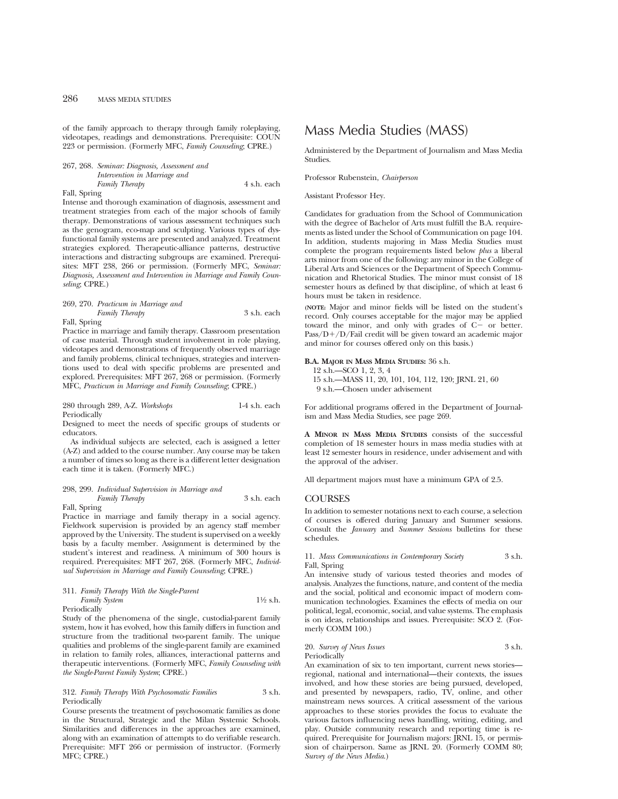of the family approach to therapy through family roleplaying, videotapes, readings and demonstrations. Prerequisite: COUN 223 or permission. (Formerly MFC, *Family Counseling*; CPRE.)

267, 268. *Seminar: Diagnosis, Assessment and Intervention in Marriage and Family Therapy* 4 s.h. each Fall, Spring

Intense and thorough examination of diagnosis, assessment and treatment strategies from each of the major schools of family therapy. Demonstrations of various assessment techniques such as the genogram, eco-map and sculpting. Various types of dysfunctional family systems are presented and analyzed. Treatment strategies explored. Therapeutic-alliance patterns, destructive interactions and distracting subgroups are examined. Prerequisites: MFT 238, 266 or permission. (Formerly MFC, *Seminar: Diagnosis, Assessment and Intervention in Marriage and Family Counseling*; CPRE.)

# 269, 270. *Practicum in Marriage and*

*Family Therapy* 3 s.h. each

Practice in marriage and family therapy. Classroom presentation of case material. Through student involvement in role playing, videotapes and demonstrations of frequently observed marriage and family problems, clinical techniques, strategies and interventions used to deal with specific problems are presented and explored. Prerequisites: MFT 267, 268 or permission. (Formerly MFC, *Practicum in Marriage and Family Counseling*; CPRE.)

280 through 289, A-Z. *Workshops* 1-4 s.h. each Periodically

Designed to meet the needs of specific groups of students or educators.

As individual subjects are selected, each is assigned a letter (A-Z) and added to the course number. Any course may be taken a number of times so long as there is a different letter designation each time it is taken. (Formerly MFC.)

# 298, 299. *Individual Supervision in Marriage and*

*Family Therapy* 3 s.h. each Fall, Spring

Fall, Spring

Practice in marriage and family therapy in a social agency. Fieldwork supervision is provided by an agency staff member approved by the University. The student is supervised on a weekly basis by a faculty member. Assignment is determined by the student's interest and readiness. A minimum of 300 hours is required. Prerequisites: MFT 267, 268. (Formerly MFC, *Individual Supervision in Marriage and Family Counseling*; CPRE.)

# 311. *Family Therapy With the Single-Parent Family System* 1<sup>1/2</sup> s.h.

Periodically

Study of the phenomena of the single, custodial-parent family system, how it has evolved, how this family differs in function and structure from the traditional two-parent family. The unique qualities and problems of the single-parent family are examined in relation to family roles, alliances, interactional patterns and therapeutic interventions. (Formerly MFC, *Family Counseling with the Single-Parent Family System*; CPRE.)

### 312. *Family Therapy With Psychosomatic Families* 3 s.h. Periodically

Course presents the treatment of psychosomatic families as done in the Structural, Strategic and the Milan Systemic Schools. Similarities and differences in the approaches are examined, along with an examination of attempts to do verifiable research. Prerequisite: MFT 266 or permission of instructor. (Formerly MFC; CPRE.)

# Mass Media Studies (MASS)

Administered by the Department of Journalism and Mass Media **Studies** 

Professor Rubenstein, *Chairperson*

Assistant Professor Hey.

Candidates for graduation from the School of Communication with the degree of Bachelor of Arts must fulfill the B.A. requirements as listed under the School of Communication on page 104. In addition, students majoring in Mass Media Studies must complete the program requirements listed below *plus* a liberal arts minor from one of the following: any minor in the College of Liberal Arts and Sciences or the Department of Speech Communication and Rhetorical Studies. The minor must consist of 18 semester hours as defined by that discipline, of which at least 6 hours must be taken in residence.

**(NOTE:** Major and minor fields will be listed on the student's record. Only courses acceptable for the major may be applied toward the minor, and only with grades of  $C<sup>2</sup>$  or better.  $Pass/D+/D/Fail credit will be given toward an academic major$ and minor for courses offered only on this basis.)

# **B.A. MAJOR IN MASS MEDIA STUDIES:** 36 s.h.

- 12 s.h.—SCO 1, 2, 3, 4
- 15 s.h.—MASS 11, 20, 101, 104, 112, 120; JRNL 21, 60
- 9 s.h.—Chosen under advisement

For additional programs offered in the Department of Journalism and Mass Media Studies, see page 269.

**A MINOR IN MASS MEDIA STUDIES** consists of the successful completion of 18 semester hours in mass media studies with at least 12 semester hours in residence, under advisement and with the approval of the adviser.

All department majors must have a minimum GPA of 2.5.

# **COURSES**

In addition to semester notations next to each course, a selection of courses is offered during January and Summer sessions. Consult the *January* and *Summer Sessions* bulletins for these schedules.

# 11. *Mass Communications in Contemporary Society* 3 s.h. Fall, Spring

An intensive study of various tested theories and modes of analysis. Analyzes the functions, nature, and content of the media and the social, political and economic impact of modern communication technologies. Examines the effects of media on our political, legal, economic, social, and value systems. The emphasis is on ideas, relationships and issues. Prerequisite: SCO 2. (Formerly COMM 100.)

20. *Survey of News Issues* 3 s.h. Periodically

An examination of six to ten important, current news stories regional, national and international—their contexts, the issues involved, and how these stories are being pursued, developed, and presented by newspapers, radio, TV, online, and other mainstream news sources. A critical assessment of the various approaches to these stories provides the focus to evaluate the various factors influencing news handling, writing, editing, and play. Outside community research and reporting time is required. Prerequisite for Journalism majors: JRNL 15, or permission of chairperson. Same as JRNL 20. (Formerly COMM 80; *Survey of the News Media*.)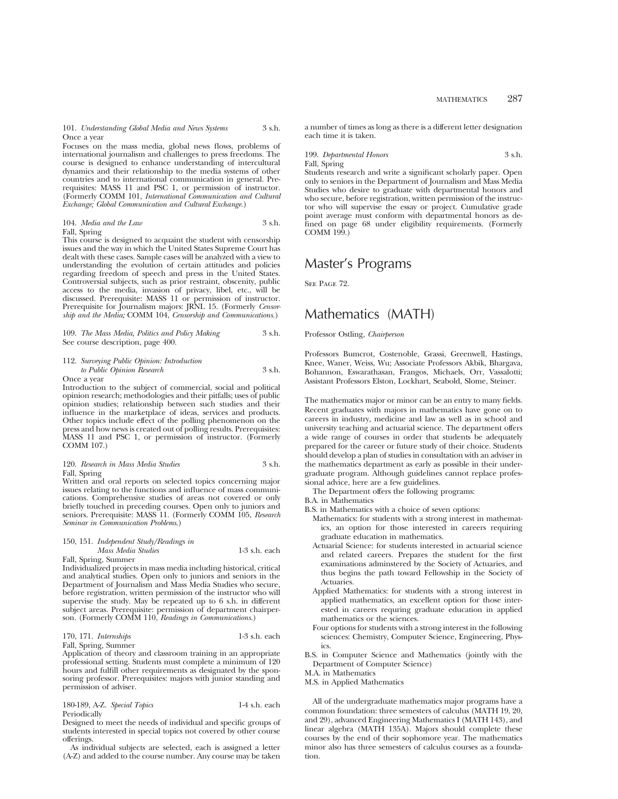101. *Understanding Global Media and News Systems* 3 s.h. Once a year

Focuses on the mass media, global news flows, problems of international journalism and challenges to press freedoms. The course is designed to enhance understanding of intercultural dynamics and their relationship to the media systems of other countries and to international communication in general. Prerequisites: MASS 11 and PSC 1, or permission of instructor. (Formerly COMM 101, *International Communication and Cultural Exchange; Global Communication and Cultural Exchange.*)

104. *Media and the Law* 3 s.h. Fall, Spring

This course is designed to acquaint the student with censorship issues and the way in which the United States Supreme Court has dealt with these cases. Sample cases will be analyzed with a view to understanding the evolution of certain attitudes and policies regarding freedom of speech and press in the United States. Controversial subjects, such as prior restraint, obscenity, public access to the media, invasion of privacy, libel, etc., will be discussed. Prerequisite: MASS 11 or permission of instructor. Prerequisite for Journalism majors: JRNL 15. (Formerly *Censorship and the Media;* COMM 104, *Censorship and Communications.*)

109. *The Mass Media, Politics and Policy Making* 3 s.h. See course description, page 400.

| 112. Surveying Public Opinion: Introduction |        |
|---------------------------------------------|--------|
| to Public Opinion Research                  | 3 s.h. |

Once a year

Introduction to the subject of commercial, social and political opinion research; methodologies and their pitfalls; uses of public opinion studies; relationship between such studies and their influence in the marketplace of ideas, services and products. Other topics include effect of the polling phenomenon on the press and how news is created out of polling results. Prerequisites: MASS 11 and PSC 1, or permission of instructor. (Formerly COMM 107.)

# 120. *Research in Mass Media Studies* 3 s.h. Fall, Spring

Written and oral reports on selected topics concerning major issues relating to the functions and influence of mass communications. Comprehensive studies of areas not covered or only briefly touched in preceding courses. Open only to juniors and seniors. Prerequisite: MASS 11. (Formerly COMM 105, *Research Seminar in Communication Problems*.)

#### 150, 151. *Independent Study/Readings in Mass Media Studies* 1-3 s.h. each

Fall, Spring, Summer Individualized projects in mass media including historical, critical and analytical studies. Open only to juniors and seniors in the Department of Journalism and Mass Media Studies who secure, before registration, written permission of the instructor who will supervise the study. May be repeated up to 6 s.h. in different subject areas. Prerequisite: permission of department chairperson. (Formerly COMM 110, *Readings in Communications.*)

# 170, 171. *Internships* 1-3 s.h. each

Fall, Spring, Summer

Application of theory and classroom training in an appropriate professional setting. Students must complete a minimum of 120 hours and fulfill other requirements as designated by the sponsoring professor. Prerequisites: majors with junior standing and permission of adviser.

180-189, A-Z. *Special Topics* 1-4 s.h. each Periodically

Designed to meet the needs of individual and specific groups of students interested in special topics not covered by other course offerings.

As individual subjects are selected, each is assigned a letter (A-Z) and added to the course number. Any course may be taken a number of times as long as there is a different letter designation each time it is taken.

199. *Departmental Honors* 3 s.h. Fall, Spring

Students research and write a significant scholarly paper. Open only to seniors in the Department of Journalism and Mass Media Studies who desire to graduate with departmental honors and who secure, before registration, written permission of the instructor who will supervise the essay or project. Cumulative grade point average must conform with departmental honors as defined on page 68 under eligibility requirements. (Formerly COMM 199.)

# Master's Programs

SEE PAGE 72.

# Mathematics (MATH)

# Professor Ostling, *Chairperson*

Professors Bumcrot, Costenoble, Grassi, Greenwell, Hastings, Knee, Waner, Weiss, Wu; Associate Professors Akbik, Bhargava, Bohannon, Eswarathasan, Frangos, Michaels, Orr, Vassalotti; Assistant Professors Elston, Lockhart, Seabold, Slome, Steiner.

The mathematics major or minor can be an entry to many fields. Recent graduates with majors in mathematics have gone on to careers in industry, medicine and law as well as in school and university teaching and actuarial science. The department offers a wide range of courses in order that students be adequately prepared for the career or future study of their choice. Students should develop a plan of studies in consultation with an adviser in the mathematics department as early as possible in their undergraduate program. Although guidelines cannot replace professional advice, here are a few guidelines.

The Department offers the following programs:

- B.A. in Mathematics
- B.S. in Mathematics with a choice of seven options:
	- Mathematics: for students with a strong interest in mathematics, an option for those interested in careers requiring graduate education in mathematics.
	- Actuarial Science: for students interested in actuarial science and related careers. Prepares the student for the first examinations adminstered by the Society of Actuaries, and thus begins the path toward Fellowship in the Society of Actuaries.
	- Applied Mathematics: for students with a strong interest in applied mathematics, an excellent option for those interested in careers requring graduate education in applied mathematics or the sciences.
	- Four options for students with a strong interest in the following sciences: Chemistry, Computer Science, Engineering, Physics.
- B.S. in Computer Science and Mathematics (jointly with the Department of Computer Science)

M.A. in Mathematics

M.S. in Applied Mathematics

All of the undergraduate mathematics major programs have a common foundation: three semesters of calculus (MATH 19, 20, and 29), advanced Engineering Mathematics I (MATH 143), and linear algebra (MATH 135A). Majors should complete these courses by the end of their sophomore year. The mathematics minor also has three semesters of calculus courses as a foundation.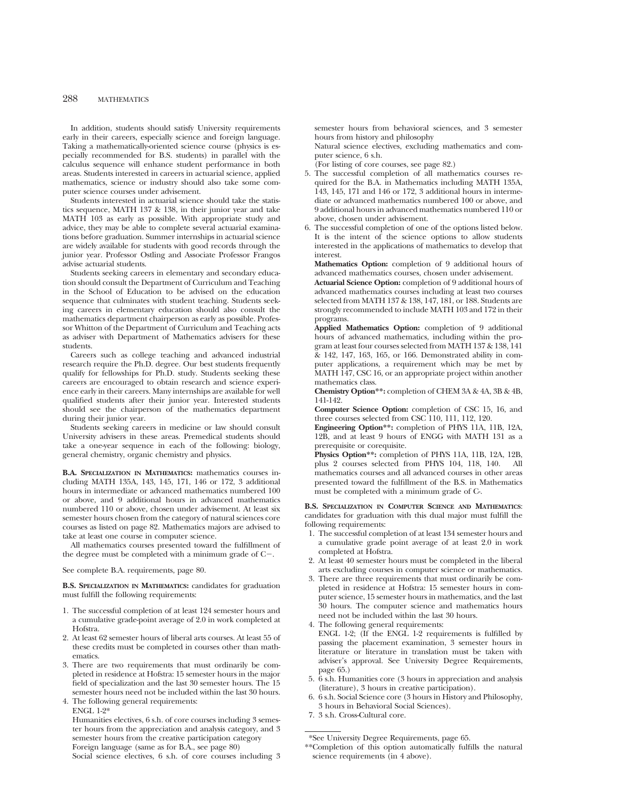In addition, students should satisfy University requirements early in their careers, especially science and foreign language. Taking a mathematically-oriented science course (physics is especially recommended for B.S. students) in parallel with the calculus sequence will enhance student performance in both areas. Students interested in careers in actuarial science, applied mathematics, science or industry should also take some computer science courses under advisement.

Students interested in actuarial science should take the statistics sequence, MATH 137 & 138, in their junior year and take MATH 103 as early as possible. With appropriate study and advice, they may be able to complete several actuarial examinations before graduation. Summer internships in actuarial science are widely available for students with good records through the junior year. Professor Ostling and Associate Professor Frangos advise actuarial students.

Students seeking careers in elementary and secondary education should consult the Department of Curriculum and Teaching in the School of Education to be advised on the education sequence that culminates with student teaching. Students seeking careers in elementary education should also consult the mathematics department chairperson as early as possible. Professor Whitton of the Department of Curriculum and Teaching acts as adviser with Department of Mathematics advisers for these students.

Careers such as college teaching and advanced industrial research require the Ph.D. degree. Our best students frequently qualify for fellowships for Ph.D. study. Students seeking these careers are encouraged to obtain research and science experience early in their careers. Many internships are available for well qualified students after their junior year. Interested students should see the chairperson of the mathematics department during their junior year.

Students seeking careers in medicine or law should consult University advisers in these areas. Premedical students should take a one-year sequence in each of the following: biology, general chemistry, organic chemistry and physics.

**B.A. SPECIALIZATION IN MATHEMATICS:** mathematics courses including MATH 135A, 143, 145, 171, 146 or 172, 3 additional hours in intermediate or advanced mathematics numbered 100 or above, and 9 additional hours in advanced mathematics numbered 110 or above, chosen under advisement. At least six semester hours chosen from the category of natural sciences core courses as listed on page 82. Mathematics majors are advised to take at least one course in computer science.

All mathematics courses presented toward the fulfillment of the degree must be completed with a minimum grade of  $C-$ .

See complete B.A. requirements, page 80.

**B.S. SPECIALIZATION IN MATHEMATICS:** candidates for graduation must fulfill the following requirements:

- 1. The successful completion of at least 124 semester hours and a cumulative grade-point average of 2.0 in work completed at Hofstra.
- 2. At least 62 semester hours of liberal arts courses. At least 55 of these credits must be completed in courses other than mathematics.
- 3. There are two requirements that must ordinarily be completed in residence at Hofstra: 15 semester hours in the major field of specialization and the last 30 semester hours. The 15 semester hours need not be included within the last 30 hours.
- 4. The following general requirements: ENGL 1-2\*

Humanities electives, 6 s.h. of core courses including 3 semester hours from the appreciation and analysis category, and 3 semester hours from the creative participation category Foreign language (same as for B.A., see page 80) Social science electives, 6 s.h. of core courses including 3 semester hours from behavioral sciences, and 3 semester hours from history and philosophy

Natural science electives, excluding mathematics and computer science, 6 s.h.

(For listing of core courses, see page 82.)

- 5. The successful completion of all mathematics courses required for the B.A. in Mathematics including MATH 135A, 143, 145, 171 and 146 or 172, 3 additional hours in intermediate or advanced mathematics numbered 100 or above, and 9 additional hours in advanced mathematics numbered 110 or above, chosen under advisement.
- 6. The successful completion of one of the options listed below. It is the intent of the science options to allow students interested in the applications of mathematics to develop that interest.

**Mathematics Option:** completion of 9 additional hours of advanced mathematics courses, chosen under advisement.

**Actuarial Science Option:** completion of 9 additional hours of advanced mathematics courses including at least two courses selected from MATH 137 & 138, 147, 181, or 188. Students are strongly recommended to include MATH 103 and 172 in their programs.

**Applied Mathematics Option:** completion of 9 additional hours of advanced mathematics, including within the program at least four courses selected from MATH 137 & 138, 141 & 142, 147, 163, 165, or 166. Demonstrated ability in computer applications, a requirement which may be met by MATH 147, CSC 16, or an appropriate project within another mathematics class.

**Chemistry Option\*\*:** completion of CHEM 3A & 4A, 3B & 4B, 141-142.

**Computer Science Option:** completion of CSC 15, 16, and three courses selected from CSC 110, 111, 112, 120.

**Engineering Option\*\*:** completion of PHYS 11A, 11B, 12A, 12B, and at least 9 hours of ENGG with MATH 131 as a prerequisite or corequisite.

**Physics Option\*\*:** completion of PHYS 11A, 11B, 12A, 12B, plus 2 courses selected from PHYS 104, 118, 140. All mathematics courses and all advanced courses in other areas presented toward the fulfillment of the B.S. in Mathematics must be completed with a minimum grade of C-.

**B.S. SPECIALIZATION IN COMPUTER SCIENCE AND MATHEMATICS**: candidates for graduation with this dual major must fulfill the following requirements:

- 1. The successful completion of at least 134 semester hours and a cumulative grade point average of at least 2.0 in work completed at Hofstra.
- 2. At least 40 semester hours must be completed in the liberal arts excluding courses in computer science or mathematics.
- 3. There are three requirements that must ordinarily be completed in residence at Hofstra: 15 semester hours in computer science, 15 semester hours in mathematics, and the last 30 hours. The computer science and mathematics hours need not be included within the last 30 hours.
- 4. The following general requirements:
- ENGL 1-2; (If the ENGL 1-2 requirements is fulfilled by passing the placement examination, 3 semester hours in literature or literature in translation must be taken with adviser's approval. See University Degree Requirements, page 65.)
- 5. 6 s.h. Humanities core (3 hours in appreciation and analysis (literature), 3 hours in creative participation).
- 6. 6 s.h. Social Science core (3 hours in History and Philosophy, 3 hours in Behavioral Social Sciences).
- 7. 3 s.h. Cross-Cultural core.

<sup>\*</sup>See University Degree Requirements, page 65.

<sup>\*\*</sup>Completion of this option automatically fulfills the natural science requirements (in 4 above).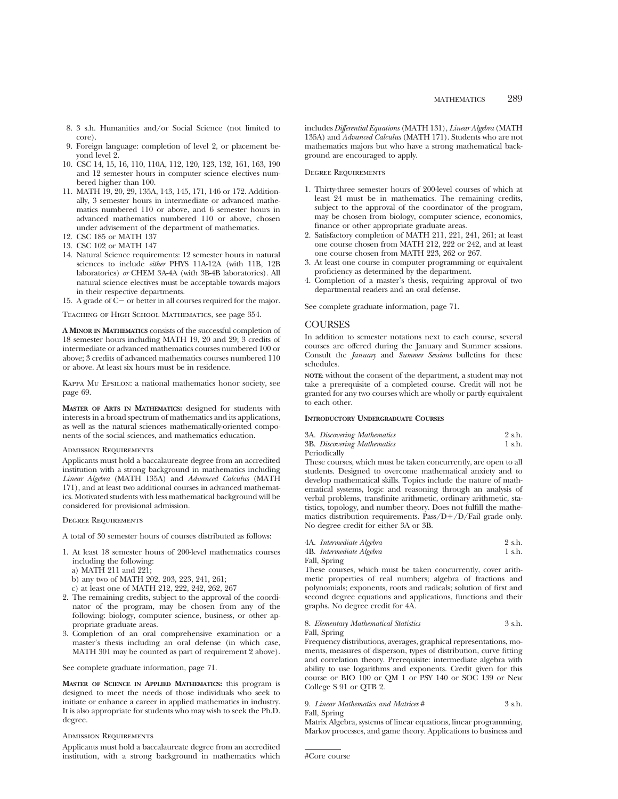- 8. 3 s.h. Humanities and/or Social Science (not limited to core).
- 9. Foreign language: completion of level 2, or placement beyond level 2.
- 10. CSC 14, 15, 16, 110, 110A, 112, 120, 123, 132, 161, 163, 190 and 12 semester hours in computer science electives numbered higher than 100.
- 11. MATH 19, 20, 29, 135A, 143, 145, 171, 146 or 172. Additionally, 3 semester hours in intermediate or advanced mathematics numbered 110 or above, and 6 semester hours in advanced mathematics numbered 110 or above, chosen under advisement of the department of mathematics.
- 12. CSC 185 or MATH 137
- 13. CSC 102 or MATH 147
- 14. Natural Science requirements: 12 semester hours in natural sciences to include *either* PHYS 11A-12A (with 11B, 12B laboratories) *or* CHEM 3A-4A (with 3B-4B laboratories). All natural science electives must be acceptable towards majors in their respective departments.
- 15. A grade of  $C-$  or better in all courses required for the major.

Teaching of High School Mathematics, see page 354.

**A MINOR IN MATHEMATICS** consists of the successful completion of 18 semester hours including MATH 19, 20 and 29; 3 credits of intermediate or advanced mathematics courses numbered 100 or above; 3 credits of advanced mathematics courses numbered 110 or above. At least six hours must be in residence.

Kappa Mu Epsilon: a national mathematics honor society, see page 69.

**MASTER OF ARTS IN MATHEMATICS:** designed for students with interests in a broad spectrum of mathematics and its applications, as well as the natural sciences mathematically-oriented components of the social sciences, and mathematics education.

# Admission Requirements

Applicants must hold a baccalaureate degree from an accredited institution with a strong background in mathematics including *Linear Algebra* (MATH 135A) and *Advanced Calculus* (MATH 171), and at least two additional courses in advanced mathematics. Motivated students with less mathematical background will be considered for provisional admission.

Degree Requirements

A total of 30 semester hours of courses distributed as follows:

- 1. At least 18 semester hours of 200-level mathematics courses including the following:
	- a) MATH 211 and 221;
	- b) any two of MATH 202, 203, 223, 241, 261;
	- c) at least one of MATH 212, 222, 242, 262, 267
- 2. The remaining credits, subject to the approval of the coordinator of the program, may be chosen from any of the following: biology, computer science, business, or other appropriate graduate areas.
- 3. Completion of an oral comprehensive examination or a master's thesis including an oral defense (in which case, MATH 301 may be counted as part of requirement 2 above).

See complete graduate information, page 71.

**MASTER OF SCIENCE IN APPLIED MATHEMATICS:** this program is designed to meet the needs of those individuals who seek to initiate or enhance a career in applied mathematics in industry. It is also appropriate for students who may wish to seek the Ph.D. degree.

# ADMISSION REQUIREMENTS

Applicants must hold a baccalaureate degree from an accredited institution, with a strong background in mathematics which includes *Differential Equations* (MATH 131), *Linear Algebra* (MATH 135A) and *Advanced Calculus* (MATH 171). Students who are not mathematics majors but who have a strong mathematical background are encouraged to apply.

# Degree Requirements

- 1. Thirty-three semester hours of 200-level courses of which at least 24 must be in mathematics. The remaining credits, subject to the approval of the coordinator of the program, may be chosen from biology, computer science, economics, finance or other appropriate graduate areas.
- 2. Satisfactory completion of MATH 211, 221, 241, 261; at least one course chosen from MATH 212, 222 or 242, and at least one course chosen from MATH 223, 262 or 267.
- 3. At least one course in computer programming or equivalent proficiency as determined by the department.
- 4. Completion of a master's thesis, requiring approval of two departmental readers and an oral defense.

See complete graduate information, page 71.

# **COURSES**

In addition to semester notations next to each course, several courses are offered during the January and Summer sessions. Consult the *January* and *Summer Sessions* bulletins for these schedules.

**NOTE**: without the consent of the department, a student may not take a prerequisite of a completed course. Credit will not be granted for any two courses which are wholly or partly equivalent to each other.

# **INTRODUCTORY UNDERGRADUATE COURSES**

|     | 3A. Discovering Mathematics |  |  |  | 2 s.h. |  |
|-----|-----------------------------|--|--|--|--------|--|
| --- |                             |  |  |  |        |  |

| 3B. Discovering Mathematics | 1 s.h. |
|-----------------------------|--------|
| Periodically                |        |

These courses, which must be taken concurrently, are open to all students. Designed to overcome mathematical anxiety and to develop mathematical skills. Topics include the nature of mathematical systems, logic and reasoning through an analysis of verbal problems, transfinite arithmetic, ordinary arithmetic, statistics, topology, and number theory. Does not fulfill the mathematics distribution requirements. Pass/ $D+/D/Fail$  grade only. No degree credit for either 3A or 3B.

| 4A. Intermediate Algebra | 2 s.h. |  |
|--------------------------|--------|--|
|                          |        |  |

|      | 4B. Intermediate Algebra | 1 s.h. |
|------|--------------------------|--------|
| ____ |                          |        |

Fall, Spring

These courses, which must be taken concurrently, cover arithmetic properties of real numbers; algebra of fractions and polynomials; exponents, roots and radicals; solution of first and second degree equations and applications, functions and their graphs. No degree credit for 4A.

### 8. *Elementary Mathematical Statistics* 3 s.h. Fall, Spring

Frequency distributions, averages, graphical representations, moments, measures of disperson, types of distribution, curve fitting and correlation theory. Prerequisite: intermediate algebra with ability to use logarithms and exponents. Credit given for this course or BIO 100 or QM 1 or PSY 140 or SOC 139 or New College S 91 or QTB 2.

# 9. *Linear Mathematics and Matrices* # 3 s.h.

Fall, Spring

Matrix Algebra, systems of linear equations, linear programming, Markov processes, and game theory. Applications to business and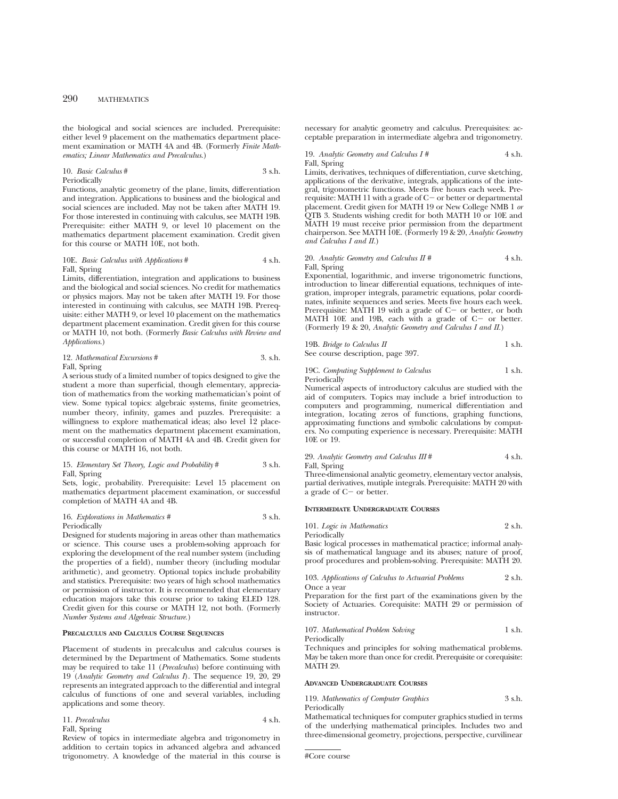the biological and social sciences are included. Prerequisite: either level 9 placement on the mathematics department placement examination or MATH 4A and 4B. (Formerly *Finite Mathematics; Linear Mathematics and Precalculus*.)

# 10. *Basic Calculus* # 3 s.h. Periodically

Functions, analytic geometry of the plane, limits, differentiation and integration. Applications to business and the biological and social sciences are included. May not be taken after MATH 19. For those interested in continuing with calculus, see MATH 19B. Prerequisite: either MATH 9, or level 10 placement on the mathematics department placement examination. Credit given for this course or MATH 10E, not both.

# 10E. *Basic Calculus with Applications* # 4 s.h. Fall, Spring

Limits, differentiation, integration and applications to business and the biological and social sciences. No credit for mathematics or physics majors. May not be taken after MATH 19. For those interested in continuing with calculus, see MATH 19B. Prerequisite: either MATH 9, or level 10 placement on the mathematics department placement examination. Credit given for this course or MATH 10, not both. (Formerly *Basic Calculus with Review and Applications*.)

# 12. *Mathematical Excursions* # 3. s.h. Fall, Spring

A serious study of a limited number of topics designed to give the student a more than superficial, though elementary, appreciation of mathematics from the working mathematician's point of view. Some typical topics: algebraic systems, finite geometries, number theory, infinity, games and puzzles. Prerequisite: a willingness to explore mathematical ideas; also level 12 placement on the mathematics department placement examination, or successful completion of MATH 4A and 4B. Credit given for this course or MATH 16, not both.

# 15. *Elementary Set Theory, Logic and Probability* # 3 s.h. Fall, Spring

Sets, logic, probability. Prerequisite: Level 15 placement on mathematics department placement examination, or successful completion of MATH 4A and 4B.

#### 16. *Explorations in Mathematics* # 3 s.h. Periodically

Designed for students majoring in areas other than mathematics or science. This course uses a problem-solving approach for exploring the development of the real number system (including the properties of a field), number theory (including modular arithmetic), and geometry. Optional topics include probability and statistics. Prerequisite: two years of high school mathematics or permission of instructor. It is recommended that elementary education majors take this course prior to taking ELED 128. Credit given for this course or MATH 12, not both. (Formerly *Number Systems and Algebraic Structure.*)

# **PRECALCULUS AND CALCULUS COURSE SEQUENCES**

Placement of students in precalculus and calculus courses is determined by the Department of Mathematics. Some students may be required to take 11 (*Precalculus*) before continuing with 19 (*Analytic Geometry and Calculus I*). The sequence 19, 20, 29 represents an integrated approach to the differential and integral calculus of functions of one and several variables, including applications and some theory.

11. *Precalculus* 4 s.h. Fall, Spring

Review of topics in intermediate algebra and trigonometry in addition to certain topics in advanced algebra and advanced trigonometry. A knowledge of the material in this course is necessary for analytic geometry and calculus. Prerequisites: acceptable preparation in intermediate algebra and trigonometry.

19. *Analytic Geometry and Calculus I #* 4 s.h. Fall, Spring

Limits, derivatives, techniques of differentiation, curve sketching, applications of the derivative, integrals, applications of the integral, trigonometric functions. Meets five hours each week. Prerequisite: MATH 11 with a grade of  $C-$  or better or departmental placement. Credit given for MATH 19 or New College NMB 1 *or* QTB 3. Students wishing credit for both MATH 10 or 10E and MATH 19 must receive prior permission from the department chairperson. See MATH 10E. (Formerly 19 & 20, *Analytic Geometry and Calculus I and II.*)

# 20. *Analytic Geometry and Calculus II* #  $4 \text{ s.h.}$ Fall, Spring

Exponential, logarithmic, and inverse trigonometric functions, introduction to linear differential equations, techniques of integration, improper integrals, parametric equations, polar coordinates, infinite sequences and series. Meets five hours each week. Prerequisite: MATH 19 with a grade of  $C-$  or better, or both MATH 10E and 19B, each with a grade of  $C-$  or better. (Formerly 19 & 20, *Analytic Geometry and Calculus I and II.*)

| 19B. Bridge to Calculus II        | 1 s.h. |
|-----------------------------------|--------|
| See course description, page 397. |        |

#### 19C. *Computing Supplement to Calculus* 1 s.h. Periodically

Numerical aspects of introductory calculus are studied with the aid of computers. Topics may include a brief introduction to computers and programming, numerical differentiation and integration, locating zeros of functions, graphing functions, approximating functions and symbolic calculations by computers. No computing experience is necessary. Prerequisite: MATH 10E or 19.

29. *Analytic Geometry and Calculus III* # 4 s.h.

Fall, Spring

Three-dimensional analytic geometry, elementary vector analysis, partial derivatives, mutiple integrals. Prerequisite: MATH 20 with a grade of  $C-$  or better.

### **INTERMEDIATE UNDERGRADUATE COURSES**

| 101. Logic in Mathematics | 2 s.h. |
|---------------------------|--------|
| Periodically              |        |

Basic logical processes in mathematical practice; informal analysis of mathematical language and its abuses; nature of proof, proof procedures and problem-solving. Prerequisite: MATH 20.

103. *Applications of Calculus to Actuarial Problems* 2 s.h. Once a year

Preparation for the first part of the examinations given by the Society of Actuaries. Corequisite: MATH 29 or permission of instructor.

107. *Mathematical Problem Solving* 1 s.h. Periodically

Techniques and principles for solving mathematical problems. May be taken more than once for credit. Prerequisite or corequisite: MATH 29.

#### **ADVANCED UNDERGRADUATE COURSES**

| 119. Mathematics of Computer Graphics | 3 s.h. |
|---------------------------------------|--------|
| Periodically                          |        |

Mathematical techniques for computer graphics studied in terms of the underlying mathematical principles. Includes two and three-dimensional geometry, projections, perspective, curvilinear

```
#Core course
```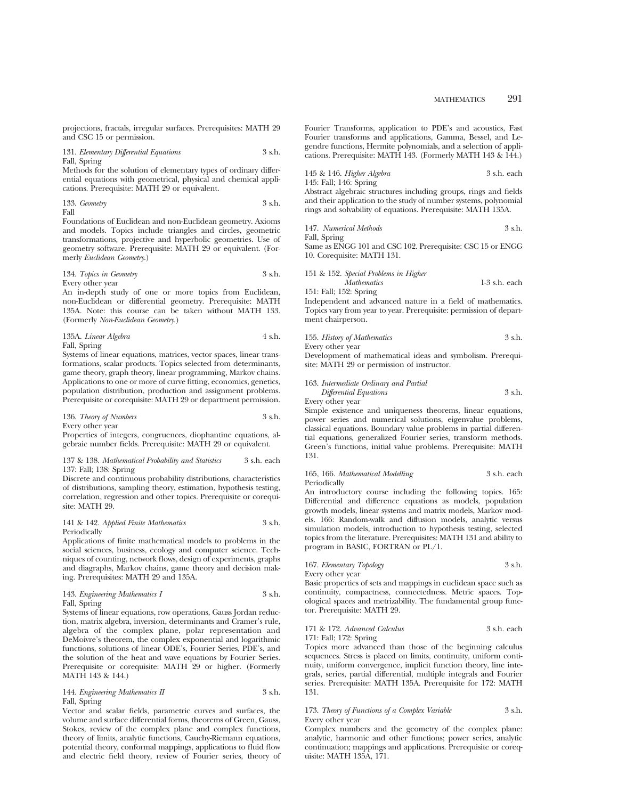projections, fractals, irregular surfaces. Prerequisites: MATH 29 and CSC 15 or permission.

131. *Elementary Differential Equations* 3 s.h. Fall, Spring

Methods for the solution of elementary types of ordinary differential equations with geometrical, physical and chemical applications. Prerequisite: MATH 29 or equivalent.

133. *Geometry* 3 s.h. Fall

Foundations of Euclidean and non-Euclidean geometry. Axioms and models. Topics include triangles and circles, geometric transformations, projective and hyperbolic geometries. Use of geometry software. Prerequisite: MATH 29 or equivalent. (Formerly *Euclidean Geometry*.)

# 134. *Topics in Geometry* 3 s.h.

Every other year

An in-depth study of one or more topics from Euclidean, non-Euclidean or differential geometry. Prerequisite: MATH 135A. Note: this course can be taken without MATH 133. (Formerly *Non-Euclidean Geometry*.)

| 135A. Linear Algebra | 4 s.h. |
|----------------------|--------|
| Fall, Spring         |        |

Systems of linear equations, matrices, vector spaces, linear transformations, scalar products. Topics selected from determinants, game theory, graph theory, linear programming, Markov chains. Applications to one or more of curve fitting, economics, genetics, population distribution, production and assignment problems. Prerequisite or corequisite: MATH 29 or department permission.

136. *Theory of Numbers* 3 s.h. Every other year

Properties of integers, congruences, diophantine equations, algebraic number fields. Prerequisite: MATH 29 or equivalent.

# 137 & 138. *Mathematical Probability and Statistics* 3 s.h. each 137: Fall; 138: Spring

Discrete and continuous probability distributions, characteristics of distributions, sampling theory, estimation, hypothesis testing, correlation, regression and other topics. Prerequisite or corequisite: MATH 29.

## 141 & 142. *Applied Finite Mathematics* 3 s.h. Periodically

Applications of finite mathematical models to problems in the social sciences, business, ecology and computer science. Techniques of counting, network flows, design of experiments, graphs and diagraphs, Markov chains, game theory and decision making. Prerequisites: MATH 29 and 135A.

### 143. *Engineering Mathematics I* 3 s.h. Fall, Spring

Systems of linear equations, row operations, Gauss Jordan reduction, matrix algebra, inversion, determinants and Cramer's rule, algebra of the complex plane, polar representation and DeMoivre's theorem, the complex exponential and logarithmic functions, solutions of linear ODE's, Fourier Series, PDE's, and the solution of the heat and wave equations by Fourier Series. Prerequisite or corequisite: MATH 29 or higher. (Formerly MATH 143 & 144.)

# 144. *Engineering Mathematics II* 3 s.h. Fall, Spring

Vector and scalar fields, parametric curves and surfaces, the volume and surface differential forms, theorems of Green, Gauss, Stokes, review of the complex plane and complex functions, theory of limits, analytic functions, Cauchy-Riemann equations, potential theory, conformal mappings, applications to fluid flow and electric field theory, review of Fourier series, theory of Fourier Transforms, application to PDE's and acoustics, Fast Fourier transforms and applications, Gamma, Bessel, and Legendre functions, Hermite polynomials, and a selection of applications. Prerequisite: MATH 143. (Formerly MATH 143 & 144.)

145 & 146. *Higher Algebra* 3 s.h. each 145: Fall; 146: Spring

Abstract algebraic structures including groups, rings and fields and their application to the study of number systems, polynomial rings and solvability of equations. Prerequisite: MATH 135A.

147. *Numerical Methods* 3 s.h.

Fall, Spring

Same as ENGG 101 and CSC 102. Prerequisite: CSC 15 or ENGG 10. Corequisite: MATH 131.

151 & 152. *Special Problems in Higher*

*Mathematics* 1-3 s.h. each 151: Fall; 152: Spring

Independent and advanced nature in a field of mathematics. Topics vary from year to year. Prerequisite: permission of department chairperson.

155. *History of Mathematics* 3 s.h. Every other year

Development of mathematical ideas and symbolism. Prerequisite: MATH 29 or permission of instructor.

163. *Intermediate Ordinary and Partial Differential Equations* 3 s.h. Every other year

Simple existence and uniqueness theorems, linear equations, power series and numerical solutions, eigenvalue problems, classical equations. Boundary value problems in partial differential equations, generalized Fourier series, transform methods. Green's functions, initial value problems. Prerequisite: MATH 131.

### 165, 166. *Mathematical Modelling* 3 s.h. each Periodically

An introductory course including the following topics. 165: Differential and difference equations as models, population growth models, linear systems and matrix models, Markov models. 166: Random-walk and diffusion models, analytic versus simulation models, introduction to hypothesis testing, selected topics from the literature. Prerequisites: MATH 131 and ability to program in BASIC, FORTRAN or PL/1.

167. *Elementary Topology* 3 s.h. Every other year

Basic properties of sets and mappings in euclidean space such as continuity, compactness, connectedness. Metric spaces. Topological spaces and metrizability. The fundamental group functor. Prerequisite: MATH 29.

# 171 & 172. *Advanced Calculus* 3 s.h. each 171: Fall; 172: Spring

Topics more advanced than those of the beginning calculus sequences. Stress is placed on limits, continuity, uniform continuity, uniform convergence, implicit function theory, line integrals, series, partial differential, multiple integrals and Fourier series. Prerequisite: MATH 135A. Prerequisite for 172: MATH 131.

# 173. *Theory of Functions of a Complex Variable* 3 s.h. Every other year

Complex numbers and the geometry of the complex plane: analytic, harmonic and other functions; power series, analytic continuation; mappings and applications. Prerequisite or corequisite: MATH 135A, 171.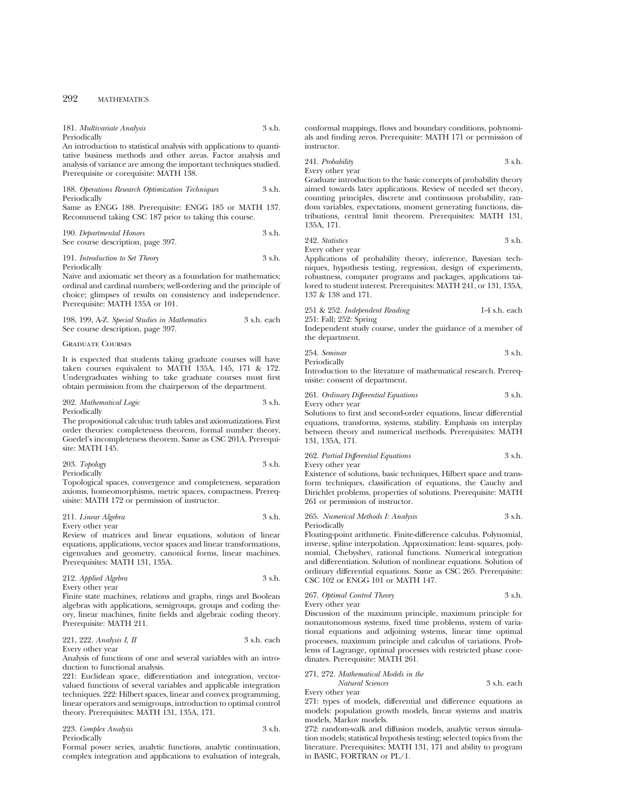181. *Multivariate Analysis* 3 s.h. Periodically

An introduction to statistical analysis with applications to quantitative business methods and other areas. Factor analysis and analysis of variance are among the important techniques studied. Prerequisite or corequisite: MATH 138.

188. *Operations Research Optimization Techniques* 3 s.h. Periodically

Same as ENGG 188. Prerequisite: ENGG 185 or MATH 137. Recommend taking CSC 187 prior to taking this course.

190. *Departmental Honors* 3 s.h. See course description, page 397.

## 191. *Introduction to Set Theory* 3 s.h. Periodically

Naive and axiomatic set theory as a foundation for mathematics; ordinal and cardinal numbers; well-ordering and the principle of choice; glimpses of results on consistency and independence. Prerequisite: MATH 135A or 101.

| 198, 199, A-Z. Special Studies in Mathematics | 3 s.h. each |
|-----------------------------------------------|-------------|
| See course description, page 397.             |             |

# Graduate Courses

It is expected that students taking graduate courses will have taken courses equivalent to MATH 135A, 145, 171 & 172. Undergraduates wishing to take graduate courses must first obtain permission from the chairperson of the department.

| 202. Mathematical Logic | 3 s.h. |
|-------------------------|--------|
| Periodically            |        |

The propositional calculus: truth tables and axiomatizations. First order theories: completeness theorem, formal number theory, Goedel's incompleteness theorem. Same as CSC 201A. Prerequisite: MATH 145.

| 203. Topology | 3 s.h. |
|---------------|--------|
| Periodically  |        |

Topological spaces, convergence and completeness, separation axioms, homeomorphisms, metric spaces, compactness. Prerequisite: MATH 172 or permission of instructor.

211. *Linear Algebra* 3 s.h. Every other year

Review of matrices and linear equations, solution of linear equations, applications, vector spaces and linear transformations, eigenvalues and geometry, canonical forms, linear machines. Prerequisites: MATH 131, 135A.

| 212. Applied Algebra | 3 s.h. |
|----------------------|--------|
| Every other year     |        |

Finite state machines, relations and graphs, rings and Boolean algebras with applications, semigroups, groups and coding theory, linear machines, finite fields and algebraic coding theory. Prerequisite: MATH 211.

### 221, 222. *Analysis I, II* 3 s.h. each Every other year

Analysis of functions of one and several variables with an introduction to functional analysis.

221: Euclidean space, differentiation and integration, vectorvalued functions of several variables and applicable integration techniques. 222: Hilbert spaces, linear and convex programming, linear operators and semigroups, introduction to optimal control theory. Prerequisites: MATH 131, 135A, 171.

| 223. Complex Analysis | 3 s.h. |
|-----------------------|--------|
| Periodically          |        |

Formal power series, analytic functions, analytic continuation, complex integration and applications to evaluation of integrals,

conformal mappings, flows and boundary conditions, polynomials and finding zeros. Prerequisite: MATH 171 or permission of instructor.

241. *Probability* 3 s.h. Every other year

Graduate introduction to the basic concepts of probability theory aimed towards later applications. Review of needed set theory, counting principles, discrete and continuous probability, random variables, expectations, moment generating functions, distributions, central limit theorem. Prerequisites: MATH 131, 135A, 171.

242. *Statistics* 3 s.h. Every other year

Applications of probability theory, inference, Bayesian techniques, hypothesis testing, regression, design of experiments, robustness, computer programs and packages, applications tailored to student interest. Prerequisites: MATH 241, or 131, 135A, 137 & 138 and 171.

251 & 252. *Independent Reading* 1-4 s.h. each 251: Fall; 252: Spring

Independent study course, under the guidance of a member of the department.

$$
254. Seminar \t\t 3 s.h.
$$

Periodically

Introduction to the literature of mathematical research. Prerequisite: consent of department.

261. *Ordinary Differential Equations* 3 s.h. Every other year

Solutions to first and second-order equations, linear differential equations, transforms, systems, stability. Emphasis on interplay between theory and numerical methods. Prerequisites: MATH 131, 135A, 171.

262. *Partial Differential Equations* 3 s.h. Every other year

Existence of solutions, basic techniques, Hilbert space and transform techniques, classification of equations, the Cauchy and Dirichlet problems, properties of solutions. Prerequisite: MATH 261 or permission of instructor.

265. *Numerical Methods I: Analysis* 3 s.h. Periodically

Floating-point arithmetic. Finite-difference calculus. Polynomial, inverse, spline interpolation. Approximation: least- squares, polynomial, Chebyshev, rational functions. Numerical integration and differentiation. Solution of nonlinear equations. Solution of ordinary differential equations. Same as CSC 265. Prerequisite: CSC 102 or ENGG 101 or MATH 147.

267. *Optimal Control Theory* 3 s.h. Every other year

Discussion of the maximum principle, maximum principle for nonautonomous systems, fixed time problems, system of variational equations and adjoining systems, linear time optimal processes, maximum principle and calculus of variations. Problems of Lagrange, optimal processes with restricted phase coordinates. Prerequisite: MATH 261.

# 271, 272. *Mathematical Models in the*

*Natural Sciences* 3 s.h. each

Every other year

271: types of models, differential and difference equations as models: population growth models, linear systems and matrix models, Markov models.

272: random-walk and diffusion models, analytic versus simulation models; statistical hypothesis testing; selected topics from the literature. Prerequisites: MATH 131, 171 and ability to program in BASIC, FORTRAN or PL/1.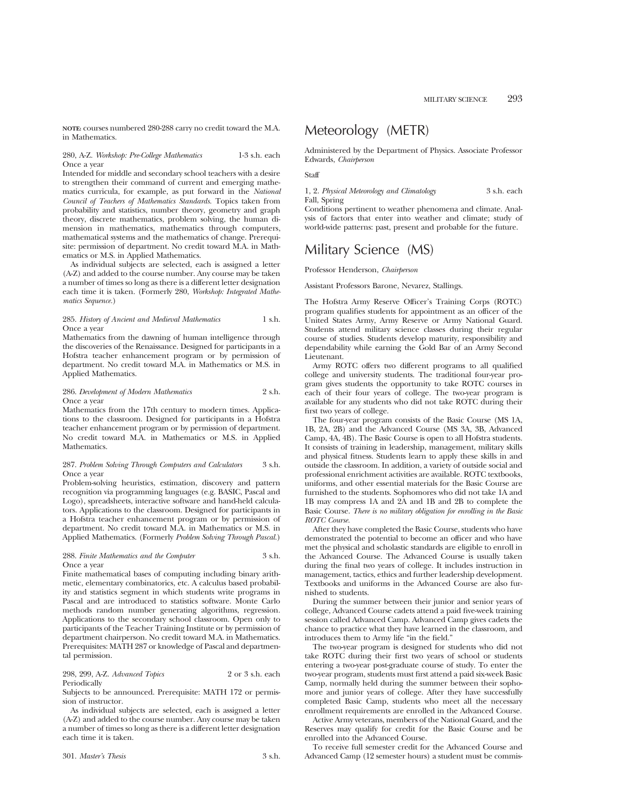**NOTE:** courses numbered 280-288 carry no credit toward the M.A. in Mathematics.

# 280, A-Z. *Workshop: Pre-College Mathematics* 1-3 s.h. each Once a year

Intended for middle and secondary school teachers with a desire to strengthen their command of current and emerging mathematics curricula, for example, as put forward in the *National Council of Teachers of Mathematics Standards.* Topics taken from probability and statistics, number theory, geometry and graph theory, discrete mathematics, problem solving, the human dimension in mathematics, mathematics through computers, mathematical systems and the mathematics of change. Prerequisite: permission of department. No credit toward M.A. in Mathematics or M.S. in Applied Mathematics.

As individual subjects are selected, each is assigned a letter (A-Z) and added to the course number. Any course may be taken a number of times so long as there is a different letter designation each time it is taken. (Formerly 280, *Workshop: Integrated Mathematics Sequence.*)

# 285. *History of Ancient and Medieval Mathematics* 1 s.h. Once a year

Mathematics from the dawning of human intelligence through the discoveries of the Renaissance. Designed for participants in a Hofstra teacher enhancement program or by permission of department. No credit toward M.A. in Mathematics or M.S. in Applied Mathematics.

# 286. *Development of Modern Mathematics* 2 s.h. Once a year

Mathematics from the 17th century to modern times. Applications to the classroom. Designed for participants in a Hofstra teacher enhancement program or by permission of department. No credit toward M.A. in Mathematics or M.S. in Applied Mathematics.

### 287. *Problem Solving Through Computers and Calculators* 3 s.h. Once a year

Problem-solving heuristics, estimation, discovery and pattern recognition via programming languages (e.g. BASIC, Pascal and Logo), spreadsheets, interactive software and hand-held calculators. Applications to the classroom. Designed for participants in a Hofstra teacher enhancement program or by permission of department. No credit toward M.A. in Mathematics or M.S. in Applied Mathematics. (Formerly *Problem Solving Through Pascal.*)

# 288. *Finite Mathematics and the Computer* 3 s.h. Once a year

Finite mathematical bases of computing including binary arithmetic, elementary combinatorics, etc. A calculus based probability and statistics segment in which students write programs in Pascal and are introduced to statistics software. Monte Carlo methods random number generating algorithms, regression. Applications to the secondary school classroom. Open only to participants of the Teacher Training Institute or by permission of department chairperson. No credit toward M.A. in Mathematics. Prerequisites: MATH 287 or knowledge of Pascal and departmental permission.

## 298, 299, A-Z. *Advanced Topics* 2 or 3 s.h. each Periodically

Subjects to be announced. Prerequisite: MATH 172 or permission of instructor.

As individual subjects are selected, each is assigned a letter (A-Z) and added to the course number. Any course may be taken a number of times so long as there is a different letter designation each time it is taken.

# Meteorology (METR)

Administered by the Department of Physics. Associate Professor Edwards, *Chairperson*

# Staff

# 1, 2. *Physical Meteorology and Climatology* 3 s.h. each Fall, Spring

Conditions pertinent to weather phenomena and climate. Analysis of factors that enter into weather and climate; study of world-wide patterns: past, present and probable for the future.

# Military Science (MS)

Professor Henderson, *Chairperson*

Assistant Professors Barone, Nevarez, Stallings.

The Hofstra Army Reserve Officer's Training Corps (ROTC) program qualifies students for appointment as an officer of the United States Army, Army Reserve or Army National Guard. Students attend military science classes during their regular course of studies. Students develop maturity, responsibility and dependability while earning the Gold Bar of an Army Second Lieutenant.

Army ROTC offers two different programs to all qualified college and university students. The traditional four-year program gives students the opportunity to take ROTC courses in each of their four years of college. The two-year program is available for any students who did not take ROTC during their first two years of college.

The four-year program consists of the Basic Course (MS 1A, 1B, 2A, 2B) and the Advanced Course (MS 3A, 3B, Advanced Camp, 4A, 4B). The Basic Course is open to all Hofstra students. It consists of training in leadership, management, military skills and physical fitness. Students learn to apply these skills in and outside the classroom. In addition, a variety of outside social and professional enrichment activities are available. ROTC textbooks, uniforms, and other essential materials for the Basic Course are furnished to the students. Sophomores who did not take 1A and 1B may compress 1A and 2A and 1B and 2B to complete the Basic Course. *There is no military obligation for enrolling in the Basic ROTC Course.*

After they have completed the Basic Course, students who have demonstrated the potential to become an officer and who have met the physical and scholastic standards are eligible to enroll in the Advanced Course. The Advanced Course is usually taken during the final two years of college. It includes instruction in management, tactics, ethics and further leadership development. Textbooks and uniforms in the Advanced Course are also furnished to students.

During the summer between their junior and senior years of college, Advanced Course cadets attend a paid five-week training session called Advanced Camp. Advanced Camp gives cadets the chance to practice what they have learned in the classroom, and introduces them to Army life "in the field."

The two-year program is designed for students who did not take ROTC during their first two years of school or students entering a two-year post-graduate course of study. To enter the two-year program, students must first attend a paid six-week Basic Camp, normally held during the summer between their sophomore and junior years of college. After they have successfully completed Basic Camp, students who meet all the necessary enrollment requirements are enrolled in the Advanced Course.

Active Army veterans, members of the National Guard, and the Reserves may qualify for credit for the Basic Course and be enrolled into the Advanced Course.

To receive full semester credit for the Advanced Course and Advanced Camp (12 semester hours) a student must be commis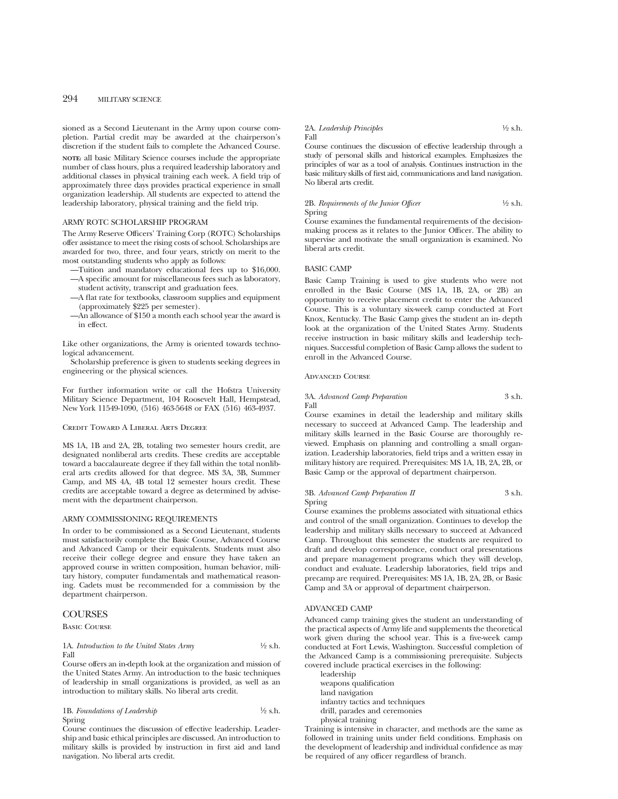sioned as a Second Lieutenant in the Army upon course completion. Partial credit may be awarded at the chairperson's discretion if the student fails to complete the Advanced Course.

**NOTE:** all basic Military Science courses include the appropriate number of class hours, plus a required leadership laboratory and additional classes in physical training each week. A field trip of approximately three days provides practical experience in small organization leadership. All students are expected to attend the leadership laboratory, physical training and the field trip.

# ARMY ROTC SCHOLARSHIP PROGRAM

The Army Reserve Officers' Training Corp (ROTC) Scholarships offer assistance to meet the rising costs of school. Scholarships are awarded for two, three, and four years, strictly on merit to the most outstanding students who apply as follows:

- —Tuition and mandatory educational fees up to \$16,000. —A specific amount for miscellaneous fees such as laboratory, student activity, transcript and graduation fees.
- —A flat rate for textbooks, classroom supplies and equipment (approximately \$225 per semester).
- —An allowance of \$150 a month each school year the award is in effect.

Like other organizations, the Army is oriented towards technological advancement.

Scholarship preference is given to students seeking degrees in engineering or the physical sciences.

For further information write or call the Hofstra University Military Science Department, 104 Roosevelt Hall, Hempstead, New York 11549-1090, (516) 463-5648 or FAX (516) 463-4937.

Credit Toward A Liberal Arts Degree

MS 1A, 1B and 2A, 2B, totaling two semester hours credit, are designated nonliberal arts credits. These credits are acceptable toward a baccalaureate degree if they fall within the total nonliberal arts credits allowed for that degree. MS 3A, 3B, Summer Camp, and MS 4A, 4B total 12 semester hours credit. These credits are acceptable toward a degree as determined by advisement with the department chairperson.

#### ARMY COMMISSIONING REQUIREMENTS

In order to be commissioned as a Second Lieutenant, students must satisfactorily complete the Basic Course, Advanced Course and Advanced Camp or their equivalents. Students must also receive their college degree and ensure they have taken an approved course in written composition, human behavior, military history, computer fundamentals and mathematical reasoning. Cadets must be recommended for a commission by the department chairperson.

# **COURSES**

Basic Course

# 1A. *Introduction to the United States Army* 1/2 s.h. Fall

Course offers an in-depth look at the organization and mission of the United States Army. An introduction to the basic techniques of leadership in small organizations is provided, as well as an introduction to military skills. No liberal arts credit.

1B. *Foundations of Leadership* 1/2 s.h. Spring

Course continues the discussion of effective leadership. Leadership and basic ethical principles are discussed. An introduction to military skills is provided by instruction in first aid and land navigation. No liberal arts credit.

#### 2A. *Leadership Principles* <sup>1</sup>/2 s.h. Fall

Course continues the discussion of effective leadership through a study of personal skills and historical examples. Emphasizes the principles of war as a tool of analysis. Continues instruction in the basic military skills of first aid, communications and land navigation. No liberal arts credit.

# 2B. *Requirements of the Junior Officer* 1/2 s.h. Spring

Course examines the fundamental requirements of the decisionmaking process as it relates to the Junior Officer. The ability to supervise and motivate the small organization is examined. No liberal arts credit.

### BASIC CAMP

Basic Camp Training is used to give students who were not enrolled in the Basic Course (MS 1A, 1B, 2A, or 2B) an opportunity to receive placement credit to enter the Advanced Course. This is a voluntary six-week camp conducted at Fort Knox, Kentucky. The Basic Camp gives the student an in- depth look at the organization of the United States Army. Students receive instruction in basic military skills and leadership techniques. Successful completion of Basic Camp allows the sudent to enroll in the Advanced Course.

Advanced Course

# 3A. *Advanced Camp Preparation* 3 s.h. Fall

Course examines in detail the leadership and military skills necessary to succeed at Advanced Camp. The leadership and military skills learned in the Basic Course are thoroughly reviewed. Emphasis on planning and controlling a small organization. Leadership laboratories, field trips and a written essay in military history are required. Prerequisites: MS 1A, 1B, 2A, 2B, or Basic Camp or the approval of department chairperson.

# 3B. *Advanced Camp Preparation II* 3 s.h. Spring

Course examines the problems associated with situational ethics and control of the small organization. Continues to develop the leadership and military skills necessary to succeed at Advanced Camp. Throughout this semester the students are required to draft and develop correspondence, conduct oral presentations and prepare management programs which they will develop, conduct and evaluate. Leadership laboratories, field trips and precamp are required. Prerequisites: MS 1A, 1B, 2A, 2B, or Basic Camp and 3A or approval of department chairperson.

# ADVANCED CAMP

Advanced camp training gives the student an understanding of the practical aspects of Army life and supplements the theoretical work given during the school year. This is a five-week camp conducted at Fort Lewis, Washington. Successful completion of the Advanced Camp is a commissioning prerequisite. Subjects covered include practical exercises in the following:

leadership weapons qualification land navigation infantry tactics and techniques drill, parades and ceremonies physical training

Training is intensive in character, and methods are the same as followed in training units under field conditions. Emphasis on the development of leadership and individual confidence as may be required of any officer regardless of branch.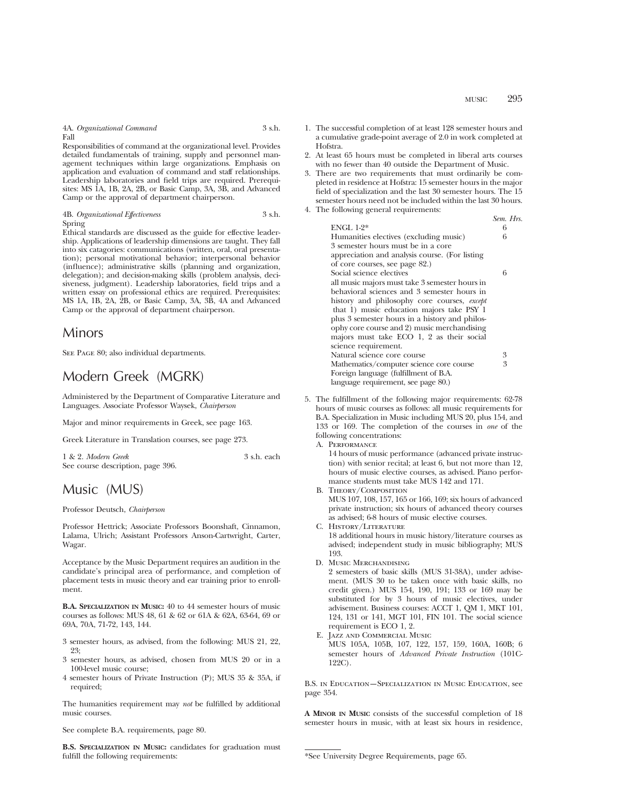4A. *Organizational Command* 3 s.h. Fall

Responsibilities of command at the organizational level. Provides detailed fundamentals of training, supply and personnel management techniques within large organizations. Emphasis on application and evaluation of command and staff relationships. Leadership laboratories and field trips are required. Prerequisites: MS 1A, 1B, 2A, 2B, or Basic Camp, 3A, 3B, and Advanced Camp or the approval of department chairperson.

4B. *Organizational Effectiveness* 3 s.h. Spring

Ethical standards are discussed as the guide for effective leadership. Applications of leadership dimensions are taught. They fall into six catagories: communications (written, oral, oral presentation); personal motivational behavior; interpersonal behavior (influence); administrative skills (planning and organization, delegation); and decision-making skills (problem analysis, decisiveness, judgment). Leadership laboratories, field trips and a written essay on professional ethics are required. Prerequisites: MS 1A, 1B, 2A, 2B, or Basic Camp, 3A, 3B, 4A and Advanced Camp or the approval of department chairperson.

# Minors

SEE PAGE 80; also individual departments.

# Modern Greek (MGRK)

Administered by the Department of Comparative Literature and Languages. Associate Professor Waysek, *Chairperson*

Major and minor requirements in Greek, see page 163.

Greek Literature in Translation courses, see page 273.

| 1 & 2. Modern Greek               | 3 s.h. each |
|-----------------------------------|-------------|
| See course description, page 396. |             |

# Music (MUS)

Professor Deutsch, *Chairperson*

Professor Hettrick; Associate Professors Boonshaft, Cinnamon, Lalama, Ulrich; Assistant Professors Anson-Cartwright, Carter, Wagar.

Acceptance by the Music Department requires an audition in the candidate's principal area of performance, and completion of placement tests in music theory and ear training prior to enrollment.

**B.A. SPECIALIZATION IN MUSIC:** 40 to 44 semester hours of music courses as follows: MUS 48, 61 & 62 or 61A & 62A, 63-64, 69 or 69A, 70A, 71-72, 143, 144.

- 3 semester hours, as advised, from the following: MUS 21, 22, 23;
- 3 semester hours, as advised, chosen from MUS 20 or in a 100-level music course;
- 4 semester hours of Private Instruction (P); MUS 35 & 35A, if required;

The humanities requirement may *not* be fulfilled by additional music courses.

See complete B.A. requirements, page 80.

**B.S. SPECIALIZATION IN MUSIC:** candidates for graduation must fulfill the following requirements:

- 1. The successful completion of at least 128 semester hours and a cumulative grade-point average of 2.0 in work completed at Hofstra.
- 2. At least 65 hours must be completed in liberal arts courses with no fewer than 40 outside the Department of Music.
- 3. There are two requirements that must ordinarily be completed in residence at Hofstra: 15 semester hours in the major field of specialization and the last 30 semester hours. The 15 semester hours need not be included within the last 30 hours. 4. The following general requirements:
	- *Sem. Hrs.* ENGL 1-2\* 6<br>Humanities electives (excluding music) 6 Humanities electives (excluding music) 6 3 semester hours must be in a core appreciation and analysis course. (For listing of core courses, see page 82.) Social science electives 6 all music majors must take 3 semester hours in behavioral sciences and 3 semester hours in history and philosophy core courses, *except* that 1) music education majors take PSY 1 plus 3 semester hours in a history and philosophy core course and 2) music merchandising majors must take ECO 1, 2 as their social science requirement. Natural science core course 3<br>Mathematics/computer science core course 3 Mathematics/computer science core course Foreign language (fulfillment of B.A. language requirement, see page 80.)
- 5. The fulfillment of the following major requirements: 62-78 hours of music courses as follows: all music requirements for B.A. Specialization in Music including MUS 20, plus 154, and 133 or 169. The completion of the courses in *one* of the following concentrations:

A. Performance

14 hours of music performance (advanced private instruction) with senior recital; at least 6, but not more than 12, hours of music elective courses, as advised. Piano performance students must take MUS 142 and 171.

B. Theory/Composition

MUS 107, 108, 157, 165 or 166, 169; six hours of advanced private instruction; six hours of advanced theory courses as advised; 6-8 hours of music elective courses.

- C. History/Literature 18 additional hours in music history/literature courses as advised; independent study in music bibliography; MUS 193.
- D. Music Merchandising 2 semesters of basic skills (MUS 31-38A), under advisement. (MUS 30 to be taken once with basic skills, no credit given.) MUS 154, 190, 191; 133 or 169 may be substituted for by 3 hours of music electives, under advisement. Business courses: ACCT 1, QM 1, MKT 101, 124, 131 or 141, MGT 101, FIN 101. The social science requirement is ECO 1, 2.
- E. Jazz and Commercial Music MUS 105A, 105B, 107, 122, 157, 159, 160A, 160B; 6 semester hours of *Advanced Private Instruction* (101C-122C).

B.S. in Education—Specialization in Music Education, see page 354.

**A MINOR IN MUSIC** consists of the successful completion of 18 semester hours in music, with at least six hours in residence,

<sup>\*</sup>See University Degree Requirements, page 65.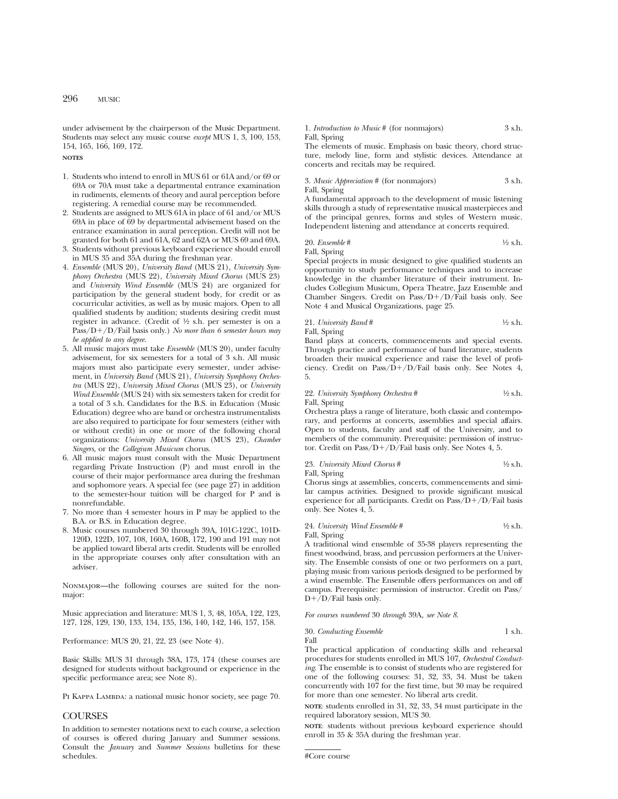under advisement by the chairperson of the Music Department. Students may select any music course *except* MUS 1, 3, 100, 153, 154, 165, 166, 169, 172.

**NOTES**

- 1. Students who intend to enroll in MUS 61 or 61A and/or 69 or 69A or 70A must take a departmental entrance examination in rudiments, elements of theory and aural perception before registering. A remedial course may be recommended.
- 2. Students are assigned to MUS 61A in place of 61 and/or MUS 69A in place of 69 by departmental advisement based on the entrance examination in aural perception. Credit will not be granted for both 61 and 61A, 62 and 62A or MUS 69 and 69A.
- 3. Students without previous keyboard experience should enroll in MUS 35 and 35A during the freshman year.
- 4. *Ensemble* (MUS 20), *University Band* (MUS 21), *University Symphony Orchestra* (MUS 22), *University Mixed Chorus* (MUS 23) and *University Wind Ensemble* (MUS 24) are organized for participation by the general student body, for credit or as cocurricular activities, as well as by music majors. Open to all qualified students by audition; students desiring credit must register in advance. (Credit of 1⁄2 s.h. per semester is on a Pass/D+/D/Fail basis only.) *No more than 6 semester hours may be applied to any degree*.
- 5. All music majors must take *Ensemble* (MUS 20), under faculty advisement, for six semesters for a total of 3 s.h. All music majors must also participate every semester, under advisement, in *University Band* (MUS 21), *University Symphony Orchestra* (MUS 22), *University Mixed Chorus* (MUS 23), or *University Wind Ensemble* (MUS 24) with six semesters taken for credit for a total of 3 s.h. Candidates for the B.S. in Education (Music Education) degree who are band or orchestra instrumentalists are also required to participate for four semesters (either with or without credit) in one or more of the following choral organizations: *University Mixed Chorus* (MUS 23), *Chamber Singers,* or the *Collegium Musicum* chorus.
- 6. All music majors must consult with the Music Department regarding Private Instruction (P) and must enroll in the course of their major performance area during the freshman and sophomore years. A special fee (see page 27) in addition to the semester-hour tuition will be charged for P and is nonrefundable.
- 7. No more than 4 semester hours in P may be applied to the B.A. or B.S. in Education degree.
- 8. Music courses numbered 30 through 39A, 101C-122C, 101D-120D, 122D, 107, 108, 160A, 160B, 172, 190 and 191 may not be applied toward liberal arts credit. Students will be enrolled in the appropriate courses only after consultation with an adviser.

Nonmajor—the following courses are suited for the nonmajor:

Music appreciation and literature: MUS 1, 3, 48, 105A, 122, 123, 127, 128, 129, 130, 133, 134, 135, 136, 140, 142, 146, 157, 158.

Performance: MUS 20, 21, 22, 23 (see Note 4).

Basic Skills: MUS 31 through 38A, 173, 174 (these courses are designed for students without background or experience in the specific performance area; see Note 8).

PI KAPPA LAMBDA: a national music honor society, see page 70.

# **COURSES**

In addition to semester notations next to each course, a selection of courses is offered during January and Summer sessions. Consult the *January* and *Summer Sessions* bulletins for these schedules.

### 1. *Introduction to Music* # (for nonmajors) 3 s.h. Fall, Spring

The elements of music. Emphasis on basic theory, chord structure, melody line, form and stylistic devices. Attendance at concerts and recitals may be required.

3. *Music Appreciation* # (for nonmajors) 3 s.h. Fall, Spring

A fundamental approach to the development of music listening skills through a study of representative musical masterpieces and of the principal genres, forms and styles of Western music. Independent listening and attendance at concerts required.

20. *Ensemble* # 
$$
\frac{1}{2}
$$
 s.h. Fall, Spring

Special projects in music designed to give qualified students an opportunity to study performance techniques and to increase knowledge in the chamber literature of their instrument. Includes Collegium Musicum, Opera Theatre, Jazz Ensemble and Chamber Singers. Credit on  $Pass/D+/D/Fall$  basis only. See Note 4 and Musical Organizations, page 25.

21. University Band # 
$$
\frac{1}{2}
$$
 s.h.

Fall, Spring

Band plays at concerts, commencements and special events. Through practice and performance of band literature, students broaden their musical experience and raise the level of proficiency. Credit on Pass/ $\overline{D}$ +/D/Fail basis only. See Notes 4, 5.

# 22. *University Symphony Orchestra* # 1⁄2 s.h. Fall, Spring

Orchestra plays a range of literature, both classic and contemporary, and performs at concerts, assemblies and special affairs. Open to students, faculty and staff of the University, and to members of the community. Prerequisite: permission of instructor. Credit on Pass/D+/D/Fail basis only. See Notes 4, 5.

# 23. *University Mixed Chorus* #  $\frac{1}{2}$  s.h.

Fall, Spring

Chorus sings at assemblies, concerts, commencements and similar campus activities. Designed to provide significant musical experience for all participants. Credit on  $Pass/D+/D/Fail$  basis only. See Notes 4, 5.

24. *University Wind Ensemble* #  $\frac{1}{2}$  s.h. Fall, Spring

A traditional wind ensemble of 35-38 players representing the finest woodwind, brass, and percussion performers at the University. The Ensemble consists of one or two performers on a part, playing music from various periods designed to be performed by a wind ensemble. The Ensemble offers performances on and off campus. Prerequisite: permission of instructor. Credit on Pass/  $D+/D/Fail$  basis only.

*For courses numbered* 30 *through* 39A*, see Note 8*.

$$
30. \ Conducting {\it Ensemble} \hskip 2 cm 1 s.h. \\ Fall
$$

The practical application of conducting skills and rehearsal procedures for students enrolled in MUS 107, *Orchestral Conducting*. The ensemble is to consist of students who are registered for one of the following courses: 31, 32, 33, 34. Must be taken concurrently with 107 for the first time, but 30 may be required for more than one semester. No liberal arts credit.

**NOTE**: students enrolled in 31, 32, 33, 34 must participate in the required laboratory session, MUS 30.

**NOTE**: students without previous keyboard experience should enroll in 35 & 35A during the freshman year.

<sup>#</sup>Core course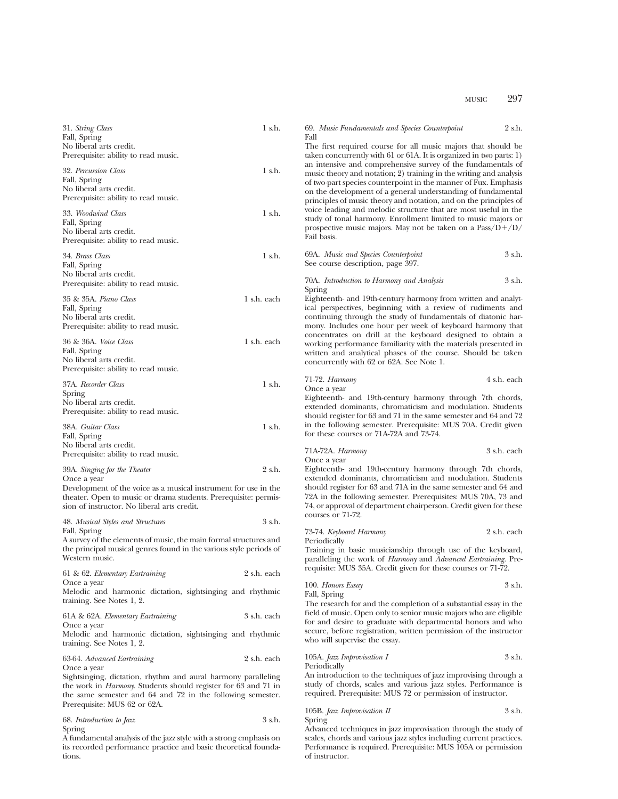| 31. String Class<br>Fall, Spring<br>No liberal arts credit.                                                                                                                                           | 1 s.h.      | 2 s.h.<br>69. Music Fundamentals and Species Counterpoint<br>Fall<br>The first required course for all music majors that should be                                                                                                                                                                                                                                                                                |
|-------------------------------------------------------------------------------------------------------------------------------------------------------------------------------------------------------|-------------|-------------------------------------------------------------------------------------------------------------------------------------------------------------------------------------------------------------------------------------------------------------------------------------------------------------------------------------------------------------------------------------------------------------------|
| Prerequisite: ability to read music.<br>32. Percussion Class<br>Fall, Spring<br>No liberal arts credit.<br>Prerequisite: ability to read music.                                                       | 1 s.h.      | taken concurrently with 61 or 61A. It is organized in two parts: 1)<br>an intensive and comprehensive survey of the fundamentals of<br>music theory and notation; 2) training in the writing and analysis<br>of two-part species counterpoint in the manner of Fux. Emphasis<br>on the development of a general understanding of fundamental<br>principles of music theory and notation, and on the principles of |
| 33. Woodwind Class<br>Fall, Spring<br>No liberal arts credit.<br>Prerequisite: ability to read music.                                                                                                 | 1 s.h.      | voice leading and melodic structure that are most useful in the<br>study of tonal harmony. Enrollment limited to music majors or<br>prospective music majors. May not be taken on a $\text{Pass}/\text{D}+/\text{D}/$<br>Fail basis.                                                                                                                                                                              |
| 34. Brass Class<br>Fall, Spring<br>No liberal arts credit.                                                                                                                                            | 1 s.h.      | 3 s.h.<br>69A. Music and Species Counterpoint<br>See course description, page 397.                                                                                                                                                                                                                                                                                                                                |
| Prerequisite: ability to read music.                                                                                                                                                                  |             | 3 s.h.<br>70A. Introduction to Harmony and Analysis<br>Spring                                                                                                                                                                                                                                                                                                                                                     |
| 35 & 35A. Piano Class<br>Fall, Spring<br>No liberal arts credit.<br>Prerequisite: ability to read music.                                                                                              | 1 s.h. each | Eighteenth- and 19th-century harmony from written and analyt-<br>ical perspectives, beginning with a review of rudiments and<br>continuing through the study of fundamentals of diatonic har-<br>mony. Includes one hour per week of keyboard harmony that                                                                                                                                                        |
| 36 & 36A. Voice Class<br>Fall, Spring<br>No liberal arts credit.<br>Prerequisite: ability to read music.                                                                                              | 1 s.h. each | concentrates on drill at the keyboard designed to obtain a<br>working performance familiarity with the materials presented in<br>written and analytical phases of the course. Should be taken<br>concurrently with 62 or 62A. See Note 1.                                                                                                                                                                         |
| 37A. Recorder Class                                                                                                                                                                                   | $1$ s.h.    | 4 s.h. each<br>71-72. <i>Harmony</i><br>Once a year                                                                                                                                                                                                                                                                                                                                                               |
| Spring<br>No liberal arts credit.<br>Prerequisite: ability to read music.                                                                                                                             |             | Eighteenth- and 19th-century harmony through 7th chords,<br>extended dominants, chromaticism and modulation. Students<br>should register for 63 and 71 in the same semester and 64 and 72                                                                                                                                                                                                                         |
| 38A. Guitar Class<br>Fall, Spring<br>No liberal arts credit.                                                                                                                                          | 1 s.h.      | in the following semester. Prerequisite: MUS 70A. Credit given<br>for these courses or 71A-72A and 73-74.                                                                                                                                                                                                                                                                                                         |
| Prerequisite: ability to read music.                                                                                                                                                                  |             | 3 s.h. each<br>71A-72A. Harmony<br>Once a year                                                                                                                                                                                                                                                                                                                                                                    |
| 39A. Singing for the Theater<br>Once a year                                                                                                                                                           | 2 s.h.      | Eighteenth- and 19th-century harmony through 7th chords,<br>extended dominants, chromaticism and modulation. Students                                                                                                                                                                                                                                                                                             |
| Development of the voice as a musical instrument for use in the<br>theater. Open to music or drama students. Prerequisite: permis-<br>sion of instructor. No liberal arts credit.                     |             | should register for 63 and 71A in the same semester and 64 and<br>72A in the following semester. Prerequisites: MUS 70A, 73 and<br>74, or approval of department chairperson. Credit given for these<br>courses or 71-72.                                                                                                                                                                                         |
| 48. Musical Styles and Structures<br>Fall, Spring                                                                                                                                                     | 3 s.h.      | 2 s.h. each<br>73-74. Keyboard Harmony                                                                                                                                                                                                                                                                                                                                                                            |
| A survey of the elements of music, the main formal structures and<br>the principal musical genres found in the various style periods of<br>Western music.                                             |             | Periodically<br>Training in basic musicianship through use of the keyboard,<br>paralleling the work of Harmony and Advanced Eartraining. Pre-                                                                                                                                                                                                                                                                     |
| 61 & 62. Elementary Eartraining                                                                                                                                                                       | 2 s.h. each | requisite: MUS 35A. Credit given for these courses or 71-72.                                                                                                                                                                                                                                                                                                                                                      |
| Once a year<br>Melodic and harmonic dictation, sightsinging and rhythmic<br>training. See Notes 1, 2.                                                                                                 |             | 3 s.h.<br>100. Honors Essay<br>Fall, Spring<br>The research for and the completion of a substantial essay in the                                                                                                                                                                                                                                                                                                  |
| 61A & 62A. Elementary Eartraining                                                                                                                                                                     | 3 s.h. each | field of music. Open only to senior music majors who are eligible<br>for and desire to graduate with departmental honors and who                                                                                                                                                                                                                                                                                  |
| Once a year<br>Melodic and harmonic dictation, sightsinging and rhythmic<br>training. See Notes 1, 2.                                                                                                 |             | secure, before registration, written permission of the instructor<br>who will supervise the essay.                                                                                                                                                                                                                                                                                                                |
| 63-64. Advanced Eartraining<br>Once a year                                                                                                                                                            | 2 s.h. each | 105A. Jazz Improvisation I<br>3 s.h.<br>Periodically                                                                                                                                                                                                                                                                                                                                                              |
| Sightsinging, dictation, rhythm and aural harmony paralleling<br>the work in <i>Harmony</i> . Students should register for 63 and 71 in<br>the same semester and 64 and 72 in the following semester. |             | An introduction to the techniques of jazz improvising through a<br>study of chords, scales and various jazz styles. Performance is<br>required. Prerequisite: MUS 72 or permission of instructor.                                                                                                                                                                                                                 |
| Prerequisite: MUS 62 or 62A.                                                                                                                                                                          |             | 3 s.h.<br>105B. Jazz Improvisation II                                                                                                                                                                                                                                                                                                                                                                             |
| 68. Introduction to Jazz<br>Spring<br>A fundamental analysis of the jazz style with a strong emphasis on                                                                                              | 3 s.h.      | Spring<br>Advanced techniques in jazz improvisation through the study of<br>scales, chords and various jazz styles including current practices.                                                                                                                                                                                                                                                                   |

Performance is required. Prerequisite: MUS 105A or permission

of instructor.

its recorded performance practice and basic theoretical founda-

tions.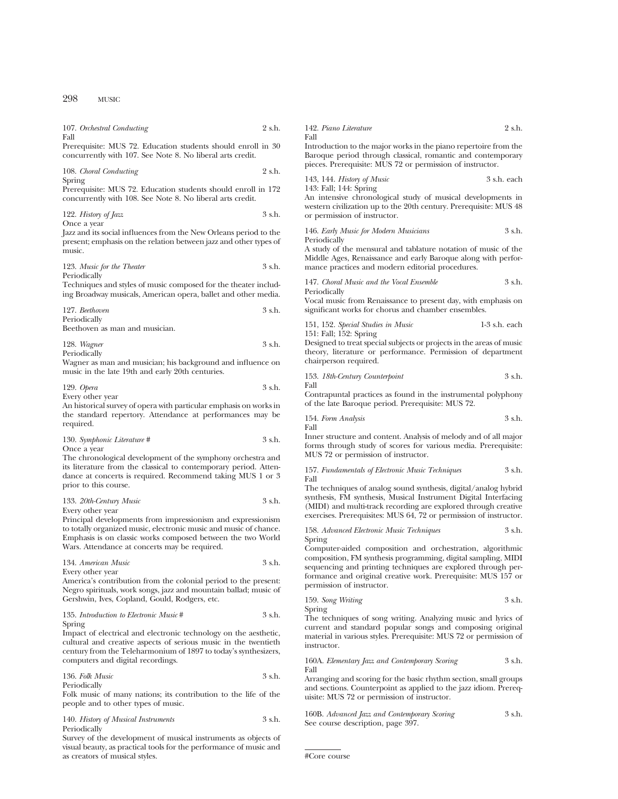| 107. Orchestral Conducting<br>Fall                                                                                          | 2 s.h. |
|-----------------------------------------------------------------------------------------------------------------------------|--------|
| Prerequisite: MUS 72. Education students should enroll in 30<br>concurrently with 107. See Note 8. No liberal arts credit.  |        |
| 108. Choral Conducting<br>Spring                                                                                            | 2 s.h. |
| Prerequisite: MUS 72. Education students should enroll in 172<br>concurrently with 108. See Note 8. No liberal arts credit. |        |
| 122. History of Jazz                                                                                                        | 3 s.h. |
| Once a year                                                                                                                 |        |
| Jazz and its social influences from the New Orleans period to the                                                           |        |
| present; emphasis on the relation between jazz and other types of                                                           |        |
| music.                                                                                                                      |        |

| 123. Music for the Theater | 3 s.h. |
|----------------------------|--------|
| Periodically               |        |

Techniques and styles of music composed for the theater including Broadway musicals, American opera, ballet and other media.

| 127. Beethoven |  | 3 s.h. |
|----------------|--|--------|
| Periodically   |  |        |
| $\mathbf{r}$   |  |        |

Beethoven as man and musician.

| 128. Wagner  | 3 s.h. |
|--------------|--------|
| Periodically |        |

Wagner as man and musician; his background and influence on music in the late 19th and early 20th centuries.

| 129. Opera | 3 s.h. |
|------------|--------|
|            |        |

Every other year

An historical survey of opera with particular emphasis on works in the standard repertory. Attendance at performances may be required.

| 130. Symphonic Literature # | 3 s.h. |
|-----------------------------|--------|
| Once a year                 |        |

The chronological development of the symphony orchestra and its literature from the classical to contemporary period. Attendance at concerts is required. Recommend taking MUS 1 or 3 prior to this course.

## 133. *20th-Century Music* 3 s.h. Every other year

Principal developments from impressionism and expressionism to totally organized music, electronic music and music of chance. Emphasis is on classic works composed between the two World Wars. Attendance at concerts may be required.

134. *American Music* 3 s.h. Every other year

America's contribution from the colonial period to the present: Negro spirituals, work songs, jazz and mountain ballad; music of Gershwin, Ives, Copland, Gould, Rodgers, etc.

135. *Introduction to Electronic Music* # 3 s.h. Spring

Impact of electrical and electronic technology on the aesthetic, cultural and creative aspects of serious music in the twentieth century from the Teleharmonium of 1897 to today's synthesizers, computers and digital recordings.

| 136. Folk Music | 3 s.h. |
|-----------------|--------|
| Periodically    |        |

Folk music of many nations; its contribution to the life of the people and to other types of music.

# 140. *History of Musical Instruments* 3 s.h. Periodically

Survey of the development of musical instruments as objects of visual beauty, as practical tools for the performance of music and as creators of musical styles.

| 142. Piano Literature                                            | 2 s.h. |
|------------------------------------------------------------------|--------|
| Fall                                                             |        |
| Introduction to the major works in the piano repertoire from the |        |

Introduction to the major works in the piano repertoire from the Baroque period through classical, romantic and contemporary pieces. Prerequisite: MUS 72 or permission of instructor.

143, 144. *History of Music* 3 s.h. each 143: Fall; 144: Spring

An intensive chronological study of musical developments in western civilization up to the 20th century. Prerequisite: MUS 48 or permission of instructor.

| 146. Early Music for Modern Musicians | 3 s.h. |
|---------------------------------------|--------|
| Periodically                          |        |

A study of the mensural and tablature notation of music of the Middle Ages, Renaissance and early Baroque along with performance practices and modern editorial procedures.

147. *Choral Music and the Vocal Ensemble* 3 s.h. Periodically

Vocal music from Renaissance to present day, with emphasis on significant works for chorus and chamber ensembles.

| 151, 152. Special Studies in Music | $1-3$ s.h. each |  |
|------------------------------------|-----------------|--|
| 151: Fall; 152: Spring             |                 |  |

Designed to treat special subjects or projects in the areas of music theory, literature or performance. Permission of department chairperson required.

153. *18th-Century Counterpoint* 3 s.h. Fall

Contrapuntal practices as found in the instrumental polyphony of the late Baroque period. Prerequisite: MUS 72.

154. *Form Analysis* 3 s.h. Fall

Inner structure and content. Analysis of melody and of all major forms through study of scores for various media. Prerequisite: MUS 72 or permission of instructor.

157. *Fundamentals of Electronic Music Techniques* 3 s.h. Fall

The techniques of analog sound synthesis, digital/analog hybrid synthesis, FM synthesis, Musical Instrument Digital Interfacing (MIDI) and multi-track recording are explored through creative exercises. Prerequisites: MUS 64, 72 or permission of instructor.

158. *Advanced Electronic Music Techniques* 3 s.h. Spring

Computer-aided composition and orchestration, algorithmic composition, FM synthesis programming, digital sampling, MIDI sequencing and printing techniques are explored through performance and original creative work. Prerequisite: MUS 157 or permission of instructor.

159. *Song Writing* 3 s.h. Spring

The techniques of song writing. Analyzing music and lyrics of current and standard popular songs and composing original material in various styles. Prerequisite: MUS 72 or permission of instructor.

160A. *Elementary Jazz and Contemporary Scoring* 3 s.h. Fall

Arranging and scoring for the basic rhythm section, small groups and sections. Counterpoint as applied to the jazz idiom. Prerequisite: MUS 72 or permission of instructor.

160B. *Advanced Jazz and Contemporary Scoring* 3 s.h. See course description, page 397.

```
#Core course
```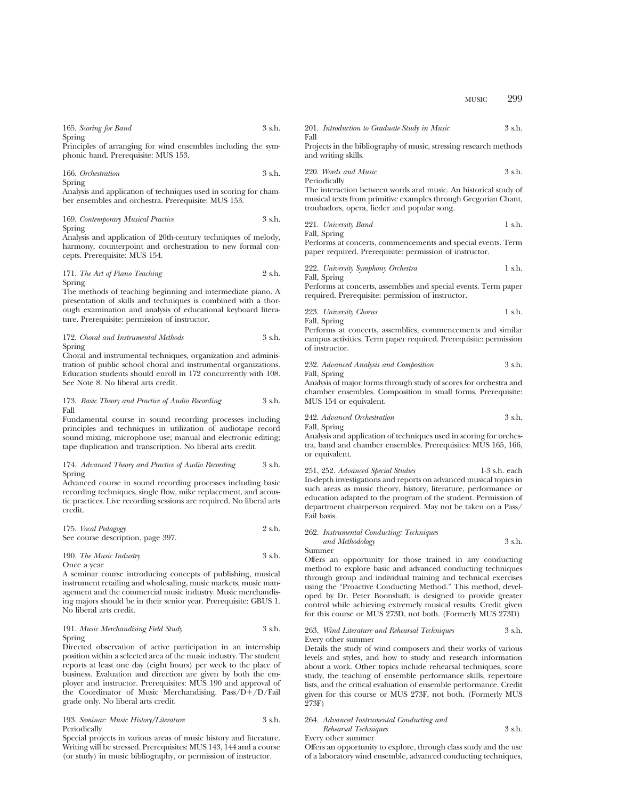| 165. Scoring for Band | 3 s.h. |
|-----------------------|--------|
| Spring                |        |

Principles of arranging for wind ensembles including the symphonic band. Prerequisite: MUS 153.

166. *Orchestration* 3 s.h. Spring

Analysis and application of techniques used in scoring for chamber ensembles and orchestra. Prerequisite: MUS 153.

169. *Contemporary Musical Practice* 3 s.h. Spring

Analysis and application of 20th-century techniques of melody, harmony, counterpoint and orchestration to new formal concepts. Prerequisite: MUS 154.

171. *The Art of Piano Teaching* 2 s.h. Spring

The methods of teaching beginning and intermediate piano. A presentation of skills and techniques is combined with a thorough examination and analysis of educational keyboard literature. Prerequisite: permission of instructor.

172. *Choral and Instrumental Methods* 3 s.h. Spring

Choral and instrumental techniques, organization and administration of public school choral and instrumental organizations. Education students should enroll in 172 concurrently with 108. See Note 8. No liberal arts credit.

173. *Basic Theory and Practice of Audio Recording* 3 s.h. Fall

Fundamental course in sound recording processes including principles and techniques in utilization of audiotape record sound mixing, microphone use; manual and electronic editing; tape duplication and transcription. No liberal arts credit.

# 174. *Advanced Theory and Practice of Audio Recording* 3 s.h. Spring

Advanced course in sound recording processes including basic recording techniques, single flow, mike replacement, and acoustic practices. Live recording sessions are required. No liberal arts credit.

| 175. Vocal Pedagogy               | 2 s.h. |
|-----------------------------------|--------|
| See course description, page 397. |        |

### 190. *The Music Industry* 3 s.h. Once a year

A seminar course introducing concepts of publishing, musical instrument retailing and wholesaling, music markets, music management and the commercial music industry. Music merchandising majors should be in their senior year. Prerequisite: GBUS 1. No liberal arts credit.

# 191. *Music Merchandising Field Study* 3 s.h. Spring

Directed observation of active participation in an internship position within a selected area of the music industry. The student reports at least one day (eight hours) per week to the place of business. Evaluation and direction are given by both the employer and instructor. Prerequisites: MUS 190 and approval of the Coordinator of Music Merchandising. Pass/ $D+/D$ /Fail grade only. No liberal arts credit.

# 193. *Seminar: Music History/Literature* 3 s.h. Periodically

Special projects in various areas of music history and literature. Writing will be stressed. Prerequisites: MUS 143, 144 and a course (or study) in music bibliography, or permission of instructor.

|      | 201. Introduction to Graduate Study in Music |  | 3 s.h. |
|------|----------------------------------------------|--|--------|
| Fall |                                              |  |        |

Projects in the bibliography of music, stressing research methods and writing skills.

220. *Words and Music* 3 s.h.

Periodically The interaction between words and music. An historical study of musical texts from primitive examples through Gregorian Chant, troubadors, opera, lieder and popular song.

221. *University Band* 1 s.h. Fall, Spring

Performs at concerts, commencements and special events. Term paper required. Prerequisite: permission of instructor.

222. *University Symphony Orchestra* 1 s.h. Fall, Spring

Performs at concerts, assemblies and special events. Term paper required. Prerequisite: permission of instructor.

223. *University Chorus* 1 s.h. Fall, Spring

Performs at concerts, assemblies, commencements and similar campus activities. Term paper required. Prerequisite: permission of instructor.

232. *Advanced Analysis and Composition* 3 s.h. Fall, Spring

Analysis of major forms through study of scores for orchestra and chamber ensembles. Composition in small forms. Prerequisite: MUS 154 or equivalent.

242. *Advanced Orchestration* 3 s.h. Fall, Spring

Analysis and application of techniques used in scoring for orchestra, band and chamber ensembles. Prerequisites: MUS 165, 166, or equivalent.

251, 252. *Advanced Special Studies* 1-3 s.h. each In-depth investigations and reports on advanced musical topics in such areas as music theory, history, literature, performance or education adapted to the program of the student. Permission of department chairperson required. May not be taken on a Pass/ Fail basis.

262. *Instrumental Conducting: Techniques and Methodology* 3 s.h. Summer

Offers an opportunity for those trained in any conducting method to explore basic and advanced conducting techniques through group and individual training and technical exercises using the "Proactive Conducting Method." This method, developed by Dr. Peter Boonshaft, is designed to provide greater control while achieving extremely musical results. Credit given for this course or MUS 273D, not both. (Formerly MUS 273D)

#### 263. *Wind Literature and Rehearsal Techniques* 3 s.h. Every other summer

Details the study of wind composers and their works of various levels and styles, and how to study and research information about a work. Other topics include rehearsal techniques, score study, the teaching of ensemble performance skills, repertoire lists, and the critical evaluation of ensemble performance. Credit given for this course or MUS 273F, not both. (Formerly MUS 273F)

#### 264. *Advanced Instrumental Conducting and Rehearsal Techniques* 3 s.h.

Every other summer

Offers an opportunity to explore, through class study and the use of a laboratory wind ensemble, advanced conducting techniques,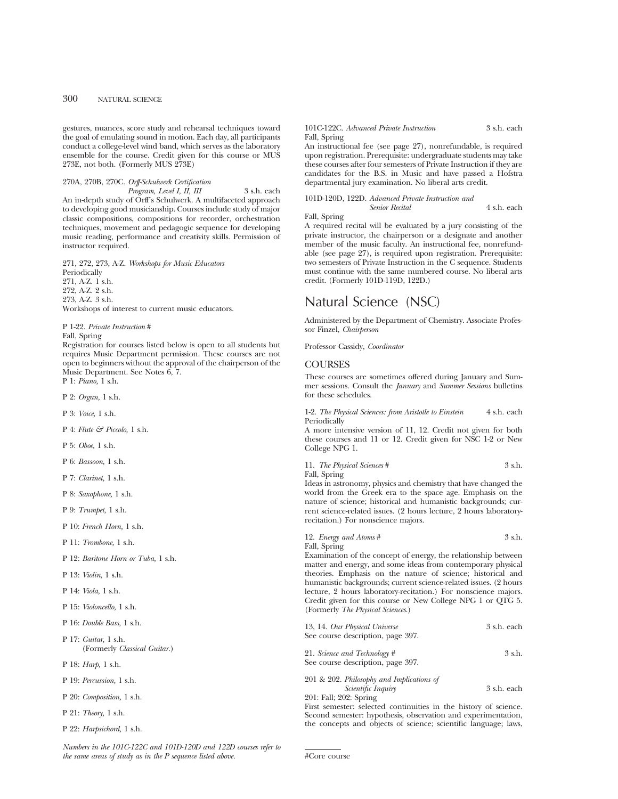gestures, nuances, score study and rehearsal techniques toward the goal of emulating sound in motion. Each day, all participants conduct a college-level wind band, which serves as the laboratory ensemble for the course. Credit given for this course or MUS 273E, not both. (Formerly MUS 273E)

270A, 270B, 270C. *Orff-Schulwerk Certification*

*Program, Level I, II, III* 3 s.h. each An in-depth study of Orff's Schulwerk. A multifaceted approach to developing good musicianship. Courses include study of major classic compositions, compositions for recorder, orchestration techniques, movement and pedagogic sequence for developing music reading, performance and creativity skills. Permission of instructor required.

271, 272, 273, A-Z. *Workshops for Music Educators* Periodically 271, A-Z. 1 s.h. 272, A-Z. 2 s.h. 273, A-Z. 3 s.h. Workshops of interest to current music educators.

P 1-22. *Private Instruction* #

Fall, Spring

Registration for courses listed below is open to all students but requires Music Department permission. These courses are not open to beginners without the approval of the chairperson of the Music Department. See Notes 6, 7. P 1: *Piano,* 1 s.h.

P 2: *Organ,* 1 s.h.

P 3: *Voice,* 1 s.h.

P 4: *Flute & Piccolo,* 1 s.h.

P 5: *Oboe,* 1 s.h.

P 6: *Bassoon,* 1 s.h.

P 7: *Clarinet,* 1 s.h.

P 8: *Saxophone,* 1 s.h.

P 9: *Trumpet,* 1 s.h.

P 10: *French Horn,* 1 s.h.

P 11: *Trombone,* 1 s.h.

P 12: *Baritone Horn or Tuba,* 1 s.h.

P 13: *Violin,* 1 s.h.

P 14: *Viola,* 1 s.h.

P 15: *Violoncello,* 1 s.h.

P 16: *Double Bass,* 1 s.h.

P 17: *Guitar,* 1 s.h. (Formerly *Classical Guitar.*)

P 18: *Harp,* 1 s.h.

P 19: *Percussion,* 1 s.h.

P 20: *Composition,* 1 s.h.

P 21: *Theory,* 1 s.h.

P 22: *Harpsichord,* 1 s.h.

*Numbers in the 101C-122C and 101D-120D and 122D courses refer to the same areas of study as in the P sequence listed above.*

### 101C-122C. *Advanced Private Instruction* 3 s.h. each Fall, Spring

An instructional fee (see page 27), nonrefundable, is required upon registration. Prerequisite: undergraduate students may take these courses after four semesters of Private Instruction if they are candidates for the B.S. in Music and have passed a Hofstra departmental jury examination. No liberal arts credit.

101D-120D, 122D. *Advanced Private Instruction and Senior Recital* 4 s.h. each

Fall, Spring

A required recital will be evaluated by a jury consisting of the private instructor, the chairperson or a designate and another member of the music faculty. An instructional fee, nonrefundable (see page 27), is required upon registration. Prerequisite: two semesters of Private Instruction in the C sequence. Students must continue with the same numbered course. No liberal arts credit. (Formerly 101D-119D, 122D.)

# Natural Science (NSC)

Administered by the Department of Chemistry. Associate Professor Finzel, *Chairperson*

Professor Cassidy, *Coordinator*

# **COURSES**

These courses are sometimes offered during January and Summer sessions. Consult the *January* and *Summer Sessions* bulletins for these schedules.

1-2. *The Physical Sciences: from Aristotle to Einstein* 4 s.h. each Periodically

A more intensive version of 11, 12. Credit not given for both these courses and 11 or 12. Credit given for NSC 1-2 or New College NPG 1.

11. *The Physical Sciences* # 3 s.h.

Fall, Spring

Ideas in astronomy, physics and chemistry that have changed the world from the Greek era to the space age. Emphasis on the nature of science; historical and humanistic backgrounds; current science-related issues. (2 hours lecture, 2 hours laboratoryrecitation.) For nonscience majors.

| 12. <i>Energy and Atoms</i> #                                  | 3 s.h. |
|----------------------------------------------------------------|--------|
| Fall, Spring                                                   |        |
| Examination of the concept of energy, the relationship between |        |

matter and energy, and some ideas from contemporary physical theories. Emphasis on the nature of science; historical and humanistic backgrounds; current science-related issues. (2 hours lecture, 2 hours laboratory-recitation.) For nonscience majors. Credit given for this course or New College NPG 1 or QTG 5. (Formerly *The Physical Sciences*.)

| 13, 14. Our Physical Universe<br>See course description, page 397.                         | 3 s.h. each |
|--------------------------------------------------------------------------------------------|-------------|
| 21. Science and Technology #<br>See course description, page 397.                          | $3$ s.h.    |
| 201 & 202. Philosophy and Implications of<br><i>Scientific Inquiry</i>                     | 3 s.h. each |
| 201: Fall; 202: Spring<br>First semester: selected continuities in the history of science. |             |

First semester: selected continuities in the history of science. Second semester: hypothesis, observation and experimentation, the concepts and objects of science; scientific language; laws,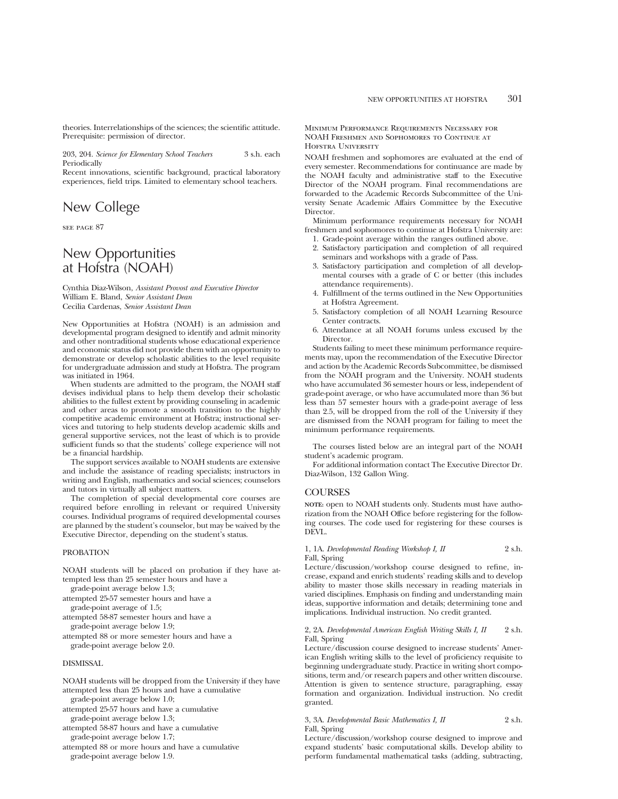theories. Interrelationships of the sciences; the scientific attitude. Prerequisite: permission of director.

203, 204. *Science for Elementary School Teachers* 3 s.h. each Periodically

Recent innovations, scientific background, practical laboratory experiences, field trips. Limited to elementary school teachers.

# New College

see page 87

# New Opportunities at Hofstra (NOAH)

Cynthia Diaz-Wilson, *Assistant Provost and Executive Director* William E. Bland, *Senior Assistant Dean* Cecilia Cardenas, *Senior Assistant Dean*

New Opportunities at Hofstra (NOAH) is an admission and developmental program designed to identify and admit minority and other nontraditional students whose educational experience and economic status did not provide them with an opportunity to demonstrate or develop scholastic abilities to the level requisite for undergraduate admission and study at Hofstra. The program was initiated in 1964.

When students are admitted to the program, the NOAH staff devises individual plans to help them develop their scholastic abilities to the fullest extent by providing counseling in academic and other areas to promote a smooth transition to the highly competitive academic environment at Hofstra; instructional services and tutoring to help students develop academic skills and general supportive services, not the least of which is to provide sufficient funds so that the students' college experience will not be a financial hardship.

The support services available to NOAH students are extensive and include the assistance of reading specialists; instructors in writing and English, mathematics and social sciences; counselors and tutors in virtually all subject matters.

The completion of special developmental core courses are required before enrolling in relevant or required University courses. Individual programs of required developmental courses are planned by the student's counselor, but may be waived by the Executive Director, depending on the student's status.

# PROBATION

NOAH students will be placed on probation if they have attempted less than 25 semester hours and have a

grade-point average below 1.3;

attempted 25-57 semester hours and have a grade-point average of 1.5;

attempted 58-87 semester hours and have a

grade-point average below 1.9;

attempted 88 or more semester hours and have a grade-point average below 2.0.

# DISMISSAL

NOAH students will be dropped from the University if they have attempted less than 25 hours and have a cumulative grade-point average below 1.0;

attempted 25-57 hours and have a cumulative grade-point average below 1.3;

attempted 58-87 hours and have a cumulative

grade-point average below 1.7;

attempted 88 or more hours and have a cumulative grade-point average below 1.9.

Minimum Performance Requirements Necessary for NOAH Freshmen and Sophomores to Continue at HOESTRA UNIVERSITY

NOAH freshmen and sophomores are evaluated at the end of every semester. Recommendations for continuance are made by the NOAH faculty and administrative staff to the Executive Director of the NOAH program. Final recommendations are forwarded to the Academic Records Subcommittee of the University Senate Academic Affairs Committee by the Executive Director.

Minimum performance requirements necessary for NOAH freshmen and sophomores to continue at Hofstra University are:

- 1. Grade-point average within the ranges outlined above.
- 2. Satisfactory participation and completion of all required seminars and workshops with a grade of Pass.
- 3. Satisfactory participation and completion of all developmental courses with a grade of C or better (this includes attendance requirements).
- 4. Fulfillment of the terms outlined in the New Opportunities at Hofstra Agreement.
- 5. Satisfactory completion of all NOAH Learning Resource Center contracts.
- 6. Attendance at all NOAH forums unless excused by the Director.

Students failing to meet these minimum performance requirements may, upon the recommendation of the Executive Director and action by the Academic Records Subcommittee, be dismissed from the NOAH program and the University. NOAH students who have accumulated 36 semester hours or less, independent of grade-point average, or who have accumulated more than 36 but less than 57 semester hours with a grade-point average of less than 2.5, will be dropped from the roll of the University if they are dismissed from the NOAH program for failing to meet the minimum performance requirements.

The courses listed below are an integral part of the NOAH student's academic program.

For additional information contact The Executive Director Dr. Diaz-Wilson, 132 Gallon Wing.

# COURSES

**NOTE:** open to NOAH students only. Students must have authorization from the NOAH Office before registering for the following courses. The code used for registering for these courses is DEVL.

1, 1A. *Developmental Reading Workshop I, II* 2 s.h. Fall, Spring

Lecture/discussion/workshop course designed to refine, increase, expand and enrich students' reading skills and to develop ability to master those skills necessary in reading materials in varied disciplines. Emphasis on finding and understanding main ideas, supportive information and details; determining tone and implications. Individual instruction. No credit granted.

# 2, 2A. *Developmental American English Writing Skills I, II* 2 s.h. Fall, Spring

Lecture/discussion course designed to increase students' American English writing skills to the level of proficiency requisite to beginning undergraduate study. Practice in writing short compositions, term and/or research papers and other written discourse. Attention is given to sentence structure, paragraphing, essay formation and organization. Individual instruction. No credit granted.

### 3, 3A. *Developmental Basic Mathematics I, II* 2 s.h. Fall, Spring

Lecture/discussion/workshop course designed to improve and expand students' basic computational skills. Develop ability to perform fundamental mathematical tasks (adding, subtracting,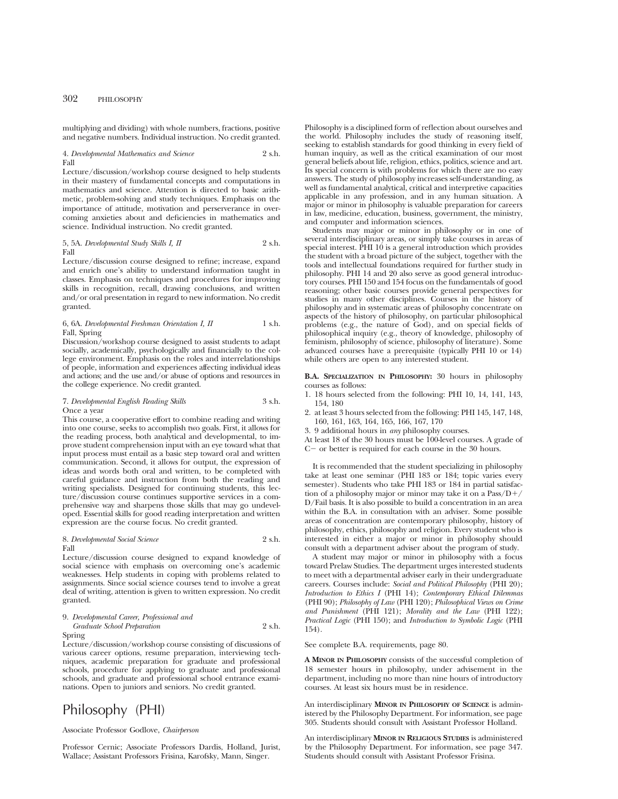multiplying and dividing) with whole numbers, fractions, positive and negative numbers. Individual instruction. No credit granted.

### 4. *Developmental Mathematics and Science* 2 s.h. Fall

Lecture/discussion/workshop course designed to help students in their mastery of fundamental concepts and computations in mathematics and science. Attention is directed to basic arithmetic, problem-solving and study techniques. Emphasis on the importance of attitude, motivation and perserverance in overcoming anxieties about and deficiencies in mathematics and science. Individual instruction. No credit granted.

5, 5A. *Developmental Study Skills I, II* 2 s.h. Fall

Lecture/discussion course designed to refine; increase, expand and enrich one's ability to understand information taught in classes. Emphasis on techniques and procedures for improving skills in recognition, recall, drawing conclusions, and written and/or oral presentation in regard to new information. No credit granted.

### 6, 6A. *Developmental Freshman Orientation I, II* 1 s.h. Fall, Spring

Discussion/workshop course designed to assist students to adapt socially, academically, psychologically and financially to the college environment. Emphasis on the roles and interrelationships of people, information and experiences affecting individual ideas and actions; and the use and/or abuse of options and resources in the college experience. No credit granted.

# 7. *Developmental English Reading Skills* 3 s.h. Once a year

This course, a cooperative effort to combine reading and writing into one course, seeks to accomplish two goals. First, it allows for the reading process, both analytical and developmental, to improve student comprehension input with an eye toward what that input process must entail as a basic step toward oral and written communication. Second, it allows for output, the expression of ideas and words both oral and written, to be completed with careful guidance and instruction from both the reading and writing specialists. Designed for continuing students, this lecture/discussion course continues supportive services in a comprehensive way and sharpens those skills that may go undeveloped. Essential skills for good reading interpretation and written expression are the course focus. No credit granted.

# 8. *Developmental Social Science* 2 s.h. Fall

Lecture/discussion course designed to expand knowledge of social science with emphasis on overcoming one's academic weaknesses. Help students in coping with problems related to assignments. Since social science courses tend to involve a great deal of writing, attention is given to written expression. No credit granted.

## 9. *Developmental Career, Professional and*

*Graduate School Preparation* 2 s.h. Spring

Lecture/discussion/workshop course consisting of discussions of various career options, resume preparation, interviewing techniques, academic preparation for graduate and professional schools, procedure for applying to graduate and professional schools, and graduate and professional school entrance examinations. Open to juniors and seniors. No credit granted.

# Philosophy (PHI)

Associate Professor Godlove, *Chairperson*

Professor Cernic; Associate Professors Dardis, Holland, Jurist, Wallace; Assistant Professors Frisina, Karofsky, Mann, Singer.

Philosophy is a disciplined form of reflection about ourselves and the world. Philosophy includes the study of reasoning itself, seeking to establish standards for good thinking in every field of human inquiry, as well as the critical examination of our most general beliefs about life, religion, ethics, politics, science and art. Its special concern is with problems for which there are no easy answers. The study of philosophy increases self-understanding, as well as fundamental analytical, critical and interpretive capacities applicable in any profession, and in any human situation. A major or minor in philosophy is valuable preparation for careers in law, medicine, education, business, government, the ministry, and computer and information sciences.

Students may major or minor in philosophy or in one of several interdisciplinary areas, or simply take courses in areas of special interest. PHI 10 is a general introduction which provides the student with a broad picture of the subject, together with the tools and intellectual foundations required for further study in philosophy. PHI 14 and 20 also serve as good general introductory courses. PHI 150 and 154 focus on the fundamentals of good reasoning; other basic courses provide general perspectives for studies in many other disciplines. Courses in the history of philosophy and in systematic areas of philosophy concentrate on aspects of the history of philosophy, on particular philosophical problems (e.g., the nature of God), and on special fields of philosophical inquiry (e.g., theory of knowledge, philosophy of feminism, philosophy of science, philosophy of literature). Some advanced courses have a prerequisite (typically PHI 10 or 14) while others are open to any interested student.

**B.A. SPECIALIZATION IN PHILOSOPHY:** 30 hours in philosophy courses as follows:

- 1. 18 hours selected from the following: PHI 10, 14, 141, 143, 154, 180
- 2. at least 3 hours selected from the following: PHI 145, 147, 148, 160, 161, 163, 164, 165, 166, 167, 170
- 3. 9 additional hours in *any* philosophy courses.

At least 18 of the 30 hours must be 100-level courses. A grade of  $C-$  or better is required for each course in the 30 hours.

It is recommended that the student specializing in philosophy take at least one seminar (PHI 183 or 184; topic varies every semester). Students who take PHI 183 or 184 in partial satisfaction of a philosophy major or minor may take it on a  $Pass/D+$ D/Fail basis. It is also possible to build a concentration in an area within the B.A. in consultation with an adviser. Some possible areas of concentration are contemporary philosophy, history of philosophy, ethics, philosophy and religion. Every student who is interested in either a major or minor in philosophy should consult with a department adviser about the program of study.

A student may major or minor in philosophy with a focus toward Prelaw Studies. The department urges interested students to meet with a departmental adviser early in their undergraduate careers. Courses include: *Social and Political Philosophy* (PHI 20); *Introduction to Ethics I* (PHI 14); *Contemporary Ethical Dilemmas* (PHI 90); *Philosophy of Law* (PHI 120); *Philosophical Views on Crime and Punishment* (PHI 121); *Morality and the Law* (PHI 122); *Practical Logic* (PHI 150); and *Introduction to Symbolic Logic* (PHI 154).

See complete B.A. requirements, page 80.

**A MINOR IN PHILOSOPHY** consists of the successful completion of 18 semester hours in philosophy, under advisement in the department, including no more than nine hours of introductory courses. At least six hours must be in residence.

An interdisciplinary **MINOR IN PHILOSOPHY OF SCIENCE** is administered by the Philosophy Department. For information, see page 305. Students should consult with Assistant Professor Holland.

An interdisciplinary **MINOR IN RELIGIOUS STUDIES** is administered by the Philosophy Department. For information, see page 347. Students should consult with Assistant Professor Frisina.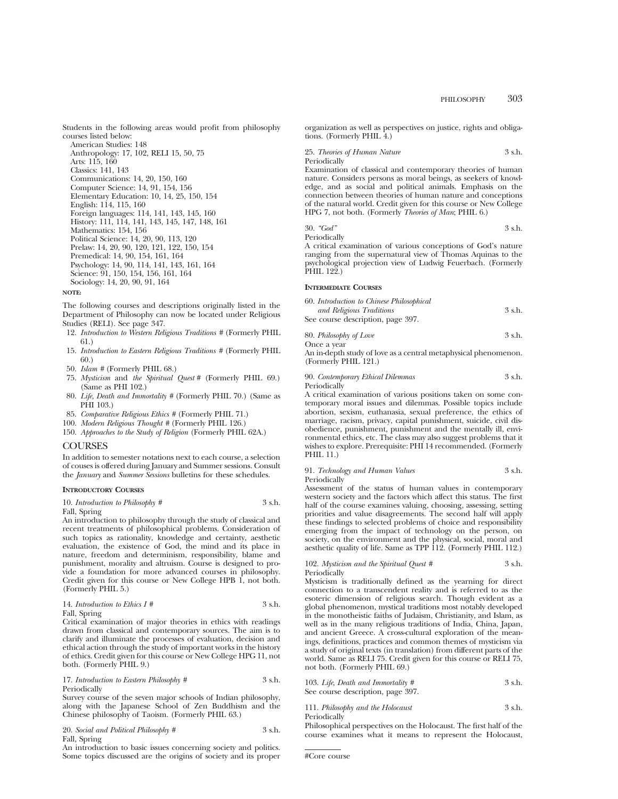Students in the following areas would profit from philosophy courses listed below:

American Studies: 148 Anthropology: 17, 102, RELI 15, 50, 75 Arts: 115, 160 Classics: 141, 143 Communications: 14, 20, 150, 160 Computer Science: 14, 91, 154, 156 Elementary Education: 10, 14, 25, 150, 154 English: 114, 115, 160 Foreign languages: 114, 141, 143, 145, 160 History: 111, 114, 141, 143, 145, 147, 148, 161 Mathematics: 154, 156 Political Science: 14, 20, 90, 113, 120 Prelaw: 14, 20, 90, 120, 121, 122, 150, 154 Premedical: 14, 90, 154, 161, 164 Psychology: 14, 90, 114, 141, 143, 161, 164 Science: 91, 150, 154, 156, 161, 164 Sociology: 14, 20, 90, 91, 164

#### **NOTE:**

The following courses and descriptions originally listed in the Department of Philosophy can now be located under Religious Studies (RELI). See page 347.

- 12. *Introduction to Western Religious Traditions #* (Formerly PHIL 61.)
- 15. *Introduction to Eastern Religious Traditions #* (Formerly PHIL 60.)
- 50. *Islam #* (Formerly PHIL 68.)
- 75. *Mysticism* and *the Spiritual Quest #* (Formerly PHIL 69.) (Same as PHI 102.)
- 80. *Life, Death and Immortality #* (Formerly PHIL 70.) (Same as PHI 103.)
- 85. *Comparative Religious Ethics #* (Formerly PHIL 71.)
- 100. *Modern Religious Thought #* (Formerly PHIL 126.)
- 150. *Approaches to the Study of Religion* (Formerly PHIL 62A.)

# **COURSES**

In addition to semester notations next to each course, a selection of couses is offered during January and Summer sessions. Consult the *January* and *Summer Sessions* bulletins for these schedules.

### **INTRODUCTORY COURSES**

10. *Introduction to Philosophy* # 3 s.h. Fall, Spring

An introduction to philosophy through the study of classical and recent treatments of philosophical problems. Consideration of such topics as rationality, knowledge and certainty, aesthetic evaluation, the existence of God, the mind and its place in nature, freedom and determinism, responsibility, blame and punishment, morality and altruism. Course is designed to provide a foundation for more advanced courses in philosophy. Credit given for this course or New College HPB 1, not both. (Formerly PHIL 5.)

| 14. Introduction to Ethics $I \#$ | 3 s.h. |
|-----------------------------------|--------|
| Fall, Spring                      |        |

Critical examination of major theories in ethics with readings drawn from classical and contemporary sources. The aim is to clarify and illuminate the processes of evaluation, decision and ethical action through the study of important works in the history of ethics. Credit given for this course or New College HPG 11, not both. (Formerly PHIL 9.)

### 17. *Introduction to Eastern Philosophy* # 3 s.h. Periodically

Survey course of the seven major schools of Indian philosophy, along with the Japanese School of Zen Buddhism and the Chinese philosophy of Taoism. (Formerly PHIL 63.)

20. *Social and Political Philosophy #* 3 s.h. Fall, Spring

An introduction to basic issues concerning society and politics. Some topics discussed are the origins of society and its proper organization as well as perspectives on justice, rights and obligations. (Formerly PHIL 4.)

| 25. Theories of Human Nature | 3 s.h. |
|------------------------------|--------|
|                              |        |

Periodically

Examination of classical and contemporary theories of human nature. Considers persons as moral beings, as seekers of knowledge, and as social and political animals. Emphasis on the connection between theories of human nature and conceptions of the natural world. Credit given for this course or New College HPG 7, not both. (Formerly *Theories of Man*; PHIL 6.)

30. *"God"* 3 s.h. Periodically

A critical examination of various conceptions of God's nature ranging from the supernatural view of Thomas Aquinas to the psychological projection view of Ludwig Feuerbach. (Formerly PHIL 122.)

# **INTERMEDIATE COURSES**

| 60. Introduction to Chinese Philosophical |        |
|-------------------------------------------|--------|
| and Religious Traditions                  | 3 s.h. |
| See course description, page 397.         |        |
|                                           |        |

80. Philosophy of Love  
\nOnce a year  
\n
$$
3 \text{ s.h.}
$$

An in-depth study of love as a central metaphysical phenomenon. (Formerly PHIL 121.)

#### 90. *Contemporary Ethical Dilemmas* 3 s.h. Periodically

A critical examination of various positions taken on some contemporary moral issues and dilemmas. Possible topics include abortion, sexism, euthanasia, sexual preference, the ethics of marriage, racism, privacy, capital punishment, suicide, civil disobedience, punishment, punishment and the mentally ill, environmental ethics, etc. The class may also suggest problems that it wishes to explore. Prerequisite: PHI 14 recommended. (Formerly PHIL 11.)

### 91. *Technology and Human Values* 3 s.h. Periodically

Assessment of the status of human values in contemporary western society and the factors which affect this status. The first half of the course examines valuing, choosing, assessing, setting priorities and value disagreements. The second half will apply these findings to selected problems of choice and responsibility emerging from the impact of technology on the person, on society, on the environment and the physical, social, moral and aesthetic quality of life. Same as TPP 112. (Formerly PHIL 112.)

102. *Mysticism and the Spiritual Quest #* 3 s.h. Periodically

Mysticism is traditionally defined as the yearning for direct connection to a transcendent reality and is referred to as the esoteric dimension of religious search. Though evident as a global phenomenon, mystical traditions most notably developed in the monotheistic faiths of Judaism, Christianity, and Islam, as well as in the many religious traditions of India, China, Japan, and ancient Greece. A cross-cultural exploration of the meanings, definitions, practices and common themes of mysticism via a study of original texts (in translation) from different parts of the world. Same as RELI 75. Credit given for this course or RELI 75, not both. (Formerly PHIL 69.)

| 103. Life, Death and Immortality $#$ | 3 s.h. |
|--------------------------------------|--------|
| See course description, page 397.    |        |

111. *Philosophy and the Holocaust* 3 s.h. Periodically

Philosophical perspectives on the Holocaust. The first half of the course examines what it means to represent the Holocaust,

#Core course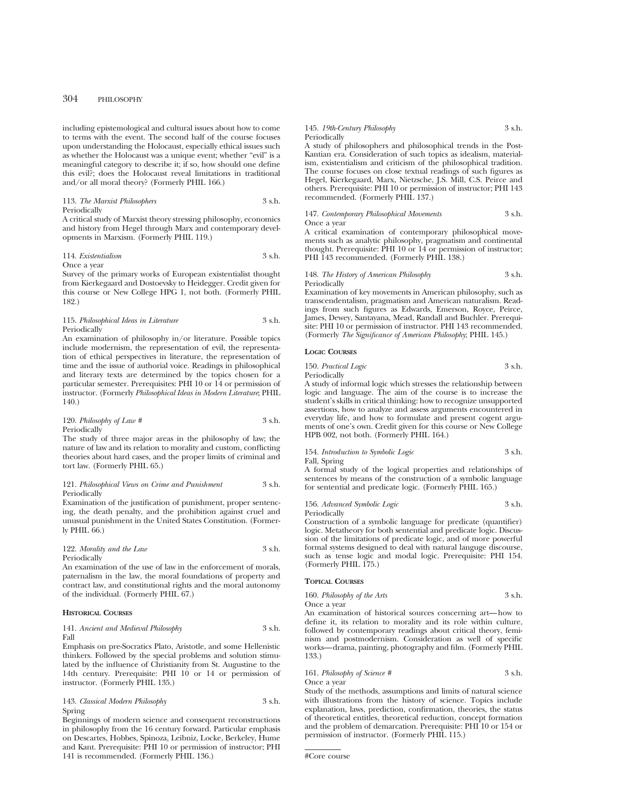including epistemological and cultural issues about how to come to terms with the event. The second half of the course focuses upon understanding the Holocaust, especially ethical issues such as whether the Holocaust was a unique event; whether "evil" is a meaningful category to describe it; if so, how should one define this evil?; does the Holocaust reveal limitations in traditional and/or all moral theory? (Formerly PHIL 166.)

### 113. *The Marxist Philosophers* 3 s.h. Periodically

A critical study of Marxist theory stressing philosophy, economics and history from Hegel through Marx and contemporary developments in Marxism. (Formerly PHIL 119.)

### 114. *Existentialism* 3 s.h. Once a year

Survey of the primary works of European existentialist thought from Kierkegaard and Dostoevsky to Heidegger. Credit given for this course or New College HPG 1, not both. (Formerly PHIL 182.)

# 115. *Philosophical Ideas in Literature* 3 s.h. Periodically

An examination of philosophy in/or literature. Possible topics include modernism, the representation of evil, the representation of ethical perspectives in literature, the representation of time and the issue of authorial voice. Readings in philosophical and literary texts are determined by the topics chosen for a particular semester. Prerequisites: PHI 10 or 14 or permission of instructor. (Formerly *Philosophical Ideas in Modern Literature*; PHIL 140.)

# 120. *Philosophy of Law* # 3 s.h. Periodically

The study of three major areas in the philosophy of law; the nature of law and its relation to morality and custom, conflicting theories about hard cases, and the proper limits of criminal and tort law. (Formerly PHIL 65.)

### 121. *Philosophical Views on Crime and Punishment* 3 s.h. Periodically

Examination of the justification of punishment, proper sentencing, the death penalty, and the prohibition against cruel and unusual punishment in the United States Constitution. (Formerly PHIL 66.)

122. *Morality and the Law* 3 s.h. Periodically

An examination of the use of law in the enforcement of morals, paternalism in the law, the moral foundations of property and contract law, and constitutional rights and the moral autonomy of the individual. (Formerly PHIL 67.)

# **HISTORICAL COURSES**

### 141. *Ancient and Medieval Philosophy* 3 s.h. Fall

Emphasis on pre-Socratics Plato, Aristotle, and some Hellenistic thinkers. Followed by the special problems and solution stimulated by the influence of Christianity from St. Augustine to the 14th century. Prerequisite: PHI 10 or 14 or permission of instructor. (Formerly PHIL 135.)

# 143. *Classical Modern Philosophy* 3 s.h. Spring

Beginnings of modern science and consequent reconstructions in philosophy from the 16 century forward. Particular emphasis on Descartes, Hobbes, Spinoza, Leibniz, Locke, Berkeley, Hume and Kant. Prerequisite: PHI 10 or permission of instructor; PHI 141 is recommended. (Formerly PHIL 136.)

# 145. *19th-Century Philosophy* 3 s.h. Periodically

A study of philosophers and philosophical trends in the Post-Kantian era. Consideration of such topics as idealism, materialism, existentialism and criticism of the philosophical tradition. The course focuses on close textual readings of such figures as Hegel, Kierkegaard, Marx, Nietzsche, J.S. Mill, C.S. Peirce and others. Prerequisite: PHI 10 or permission of instructor; PHI 143 recommended. (Formerly PHIL 137.)

#### 147. *Contemporary Philosophical Movements* 3 s.h. Once a year

A critical examination of contemporary philosophical movements such as analytic philosophy, pragmatism and continental thought. Prerequisite: PHI 10 or  $14$  or permission of instructor; PHI 143 recommended. (Formerly PHIL 138.)

#### 148. *The History of American Philosophy* 3 s.h. Periodically

Examination of key movements in American philosophy, such as transcendentalism, pragmatism and American naturalism. Readings from such figures as Edwards, Emerson, Royce, Peirce, James, Dewey, Santayana, Mead, Randall and Buchler. Prerequisite: PHI 10 or permission of instructor. PHI 143 recommended. (Formerly *The Significance of American Philosophy*; PHIL 145.)

# **LOGIC COURSES**

### 150. *Practical Logic* 3 s.h. Periodically

A study of informal logic which stresses the relationship between logic and language. The aim of the course is to increase the student's skills in critical thinking: how to recognize unsupported assertions, how to analyze and assess arguments encountered in everyday life, and how to formulate and present cogent arguments of one's own. Credit given for this course or New College HPB 002, not both. (Formerly PHIL 164.)

# 154. *Introduction to Symbolic Logic* 3 s.h. Fall, Spring

A formal study of the logical properties and relationships of sentences by means of the construction of a symbolic language for sentential and predicate logic. (Formerly PHIL 165.)

156. *Advanced Symbolic Logic* 3 s.h. Periodically

Construction of a symbolic language for predicate (quantifier) logic. Metatheory for both sentential and predicate logic. Discussion of the limitations of predicate logic, and of more powerful formal systems designed to deal with natural languge discourse, such as tense logic and modal logic. Prerequisite: PHI 154. (Formerly PHIL 175.)

# **TOPICAL COURSES**

160. *Philosophy of the Arts* 3 s.h. Once a year An examination of historical sources concerning art—how to

define it, its relation to morality and its role within culture, followed by contemporary readings about critical theory, feminism and postmodernism. Consideration as well of specific works—drama, painting, photography and film. (Formerly PHIL 133.)

161. *Philosophy of Science #* 3 s.h.

Once a year

Study of the methods, assumptions and limits of natural science with illustrations from the history of science. Topics include explanation, laws, prediction, confirmation, theories, the status of theoretical entitles, theoretical reduction, concept formation and the problem of demarcation. Prerequisite: PHI 10 or 154 or permission of instructor. (Formerly PHIL 115.)

<sup>#</sup>Core course